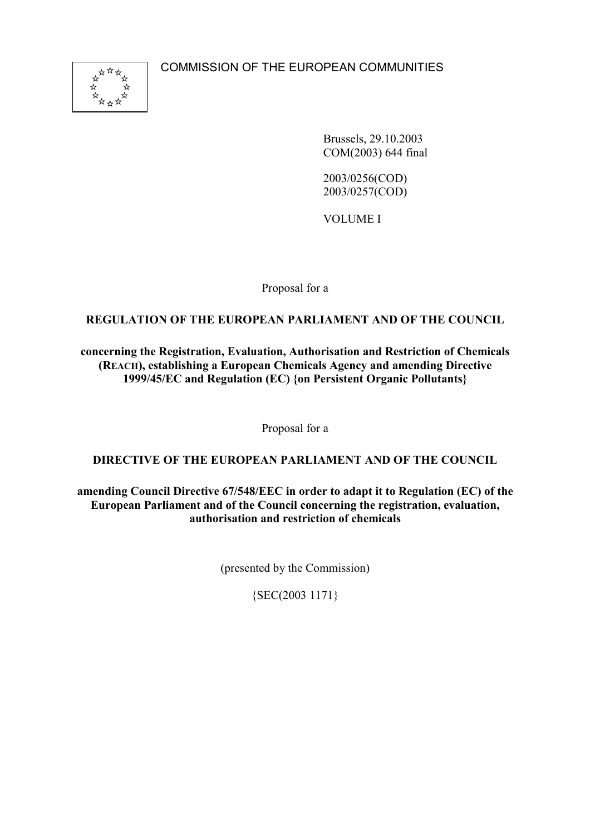

Brussels, 29.10.2003 COM(2003) 644 final

2003/0256(COD) 2003/0257(COD)

VOLUME I

Proposal for a

## **REGULATION OF THE EUROPEAN PARLIAMENT AND OF THE COUNCIL**

**concerning the Registration, Evaluation, Authorisation and Restriction of Chemicals (REACH), establishing a European Chemicals Agency and amending Directive 1999/45/EC and Regulation (EC) {on Persistent Organic Pollutants}**

Proposal for a

## **DIRECTIVE OF THE EUROPEAN PARLIAMENT AND OF THE COUNCIL**

**amending Council Directive 67/548/EEC in order to adapt it to Regulation (EC) of the European Parliament and of the Council concerning the registration, evaluation, authorisation and restriction of chemicals**

(presented by the Commission)

{SEC(2003 1171}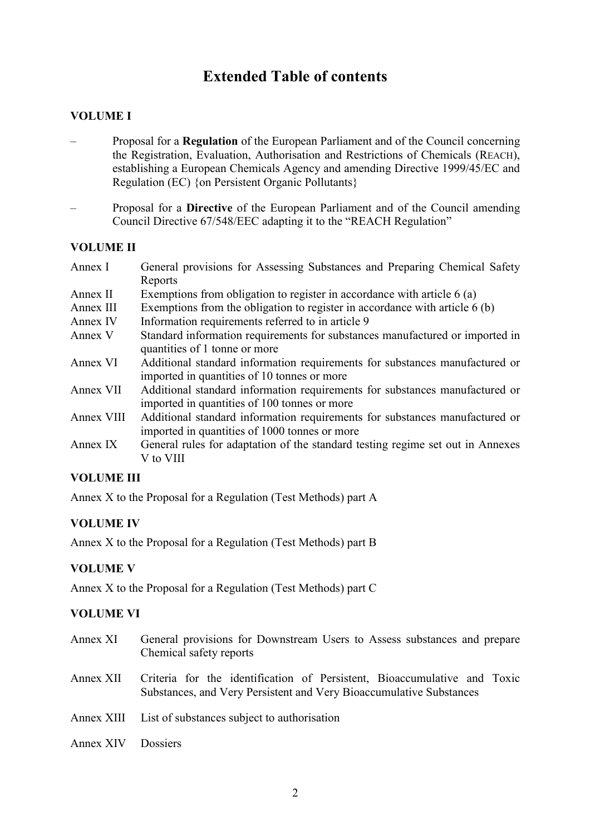# **Extended Table of contents**

## **VOLUME I**

- Proposal for a **Regulation** of the European Parliament and of the Council concerning the Registration, Evaluation, Authorisation and Restrictions of Chemicals (REACH), establishing a European Chemicals Agency and amending Directive 1999/45/EC and Regulation (EC) {on Persistent Organic Pollutants}
- Proposal for a **Directive** of the European Parliament and of the Council amending Council Directive 67/548/EEC adapting it to the "REACH Regulation"

#### **VOLUME II**

| Annex I  | General provisions for Assessing Substances and Preparing Chemical Safety |
|----------|---------------------------------------------------------------------------|
|          | Reports                                                                   |
| Annex II | Exemptions from obligation to register in accordance with article 6 (a)   |

- Annex III Exemptions from the obligation to register in accordance with article 6 (b)
- Annex IV Information requirements referred to in article 9
- Annex V Standard information requirements for substances manufactured or imported in quantities of 1 tonne or more
- Annex VI Additional standard information requirements for substances manufactured or imported in quantities of 10 tonnes or more
- Annex VII Additional standard information requirements for substances manufactured or imported in quantities of 100 tonnes or more
- Annex VIII Additional standard information requirements for substances manufactured or imported in quantities of 1000 tonnes or more
- Annex IX General rules for adaptation of the standard testing regime set out in Annexes V to VIII

#### **VOLUME III**

Annex X to the Proposal for a Regulation (Test Methods) part A

## **VOLUME IV**

Annex X to the Proposal for a Regulation (Test Methods) part B

#### **VOLUME V**

Annex X to the Proposal for a Regulation (Test Methods) part C

#### **VOLUME VI**

| Annex XI  | General provisions for Downstream Users to Assess substances and prepare<br>Chemical safety reports                                             |
|-----------|-------------------------------------------------------------------------------------------------------------------------------------------------|
| Annex XII | Criteria for the identification of Persistent, Bioaccumulative and Toxic<br>Substances, and Very Persistent and Very Bioaccumulative Substances |
|           | Annex XIII List of substances subject to authorisation                                                                                          |
| Annex XIV | Dossiers                                                                                                                                        |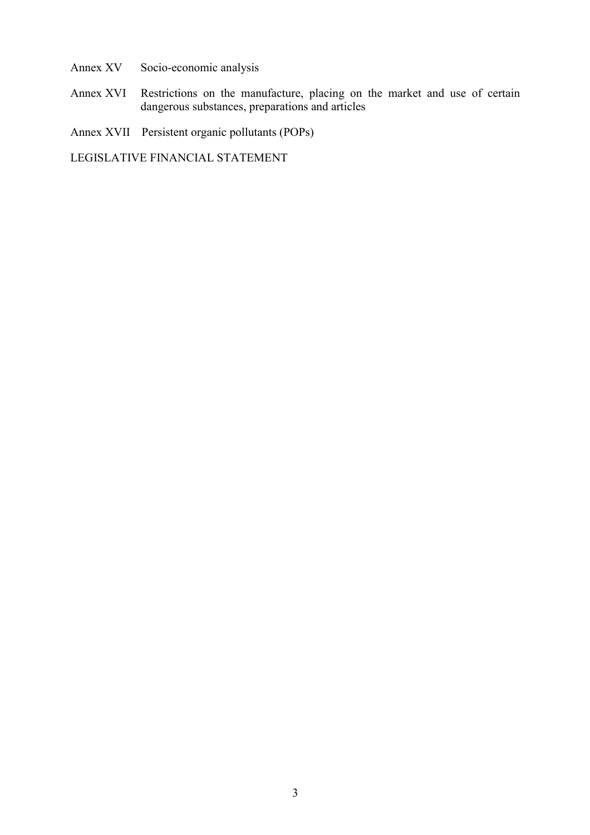- Annex XV Socio-economic analysis
- Annex XVI Restrictions on the manufacture, placing on the market and use of certain dangerous substances, preparations and articles
- Annex XVII Persistent organic pollutants (POPs)

LEGISLATIVE FINANCIAL STATEMENT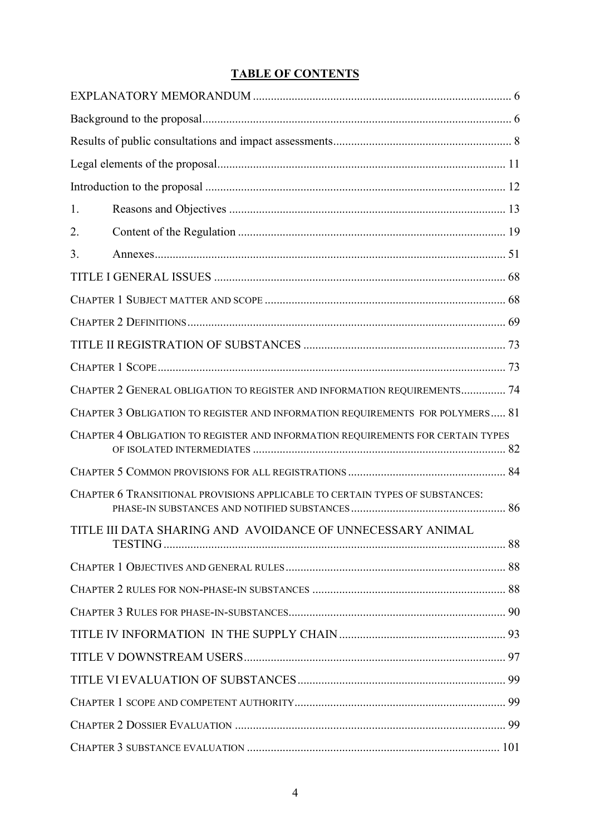## **TABLE OF CONTENTS**

| 1.                                                                              |  |
|---------------------------------------------------------------------------------|--|
| 2.                                                                              |  |
| 3.                                                                              |  |
|                                                                                 |  |
|                                                                                 |  |
|                                                                                 |  |
|                                                                                 |  |
|                                                                                 |  |
| CHAPTER 2 GENERAL OBLIGATION TO REGISTER AND INFORMATION REQUIREMENTS 74        |  |
| CHAPTER 3 OBLIGATION TO REGISTER AND INFORMATION REQUIREMENTS FOR POLYMERS 81   |  |
| CHAPTER 4 OBLIGATION TO REGISTER AND INFORMATION REQUIREMENTS FOR CERTAIN TYPES |  |
|                                                                                 |  |
| CHAPTER 6 TRANSITIONAL PROVISIONS APPLICABLE TO CERTAIN TYPES OF SUBSTANCES:    |  |
| TITLE III DATA SHARING AND AVOIDANCE OF UNNECESSARY ANIMAL                      |  |
|                                                                                 |  |
|                                                                                 |  |
|                                                                                 |  |
|                                                                                 |  |
|                                                                                 |  |
|                                                                                 |  |
|                                                                                 |  |
|                                                                                 |  |
|                                                                                 |  |
|                                                                                 |  |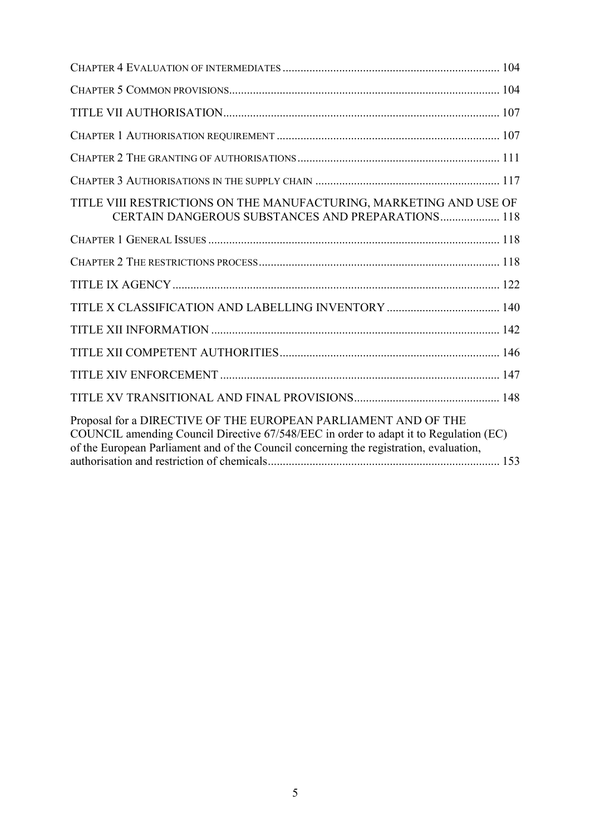| TITLE VIII RESTRICTIONS ON THE MANUFACTURING, MARKETING AND USE OF<br><b>CERTAIN DANGEROUS SUBSTANCES AND PREPARATIONS 118</b>                                                                                                                    |  |
|---------------------------------------------------------------------------------------------------------------------------------------------------------------------------------------------------------------------------------------------------|--|
|                                                                                                                                                                                                                                                   |  |
|                                                                                                                                                                                                                                                   |  |
|                                                                                                                                                                                                                                                   |  |
|                                                                                                                                                                                                                                                   |  |
|                                                                                                                                                                                                                                                   |  |
|                                                                                                                                                                                                                                                   |  |
|                                                                                                                                                                                                                                                   |  |
|                                                                                                                                                                                                                                                   |  |
| Proposal for a DIRECTIVE OF THE EUROPEAN PARLIAMENT AND OF THE<br>COUNCIL amending Council Directive 67/548/EEC in order to adapt it to Regulation (EC)<br>of the European Parliament and of the Council concerning the registration, evaluation, |  |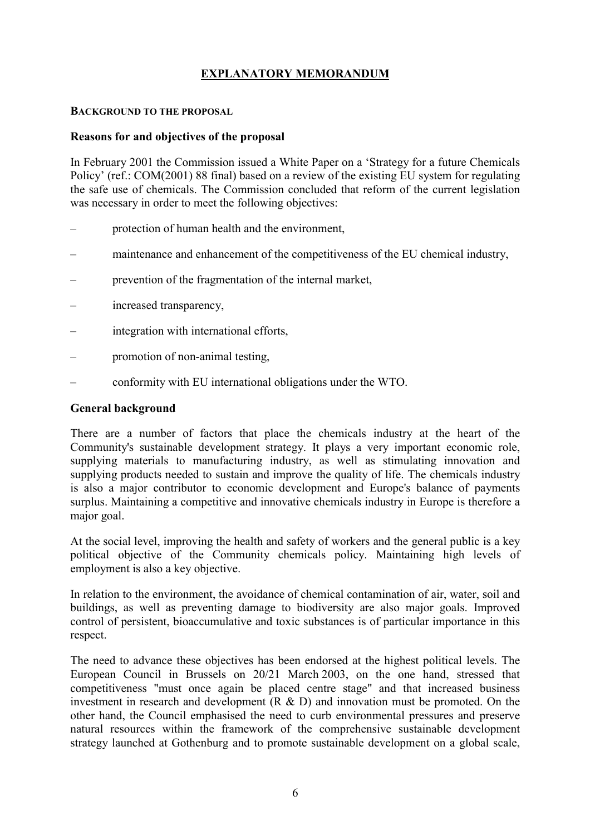## **EXPLANATORY MEMORANDUM**

#### **BACKGROUND TO THE PROPOSAL**

#### **Reasons for and objectives of the proposal**

In February 2001 the Commission issued a White Paper on a 'Strategy for a future Chemicals Policy' (ref.: COM(2001) 88 final) based on a review of the existing EU system for regulating the safe use of chemicals. The Commission concluded that reform of the current legislation was necessary in order to meet the following objectives:

- protection of human health and the environment,
- maintenance and enhancement of the competitiveness of the EU chemical industry,
- prevention of the fragmentation of the internal market,
- increased transparency,
- integration with international efforts,
- promotion of non-animal testing,
- conformity with EU international obligations under the WTO.

#### **General background**

There are a number of factors that place the chemicals industry at the heart of the Community's sustainable development strategy. It plays a very important economic role, supplying materials to manufacturing industry, as well as stimulating innovation and supplying products needed to sustain and improve the quality of life. The chemicals industry is also a major contributor to economic development and Europe's balance of payments surplus. Maintaining a competitive and innovative chemicals industry in Europe is therefore a major goal.

At the social level, improving the health and safety of workers and the general public is a key political objective of the Community chemicals policy. Maintaining high levels of employment is also a key objective.

In relation to the environment, the avoidance of chemical contamination of air, water, soil and buildings, as well as preventing damage to biodiversity are also major goals. Improved control of persistent, bioaccumulative and toxic substances is of particular importance in this respect.

The need to advance these objectives has been endorsed at the highest political levels. The European Council in Brussels on 20/21 March 2003, on the one hand, stressed that competitiveness "must once again be placed centre stage" and that increased business investment in research and development (R & D) and innovation must be promoted. On the other hand, the Council emphasised the need to curb environmental pressures and preserve natural resources within the framework of the comprehensive sustainable development strategy launched at Gothenburg and to promote sustainable development on a global scale,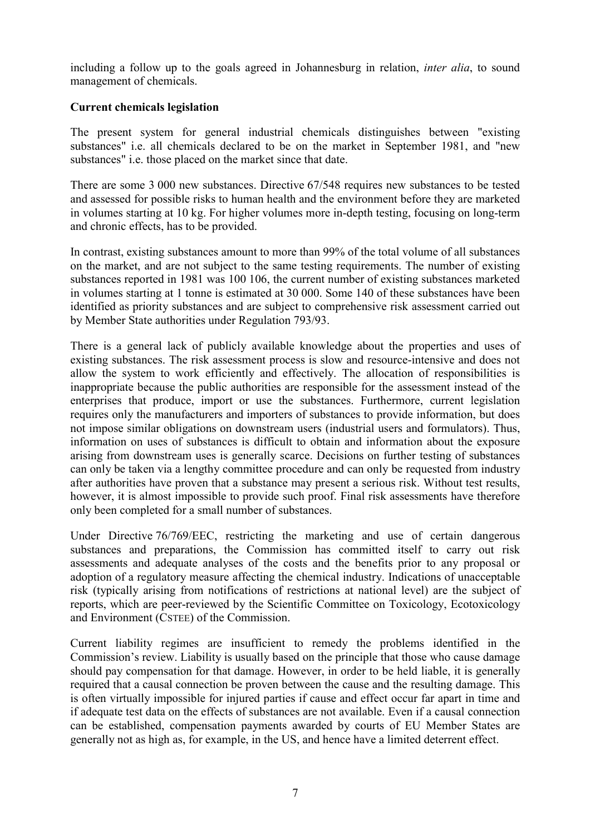including a follow up to the goals agreed in Johannesburg in relation, *inter alia*, to sound management of chemicals.

## **Current chemicals legislation**

The present system for general industrial chemicals distinguishes between "existing substances" i.e. all chemicals declared to be on the market in September 1981, and "new substances" i.e. those placed on the market since that date.

There are some 3 000 new substances. Directive 67/548 requires new substances to be tested and assessed for possible risks to human health and the environment before they are marketed in volumes starting at 10 kg. For higher volumes more in-depth testing, focusing on long-term and chronic effects, has to be provided.

In contrast, existing substances amount to more than 99% of the total volume of all substances on the market, and are not subject to the same testing requirements. The number of existing substances reported in 1981 was 100 106, the current number of existing substances marketed in volumes starting at 1 tonne is estimated at 30 000. Some 140 of these substances have been identified as priority substances and are subject to comprehensive risk assessment carried out by Member State authorities under Regulation 793/93.

There is a general lack of publicly available knowledge about the properties and uses of existing substances. The risk assessment process is slow and resource-intensive and does not allow the system to work efficiently and effectively. The allocation of responsibilities is inappropriate because the public authorities are responsible for the assessment instead of the enterprises that produce, import or use the substances. Furthermore, current legislation requires only the manufacturers and importers of substances to provide information, but does not impose similar obligations on downstream users (industrial users and formulators). Thus, information on uses of substances is difficult to obtain and information about the exposure arising from downstream uses is generally scarce. Decisions on further testing of substances can only be taken via a lengthy committee procedure and can only be requested from industry after authorities have proven that a substance may present a serious risk. Without test results, however, it is almost impossible to provide such proof. Final risk assessments have therefore only been completed for a small number of substances.

Under Directive 76/769/EEC, restricting the marketing and use of certain dangerous substances and preparations, the Commission has committed itself to carry out risk assessments and adequate analyses of the costs and the benefits prior to any proposal or adoption of a regulatory measure affecting the chemical industry. Indications of unacceptable risk (typically arising from notifications of restrictions at national level) are the subject of reports, which are peer-reviewed by the Scientific Committee on Toxicology, Ecotoxicology and Environment (CSTEE) of the Commission.

Current liability regimes are insufficient to remedy the problems identified in the Commission's review. Liability is usually based on the principle that those who cause damage should pay compensation for that damage. However, in order to be held liable, it is generally required that a causal connection be proven between the cause and the resulting damage. This is often virtually impossible for injured parties if cause and effect occur far apart in time and if adequate test data on the effects of substances are not available. Even if a causal connection can be established, compensation payments awarded by courts of EU Member States are generally not as high as, for example, in the US, and hence have a limited deterrent effect.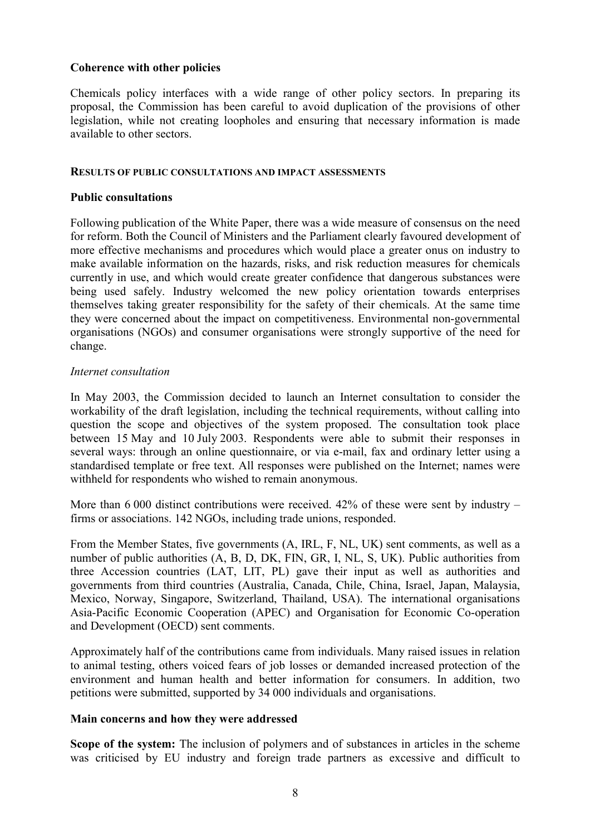#### **Coherence with other policies**

Chemicals policy interfaces with a wide range of other policy sectors. In preparing its proposal, the Commission has been careful to avoid duplication of the provisions of other legislation, while not creating loopholes and ensuring that necessary information is made available to other sectors.

#### **RESULTS OF PUBLIC CONSULTATIONS AND IMPACT ASSESSMENTS**

#### **Public consultations**

Following publication of the White Paper, there was a wide measure of consensus on the need for reform. Both the Council of Ministers and the Parliament clearly favoured development of more effective mechanisms and procedures which would place a greater onus on industry to make available information on the hazards, risks, and risk reduction measures for chemicals currently in use, and which would create greater confidence that dangerous substances were being used safely. Industry welcomed the new policy orientation towards enterprises themselves taking greater responsibility for the safety of their chemicals. At the same time they were concerned about the impact on competitiveness. Environmental non-governmental organisations (NGOs) and consumer organisations were strongly supportive of the need for change.

#### *Internet consultation*

In May 2003, the Commission decided to launch an Internet consultation to consider the workability of the draft legislation, including the technical requirements, without calling into question the scope and objectives of the system proposed. The consultation took place between 15 May and 10 July 2003. Respondents were able to submit their responses in several ways: through an online questionnaire, or via e-mail, fax and ordinary letter using a standardised template or free text. All responses were published on the Internet; names were withheld for respondents who wished to remain anonymous.

More than 6 000 distinct contributions were received. 42% of these were sent by industry – firms or associations. 142 NGOs, including trade unions, responded.

From the Member States, five governments (A, IRL, F, NL, UK) sent comments, as well as a number of public authorities (A, B, D, DK, FIN, GR, I, NL, S, UK). Public authorities from three Accession countries (LAT, LIT, PL) gave their input as well as authorities and governments from third countries (Australia, Canada, Chile, China, Israel, Japan, Malaysia, Mexico, Norway, Singapore, Switzerland, Thailand, USA). The international organisations Asia-Pacific Economic Cooperation (APEC) and Organisation for Economic Co-operation and Development (OECD) sent comments.

Approximately half of the contributions came from individuals. Many raised issues in relation to animal testing, others voiced fears of job losses or demanded increased protection of the environment and human health and better information for consumers. In addition, two petitions were submitted, supported by 34 000 individuals and organisations.

#### **Main concerns and how they were addressed**

**Scope of the system:** The inclusion of polymers and of substances in articles in the scheme was criticised by EU industry and foreign trade partners as excessive and difficult to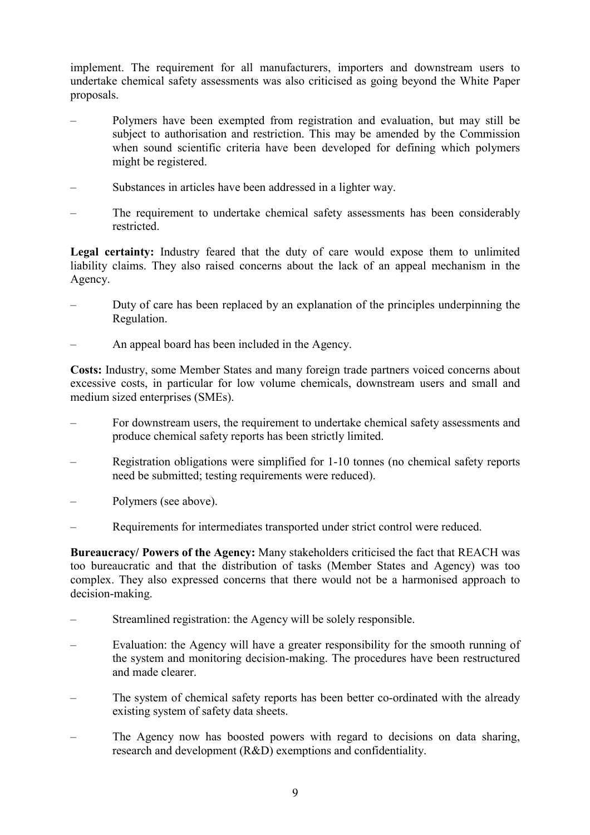implement. The requirement for all manufacturers, importers and downstream users to undertake chemical safety assessments was also criticised as going beyond the White Paper proposals.

- Polymers have been exempted from registration and evaluation, but may still be subject to authorisation and restriction. This may be amended by the Commission when sound scientific criteria have been developed for defining which polymers might be registered.
- Substances in articles have been addressed in a lighter way.
- The requirement to undertake chemical safety assessments has been considerably restricted.

**Legal certainty:** Industry feared that the duty of care would expose them to unlimited liability claims. They also raised concerns about the lack of an appeal mechanism in the Agency.

- Duty of care has been replaced by an explanation of the principles underpinning the Regulation.
- An appeal board has been included in the Agency.

**Costs:** Industry, some Member States and many foreign trade partners voiced concerns about excessive costs, in particular for low volume chemicals, downstream users and small and medium sized enterprises (SMEs).

- For downstream users, the requirement to undertake chemical safety assessments and produce chemical safety reports has been strictly limited.
- Registration obligations were simplified for 1-10 tonnes (no chemical safety reports need be submitted; testing requirements were reduced).
- Polymers (see above).
- Requirements for intermediates transported under strict control were reduced.

**Bureaucracy/ Powers of the Agency:** Many stakeholders criticised the fact that REACH was too bureaucratic and that the distribution of tasks (Member States and Agency) was too complex. They also expressed concerns that there would not be a harmonised approach to decision-making.

- Streamlined registration: the Agency will be solely responsible.
- Evaluation: the Agency will have a greater responsibility for the smooth running of the system and monitoring decision-making. The procedures have been restructured and made clearer.
- The system of chemical safety reports has been better co-ordinated with the already existing system of safety data sheets.
- The Agency now has boosted powers with regard to decisions on data sharing, research and development (R&D) exemptions and confidentiality.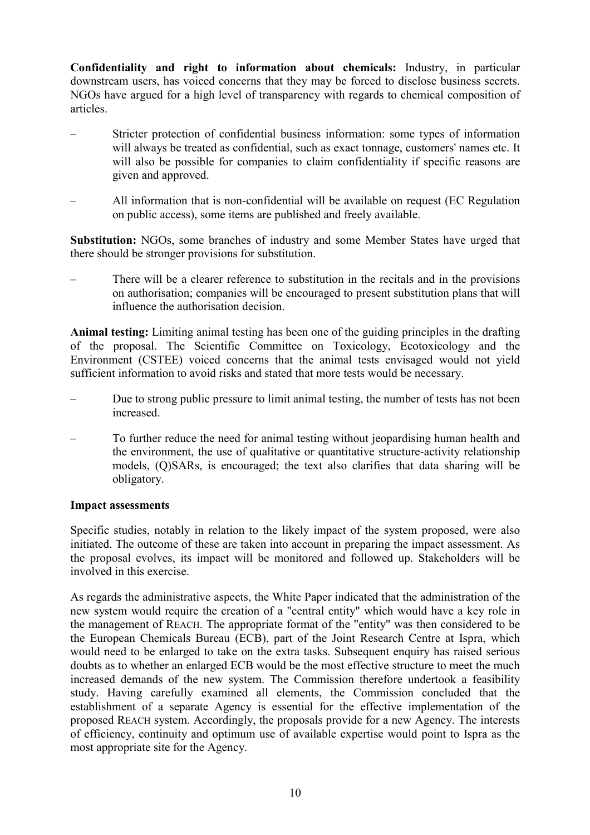**Confidentiality and right to information about chemicals:** Industry, in particular downstream users, has voiced concerns that they may be forced to disclose business secrets. NGOs have argued for a high level of transparency with regards to chemical composition of articles.

- Stricter protection of confidential business information: some types of information will always be treated as confidential, such as exact tonnage, customers' names etc. It will also be possible for companies to claim confidentiality if specific reasons are given and approved.
- All information that is non-confidential will be available on request (EC Regulation on public access), some items are published and freely available.

**Substitution:** NGOs, some branches of industry and some Member States have urged that there should be stronger provisions for substitution.

– There will be a clearer reference to substitution in the recitals and in the provisions on authorisation; companies will be encouraged to present substitution plans that will influence the authorisation decision.

**Animal testing:** Limiting animal testing has been one of the guiding principles in the drafting of the proposal. The Scientific Committee on Toxicology, Ecotoxicology and the Environment (CSTEE) voiced concerns that the animal tests envisaged would not yield sufficient information to avoid risks and stated that more tests would be necessary.

- Due to strong public pressure to limit animal testing, the number of tests has not been increased.
- To further reduce the need for animal testing without jeopardising human health and the environment, the use of qualitative or quantitative structure-activity relationship models, (Q)SARs, is encouraged; the text also clarifies that data sharing will be obligatory.

#### **Impact assessments**

Specific studies, notably in relation to the likely impact of the system proposed, were also initiated. The outcome of these are taken into account in preparing the impact assessment. As the proposal evolves, its impact will be monitored and followed up. Stakeholders will be involved in this exercise.

As regards the administrative aspects, the White Paper indicated that the administration of the new system would require the creation of a "central entity" which would have a key role in the management of REACH. The appropriate format of the "entity" was then considered to be the European Chemicals Bureau (ECB), part of the Joint Research Centre at Ispra, which would need to be enlarged to take on the extra tasks. Subsequent enquiry has raised serious doubts as to whether an enlarged ECB would be the most effective structure to meet the much increased demands of the new system. The Commission therefore undertook a feasibility study. Having carefully examined all elements, the Commission concluded that the establishment of a separate Agency is essential for the effective implementation of the proposed REACH system. Accordingly, the proposals provide for a new Agency. The interests of efficiency, continuity and optimum use of available expertise would point to Ispra as the most appropriate site for the Agency.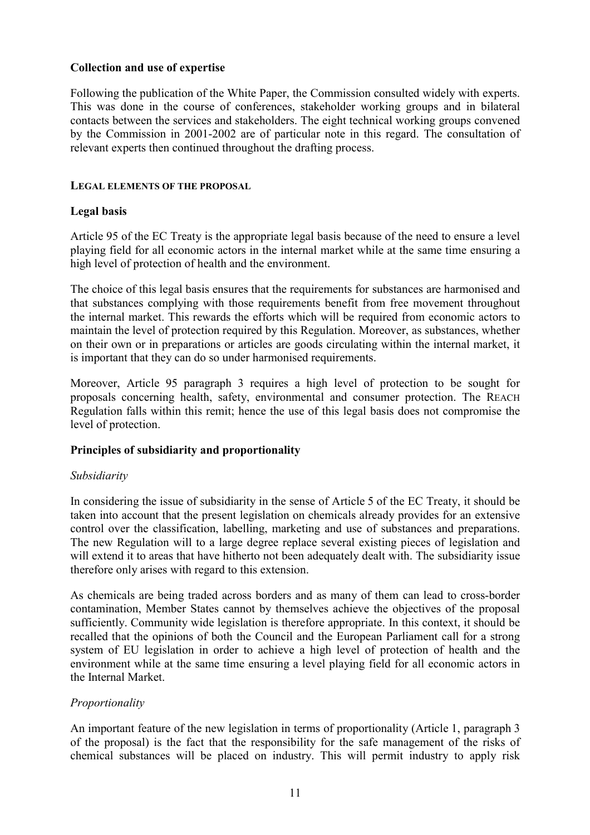## **Collection and use of expertise**

Following the publication of the White Paper, the Commission consulted widely with experts. This was done in the course of conferences, stakeholder working groups and in bilateral contacts between the services and stakeholders. The eight technical working groups convened by the Commission in 2001-2002 are of particular note in this regard. The consultation of relevant experts then continued throughout the drafting process.

#### **LEGAL ELEMENTS OF THE PROPOSAL**

#### **Legal basis**

Article 95 of the EC Treaty is the appropriate legal basis because of the need to ensure a level playing field for all economic actors in the internal market while at the same time ensuring a high level of protection of health and the environment.

The choice of this legal basis ensures that the requirements for substances are harmonised and that substances complying with those requirements benefit from free movement throughout the internal market. This rewards the efforts which will be required from economic actors to maintain the level of protection required by this Regulation. Moreover, as substances, whether on their own or in preparations or articles are goods circulating within the internal market, it is important that they can do so under harmonised requirements.

Moreover, Article 95 paragraph 3 requires a high level of protection to be sought for proposals concerning health, safety, environmental and consumer protection. The REACH Regulation falls within this remit; hence the use of this legal basis does not compromise the level of protection.

#### **Principles of subsidiarity and proportionality**

#### *Subsidiarity*

In considering the issue of subsidiarity in the sense of Article 5 of the EC Treaty, it should be taken into account that the present legislation on chemicals already provides for an extensive control over the classification, labelling, marketing and use of substances and preparations. The new Regulation will to a large degree replace several existing pieces of legislation and will extend it to areas that have hitherto not been adequately dealt with. The subsidiarity issue therefore only arises with regard to this extension.

As chemicals are being traded across borders and as many of them can lead to cross-border contamination, Member States cannot by themselves achieve the objectives of the proposal sufficiently. Community wide legislation is therefore appropriate. In this context, it should be recalled that the opinions of both the Council and the European Parliament call for a strong system of EU legislation in order to achieve a high level of protection of health and the environment while at the same time ensuring a level playing field for all economic actors in the Internal Market.

#### *Proportionality*

An important feature of the new legislation in terms of proportionality (Article 1, paragraph 3 of the proposal) is the fact that the responsibility for the safe management of the risks of chemical substances will be placed on industry. This will permit industry to apply risk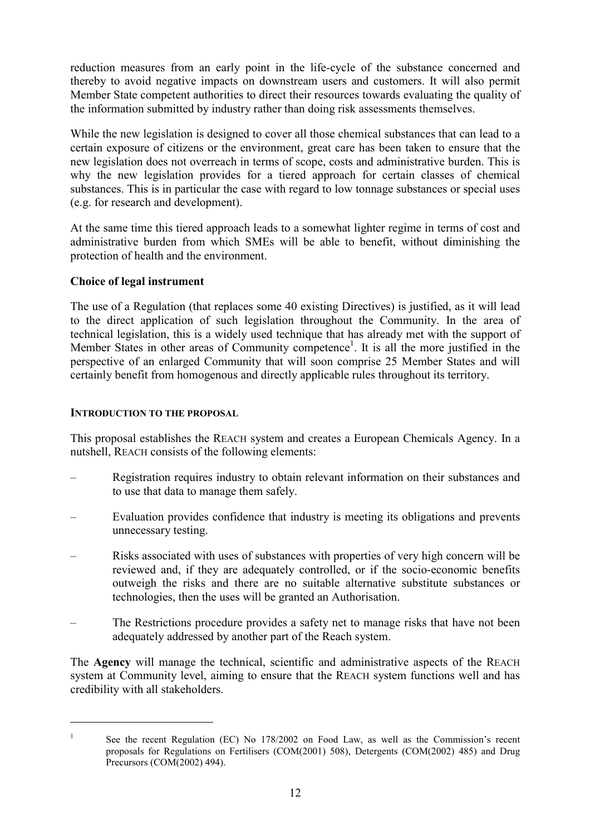reduction measures from an early point in the life-cycle of the substance concerned and thereby to avoid negative impacts on downstream users and customers. It will also permit Member State competent authorities to direct their resources towards evaluating the quality of the information submitted by industry rather than doing risk assessments themselves.

While the new legislation is designed to cover all those chemical substances that can lead to a certain exposure of citizens or the environment, great care has been taken to ensure that the new legislation does not overreach in terms of scope, costs and administrative burden. This is why the new legislation provides for a tiered approach for certain classes of chemical substances. This is in particular the case with regard to low tonnage substances or special uses (e.g. for research and development).

At the same time this tiered approach leads to a somewhat lighter regime in terms of cost and administrative burden from which SMEs will be able to benefit, without diminishing the protection of health and the environment.

## **Choice of legal instrument**

The use of a Regulation (that replaces some 40 existing Directives) is justified, as it will lead to the direct application of such legislation throughout the Community. In the area of technical legislation, this is a widely used technique that has already met with the support of Member States in other areas of Community competence<sup>1</sup>. It is all the more justified in the perspective of an enlarged Community that will soon comprise 25 Member States and will certainly benefit from homogenous and directly applicable rules throughout its territory.

## **INTRODUCTION TO THE PROPOSAL**

This proposal establishes the REACH system and creates a European Chemicals Agency. In a nutshell, REACH consists of the following elements:

- Registration requires industry to obtain relevant information on their substances and to use that data to manage them safely.
- Evaluation provides confidence that industry is meeting its obligations and prevents unnecessary testing.
- Risks associated with uses of substances with properties of very high concern will be reviewed and, if they are adequately controlled, or if the socio-economic benefits outweigh the risks and there are no suitable alternative substitute substances or technologies, then the uses will be granted an Authorisation.
- The Restrictions procedure provides a safety net to manage risks that have not been adequately addressed by another part of the Reach system.

The **Agency** will manage the technical, scientific and administrative aspects of the REACH system at Community level, aiming to ensure that the REACH system functions well and has credibility with all stakeholders.

 $\overline{a}$ 

<sup>&</sup>lt;sup>1</sup> See the recent Regulation (EC) No 178/2002 on Food Law, as well as the Commission's recent proposals for Regulations on Fertilisers (COM(2001) 508), Detergents (COM(2002) 485) and Drug Precursors (COM(2002) 494).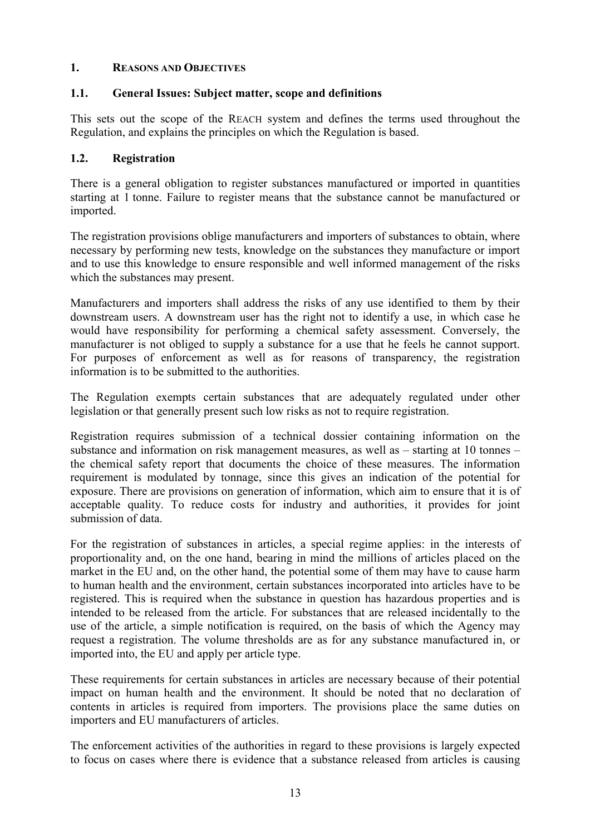## **1. REASONS AND OBJECTIVES**

#### **1.1. General Issues: Subject matter, scope and definitions**

This sets out the scope of the REACH system and defines the terms used throughout the Regulation, and explains the principles on which the Regulation is based.

#### **1.2. Registration**

There is a general obligation to register substances manufactured or imported in quantities starting at 1 tonne. Failure to register means that the substance cannot be manufactured or imported.

The registration provisions oblige manufacturers and importers of substances to obtain, where necessary by performing new tests, knowledge on the substances they manufacture or import and to use this knowledge to ensure responsible and well informed management of the risks which the substances may present.

Manufacturers and importers shall address the risks of any use identified to them by their downstream users. A downstream user has the right not to identify a use, in which case he would have responsibility for performing a chemical safety assessment. Conversely, the manufacturer is not obliged to supply a substance for a use that he feels he cannot support. For purposes of enforcement as well as for reasons of transparency, the registration information is to be submitted to the authorities.

The Regulation exempts certain substances that are adequately regulated under other legislation or that generally present such low risks as not to require registration.

Registration requires submission of a technical dossier containing information on the substance and information on risk management measures, as well as – starting at 10 tonnes – the chemical safety report that documents the choice of these measures. The information requirement is modulated by tonnage, since this gives an indication of the potential for exposure. There are provisions on generation of information, which aim to ensure that it is of acceptable quality. To reduce costs for industry and authorities, it provides for joint submission of data.

For the registration of substances in articles, a special regime applies: in the interests of proportionality and, on the one hand, bearing in mind the millions of articles placed on the market in the EU and, on the other hand, the potential some of them may have to cause harm to human health and the environment, certain substances incorporated into articles have to be registered. This is required when the substance in question has hazardous properties and is intended to be released from the article. For substances that are released incidentally to the use of the article, a simple notification is required, on the basis of which the Agency may request a registration. The volume thresholds are as for any substance manufactured in, or imported into, the EU and apply per article type.

These requirements for certain substances in articles are necessary because of their potential impact on human health and the environment. It should be noted that no declaration of contents in articles is required from importers. The provisions place the same duties on importers and EU manufacturers of articles.

The enforcement activities of the authorities in regard to these provisions is largely expected to focus on cases where there is evidence that a substance released from articles is causing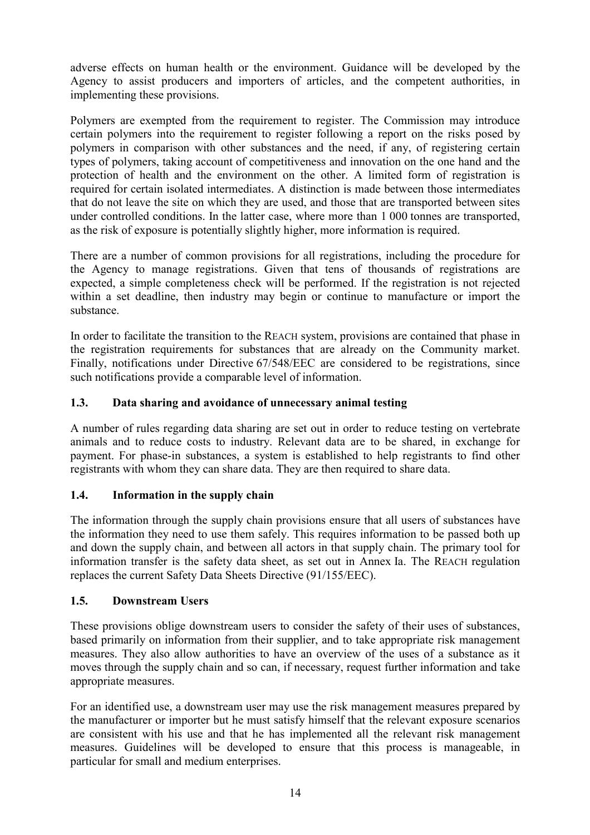adverse effects on human health or the environment. Guidance will be developed by the Agency to assist producers and importers of articles, and the competent authorities, in implementing these provisions.

Polymers are exempted from the requirement to register. The Commission may introduce certain polymers into the requirement to register following a report on the risks posed by polymers in comparison with other substances and the need, if any, of registering certain types of polymers, taking account of competitiveness and innovation on the one hand and the protection of health and the environment on the other. A limited form of registration is required for certain isolated intermediates. A distinction is made between those intermediates that do not leave the site on which they are used, and those that are transported between sites under controlled conditions. In the latter case, where more than 1 000 tonnes are transported, as the risk of exposure is potentially slightly higher, more information is required.

There are a number of common provisions for all registrations, including the procedure for the Agency to manage registrations. Given that tens of thousands of registrations are expected, a simple completeness check will be performed. If the registration is not rejected within a set deadline, then industry may begin or continue to manufacture or import the substance.

In order to facilitate the transition to the REACH system, provisions are contained that phase in the registration requirements for substances that are already on the Community market. Finally, notifications under Directive 67/548/EEC are considered to be registrations, since such notifications provide a comparable level of information.

## **1.3. Data sharing and avoidance of unnecessary animal testing**

A number of rules regarding data sharing are set out in order to reduce testing on vertebrate animals and to reduce costs to industry. Relevant data are to be shared, in exchange for payment. For phase-in substances, a system is established to help registrants to find other registrants with whom they can share data. They are then required to share data.

## **1.4. Information in the supply chain**

The information through the supply chain provisions ensure that all users of substances have the information they need to use them safely. This requires information to be passed both up and down the supply chain, and between all actors in that supply chain. The primary tool for information transfer is the safety data sheet, as set out in Annex Ia. The REACH regulation replaces the current Safety Data Sheets Directive (91/155/EEC).

## **1.5. Downstream Users**

These provisions oblige downstream users to consider the safety of their uses of substances, based primarily on information from their supplier, and to take appropriate risk management measures. They also allow authorities to have an overview of the uses of a substance as it moves through the supply chain and so can, if necessary, request further information and take appropriate measures.

For an identified use, a downstream user may use the risk management measures prepared by the manufacturer or importer but he must satisfy himself that the relevant exposure scenarios are consistent with his use and that he has implemented all the relevant risk management measures. Guidelines will be developed to ensure that this process is manageable, in particular for small and medium enterprises.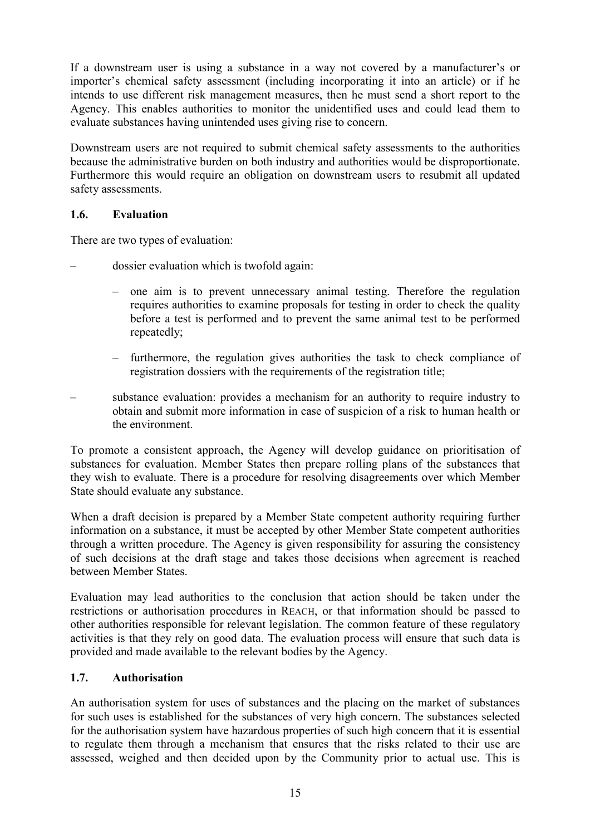If a downstream user is using a substance in a way not covered by a manufacturer's or importer's chemical safety assessment (including incorporating it into an article) or if he intends to use different risk management measures, then he must send a short report to the Agency. This enables authorities to monitor the unidentified uses and could lead them to evaluate substances having unintended uses giving rise to concern.

Downstream users are not required to submit chemical safety assessments to the authorities because the administrative burden on both industry and authorities would be disproportionate. Furthermore this would require an obligation on downstream users to resubmit all updated safety assessments.

## **1.6. Evaluation**

There are two types of evaluation:

- dossier evaluation which is twofold again:
	- one aim is to prevent unnecessary animal testing. Therefore the regulation requires authorities to examine proposals for testing in order to check the quality before a test is performed and to prevent the same animal test to be performed repeatedly;
	- furthermore, the regulation gives authorities the task to check compliance of registration dossiers with the requirements of the registration title;
- substance evaluation: provides a mechanism for an authority to require industry to obtain and submit more information in case of suspicion of a risk to human health or the environment.

To promote a consistent approach, the Agency will develop guidance on prioritisation of substances for evaluation. Member States then prepare rolling plans of the substances that they wish to evaluate. There is a procedure for resolving disagreements over which Member State should evaluate any substance.

When a draft decision is prepared by a Member State competent authority requiring further information on a substance, it must be accepted by other Member State competent authorities through a written procedure. The Agency is given responsibility for assuring the consistency of such decisions at the draft stage and takes those decisions when agreement is reached between Member States.

Evaluation may lead authorities to the conclusion that action should be taken under the restrictions or authorisation procedures in REACH, or that information should be passed to other authorities responsible for relevant legislation. The common feature of these regulatory activities is that they rely on good data. The evaluation process will ensure that such data is provided and made available to the relevant bodies by the Agency.

## **1.7. Authorisation**

An authorisation system for uses of substances and the placing on the market of substances for such uses is established for the substances of very high concern. The substances selected for the authorisation system have hazardous properties of such high concern that it is essential to regulate them through a mechanism that ensures that the risks related to their use are assessed, weighed and then decided upon by the Community prior to actual use. This is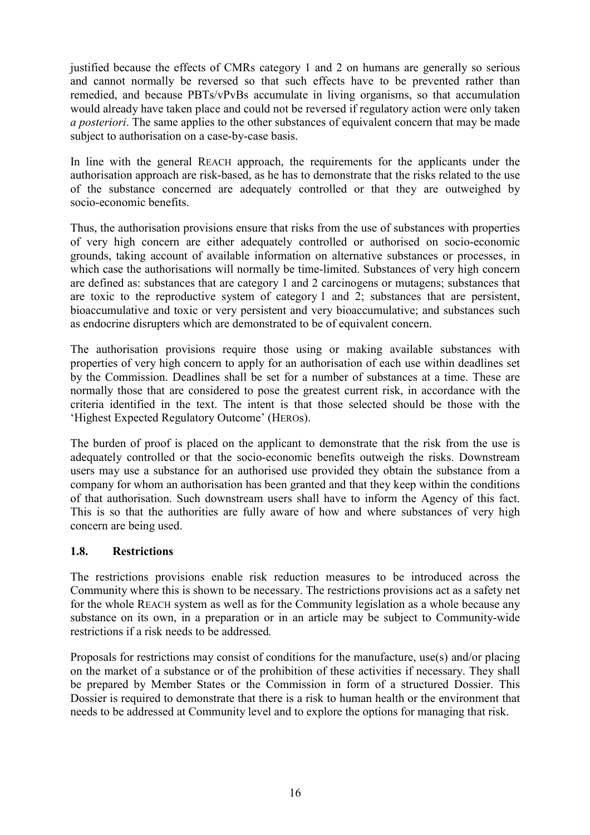justified because the effects of CMRs category 1 and 2 on humans are generally so serious and cannot normally be reversed so that such effects have to be prevented rather than remedied, and because PBTs/vPvBs accumulate in living organisms, so that accumulation would already have taken place and could not be reversed if regulatory action were only taken *a posteriori*. The same applies to the other substances of equivalent concern that may be made subject to authorisation on a case-by-case basis.

In line with the general REACH approach, the requirements for the applicants under the authorisation approach are risk-based, as he has to demonstrate that the risks related to the use of the substance concerned are adequately controlled or that they are outweighed by socio-economic benefits.

Thus, the authorisation provisions ensure that risks from the use of substances with properties of very high concern are either adequately controlled or authorised on socio-economic grounds, taking account of available information on alternative substances or processes, in which case the authorisations will normally be time-limited. Substances of very high concern are defined as: substances that are category 1 and 2 carcinogens or mutagens; substances that are toxic to the reproductive system of category 1 and 2; substances that are persistent, bioaccumulative and toxic or very persistent and very bioaccumulative; and substances such as endocrine disrupters which are demonstrated to be of equivalent concern.

The authorisation provisions require those using or making available substances with properties of very high concern to apply for an authorisation of each use within deadlines set by the Commission. Deadlines shall be set for a number of substances at a time. These are normally those that are considered to pose the greatest current risk, in accordance with the criteria identified in the text. The intent is that those selected should be those with the 'Highest Expected Regulatory Outcome' (HEROs).

The burden of proof is placed on the applicant to demonstrate that the risk from the use is adequately controlled or that the socio-economic benefits outweigh the risks. Downstream users may use a substance for an authorised use provided they obtain the substance from a company for whom an authorisation has been granted and that they keep within the conditions of that authorisation. Such downstream users shall have to inform the Agency of this fact. This is so that the authorities are fully aware of how and where substances of very high concern are being used.

## **1.8. Restrictions**

The restrictions provisions enable risk reduction measures to be introduced across the Community where this is shown to be necessary. The restrictions provisions act as a safety net for the whole REACH system as well as for the Community legislation as a whole because any substance on its own, in a preparation or in an article may be subject to Community-wide restrictions if a risk needs to be addressed*.*

Proposals for restrictions may consist of conditions for the manufacture, use(s) and/or placing on the market of a substance or of the prohibition of these activities if necessary. They shall be prepared by Member States or the Commission in form of a structured Dossier. This Dossier is required to demonstrate that there is a risk to human health or the environment that needs to be addressed at Community level and to explore the options for managing that risk.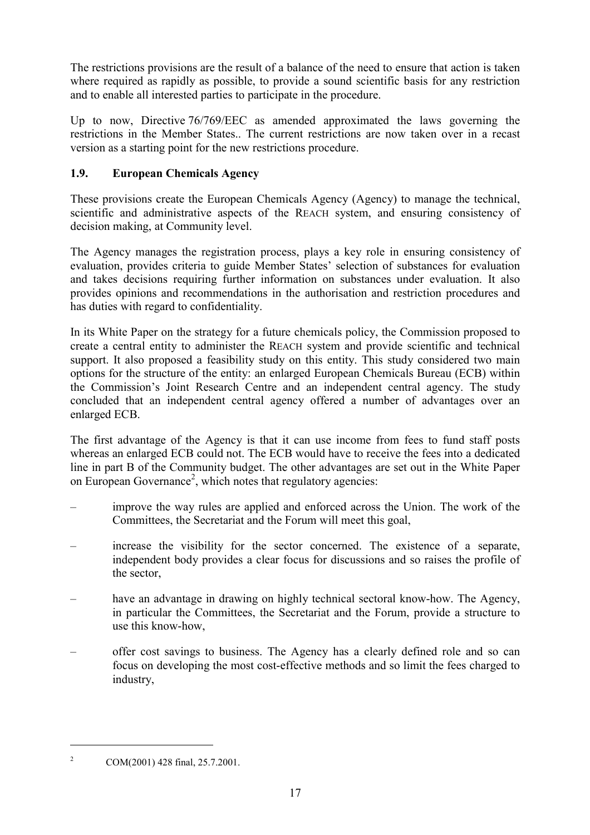The restrictions provisions are the result of a balance of the need to ensure that action is taken where required as rapidly as possible, to provide a sound scientific basis for any restriction and to enable all interested parties to participate in the procedure.

Up to now, Directive 76/769/EEC as amended approximated the laws governing the restrictions in the Member States.. The current restrictions are now taken over in a recast version as a starting point for the new restrictions procedure.

## **1.9. European Chemicals Agency**

These provisions create the European Chemicals Agency (Agency) to manage the technical, scientific and administrative aspects of the REACH system, and ensuring consistency of decision making, at Community level.

The Agency manages the registration process, plays a key role in ensuring consistency of evaluation, provides criteria to guide Member States' selection of substances for evaluation and takes decisions requiring further information on substances under evaluation. It also provides opinions and recommendations in the authorisation and restriction procedures and has duties with regard to confidentiality.

In its White Paper on the strategy for a future chemicals policy, the Commission proposed to create a central entity to administer the REACH system and provide scientific and technical support. It also proposed a feasibility study on this entity. This study considered two main options for the structure of the entity: an enlarged European Chemicals Bureau (ECB) within the Commission's Joint Research Centre and an independent central agency. The study concluded that an independent central agency offered a number of advantages over an enlarged ECB.

The first advantage of the Agency is that it can use income from fees to fund staff posts whereas an enlarged ECB could not. The ECB would have to receive the fees into a dedicated line in part B of the Community budget. The other advantages are set out in the White Paper on European Governance<sup>2</sup>, which notes that regulatory agencies:

- improve the way rules are applied and enforced across the Union. The work of the Committees, the Secretariat and the Forum will meet this goal,
- increase the visibility for the sector concerned. The existence of a separate, independent body provides a clear focus for discussions and so raises the profile of the sector,
- have an advantage in drawing on highly technical sectoral know-how. The Agency, in particular the Committees, the Secretariat and the Forum, provide a structure to use this know-how,
- offer cost savings to business. The Agency has a clearly defined role and so can focus on developing the most cost-effective methods and so limit the fees charged to industry,

 $\overline{a}$ 

<sup>&</sup>lt;sup>2</sup> COM(2001) 428 final, 25.7.2001.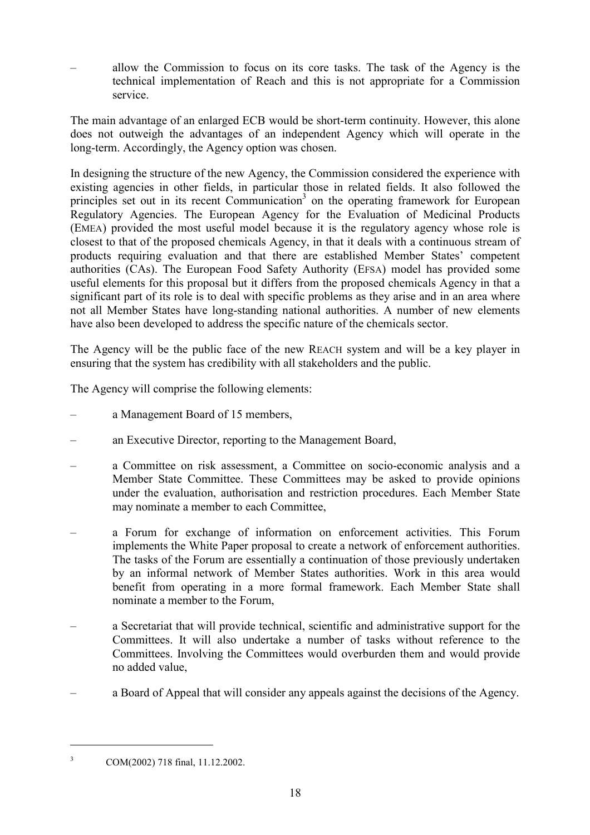– allow the Commission to focus on its core tasks. The task of the Agency is the technical implementation of Reach and this is not appropriate for a Commission service.

The main advantage of an enlarged ECB would be short-term continuity. However, this alone does not outweigh the advantages of an independent Agency which will operate in the long-term. Accordingly, the Agency option was chosen.

In designing the structure of the new Agency, the Commission considered the experience with existing agencies in other fields, in particular those in related fields. It also followed the principles set out in its recent Communication<sup>3</sup> on the operating framework for European Regulatory Agencies. The European Agency for the Evaluation of Medicinal Products (EMEA) provided the most useful model because it is the regulatory agency whose role is closest to that of the proposed chemicals Agency, in that it deals with a continuous stream of products requiring evaluation and that there are established Member States' competent authorities (CAs). The European Food Safety Authority (EFSA) model has provided some useful elements for this proposal but it differs from the proposed chemicals Agency in that a significant part of its role is to deal with specific problems as they arise and in an area where not all Member States have long-standing national authorities. A number of new elements have also been developed to address the specific nature of the chemicals sector.

The Agency will be the public face of the new REACH system and will be a key player in ensuring that the system has credibility with all stakeholders and the public.

The Agency will comprise the following elements:

- a Management Board of 15 members,
- an Executive Director, reporting to the Management Board,
- a Committee on risk assessment, a Committee on socio-economic analysis and a Member State Committee. These Committees may be asked to provide opinions under the evaluation, authorisation and restriction procedures. Each Member State may nominate a member to each Committee,
- a Forum for exchange of information on enforcement activities. This Forum implements the White Paper proposal to create a network of enforcement authorities. The tasks of the Forum are essentially a continuation of those previously undertaken by an informal network of Member States authorities. Work in this area would benefit from operating in a more formal framework. Each Member State shall nominate a member to the Forum,
- a Secretariat that will provide technical, scientific and administrative support for the Committees. It will also undertake a number of tasks without reference to the Committees. Involving the Committees would overburden them and would provide no added value,
- a Board of Appeal that will consider any appeals against the decisions of the Agency.

 $\overline{a}$ 

<sup>&</sup>lt;sup>3</sup> COM(2002) 718 final, 11.12.2002.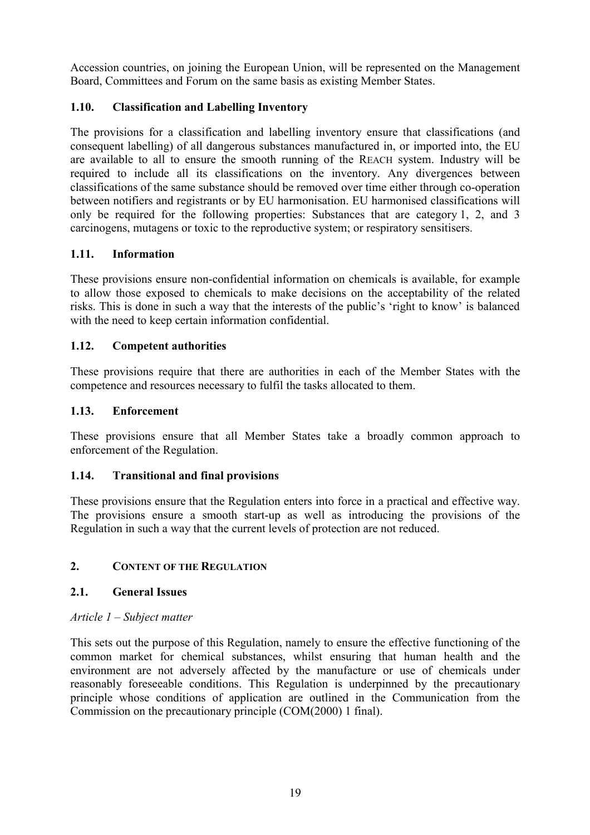Accession countries, on joining the European Union, will be represented on the Management Board, Committees and Forum on the same basis as existing Member States.

## **1.10. Classification and Labelling Inventory**

The provisions for a classification and labelling inventory ensure that classifications (and consequent labelling) of all dangerous substances manufactured in, or imported into, the EU are available to all to ensure the smooth running of the REACH system. Industry will be required to include all its classifications on the inventory. Any divergences between classifications of the same substance should be removed over time either through co-operation between notifiers and registrants or by EU harmonisation. EU harmonised classifications will only be required for the following properties: Substances that are category 1, 2, and 3 carcinogens, mutagens or toxic to the reproductive system; or respiratory sensitisers.

## **1.11. Information**

These provisions ensure non-confidential information on chemicals is available, for example to allow those exposed to chemicals to make decisions on the acceptability of the related risks. This is done in such a way that the interests of the public's 'right to know' is balanced with the need to keep certain information confidential.

## **1.12. Competent authorities**

These provisions require that there are authorities in each of the Member States with the competence and resources necessary to fulfil the tasks allocated to them.

## **1.13. Enforcement**

These provisions ensure that all Member States take a broadly common approach to enforcement of the Regulation.

## **1.14. Transitional and final provisions**

These provisions ensure that the Regulation enters into force in a practical and effective way. The provisions ensure a smooth start-up as well as introducing the provisions of the Regulation in such a way that the current levels of protection are not reduced.

## **2. CONTENT OF THE REGULATION**

## **2.1. General Issues**

## *Article 1 – Subject matter*

This sets out the purpose of this Regulation, namely to ensure the effective functioning of the common market for chemical substances, whilst ensuring that human health and the environment are not adversely affected by the manufacture or use of chemicals under reasonably foreseeable conditions. This Regulation is underpinned by the precautionary principle whose conditions of application are outlined in the Communication from the Commission on the precautionary principle (COM(2000) 1 final).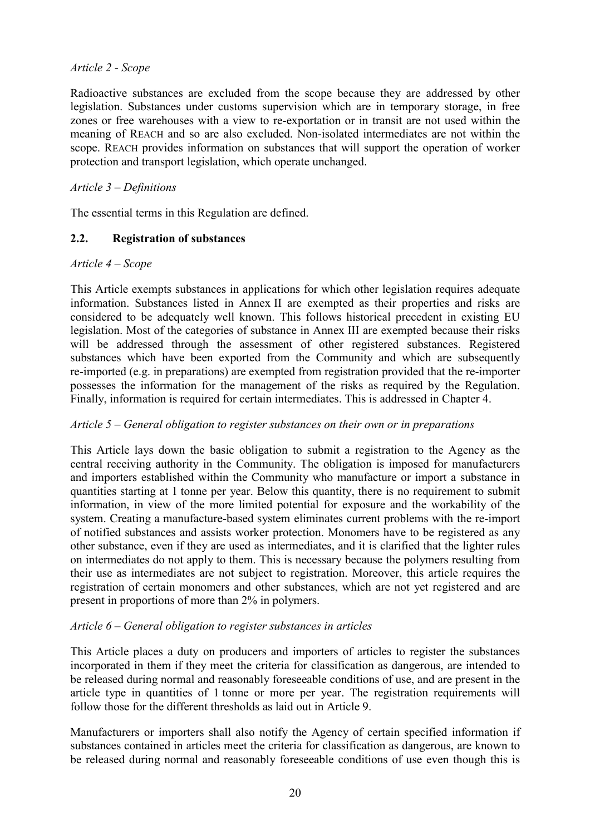## *Article 2 - Scope*

Radioactive substances are excluded from the scope because they are addressed by other legislation. Substances under customs supervision which are in temporary storage, in free zones or free warehouses with a view to re-exportation or in transit are not used within the meaning of REACH and so are also excluded. Non-isolated intermediates are not within the scope. REACH provides information on substances that will support the operation of worker protection and transport legislation, which operate unchanged.

## *Article 3 – Definitions*

The essential terms in this Regulation are defined.

## **2.2. Registration of substances**

## *Article 4 – Scope*

This Article exempts substances in applications for which other legislation requires adequate information. Substances listed in Annex II are exempted as their properties and risks are considered to be adequately well known. This follows historical precedent in existing EU legislation. Most of the categories of substance in Annex III are exempted because their risks will be addressed through the assessment of other registered substances. Registered substances which have been exported from the Community and which are subsequently re-imported (e.g. in preparations) are exempted from registration provided that the re-importer possesses the information for the management of the risks as required by the Regulation. Finally, information is required for certain intermediates. This is addressed in Chapter 4.

## *Article 5 – General obligation to register substances on their own or in preparations*

This Article lays down the basic obligation to submit a registration to the Agency as the central receiving authority in the Community. The obligation is imposed for manufacturers and importers established within the Community who manufacture or import a substance in quantities starting at 1 tonne per year. Below this quantity, there is no requirement to submit information, in view of the more limited potential for exposure and the workability of the system. Creating a manufacture-based system eliminates current problems with the re-import of notified substances and assists worker protection. Monomers have to be registered as any other substance, even if they are used as intermediates, and it is clarified that the lighter rules on intermediates do not apply to them. This is necessary because the polymers resulting from their use as intermediates are not subject to registration. Moreover, this article requires the registration of certain monomers and other substances, which are not yet registered and are present in proportions of more than 2% in polymers.

## *Article 6 – General obligation to register substances in articles*

This Article places a duty on producers and importers of articles to register the substances incorporated in them if they meet the criteria for classification as dangerous, are intended to be released during normal and reasonably foreseeable conditions of use, and are present in the article type in quantities of 1 tonne or more per year. The registration requirements will follow those for the different thresholds as laid out in Article 9.

Manufacturers or importers shall also notify the Agency of certain specified information if substances contained in articles meet the criteria for classification as dangerous, are known to be released during normal and reasonably foreseeable conditions of use even though this is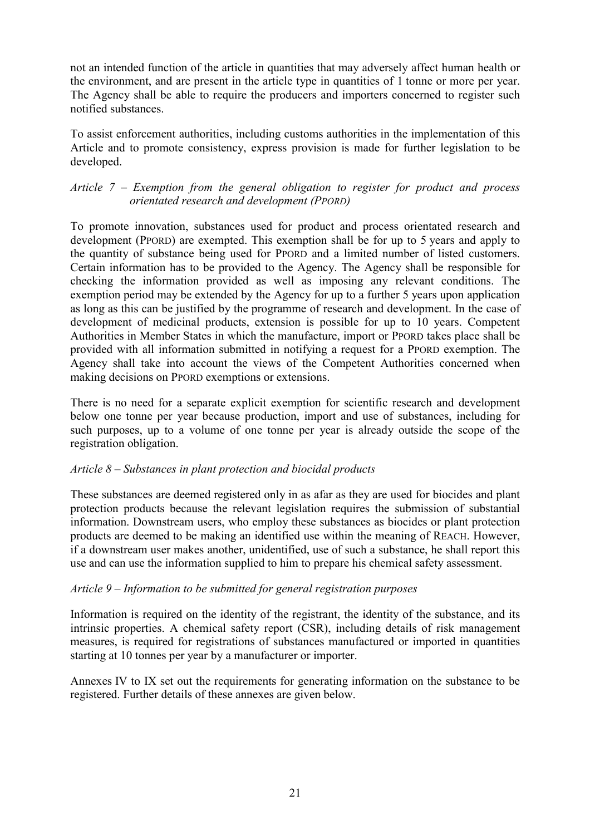not an intended function of the article in quantities that may adversely affect human health or the environment, and are present in the article type in quantities of 1 tonne or more per year. The Agency shall be able to require the producers and importers concerned to register such notified substances.

To assist enforcement authorities, including customs authorities in the implementation of this Article and to promote consistency, express provision is made for further legislation to be developed.

## *Article 7 – Exemption from the general obligation to register for product and process orientated research and development (PPORD)*

To promote innovation, substances used for product and process orientated research and development (PPORD) are exempted. This exemption shall be for up to 5 years and apply to the quantity of substance being used for PPORD and a limited number of listed customers. Certain information has to be provided to the Agency. The Agency shall be responsible for checking the information provided as well as imposing any relevant conditions. The exemption period may be extended by the Agency for up to a further 5 years upon application as long as this can be justified by the programme of research and development. In the case of development of medicinal products, extension is possible for up to 10 years. Competent Authorities in Member States in which the manufacture, import or PPORD takes place shall be provided with all information submitted in notifying a request for a PPORD exemption. The Agency shall take into account the views of the Competent Authorities concerned when making decisions on PPORD exemptions or extensions.

There is no need for a separate explicit exemption for scientific research and development below one tonne per year because production, import and use of substances, including for such purposes, up to a volume of one tonne per year is already outside the scope of the registration obligation.

## *Article 8 – Substances in plant protection and biocidal products*

These substances are deemed registered only in as afar as they are used for biocides and plant protection products because the relevant legislation requires the submission of substantial information. Downstream users, who employ these substances as biocides or plant protection products are deemed to be making an identified use within the meaning of REACH. However, if a downstream user makes another, unidentified, use of such a substance, he shall report this use and can use the information supplied to him to prepare his chemical safety assessment.

## *Article 9 – Information to be submitted for general registration purposes*

Information is required on the identity of the registrant, the identity of the substance, and its intrinsic properties. A chemical safety report (CSR), including details of risk management measures, is required for registrations of substances manufactured or imported in quantities starting at 10 tonnes per year by a manufacturer or importer.

Annexes IV to IX set out the requirements for generating information on the substance to be registered. Further details of these annexes are given below.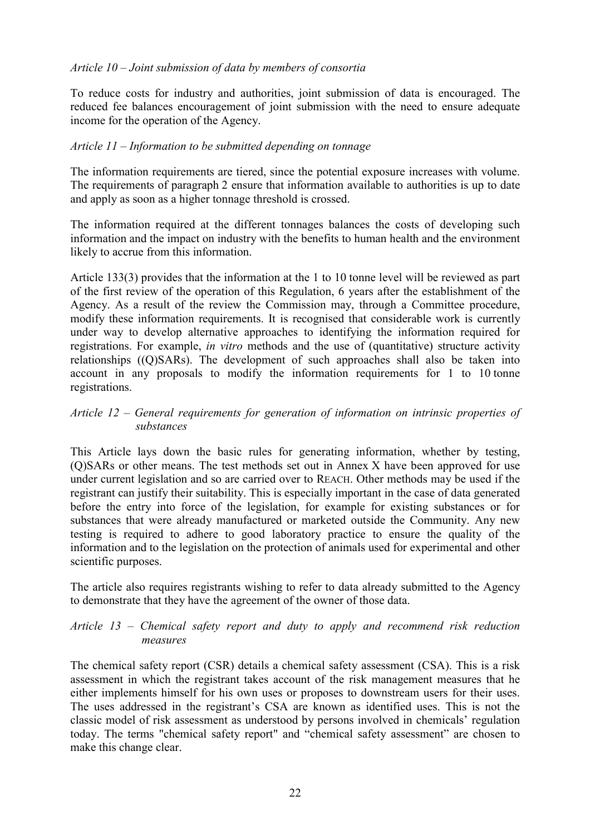## *Article 10 – Joint submission of data by members of consortia*

To reduce costs for industry and authorities, joint submission of data is encouraged. The reduced fee balances encouragement of joint submission with the need to ensure adequate income for the operation of the Agency.

## *Article 11 – Information to be submitted depending on tonnage*

The information requirements are tiered, since the potential exposure increases with volume. The requirements of paragraph 2 ensure that information available to authorities is up to date and apply as soon as a higher tonnage threshold is crossed.

The information required at the different tonnages balances the costs of developing such information and the impact on industry with the benefits to human health and the environment likely to accrue from this information.

Article 133(3) provides that the information at the 1 to 10 tonne level will be reviewed as part of the first review of the operation of this Regulation, 6 years after the establishment of the Agency. As a result of the review the Commission may, through a Committee procedure, modify these information requirements. It is recognised that considerable work is currently under way to develop alternative approaches to identifying the information required for registrations. For example, *in vitro* methods and the use of (quantitative) structure activity relationships ((Q)SARs). The development of such approaches shall also be taken into account in any proposals to modify the information requirements for 1 to 10 tonne registrations.

## *Article 12 – General requirements for generation of information on intrinsic properties of substances*

This Article lays down the basic rules for generating information, whether by testing, (Q)SARs or other means. The test methods set out in Annex X have been approved for use under current legislation and so are carried over to REACH. Other methods may be used if the registrant can justify their suitability. This is especially important in the case of data generated before the entry into force of the legislation, for example for existing substances or for substances that were already manufactured or marketed outside the Community. Any new testing is required to adhere to good laboratory practice to ensure the quality of the information and to the legislation on the protection of animals used for experimental and other scientific purposes.

The article also requires registrants wishing to refer to data already submitted to the Agency to demonstrate that they have the agreement of the owner of those data.

## *Article 13 – Chemical safety report and duty to apply and recommend risk reduction measures*

The chemical safety report (CSR) details a chemical safety assessment (CSA). This is a risk assessment in which the registrant takes account of the risk management measures that he either implements himself for his own uses or proposes to downstream users for their uses. The uses addressed in the registrant's CSA are known as identified uses. This is not the classic model of risk assessment as understood by persons involved in chemicals' regulation today. The terms "chemical safety report" and "chemical safety assessment" are chosen to make this change clear.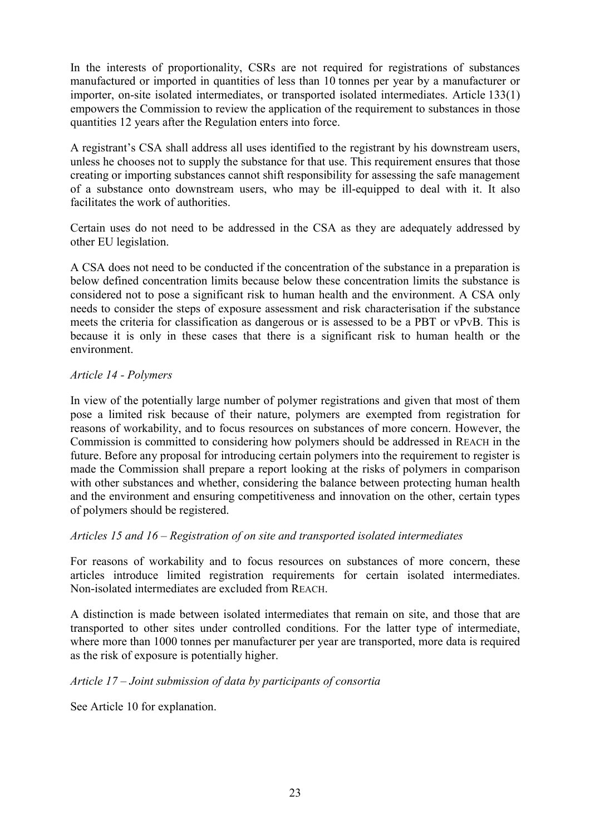In the interests of proportionality, CSRs are not required for registrations of substances manufactured or imported in quantities of less than 10 tonnes per year by a manufacturer or importer, on-site isolated intermediates, or transported isolated intermediates. Article 133(1) empowers the Commission to review the application of the requirement to substances in those quantities 12 years after the Regulation enters into force.

A registrant's CSA shall address all uses identified to the registrant by his downstream users, unless he chooses not to supply the substance for that use. This requirement ensures that those creating or importing substances cannot shift responsibility for assessing the safe management of a substance onto downstream users, who may be ill-equipped to deal with it. It also facilitates the work of authorities.

Certain uses do not need to be addressed in the CSA as they are adequately addressed by other EU legislation.

A CSA does not need to be conducted if the concentration of the substance in a preparation is below defined concentration limits because below these concentration limits the substance is considered not to pose a significant risk to human health and the environment. A CSA only needs to consider the steps of exposure assessment and risk characterisation if the substance meets the criteria for classification as dangerous or is assessed to be a PBT or vPvB. This is because it is only in these cases that there is a significant risk to human health or the environment.

#### *Article 14 - Polymers*

In view of the potentially large number of polymer registrations and given that most of them pose a limited risk because of their nature, polymers are exempted from registration for reasons of workability, and to focus resources on substances of more concern. However, the Commission is committed to considering how polymers should be addressed in REACH in the future. Before any proposal for introducing certain polymers into the requirement to register is made the Commission shall prepare a report looking at the risks of polymers in comparison with other substances and whether, considering the balance between protecting human health and the environment and ensuring competitiveness and innovation on the other, certain types of polymers should be registered.

## *Articles 15 and 16 – Registration of on site and transported isolated intermediates*

For reasons of workability and to focus resources on substances of more concern, these articles introduce limited registration requirements for certain isolated intermediates. Non-isolated intermediates are excluded from REACH.

A distinction is made between isolated intermediates that remain on site, and those that are transported to other sites under controlled conditions. For the latter type of intermediate, where more than 1000 tonnes per manufacturer per year are transported, more data is required as the risk of exposure is potentially higher.

## *Article 17 – Joint submission of data by participants of consortia*

See Article 10 for explanation.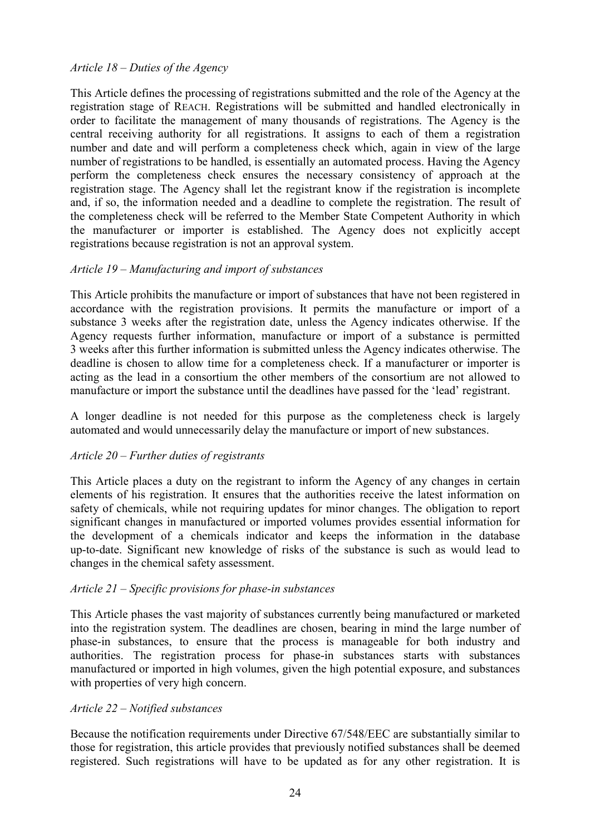#### *Article 18 – Duties of the Agency*

This Article defines the processing of registrations submitted and the role of the Agency at the registration stage of REACH. Registrations will be submitted and handled electronically in order to facilitate the management of many thousands of registrations. The Agency is the central receiving authority for all registrations. It assigns to each of them a registration number and date and will perform a completeness check which, again in view of the large number of registrations to be handled, is essentially an automated process. Having the Agency perform the completeness check ensures the necessary consistency of approach at the registration stage. The Agency shall let the registrant know if the registration is incomplete and, if so, the information needed and a deadline to complete the registration. The result of the completeness check will be referred to the Member State Competent Authority in which the manufacturer or importer is established. The Agency does not explicitly accept registrations because registration is not an approval system.

#### *Article 19 – Manufacturing and import of substances*

This Article prohibits the manufacture or import of substances that have not been registered in accordance with the registration provisions. It permits the manufacture or import of a substance 3 weeks after the registration date, unless the Agency indicates otherwise. If the Agency requests further information, manufacture or import of a substance is permitted 3 weeks after this further information is submitted unless the Agency indicates otherwise. The deadline is chosen to allow time for a completeness check. If a manufacturer or importer is acting as the lead in a consortium the other members of the consortium are not allowed to manufacture or import the substance until the deadlines have passed for the 'lead' registrant.

A longer deadline is not needed for this purpose as the completeness check is largely automated and would unnecessarily delay the manufacture or import of new substances.

#### *Article 20 – Further duties of registrants*

This Article places a duty on the registrant to inform the Agency of any changes in certain elements of his registration. It ensures that the authorities receive the latest information on safety of chemicals, while not requiring updates for minor changes. The obligation to report significant changes in manufactured or imported volumes provides essential information for the development of a chemicals indicator and keeps the information in the database up-to-date. Significant new knowledge of risks of the substance is such as would lead to changes in the chemical safety assessment.

#### *Article 21 – Specific provisions for phase-in substances*

This Article phases the vast majority of substances currently being manufactured or marketed into the registration system. The deadlines are chosen, bearing in mind the large number of phase-in substances, to ensure that the process is manageable for both industry and authorities. The registration process for phase-in substances starts with substances manufactured or imported in high volumes, given the high potential exposure, and substances with properties of very high concern.

#### *Article 22 – Notified substances*

Because the notification requirements under Directive 67/548/EEC are substantially similar to those for registration, this article provides that previously notified substances shall be deemed registered. Such registrations will have to be updated as for any other registration. It is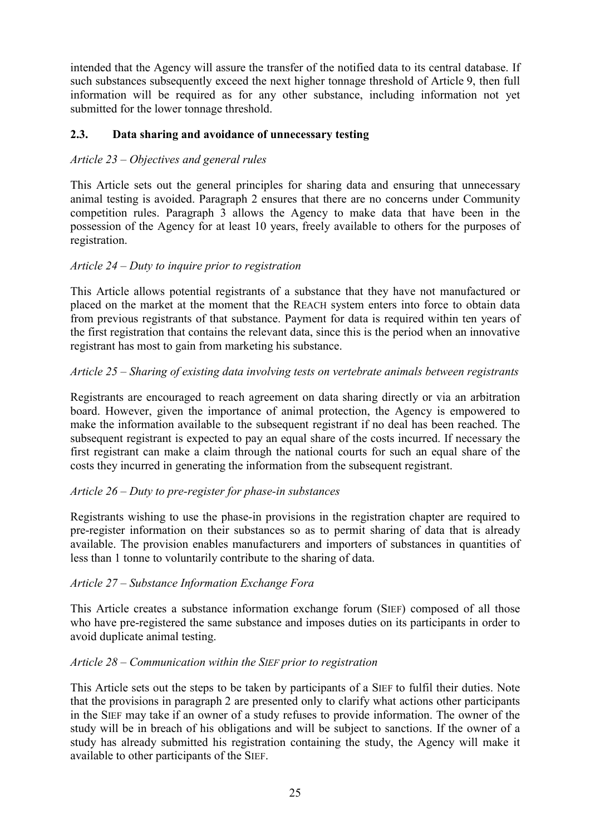intended that the Agency will assure the transfer of the notified data to its central database. If such substances subsequently exceed the next higher tonnage threshold of Article 9, then full information will be required as for any other substance, including information not yet submitted for the lower tonnage threshold.

## **2.3. Data sharing and avoidance of unnecessary testing**

## *Article 23 – Objectives and general rules*

This Article sets out the general principles for sharing data and ensuring that unnecessary animal testing is avoided. Paragraph 2 ensures that there are no concerns under Community competition rules. Paragraph 3 allows the Agency to make data that have been in the possession of the Agency for at least 10 years, freely available to others for the purposes of registration.

## *Article 24 – Duty to inquire prior to registration*

This Article allows potential registrants of a substance that they have not manufactured or placed on the market at the moment that the REACH system enters into force to obtain data from previous registrants of that substance. Payment for data is required within ten years of the first registration that contains the relevant data, since this is the period when an innovative registrant has most to gain from marketing his substance.

## *Article 25 – Sharing of existing data involving tests on vertebrate animals between registrants*

Registrants are encouraged to reach agreement on data sharing directly or via an arbitration board. However, given the importance of animal protection, the Agency is empowered to make the information available to the subsequent registrant if no deal has been reached. The subsequent registrant is expected to pay an equal share of the costs incurred. If necessary the first registrant can make a claim through the national courts for such an equal share of the costs they incurred in generating the information from the subsequent registrant.

#### *Article 26 – Duty to pre-register for phase-in substances*

Registrants wishing to use the phase-in provisions in the registration chapter are required to pre-register information on their substances so as to permit sharing of data that is already available. The provision enables manufacturers and importers of substances in quantities of less than 1 tonne to voluntarily contribute to the sharing of data.

## *Article 27 – Substance Information Exchange Fora*

This Article creates a substance information exchange forum (SIEF) composed of all those who have pre-registered the same substance and imposes duties on its participants in order to avoid duplicate animal testing.

## *Article 28 – Communication within the SIEF prior to registration*

This Article sets out the steps to be taken by participants of a SIEF to fulfil their duties. Note that the provisions in paragraph 2 are presented only to clarify what actions other participants in the SIEF may take if an owner of a study refuses to provide information. The owner of the study will be in breach of his obligations and will be subject to sanctions. If the owner of a study has already submitted his registration containing the study, the Agency will make it available to other participants of the SIEF.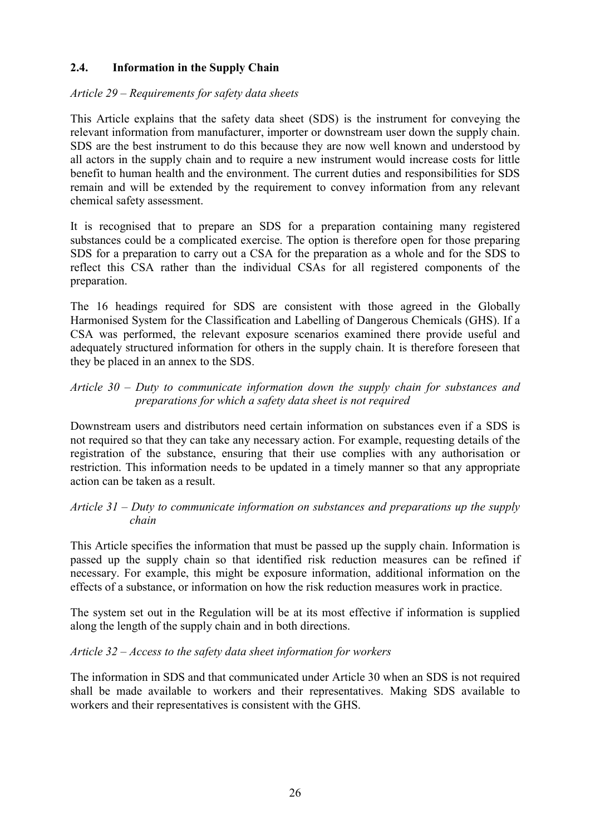## **2.4. Information in the Supply Chain**

#### *Article 29 – Requirements for safety data sheets*

This Article explains that the safety data sheet (SDS) is the instrument for conveying the relevant information from manufacturer, importer or downstream user down the supply chain. SDS are the best instrument to do this because they are now well known and understood by all actors in the supply chain and to require a new instrument would increase costs for little benefit to human health and the environment. The current duties and responsibilities for SDS remain and will be extended by the requirement to convey information from any relevant chemical safety assessment.

It is recognised that to prepare an SDS for a preparation containing many registered substances could be a complicated exercise. The option is therefore open for those preparing SDS for a preparation to carry out a CSA for the preparation as a whole and for the SDS to reflect this CSA rather than the individual CSAs for all registered components of the preparation.

The 16 headings required for SDS are consistent with those agreed in the Globally Harmonised System for the Classification and Labelling of Dangerous Chemicals (GHS). If a CSA was performed, the relevant exposure scenarios examined there provide useful and adequately structured information for others in the supply chain. It is therefore foreseen that they be placed in an annex to the SDS.

## *Article 30 – Duty to communicate information down the supply chain for substances and preparations for which a safety data sheet is not required*

Downstream users and distributors need certain information on substances even if a SDS is not required so that they can take any necessary action. For example, requesting details of the registration of the substance, ensuring that their use complies with any authorisation or restriction. This information needs to be updated in a timely manner so that any appropriate action can be taken as a result.

## *Article 31 – Duty to communicate information on substances and preparations up the supply chain*

This Article specifies the information that must be passed up the supply chain. Information is passed up the supply chain so that identified risk reduction measures can be refined if necessary. For example, this might be exposure information, additional information on the effects of a substance, or information on how the risk reduction measures work in practice.

The system set out in the Regulation will be at its most effective if information is supplied along the length of the supply chain and in both directions.

## *Article 32 – Access to the safety data sheet information for workers*

The information in SDS and that communicated under Article 30 when an SDS is not required shall be made available to workers and their representatives. Making SDS available to workers and their representatives is consistent with the GHS.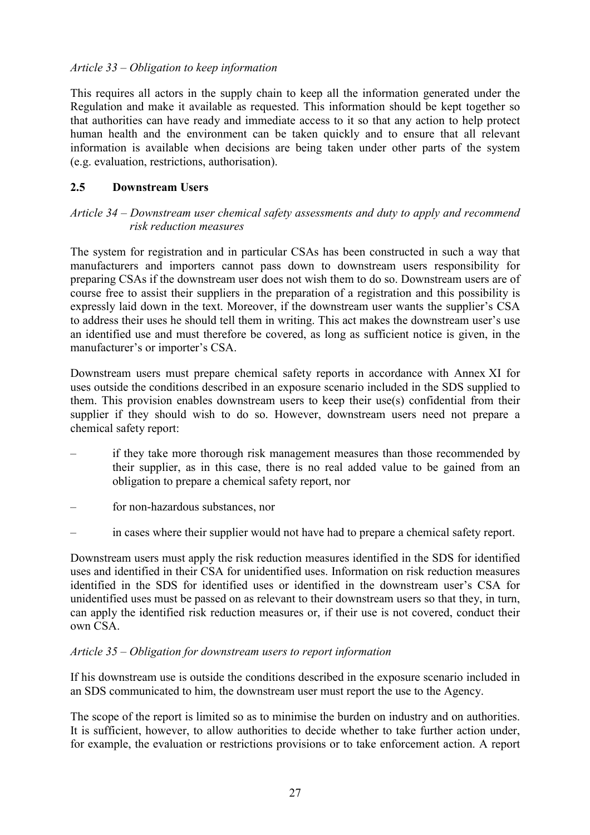## *Article 33 – Obligation to keep information*

This requires all actors in the supply chain to keep all the information generated under the Regulation and make it available as requested. This information should be kept together so that authorities can have ready and immediate access to it so that any action to help protect human health and the environment can be taken quickly and to ensure that all relevant information is available when decisions are being taken under other parts of the system (e.g. evaluation, restrictions, authorisation).

#### **2.5 Downstream Users**

## *Article 34 – Downstream user chemical safety assessments and duty to apply and recommend risk reduction measures*

The system for registration and in particular CSAs has been constructed in such a way that manufacturers and importers cannot pass down to downstream users responsibility for preparing CSAs if the downstream user does not wish them to do so. Downstream users are of course free to assist their suppliers in the preparation of a registration and this possibility is expressly laid down in the text. Moreover, if the downstream user wants the supplier's CSA to address their uses he should tell them in writing. This act makes the downstream user's use an identified use and must therefore be covered, as long as sufficient notice is given, in the manufacturer's or importer's CSA.

Downstream users must prepare chemical safety reports in accordance with Annex XI for uses outside the conditions described in an exposure scenario included in the SDS supplied to them. This provision enables downstream users to keep their use(s) confidential from their supplier if they should wish to do so. However, downstream users need not prepare a chemical safety report:

- if they take more thorough risk management measures than those recommended by their supplier, as in this case, there is no real added value to be gained from an obligation to prepare a chemical safety report, nor
- for non-hazardous substances, nor
- in cases where their supplier would not have had to prepare a chemical safety report.

Downstream users must apply the risk reduction measures identified in the SDS for identified uses and identified in their CSA for unidentified uses. Information on risk reduction measures identified in the SDS for identified uses or identified in the downstream user's CSA for unidentified uses must be passed on as relevant to their downstream users so that they, in turn, can apply the identified risk reduction measures or, if their use is not covered, conduct their own CSA.

#### *Article 35 – Obligation for downstream users to report information*

If his downstream use is outside the conditions described in the exposure scenario included in an SDS communicated to him, the downstream user must report the use to the Agency.

The scope of the report is limited so as to minimise the burden on industry and on authorities. It is sufficient, however, to allow authorities to decide whether to take further action under, for example, the evaluation or restrictions provisions or to take enforcement action. A report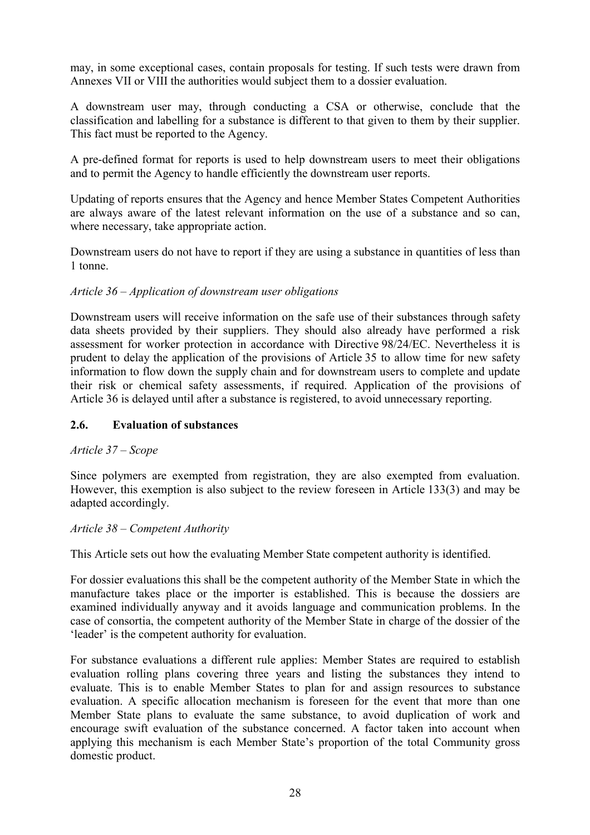may, in some exceptional cases, contain proposals for testing. If such tests were drawn from Annexes VII or VIII the authorities would subject them to a dossier evaluation.

A downstream user may, through conducting a CSA or otherwise, conclude that the classification and labelling for a substance is different to that given to them by their supplier. This fact must be reported to the Agency.

A pre-defined format for reports is used to help downstream users to meet their obligations and to permit the Agency to handle efficiently the downstream user reports.

Updating of reports ensures that the Agency and hence Member States Competent Authorities are always aware of the latest relevant information on the use of a substance and so can, where necessary, take appropriate action.

Downstream users do not have to report if they are using a substance in quantities of less than 1 tonne.

## *Article 36 – Application of downstream user obligations*

Downstream users will receive information on the safe use of their substances through safety data sheets provided by their suppliers. They should also already have performed a risk assessment for worker protection in accordance with Directive 98/24/EC. Nevertheless it is prudent to delay the application of the provisions of Article 35 to allow time for new safety information to flow down the supply chain and for downstream users to complete and update their risk or chemical safety assessments, if required. Application of the provisions of Article 36 is delayed until after a substance is registered, to avoid unnecessary reporting.

## **2.6. Evaluation of substances**

## *Article 37 – Scope*

Since polymers are exempted from registration, they are also exempted from evaluation. However, this exemption is also subject to the review foreseen in Article 133(3) and may be adapted accordingly.

## *Article 38 – Competent Authority*

This Article sets out how the evaluating Member State competent authority is identified.

For dossier evaluations this shall be the competent authority of the Member State in which the manufacture takes place or the importer is established. This is because the dossiers are examined individually anyway and it avoids language and communication problems. In the case of consortia, the competent authority of the Member State in charge of the dossier of the 'leader' is the competent authority for evaluation.

For substance evaluations a different rule applies: Member States are required to establish evaluation rolling plans covering three years and listing the substances they intend to evaluate. This is to enable Member States to plan for and assign resources to substance evaluation. A specific allocation mechanism is foreseen for the event that more than one Member State plans to evaluate the same substance, to avoid duplication of work and encourage swift evaluation of the substance concerned. A factor taken into account when applying this mechanism is each Member State's proportion of the total Community gross domestic product.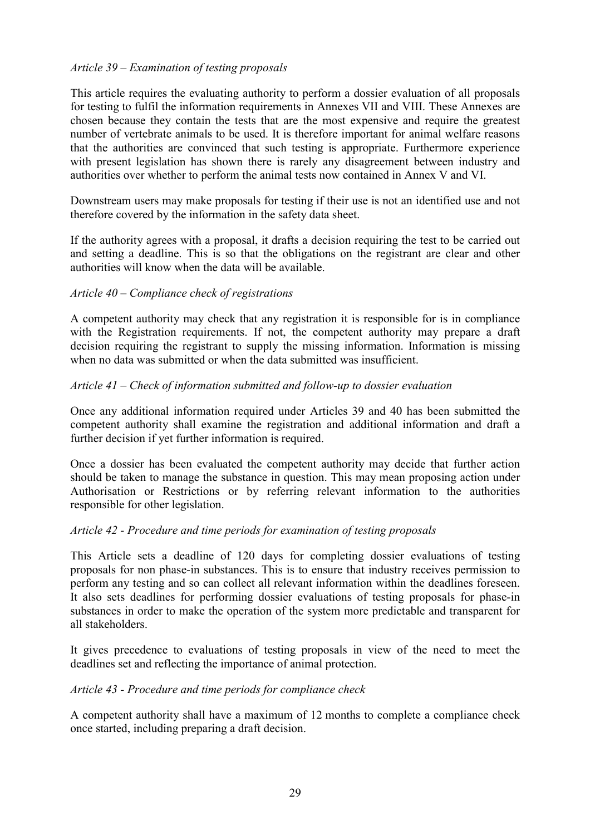#### *Article 39 – Examination of testing proposals*

This article requires the evaluating authority to perform a dossier evaluation of all proposals for testing to fulfil the information requirements in Annexes VII and VIII. These Annexes are chosen because they contain the tests that are the most expensive and require the greatest number of vertebrate animals to be used. It is therefore important for animal welfare reasons that the authorities are convinced that such testing is appropriate. Furthermore experience with present legislation has shown there is rarely any disagreement between industry and authorities over whether to perform the animal tests now contained in Annex V and VI.

Downstream users may make proposals for testing if their use is not an identified use and not therefore covered by the information in the safety data sheet.

If the authority agrees with a proposal, it drafts a decision requiring the test to be carried out and setting a deadline. This is so that the obligations on the registrant are clear and other authorities will know when the data will be available.

#### *Article 40 – Compliance check of registrations*

A competent authority may check that any registration it is responsible for is in compliance with the Registration requirements. If not, the competent authority may prepare a draft decision requiring the registrant to supply the missing information. Information is missing when no data was submitted or when the data submitted was insufficient.

#### *Article 41 – Check of information submitted and follow-up to dossier evaluation*

Once any additional information required under Articles 39 and 40 has been submitted the competent authority shall examine the registration and additional information and draft a further decision if yet further information is required.

Once a dossier has been evaluated the competent authority may decide that further action should be taken to manage the substance in question. This may mean proposing action under Authorisation or Restrictions or by referring relevant information to the authorities responsible for other legislation.

#### *Article 42 - Procedure and time periods for examination of testing proposals*

This Article sets a deadline of 120 days for completing dossier evaluations of testing proposals for non phase-in substances. This is to ensure that industry receives permission to perform any testing and so can collect all relevant information within the deadlines foreseen. It also sets deadlines for performing dossier evaluations of testing proposals for phase-in substances in order to make the operation of the system more predictable and transparent for all stakeholders.

It gives precedence to evaluations of testing proposals in view of the need to meet the deadlines set and reflecting the importance of animal protection.

#### *Article 43 - Procedure and time periods for compliance check*

A competent authority shall have a maximum of 12 months to complete a compliance check once started, including preparing a draft decision.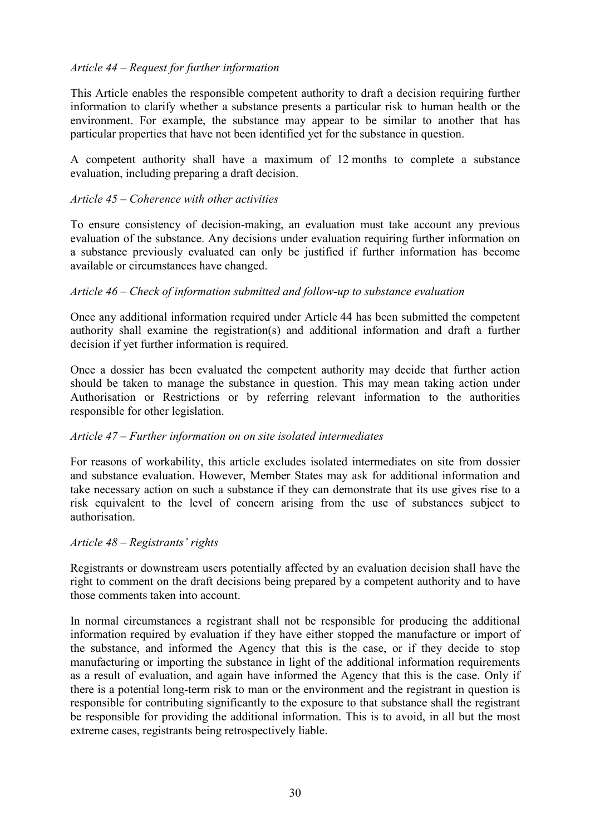## *Article 44 – Request for further information*

This Article enables the responsible competent authority to draft a decision requiring further information to clarify whether a substance presents a particular risk to human health or the environment. For example, the substance may appear to be similar to another that has particular properties that have not been identified yet for the substance in question.

A competent authority shall have a maximum of 12 months to complete a substance evaluation, including preparing a draft decision.

#### *Article 45 – Coherence with other activities*

To ensure consistency of decision-making, an evaluation must take account any previous evaluation of the substance. Any decisions under evaluation requiring further information on a substance previously evaluated can only be justified if further information has become available or circumstances have changed.

#### *Article 46 – Check of information submitted and follow-up to substance evaluation*

Once any additional information required under Article 44 has been submitted the competent authority shall examine the registration(s) and additional information and draft a further decision if yet further information is required.

Once a dossier has been evaluated the competent authority may decide that further action should be taken to manage the substance in question. This may mean taking action under Authorisation or Restrictions or by referring relevant information to the authorities responsible for other legislation.

## *Article 47 – Further information on on site isolated intermediates*

For reasons of workability, this article excludes isolated intermediates on site from dossier and substance evaluation. However, Member States may ask for additional information and take necessary action on such a substance if they can demonstrate that its use gives rise to a risk equivalent to the level of concern arising from the use of substances subject to authorisation.

#### *Article 48 – Registrants' rights*

Registrants or downstream users potentially affected by an evaluation decision shall have the right to comment on the draft decisions being prepared by a competent authority and to have those comments taken into account.

In normal circumstances a registrant shall not be responsible for producing the additional information required by evaluation if they have either stopped the manufacture or import of the substance, and informed the Agency that this is the case, or if they decide to stop manufacturing or importing the substance in light of the additional information requirements as a result of evaluation, and again have informed the Agency that this is the case. Only if there is a potential long-term risk to man or the environment and the registrant in question is responsible for contributing significantly to the exposure to that substance shall the registrant be responsible for providing the additional information. This is to avoid, in all but the most extreme cases, registrants being retrospectively liable.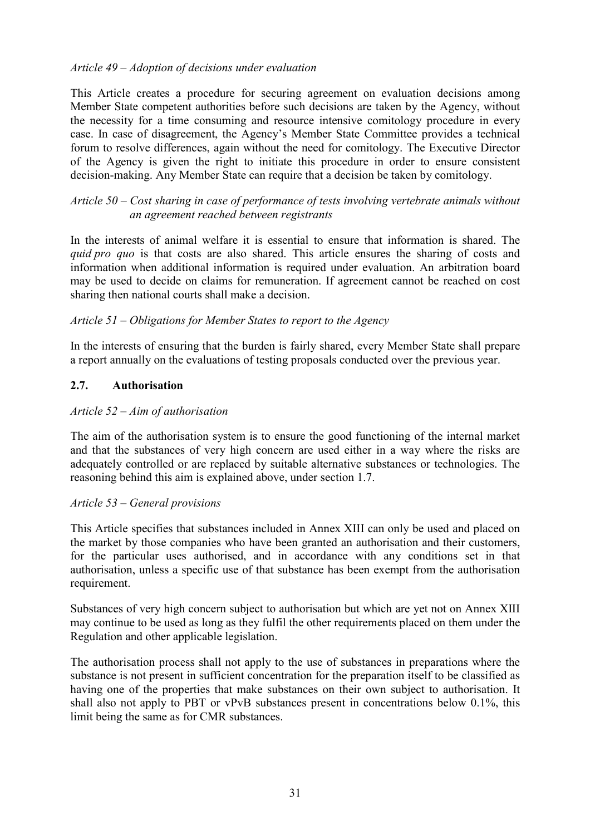## *Article 49 – Adoption of decisions under evaluation*

This Article creates a procedure for securing agreement on evaluation decisions among Member State competent authorities before such decisions are taken by the Agency, without the necessity for a time consuming and resource intensive comitology procedure in every case. In case of disagreement, the Agency's Member State Committee provides a technical forum to resolve differences, again without the need for comitology. The Executive Director of the Agency is given the right to initiate this procedure in order to ensure consistent decision-making. Any Member State can require that a decision be taken by comitology.

#### *Article 50 – Cost sharing in case of performance of tests involving vertebrate animals without an agreement reached between registrants*

In the interests of animal welfare it is essential to ensure that information is shared. The *quid pro quo* is that costs are also shared. This article ensures the sharing of costs and information when additional information is required under evaluation. An arbitration board may be used to decide on claims for remuneration. If agreement cannot be reached on cost sharing then national courts shall make a decision.

#### *Article 51 – Obligations for Member States to report to the Agency*

In the interests of ensuring that the burden is fairly shared, every Member State shall prepare a report annually on the evaluations of testing proposals conducted over the previous year.

#### **2.7. Authorisation**

#### *Article 52 – Aim of authorisation*

The aim of the authorisation system is to ensure the good functioning of the internal market and that the substances of very high concern are used either in a way where the risks are adequately controlled or are replaced by suitable alternative substances or technologies. The reasoning behind this aim is explained above, under section 1.7.

#### *Article 53 – General provisions*

This Article specifies that substances included in Annex XIII can only be used and placed on the market by those companies who have been granted an authorisation and their customers, for the particular uses authorised, and in accordance with any conditions set in that authorisation, unless a specific use of that substance has been exempt from the authorisation requirement.

Substances of very high concern subject to authorisation but which are yet not on Annex XIII may continue to be used as long as they fulfil the other requirements placed on them under the Regulation and other applicable legislation.

The authorisation process shall not apply to the use of substances in preparations where the substance is not present in sufficient concentration for the preparation itself to be classified as having one of the properties that make substances on their own subject to authorisation. It shall also not apply to PBT or vPvB substances present in concentrations below 0.1%, this limit being the same as for CMR substances.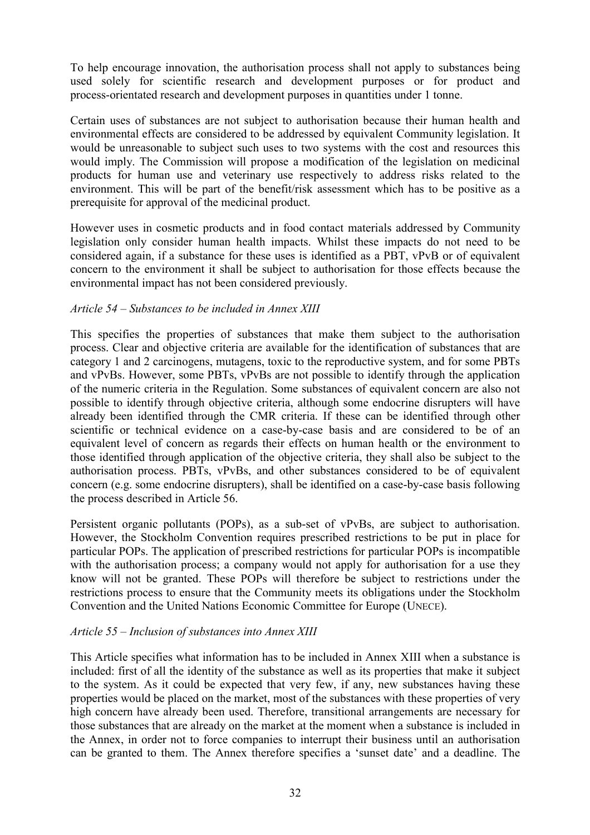To help encourage innovation, the authorisation process shall not apply to substances being used solely for scientific research and development purposes or for product and process-orientated research and development purposes in quantities under 1 tonne.

Certain uses of substances are not subject to authorisation because their human health and environmental effects are considered to be addressed by equivalent Community legislation. It would be unreasonable to subject such uses to two systems with the cost and resources this would imply. The Commission will propose a modification of the legislation on medicinal products for human use and veterinary use respectively to address risks related to the environment. This will be part of the benefit/risk assessment which has to be positive as a prerequisite for approval of the medicinal product.

However uses in cosmetic products and in food contact materials addressed by Community legislation only consider human health impacts. Whilst these impacts do not need to be considered again, if a substance for these uses is identified as a PBT, vPvB or of equivalent concern to the environment it shall be subject to authorisation for those effects because the environmental impact has not been considered previously.

#### *Article 54 – Substances to be included in Annex XIII*

This specifies the properties of substances that make them subject to the authorisation process. Clear and objective criteria are available for the identification of substances that are category 1 and 2 carcinogens, mutagens, toxic to the reproductive system, and for some PBTs and vPvBs. However, some PBTs, vPvBs are not possible to identify through the application of the numeric criteria in the Regulation. Some substances of equivalent concern are also not possible to identify through objective criteria, although some endocrine disrupters will have already been identified through the CMR criteria. If these can be identified through other scientific or technical evidence on a case-by-case basis and are considered to be of an equivalent level of concern as regards their effects on human health or the environment to those identified through application of the objective criteria, they shall also be subject to the authorisation process. PBTs, vPvBs, and other substances considered to be of equivalent concern (e.g. some endocrine disrupters), shall be identified on a case-by-case basis following the process described in Article 56.

Persistent organic pollutants (POPs), as a sub-set of vPvBs, are subject to authorisation. However, the Stockholm Convention requires prescribed restrictions to be put in place for particular POPs. The application of prescribed restrictions for particular POPs is incompatible with the authorisation process; a company would not apply for authorisation for a use they know will not be granted. These POPs will therefore be subject to restrictions under the restrictions process to ensure that the Community meets its obligations under the Stockholm Convention and the United Nations Economic Committee for Europe (UNECE).

#### *Article 55 – Inclusion of substances into Annex XIII*

This Article specifies what information has to be included in Annex XIII when a substance is included: first of all the identity of the substance as well as its properties that make it subject to the system. As it could be expected that very few, if any, new substances having these properties would be placed on the market, most of the substances with these properties of very high concern have already been used. Therefore, transitional arrangements are necessary for those substances that are already on the market at the moment when a substance is included in the Annex, in order not to force companies to interrupt their business until an authorisation can be granted to them. The Annex therefore specifies a 'sunset date' and a deadline. The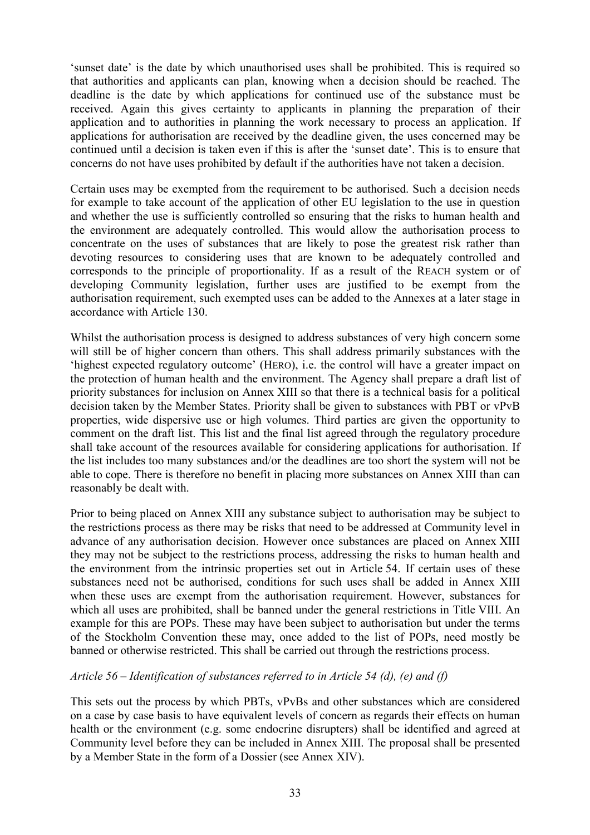'sunset date' is the date by which unauthorised uses shall be prohibited. This is required so that authorities and applicants can plan, knowing when a decision should be reached. The deadline is the date by which applications for continued use of the substance must be received. Again this gives certainty to applicants in planning the preparation of their application and to authorities in planning the work necessary to process an application. If applications for authorisation are received by the deadline given, the uses concerned may be continued until a decision is taken even if this is after the 'sunset date'. This is to ensure that concerns do not have uses prohibited by default if the authorities have not taken a decision.

Certain uses may be exempted from the requirement to be authorised. Such a decision needs for example to take account of the application of other EU legislation to the use in question and whether the use is sufficiently controlled so ensuring that the risks to human health and the environment are adequately controlled. This would allow the authorisation process to concentrate on the uses of substances that are likely to pose the greatest risk rather than devoting resources to considering uses that are known to be adequately controlled and corresponds to the principle of proportionality. If as a result of the REACH system or of developing Community legislation, further uses are justified to be exempt from the authorisation requirement, such exempted uses can be added to the Annexes at a later stage in accordance with Article 130.

Whilst the authorisation process is designed to address substances of very high concern some will still be of higher concern than others. This shall address primarily substances with the 'highest expected regulatory outcome' (HERO), i.e. the control will have a greater impact on the protection of human health and the environment. The Agency shall prepare a draft list of priority substances for inclusion on Annex XIII so that there is a technical basis for a political decision taken by the Member States. Priority shall be given to substances with PBT or vPvB properties, wide dispersive use or high volumes. Third parties are given the opportunity to comment on the draft list. This list and the final list agreed through the regulatory procedure shall take account of the resources available for considering applications for authorisation. If the list includes too many substances and/or the deadlines are too short the system will not be able to cope. There is therefore no benefit in placing more substances on Annex XIII than can reasonably be dealt with.

Prior to being placed on Annex XIII any substance subject to authorisation may be subject to the restrictions process as there may be risks that need to be addressed at Community level in advance of any authorisation decision. However once substances are placed on Annex XIII they may not be subject to the restrictions process, addressing the risks to human health and the environment from the intrinsic properties set out in Article 54. If certain uses of these substances need not be authorised, conditions for such uses shall be added in Annex XIII when these uses are exempt from the authorisation requirement. However, substances for which all uses are prohibited, shall be banned under the general restrictions in Title VIII. An example for this are POPs. These may have been subject to authorisation but under the terms of the Stockholm Convention these may, once added to the list of POPs, need mostly be banned or otherwise restricted. This shall be carried out through the restrictions process.

## *Article 56 – Identification of substances referred to in Article 54 (d), (e) and (f)*

This sets out the process by which PBTs, vPvBs and other substances which are considered on a case by case basis to have equivalent levels of concern as regards their effects on human health or the environment (e.g. some endocrine disrupters) shall be identified and agreed at Community level before they can be included in Annex XIII. The proposal shall be presented by a Member State in the form of a Dossier (see Annex XIV).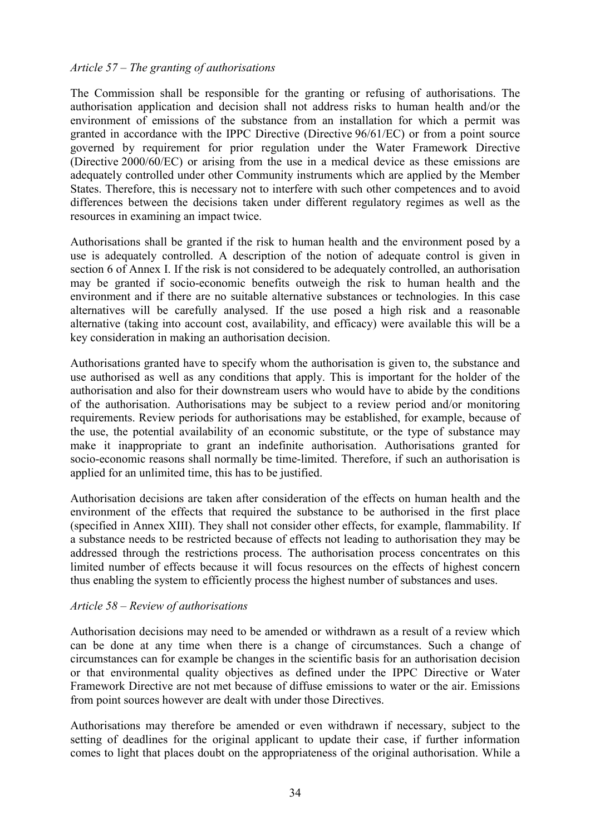#### *Article 57 – The granting of authorisations*

The Commission shall be responsible for the granting or refusing of authorisations. The authorisation application and decision shall not address risks to human health and/or the environment of emissions of the substance from an installation for which a permit was granted in accordance with the IPPC Directive (Directive 96/61/EC) or from a point source governed by requirement for prior regulation under the Water Framework Directive (Directive 2000/60/EC) or arising from the use in a medical device as these emissions are adequately controlled under other Community instruments which are applied by the Member States. Therefore, this is necessary not to interfere with such other competences and to avoid differences between the decisions taken under different regulatory regimes as well as the resources in examining an impact twice.

Authorisations shall be granted if the risk to human health and the environment posed by a use is adequately controlled. A description of the notion of adequate control is given in section 6 of Annex I. If the risk is not considered to be adequately controlled, an authorisation may be granted if socio-economic benefits outweigh the risk to human health and the environment and if there are no suitable alternative substances or technologies. In this case alternatives will be carefully analysed. If the use posed a high risk and a reasonable alternative (taking into account cost, availability, and efficacy) were available this will be a key consideration in making an authorisation decision.

Authorisations granted have to specify whom the authorisation is given to, the substance and use authorised as well as any conditions that apply. This is important for the holder of the authorisation and also for their downstream users who would have to abide by the conditions of the authorisation. Authorisations may be subject to a review period and/or monitoring requirements. Review periods for authorisations may be established, for example, because of the use, the potential availability of an economic substitute, or the type of substance may make it inappropriate to grant an indefinite authorisation. Authorisations granted for socio-economic reasons shall normally be time-limited. Therefore, if such an authorisation is applied for an unlimited time, this has to be justified.

Authorisation decisions are taken after consideration of the effects on human health and the environment of the effects that required the substance to be authorised in the first place (specified in Annex XIII). They shall not consider other effects, for example, flammability. If a substance needs to be restricted because of effects not leading to authorisation they may be addressed through the restrictions process. The authorisation process concentrates on this limited number of effects because it will focus resources on the effects of highest concern thus enabling the system to efficiently process the highest number of substances and uses.

#### *Article 58 – Review of authorisations*

Authorisation decisions may need to be amended or withdrawn as a result of a review which can be done at any time when there is a change of circumstances. Such a change of circumstances can for example be changes in the scientific basis for an authorisation decision or that environmental quality objectives as defined under the IPPC Directive or Water Framework Directive are not met because of diffuse emissions to water or the air. Emissions from point sources however are dealt with under those Directives.

Authorisations may therefore be amended or even withdrawn if necessary, subject to the setting of deadlines for the original applicant to update their case, if further information comes to light that places doubt on the appropriateness of the original authorisation. While a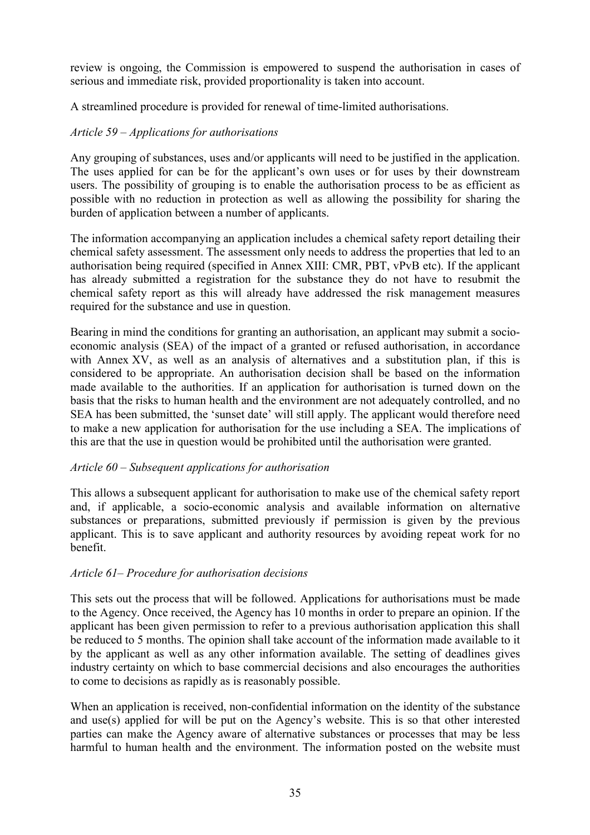review is ongoing, the Commission is empowered to suspend the authorisation in cases of serious and immediate risk, provided proportionality is taken into account.

A streamlined procedure is provided for renewal of time-limited authorisations.

## *Article 59 – Applications for authorisations*

Any grouping of substances, uses and/or applicants will need to be justified in the application. The uses applied for can be for the applicant's own uses or for uses by their downstream users. The possibility of grouping is to enable the authorisation process to be as efficient as possible with no reduction in protection as well as allowing the possibility for sharing the burden of application between a number of applicants.

The information accompanying an application includes a chemical safety report detailing their chemical safety assessment. The assessment only needs to address the properties that led to an authorisation being required (specified in Annex XIII: CMR, PBT, vPvB etc). If the applicant has already submitted a registration for the substance they do not have to resubmit the chemical safety report as this will already have addressed the risk management measures required for the substance and use in question.

Bearing in mind the conditions for granting an authorisation, an applicant may submit a socioeconomic analysis (SEA) of the impact of a granted or refused authorisation, in accordance with Annex XV, as well as an analysis of alternatives and a substitution plan, if this is considered to be appropriate. An authorisation decision shall be based on the information made available to the authorities. If an application for authorisation is turned down on the basis that the risks to human health and the environment are not adequately controlled, and no SEA has been submitted, the 'sunset date' will still apply. The applicant would therefore need to make a new application for authorisation for the use including a SEA. The implications of this are that the use in question would be prohibited until the authorisation were granted.

## *Article 60 – Subsequent applications for authorisation*

This allows a subsequent applicant for authorisation to make use of the chemical safety report and, if applicable, a socio-economic analysis and available information on alternative substances or preparations, submitted previously if permission is given by the previous applicant. This is to save applicant and authority resources by avoiding repeat work for no benefit.

## *Article 61– Procedure for authorisation decisions*

This sets out the process that will be followed. Applications for authorisations must be made to the Agency. Once received, the Agency has 10 months in order to prepare an opinion. If the applicant has been given permission to refer to a previous authorisation application this shall be reduced to 5 months. The opinion shall take account of the information made available to it by the applicant as well as any other information available. The setting of deadlines gives industry certainty on which to base commercial decisions and also encourages the authorities to come to decisions as rapidly as is reasonably possible.

When an application is received, non-confidential information on the identity of the substance and use(s) applied for will be put on the Agency's website. This is so that other interested parties can make the Agency aware of alternative substances or processes that may be less harmful to human health and the environment. The information posted on the website must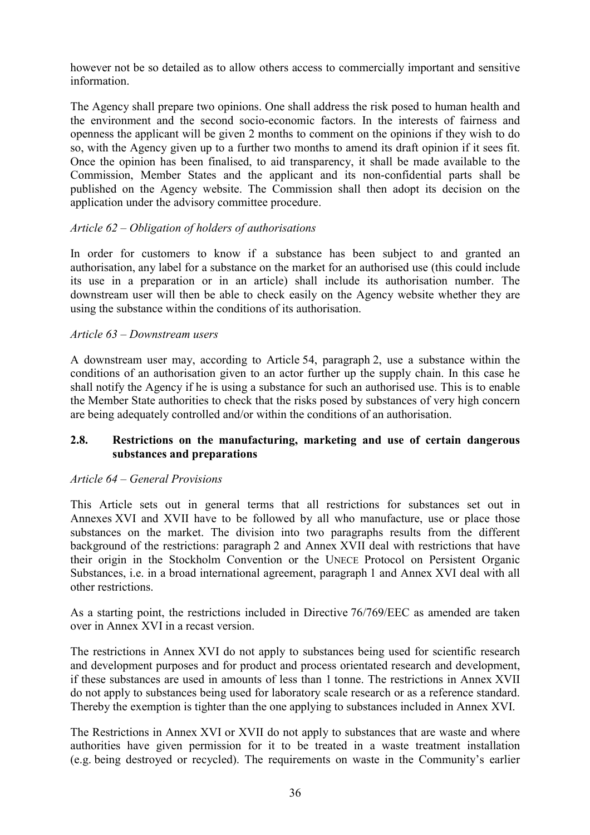however not be so detailed as to allow others access to commercially important and sensitive information.

The Agency shall prepare two opinions. One shall address the risk posed to human health and the environment and the second socio-economic factors. In the interests of fairness and openness the applicant will be given 2 months to comment on the opinions if they wish to do so, with the Agency given up to a further two months to amend its draft opinion if it sees fit. Once the opinion has been finalised, to aid transparency, it shall be made available to the Commission, Member States and the applicant and its non-confidential parts shall be published on the Agency website. The Commission shall then adopt its decision on the application under the advisory committee procedure.

#### *Article 62 – Obligation of holders of authorisations*

In order for customers to know if a substance has been subject to and granted an authorisation, any label for a substance on the market for an authorised use (this could include its use in a preparation or in an article) shall include its authorisation number. The downstream user will then be able to check easily on the Agency website whether they are using the substance within the conditions of its authorisation.

#### *Article 63 – Downstream users*

A downstream user may, according to Article 54, paragraph 2, use a substance within the conditions of an authorisation given to an actor further up the supply chain. In this case he shall notify the Agency if he is using a substance for such an authorised use. This is to enable the Member State authorities to check that the risks posed by substances of very high concern are being adequately controlled and/or within the conditions of an authorisation.

#### **2.8. Restrictions on the manufacturing, marketing and use of certain dangerous substances and preparations**

#### *Article 64 – General Provisions*

This Article sets out in general terms that all restrictions for substances set out in Annexes XVI and XVII have to be followed by all who manufacture, use or place those substances on the market. The division into two paragraphs results from the different background of the restrictions: paragraph 2 and Annex XVII deal with restrictions that have their origin in the Stockholm Convention or the UNECE Protocol on Persistent Organic Substances, i.e. in a broad international agreement, paragraph 1 and Annex XVI deal with all other restrictions.

As a starting point, the restrictions included in Directive 76/769/EEC as amended are taken over in Annex XVI in a recast version.

The restrictions in Annex XVI do not apply to substances being used for scientific research and development purposes and for product and process orientated research and development, if these substances are used in amounts of less than 1 tonne. The restrictions in Annex XVII do not apply to substances being used for laboratory scale research or as a reference standard. Thereby the exemption is tighter than the one applying to substances included in Annex XVI.

The Restrictions in Annex XVI or XVII do not apply to substances that are waste and where authorities have given permission for it to be treated in a waste treatment installation (e.g. being destroyed or recycled). The requirements on waste in the Community's earlier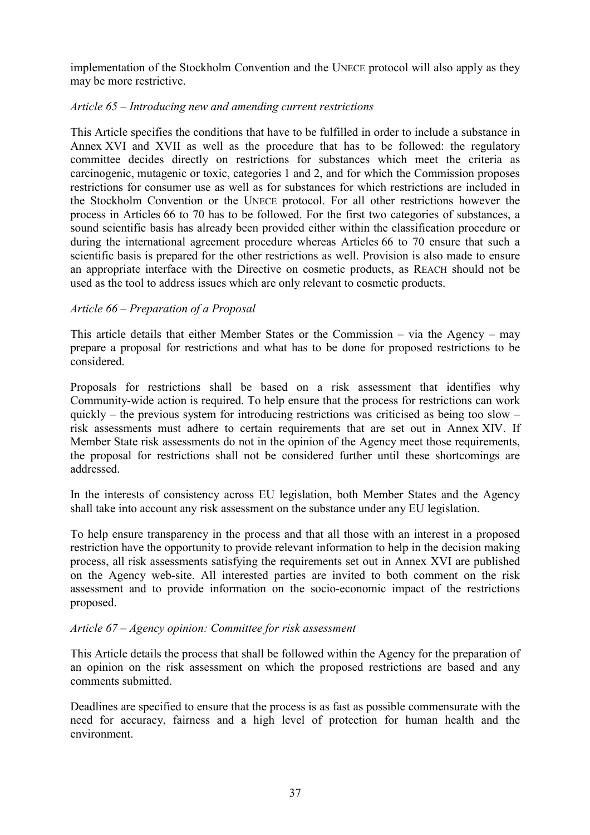implementation of the Stockholm Convention and the UNECE protocol will also apply as they may be more restrictive.

## *Article 65 – Introducing new and amending current restrictions*

This Article specifies the conditions that have to be fulfilled in order to include a substance in Annex XVI and XVII as well as the procedure that has to be followed: the regulatory committee decides directly on restrictions for substances which meet the criteria as carcinogenic, mutagenic or toxic, categories 1 and 2, and for which the Commission proposes restrictions for consumer use as well as for substances for which restrictions are included in the Stockholm Convention or the UNECE protocol. For all other restrictions however the process in Articles 66 to 70 has to be followed. For the first two categories of substances, a sound scientific basis has already been provided either within the classification procedure or during the international agreement procedure whereas Articles 66 to 70 ensure that such a scientific basis is prepared for the other restrictions as well. Provision is also made to ensure an appropriate interface with the Directive on cosmetic products, as REACH should not be used as the tool to address issues which are only relevant to cosmetic products.

## *Article 66 – Preparation of a Proposal*

This article details that either Member States or the Commission – via the Agency – may prepare a proposal for restrictions and what has to be done for proposed restrictions to be considered.

Proposals for restrictions shall be based on a risk assessment that identifies why Community-wide action is required. To help ensure that the process for restrictions can work quickly – the previous system for introducing restrictions was criticised as being too slow – risk assessments must adhere to certain requirements that are set out in Annex XIV. If Member State risk assessments do not in the opinion of the Agency meet those requirements, the proposal for restrictions shall not be considered further until these shortcomings are addressed.

In the interests of consistency across EU legislation, both Member States and the Agency shall take into account any risk assessment on the substance under any EU legislation.

To help ensure transparency in the process and that all those with an interest in a proposed restriction have the opportunity to provide relevant information to help in the decision making process, all risk assessments satisfying the requirements set out in Annex XVI are published on the Agency web-site. All interested parties are invited to both comment on the risk assessment and to provide information on the socio-economic impact of the restrictions proposed.

# *Article 67 – Agency opinion: Committee for risk assessment*

This Article details the process that shall be followed within the Agency for the preparation of an opinion on the risk assessment on which the proposed restrictions are based and any comments submitted.

Deadlines are specified to ensure that the process is as fast as possible commensurate with the need for accuracy, fairness and a high level of protection for human health and the environment.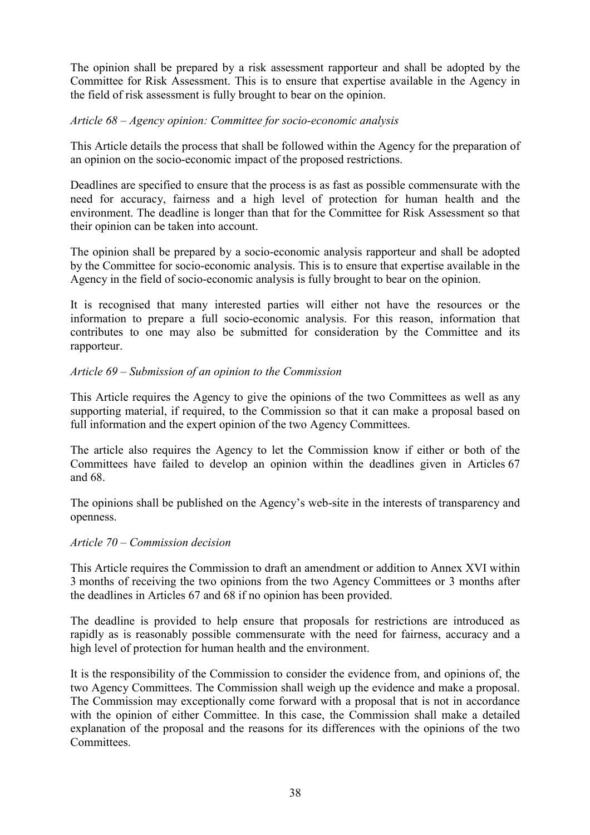The opinion shall be prepared by a risk assessment rapporteur and shall be adopted by the Committee for Risk Assessment. This is to ensure that expertise available in the Agency in the field of risk assessment is fully brought to bear on the opinion.

## *Article 68 – Agency opinion: Committee for socio-economic analysis*

This Article details the process that shall be followed within the Agency for the preparation of an opinion on the socio-economic impact of the proposed restrictions.

Deadlines are specified to ensure that the process is as fast as possible commensurate with the need for accuracy, fairness and a high level of protection for human health and the environment. The deadline is longer than that for the Committee for Risk Assessment so that their opinion can be taken into account.

The opinion shall be prepared by a socio-economic analysis rapporteur and shall be adopted by the Committee for socio-economic analysis. This is to ensure that expertise available in the Agency in the field of socio-economic analysis is fully brought to bear on the opinion.

It is recognised that many interested parties will either not have the resources or the information to prepare a full socio-economic analysis. For this reason, information that contributes to one may also be submitted for consideration by the Committee and its rapporteur.

## *Article 69 – Submission of an opinion to the Commission*

This Article requires the Agency to give the opinions of the two Committees as well as any supporting material, if required, to the Commission so that it can make a proposal based on full information and the expert opinion of the two Agency Committees.

The article also requires the Agency to let the Commission know if either or both of the Committees have failed to develop an opinion within the deadlines given in Articles 67 and 68.

The opinions shall be published on the Agency's web-site in the interests of transparency and openness.

#### *Article 70 – Commission decision*

This Article requires the Commission to draft an amendment or addition to Annex XVI within 3 months of receiving the two opinions from the two Agency Committees or 3 months after the deadlines in Articles 67 and 68 if no opinion has been provided.

The deadline is provided to help ensure that proposals for restrictions are introduced as rapidly as is reasonably possible commensurate with the need for fairness, accuracy and a high level of protection for human health and the environment.

It is the responsibility of the Commission to consider the evidence from, and opinions of, the two Agency Committees. The Commission shall weigh up the evidence and make a proposal. The Commission may exceptionally come forward with a proposal that is not in accordance with the opinion of either Committee. In this case, the Commission shall make a detailed explanation of the proposal and the reasons for its differences with the opinions of the two **Committees**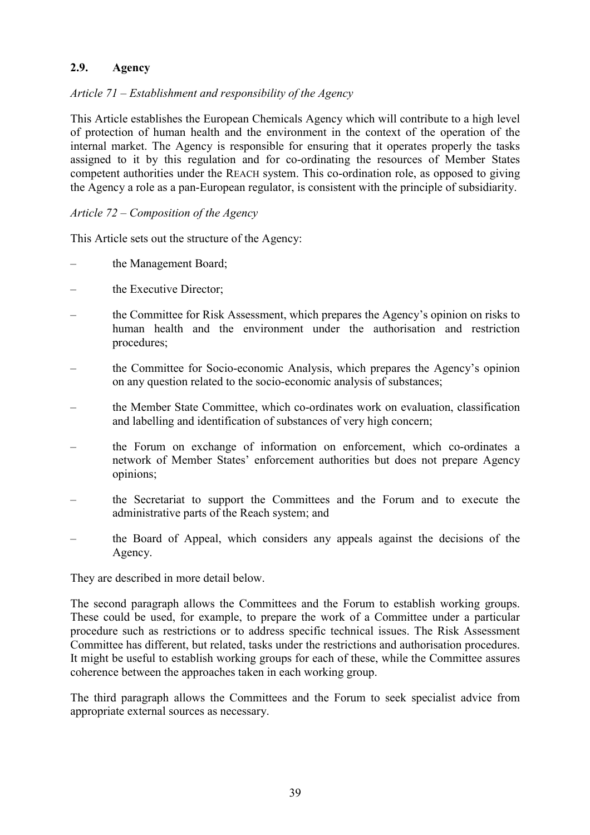## **2.9. Agency**

## *Article 71 – Establishment and responsibility of the Agency*

This Article establishes the European Chemicals Agency which will contribute to a high level of protection of human health and the environment in the context of the operation of the internal market. The Agency is responsible for ensuring that it operates properly the tasks assigned to it by this regulation and for co-ordinating the resources of Member States competent authorities under the REACH system. This co-ordination role, as opposed to giving the Agency a role as a pan-European regulator, is consistent with the principle of subsidiarity.

## *Article 72 – Composition of the Agency*

This Article sets out the structure of the Agency:

- the Management Board;
- the Executive Director;
- the Committee for Risk Assessment, which prepares the Agency's opinion on risks to human health and the environment under the authorisation and restriction procedures;
- the Committee for Socio-economic Analysis, which prepares the Agency's opinion on any question related to the socio-economic analysis of substances;
- the Member State Committee, which co-ordinates work on evaluation, classification and labelling and identification of substances of very high concern;
- the Forum on exchange of information on enforcement, which co-ordinates a network of Member States' enforcement authorities but does not prepare Agency opinions;
- the Secretariat to support the Committees and the Forum and to execute the administrative parts of the Reach system; and
- the Board of Appeal, which considers any appeals against the decisions of the Agency.

They are described in more detail below.

The second paragraph allows the Committees and the Forum to establish working groups. These could be used, for example, to prepare the work of a Committee under a particular procedure such as restrictions or to address specific technical issues. The Risk Assessment Committee has different, but related, tasks under the restrictions and authorisation procedures. It might be useful to establish working groups for each of these, while the Committee assures coherence between the approaches taken in each working group.

The third paragraph allows the Committees and the Forum to seek specialist advice from appropriate external sources as necessary.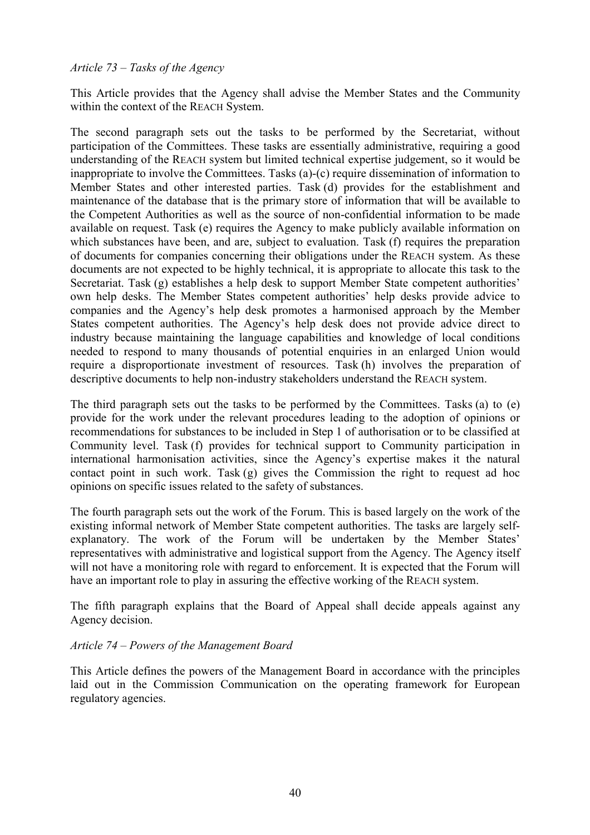## *Article 73 – Tasks of the Agency*

This Article provides that the Agency shall advise the Member States and the Community within the context of the REACH System.

The second paragraph sets out the tasks to be performed by the Secretariat, without participation of the Committees. These tasks are essentially administrative, requiring a good understanding of the REACH system but limited technical expertise judgement, so it would be inappropriate to involve the Committees. Tasks (a)-(c) require dissemination of information to Member States and other interested parties. Task (d) provides for the establishment and maintenance of the database that is the primary store of information that will be available to the Competent Authorities as well as the source of non-confidential information to be made available on request. Task (e) requires the Agency to make publicly available information on which substances have been, and are, subject to evaluation. Task (f) requires the preparation of documents for companies concerning their obligations under the REACH system. As these documents are not expected to be highly technical, it is appropriate to allocate this task to the Secretariat. Task (g) establishes a help desk to support Member State competent authorities' own help desks. The Member States competent authorities' help desks provide advice to companies and the Agency's help desk promotes a harmonised approach by the Member States competent authorities. The Agency's help desk does not provide advice direct to industry because maintaining the language capabilities and knowledge of local conditions needed to respond to many thousands of potential enquiries in an enlarged Union would require a disproportionate investment of resources. Task (h) involves the preparation of descriptive documents to help non-industry stakeholders understand the REACH system.

The third paragraph sets out the tasks to be performed by the Committees. Tasks (a) to (e) provide for the work under the relevant procedures leading to the adoption of opinions or recommendations for substances to be included in Step 1 of authorisation or to be classified at Community level. Task (f) provides for technical support to Community participation in international harmonisation activities, since the Agency's expertise makes it the natural contact point in such work. Task (g) gives the Commission the right to request ad hoc opinions on specific issues related to the safety of substances.

The fourth paragraph sets out the work of the Forum. This is based largely on the work of the existing informal network of Member State competent authorities. The tasks are largely selfexplanatory. The work of the Forum will be undertaken by the Member States' representatives with administrative and logistical support from the Agency. The Agency itself will not have a monitoring role with regard to enforcement. It is expected that the Forum will have an important role to play in assuring the effective working of the REACH system.

The fifth paragraph explains that the Board of Appeal shall decide appeals against any Agency decision.

#### *Article 74 – Powers of the Management Board*

This Article defines the powers of the Management Board in accordance with the principles laid out in the Commission Communication on the operating framework for European regulatory agencies.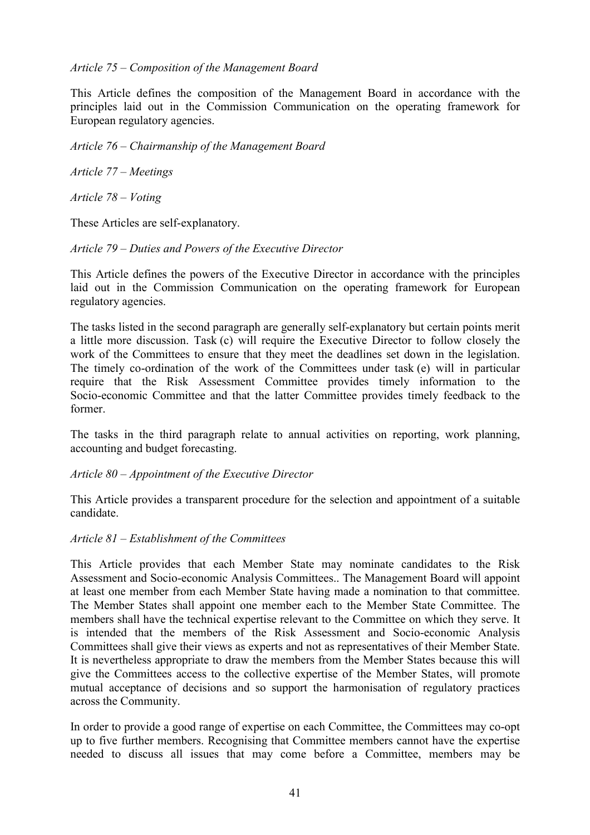## *Article 75 – Composition of the Management Board*

This Article defines the composition of the Management Board in accordance with the principles laid out in the Commission Communication on the operating framework for European regulatory agencies.

*Article 76 – Chairmanship of the Management Board*

*Article 77 – Meetings*

*Article 78 – Voting*

These Articles are self-explanatory.

## *Article 79 – Duties and Powers of the Executive Director*

This Article defines the powers of the Executive Director in accordance with the principles laid out in the Commission Communication on the operating framework for European regulatory agencies.

The tasks listed in the second paragraph are generally self-explanatory but certain points merit a little more discussion. Task (c) will require the Executive Director to follow closely the work of the Committees to ensure that they meet the deadlines set down in the legislation. The timely co-ordination of the work of the Committees under task (e) will in particular require that the Risk Assessment Committee provides timely information to the Socio-economic Committee and that the latter Committee provides timely feedback to the former.

The tasks in the third paragraph relate to annual activities on reporting, work planning, accounting and budget forecasting.

#### *Article 80 – Appointment of the Executive Director*

This Article provides a transparent procedure for the selection and appointment of a suitable candidate.

#### *Article 81 – Establishment of the Committees*

This Article provides that each Member State may nominate candidates to the Risk Assessment and Socio-economic Analysis Committees.. The Management Board will appoint at least one member from each Member State having made a nomination to that committee. The Member States shall appoint one member each to the Member State Committee. The members shall have the technical expertise relevant to the Committee on which they serve. It is intended that the members of the Risk Assessment and Socio-economic Analysis Committees shall give their views as experts and not as representatives of their Member State. It is nevertheless appropriate to draw the members from the Member States because this will give the Committees access to the collective expertise of the Member States, will promote mutual acceptance of decisions and so support the harmonisation of regulatory practices across the Community.

In order to provide a good range of expertise on each Committee, the Committees may co-opt up to five further members. Recognising that Committee members cannot have the expertise needed to discuss all issues that may come before a Committee, members may be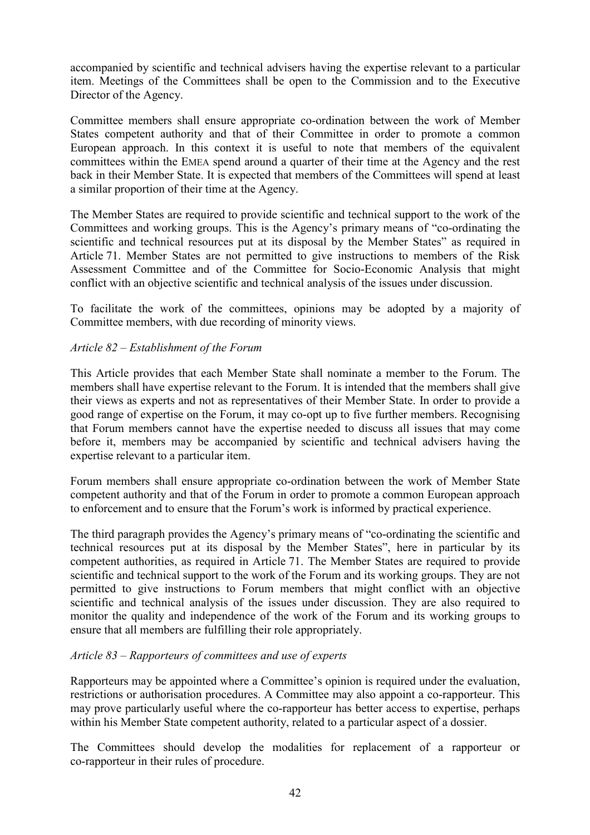accompanied by scientific and technical advisers having the expertise relevant to a particular item. Meetings of the Committees shall be open to the Commission and to the Executive Director of the Agency.

Committee members shall ensure appropriate co-ordination between the work of Member States competent authority and that of their Committee in order to promote a common European approach. In this context it is useful to note that members of the equivalent committees within the EMEA spend around a quarter of their time at the Agency and the rest back in their Member State. It is expected that members of the Committees will spend at least a similar proportion of their time at the Agency.

The Member States are required to provide scientific and technical support to the work of the Committees and working groups. This is the Agency's primary means of "co-ordinating the scientific and technical resources put at its disposal by the Member States" as required in Article 71. Member States are not permitted to give instructions to members of the Risk Assessment Committee and of the Committee for Socio-Economic Analysis that might conflict with an objective scientific and technical analysis of the issues under discussion.

To facilitate the work of the committees, opinions may be adopted by a majority of Committee members, with due recording of minority views.

## *Article 82 – Establishment of the Forum*

This Article provides that each Member State shall nominate a member to the Forum. The members shall have expertise relevant to the Forum. It is intended that the members shall give their views as experts and not as representatives of their Member State. In order to provide a good range of expertise on the Forum, it may co-opt up to five further members. Recognising that Forum members cannot have the expertise needed to discuss all issues that may come before it, members may be accompanied by scientific and technical advisers having the expertise relevant to a particular item.

Forum members shall ensure appropriate co-ordination between the work of Member State competent authority and that of the Forum in order to promote a common European approach to enforcement and to ensure that the Forum's work is informed by practical experience.

The third paragraph provides the Agency's primary means of "co-ordinating the scientific and technical resources put at its disposal by the Member States", here in particular by its competent authorities, as required in Article 71. The Member States are required to provide scientific and technical support to the work of the Forum and its working groups. They are not permitted to give instructions to Forum members that might conflict with an objective scientific and technical analysis of the issues under discussion. They are also required to monitor the quality and independence of the work of the Forum and its working groups to ensure that all members are fulfilling their role appropriately.

## *Article 83 – Rapporteurs of committees and use of experts*

Rapporteurs may be appointed where a Committee's opinion is required under the evaluation, restrictions or authorisation procedures. A Committee may also appoint a co-rapporteur. This may prove particularly useful where the co-rapporteur has better access to expertise, perhaps within his Member State competent authority, related to a particular aspect of a dossier.

The Committees should develop the modalities for replacement of a rapporteur or co-rapporteur in their rules of procedure.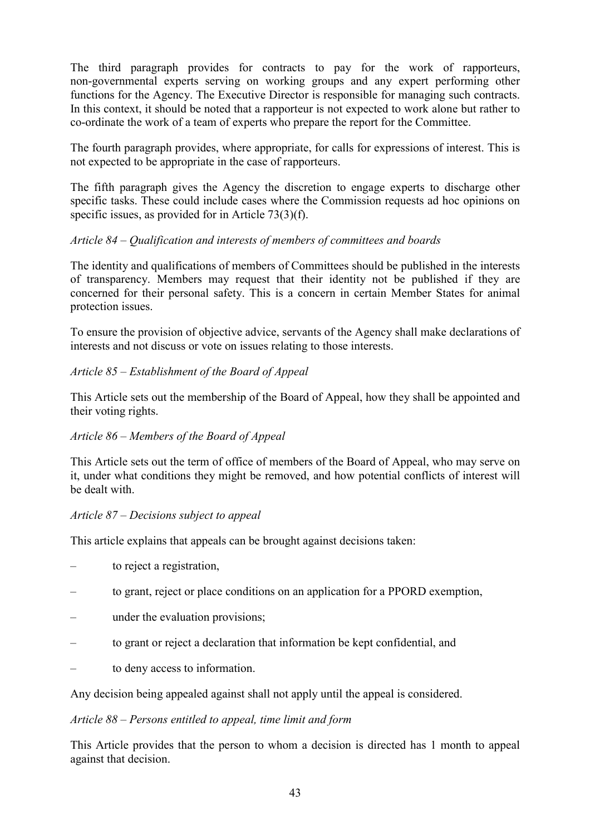The third paragraph provides for contracts to pay for the work of rapporteurs, non-governmental experts serving on working groups and any expert performing other functions for the Agency. The Executive Director is responsible for managing such contracts. In this context, it should be noted that a rapporteur is not expected to work alone but rather to co-ordinate the work of a team of experts who prepare the report for the Committee.

The fourth paragraph provides, where appropriate, for calls for expressions of interest. This is not expected to be appropriate in the case of rapporteurs.

The fifth paragraph gives the Agency the discretion to engage experts to discharge other specific tasks. These could include cases where the Commission requests ad hoc opinions on specific issues, as provided for in Article 73(3)(f).

## *Article 84 – Qualification and interests of members of committees and boards*

The identity and qualifications of members of Committees should be published in the interests of transparency. Members may request that their identity not be published if they are concerned for their personal safety. This is a concern in certain Member States for animal protection issues.

To ensure the provision of objective advice, servants of the Agency shall make declarations of interests and not discuss or vote on issues relating to those interests.

## *Article 85 – Establishment of the Board of Appeal*

This Article sets out the membership of the Board of Appeal, how they shall be appointed and their voting rights.

## *Article 86 – Members of the Board of Appeal*

This Article sets out the term of office of members of the Board of Appeal, who may serve on it, under what conditions they might be removed, and how potential conflicts of interest will be dealt with.

#### *Article 87 – Decisions subject to appeal*

This article explains that appeals can be brought against decisions taken:

- to reject a registration,
- to grant, reject or place conditions on an application for a PPORD exemption,
- under the evaluation provisions;
- to grant or reject a declaration that information be kept confidential, and
- to deny access to information.

Any decision being appealed against shall not apply until the appeal is considered.

#### *Article 88 – Persons entitled to appeal, time limit and form*

This Article provides that the person to whom a decision is directed has 1 month to appeal against that decision.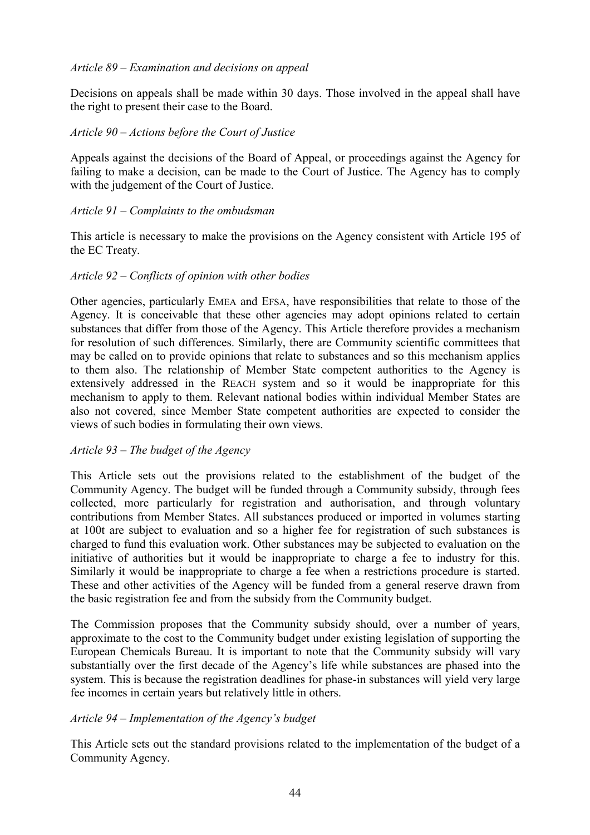## *Article 89 – Examination and decisions on appeal*

Decisions on appeals shall be made within 30 days. Those involved in the appeal shall have the right to present their case to the Board.

## *Article 90 – Actions before the Court of Justice*

Appeals against the decisions of the Board of Appeal, or proceedings against the Agency for failing to make a decision, can be made to the Court of Justice. The Agency has to comply with the judgement of the Court of Justice.

## *Article 91 – Complaints to the ombudsman*

This article is necessary to make the provisions on the Agency consistent with Article 195 of the EC Treaty.

#### *Article 92 – Conflicts of opinion with other bodies*

Other agencies, particularly EMEA and EFSA, have responsibilities that relate to those of the Agency. It is conceivable that these other agencies may adopt opinions related to certain substances that differ from those of the Agency. This Article therefore provides a mechanism for resolution of such differences. Similarly, there are Community scientific committees that may be called on to provide opinions that relate to substances and so this mechanism applies to them also. The relationship of Member State competent authorities to the Agency is extensively addressed in the REACH system and so it would be inappropriate for this mechanism to apply to them. Relevant national bodies within individual Member States are also not covered, since Member State competent authorities are expected to consider the views of such bodies in formulating their own views.

#### *Article 93 – The budget of the Agency*

This Article sets out the provisions related to the establishment of the budget of the Community Agency. The budget will be funded through a Community subsidy, through fees collected, more particularly for registration and authorisation, and through voluntary contributions from Member States. All substances produced or imported in volumes starting at 100t are subject to evaluation and so a higher fee for registration of such substances is charged to fund this evaluation work. Other substances may be subjected to evaluation on the initiative of authorities but it would be inappropriate to charge a fee to industry for this. Similarly it would be inappropriate to charge a fee when a restrictions procedure is started. These and other activities of the Agency will be funded from a general reserve drawn from the basic registration fee and from the subsidy from the Community budget.

The Commission proposes that the Community subsidy should, over a number of years, approximate to the cost to the Community budget under existing legislation of supporting the European Chemicals Bureau. It is important to note that the Community subsidy will vary substantially over the first decade of the Agency's life while substances are phased into the system. This is because the registration deadlines for phase-in substances will yield very large fee incomes in certain years but relatively little in others.

#### *Article 94 – Implementation of the Agency's budget*

This Article sets out the standard provisions related to the implementation of the budget of a Community Agency.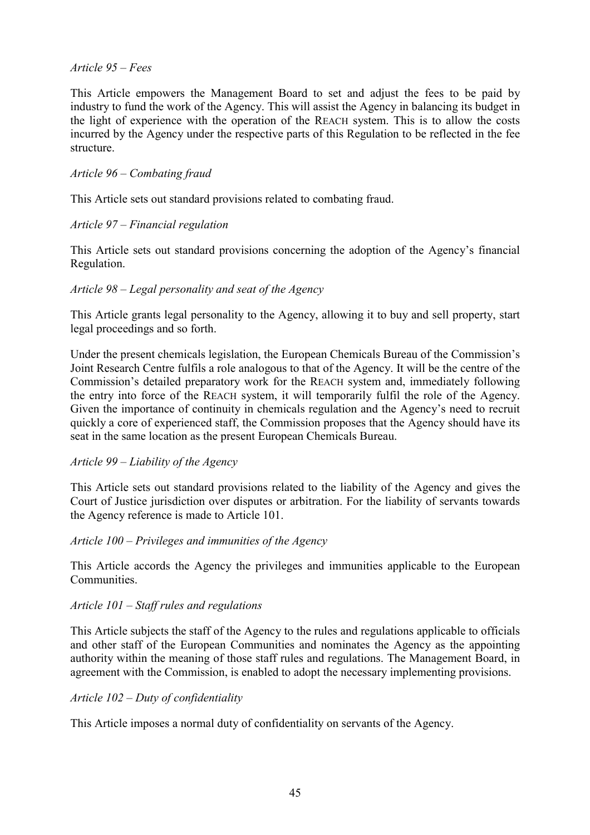## *Article 95 – Fees*

This Article empowers the Management Board to set and adjust the fees to be paid by industry to fund the work of the Agency. This will assist the Agency in balancing its budget in the light of experience with the operation of the REACH system. This is to allow the costs incurred by the Agency under the respective parts of this Regulation to be reflected in the fee structure.

## *Article 96 – Combating fraud*

This Article sets out standard provisions related to combating fraud.

## *Article 97 – Financial regulation*

This Article sets out standard provisions concerning the adoption of the Agency's financial Regulation.

## *Article 98 – Legal personality and seat of the Agency*

This Article grants legal personality to the Agency, allowing it to buy and sell property, start legal proceedings and so forth.

Under the present chemicals legislation, the European Chemicals Bureau of the Commission's Joint Research Centre fulfils a role analogous to that of the Agency. It will be the centre of the Commission's detailed preparatory work for the REACH system and, immediately following the entry into force of the REACH system, it will temporarily fulfil the role of the Agency. Given the importance of continuity in chemicals regulation and the Agency's need to recruit quickly a core of experienced staff, the Commission proposes that the Agency should have its seat in the same location as the present European Chemicals Bureau.

#### *Article 99 – Liability of the Agency*

This Article sets out standard provisions related to the liability of the Agency and gives the Court of Justice jurisdiction over disputes or arbitration. For the liability of servants towards the Agency reference is made to Article 101.

#### *Article 100 – Privileges and immunities of the Agency*

This Article accords the Agency the privileges and immunities applicable to the European **Communities** 

#### *Article 101 – Staff rules and regulations*

This Article subjects the staff of the Agency to the rules and regulations applicable to officials and other staff of the European Communities and nominates the Agency as the appointing authority within the meaning of those staff rules and regulations. The Management Board, in agreement with the Commission, is enabled to adopt the necessary implementing provisions.

#### *Article 102 – Duty of confidentiality*

This Article imposes a normal duty of confidentiality on servants of the Agency.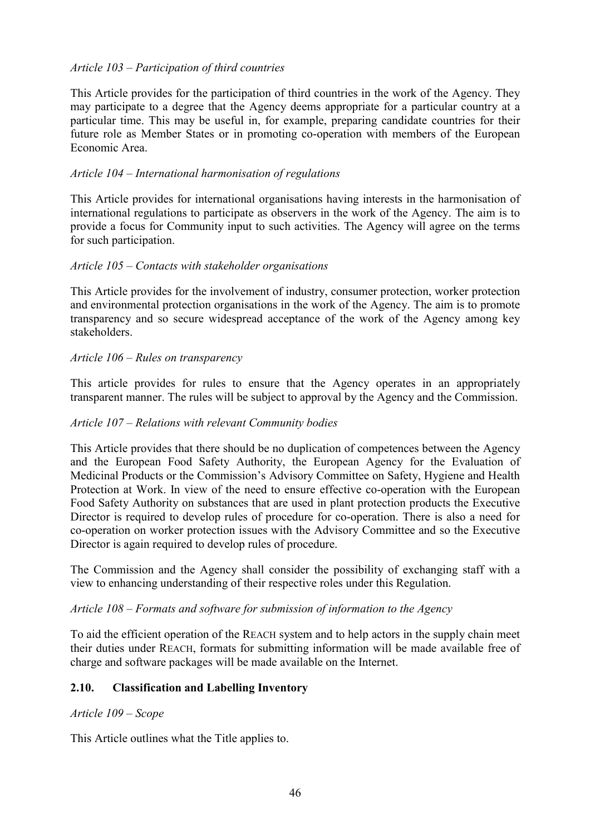## *Article 103 – Participation of third countries*

This Article provides for the participation of third countries in the work of the Agency. They may participate to a degree that the Agency deems appropriate for a particular country at a particular time. This may be useful in, for example, preparing candidate countries for their future role as Member States or in promoting co-operation with members of the European Economic Area.

## *Article 104 – International harmonisation of regulations*

This Article provides for international organisations having interests in the harmonisation of international regulations to participate as observers in the work of the Agency. The aim is to provide a focus for Community input to such activities. The Agency will agree on the terms for such participation.

## *Article 105 – Contacts with stakeholder organisations*

This Article provides for the involvement of industry, consumer protection, worker protection and environmental protection organisations in the work of the Agency. The aim is to promote transparency and so secure widespread acceptance of the work of the Agency among key stakeholders.

## *Article 106 – Rules on transparency*

This article provides for rules to ensure that the Agency operates in an appropriately transparent manner. The rules will be subject to approval by the Agency and the Commission.

## *Article 107 – Relations with relevant Community bodies*

This Article provides that there should be no duplication of competences between the Agency and the European Food Safety Authority, the European Agency for the Evaluation of Medicinal Products or the Commission's Advisory Committee on Safety, Hygiene and Health Protection at Work. In view of the need to ensure effective co-operation with the European Food Safety Authority on substances that are used in plant protection products the Executive Director is required to develop rules of procedure for co-operation. There is also a need for co-operation on worker protection issues with the Advisory Committee and so the Executive Director is again required to develop rules of procedure.

The Commission and the Agency shall consider the possibility of exchanging staff with a view to enhancing understanding of their respective roles under this Regulation.

#### *Article 108 – Formats and software for submission of information to the Agency*

To aid the efficient operation of the REACH system and to help actors in the supply chain meet their duties under REACH, formats for submitting information will be made available free of charge and software packages will be made available on the Internet.

## **2.10. Classification and Labelling Inventory**

#### *Article 109 – Scope*

This Article outlines what the Title applies to.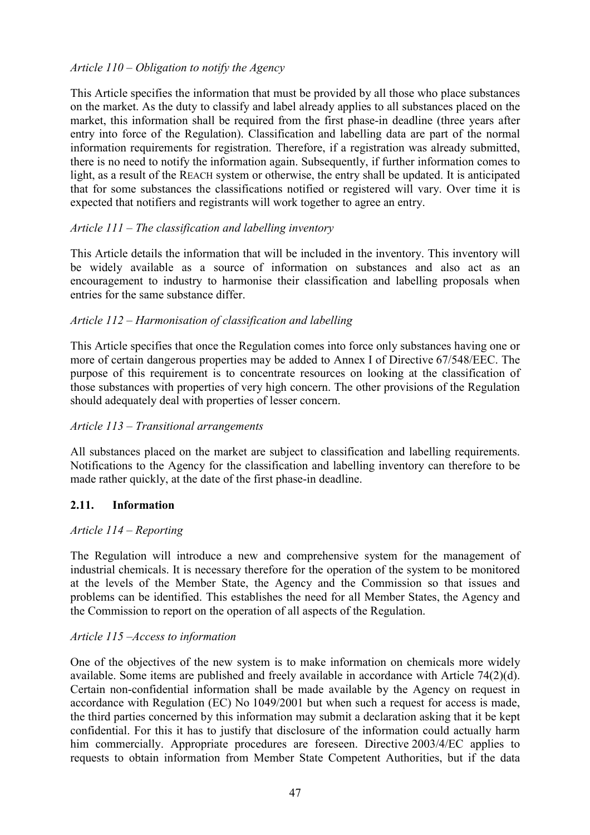## *Article 110 – Obligation to notify the Agency*

This Article specifies the information that must be provided by all those who place substances on the market. As the duty to classify and label already applies to all substances placed on the market, this information shall be required from the first phase-in deadline (three years after entry into force of the Regulation). Classification and labelling data are part of the normal information requirements for registration. Therefore, if a registration was already submitted, there is no need to notify the information again. Subsequently, if further information comes to light, as a result of the REACH system or otherwise, the entry shall be updated. It is anticipated that for some substances the classifications notified or registered will vary. Over time it is expected that notifiers and registrants will work together to agree an entry.

## *Article 111 – The classification and labelling inventory*

This Article details the information that will be included in the inventory. This inventory will be widely available as a source of information on substances and also act as an encouragement to industry to harmonise their classification and labelling proposals when entries for the same substance differ.

## *Article 112 – Harmonisation of classification and labelling*

This Article specifies that once the Regulation comes into force only substances having one or more of certain dangerous properties may be added to Annex I of Directive 67/548/EEC. The purpose of this requirement is to concentrate resources on looking at the classification of those substances with properties of very high concern. The other provisions of the Regulation should adequately deal with properties of lesser concern.

# *Article 113 – Transitional arrangements*

All substances placed on the market are subject to classification and labelling requirements. Notifications to the Agency for the classification and labelling inventory can therefore to be made rather quickly, at the date of the first phase-in deadline.

## **2.11. Information**

## *Article 114 – Reporting*

The Regulation will introduce a new and comprehensive system for the management of industrial chemicals. It is necessary therefore for the operation of the system to be monitored at the levels of the Member State, the Agency and the Commission so that issues and problems can be identified. This establishes the need for all Member States, the Agency and the Commission to report on the operation of all aspects of the Regulation.

## *Article 115 –Access to information*

One of the objectives of the new system is to make information on chemicals more widely available. Some items are published and freely available in accordance with Article 74(2)(d). Certain non-confidential information shall be made available by the Agency on request in accordance with Regulation (EC) No 1049/2001 but when such a request for access is made, the third parties concerned by this information may submit a declaration asking that it be kept confidential. For this it has to justify that disclosure of the information could actually harm him commercially. Appropriate procedures are foreseen. Directive 2003/4/EC applies to requests to obtain information from Member State Competent Authorities, but if the data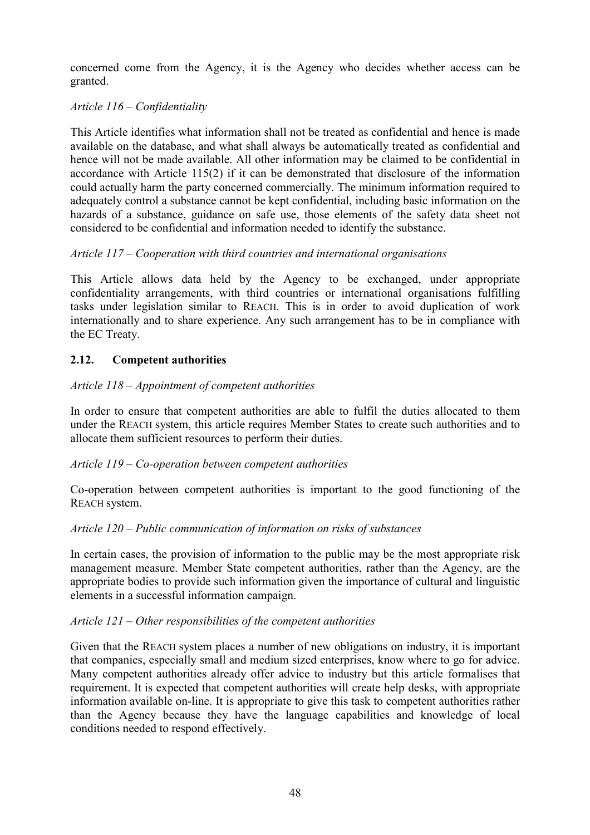concerned come from the Agency, it is the Agency who decides whether access can be granted.

# *Article 116 – Confidentiality*

This Article identifies what information shall not be treated as confidential and hence is made available on the database, and what shall always be automatically treated as confidential and hence will not be made available. All other information may be claimed to be confidential in accordance with Article 115(2) if it can be demonstrated that disclosure of the information could actually harm the party concerned commercially. The minimum information required to adequately control a substance cannot be kept confidential, including basic information on the hazards of a substance, guidance on safe use, those elements of the safety data sheet not considered to be confidential and information needed to identify the substance.

# *Article 117 – Cooperation with third countries and international organisations*

This Article allows data held by the Agency to be exchanged, under appropriate confidentiality arrangements, with third countries or international organisations fulfilling tasks under legislation similar to REACH. This is in order to avoid duplication of work internationally and to share experience. Any such arrangement has to be in compliance with the EC Treaty.

# **2.12. Competent authorities**

# *Article 118 – Appointment of competent authorities*

In order to ensure that competent authorities are able to fulfil the duties allocated to them under the REACH system, this article requires Member States to create such authorities and to allocate them sufficient resources to perform their duties.

## *Article 119 – Co-operation between competent authorities*

Co-operation between competent authorities is important to the good functioning of the REACH system.

## *Article 120 – Public communication of information on risks of substances*

In certain cases, the provision of information to the public may be the most appropriate risk management measure. Member State competent authorities, rather than the Agency, are the appropriate bodies to provide such information given the importance of cultural and linguistic elements in a successful information campaign.

## *Article 121 – Other responsibilities of the competent authorities*

Given that the REACH system places a number of new obligations on industry, it is important that companies, especially small and medium sized enterprises, know where to go for advice. Many competent authorities already offer advice to industry but this article formalises that requirement. It is expected that competent authorities will create help desks, with appropriate information available on-line. It is appropriate to give this task to competent authorities rather than the Agency because they have the language capabilities and knowledge of local conditions needed to respond effectively.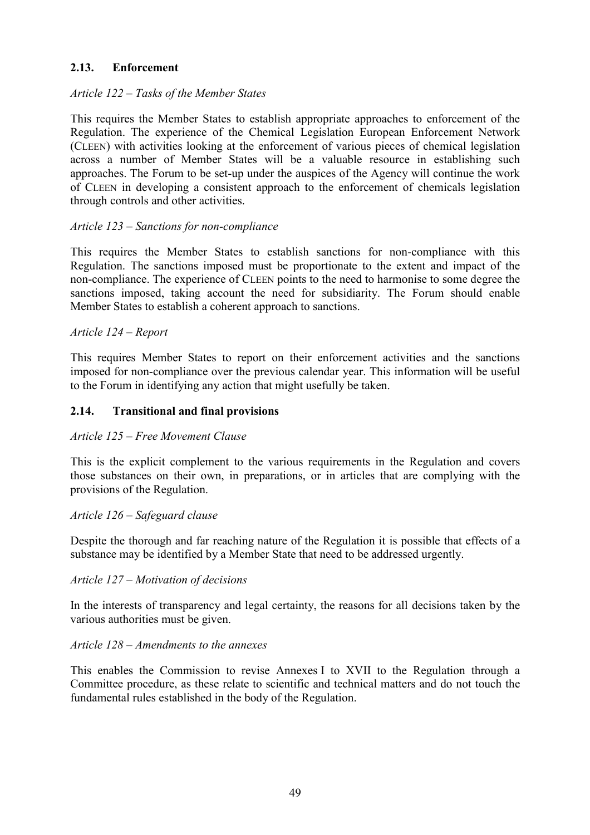# **2.13. Enforcement**

## *Article 122 – Tasks of the Member States*

This requires the Member States to establish appropriate approaches to enforcement of the Regulation. The experience of the Chemical Legislation European Enforcement Network (CLEEN) with activities looking at the enforcement of various pieces of chemical legislation across a number of Member States will be a valuable resource in establishing such approaches. The Forum to be set-up under the auspices of the Agency will continue the work of CLEEN in developing a consistent approach to the enforcement of chemicals legislation through controls and other activities.

## *Article 123 – Sanctions for non-compliance*

This requires the Member States to establish sanctions for non-compliance with this Regulation. The sanctions imposed must be proportionate to the extent and impact of the non-compliance. The experience of CLEEN points to the need to harmonise to some degree the sanctions imposed, taking account the need for subsidiarity. The Forum should enable Member States to establish a coherent approach to sanctions.

## *Article 124 – Report*

This requires Member States to report on their enforcement activities and the sanctions imposed for non-compliance over the previous calendar year. This information will be useful to the Forum in identifying any action that might usefully be taken.

## **2.14. Transitional and final provisions**

#### *Article 125 – Free Movement Clause*

This is the explicit complement to the various requirements in the Regulation and covers those substances on their own, in preparations, or in articles that are complying with the provisions of the Regulation.

#### *Article 126 – Safeguard clause*

Despite the thorough and far reaching nature of the Regulation it is possible that effects of a substance may be identified by a Member State that need to be addressed urgently.

#### *Article 127 – Motivation of decisions*

In the interests of transparency and legal certainty, the reasons for all decisions taken by the various authorities must be given.

#### *Article 128 – Amendments to the annexes*

This enables the Commission to revise Annexes I to XVII to the Regulation through a Committee procedure, as these relate to scientific and technical matters and do not touch the fundamental rules established in the body of the Regulation.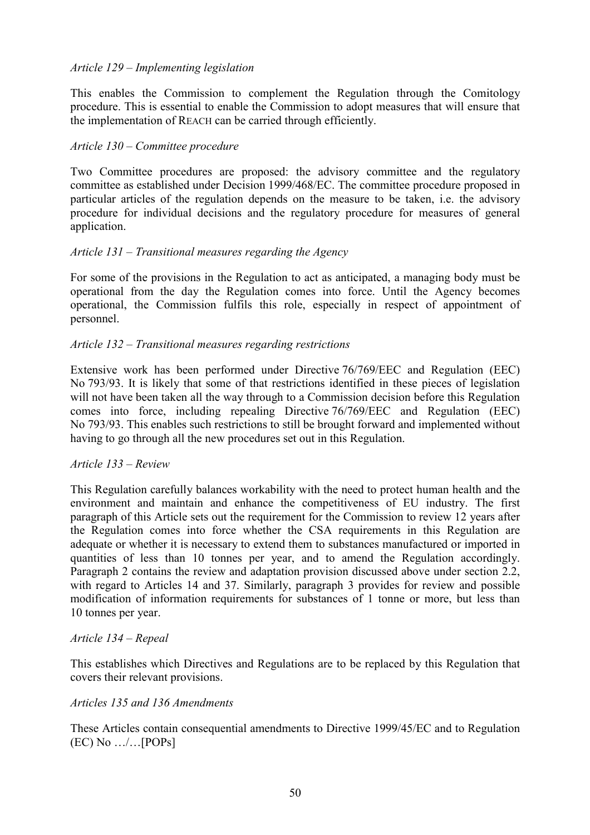## *Article 129 – Implementing legislation*

This enables the Commission to complement the Regulation through the Comitology procedure. This is essential to enable the Commission to adopt measures that will ensure that the implementation of REACH can be carried through efficiently.

#### *Article 130 – Committee procedure*

Two Committee procedures are proposed: the advisory committee and the regulatory committee as established under Decision 1999/468/EC. The committee procedure proposed in particular articles of the regulation depends on the measure to be taken, i.e. the advisory procedure for individual decisions and the regulatory procedure for measures of general application.

#### *Article 131 – Transitional measures regarding the Agency*

For some of the provisions in the Regulation to act as anticipated, a managing body must be operational from the day the Regulation comes into force. Until the Agency becomes operational, the Commission fulfils this role, especially in respect of appointment of personnel.

## *Article 132 – Transitional measures regarding restrictions*

Extensive work has been performed under Directive 76/769/EEC and Regulation (EEC) No 793/93. It is likely that some of that restrictions identified in these pieces of legislation will not have been taken all the way through to a Commission decision before this Regulation comes into force, including repealing Directive 76/769/EEC and Regulation (EEC) No 793/93. This enables such restrictions to still be brought forward and implemented without having to go through all the new procedures set out in this Regulation.

#### *Article 133 – Review*

This Regulation carefully balances workability with the need to protect human health and the environment and maintain and enhance the competitiveness of EU industry. The first paragraph of this Article sets out the requirement for the Commission to review 12 years after the Regulation comes into force whether the CSA requirements in this Regulation are adequate or whether it is necessary to extend them to substances manufactured or imported in quantities of less than 10 tonnes per year, and to amend the Regulation accordingly. Paragraph 2 contains the review and adaptation provision discussed above under section 2.2, with regard to Articles 14 and 37. Similarly, paragraph 3 provides for review and possible modification of information requirements for substances of 1 tonne or more, but less than 10 tonnes per year.

#### *Article 134 – Repeal*

This establishes which Directives and Regulations are to be replaced by this Regulation that covers their relevant provisions.

#### *Articles 135 and 136 Amendments*

These Articles contain consequential amendments to Directive 1999/45/EC and to Regulation  $(EC)$  No  $.../$ ... [POPs]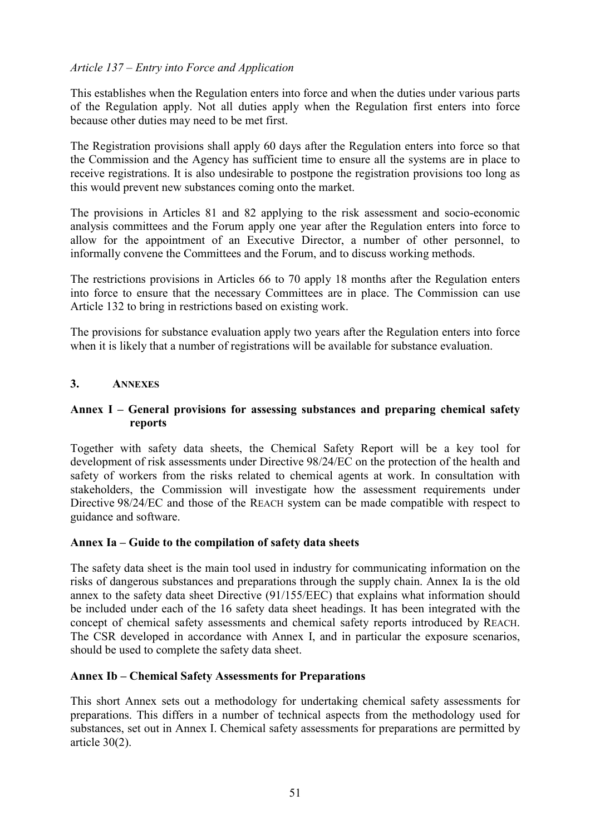# *Article 137 – Entry into Force and Application*

This establishes when the Regulation enters into force and when the duties under various parts of the Regulation apply. Not all duties apply when the Regulation first enters into force because other duties may need to be met first.

The Registration provisions shall apply 60 days after the Regulation enters into force so that the Commission and the Agency has sufficient time to ensure all the systems are in place to receive registrations. It is also undesirable to postpone the registration provisions too long as this would prevent new substances coming onto the market.

The provisions in Articles 81 and 82 applying to the risk assessment and socio-economic analysis committees and the Forum apply one year after the Regulation enters into force to allow for the appointment of an Executive Director, a number of other personnel, to informally convene the Committees and the Forum, and to discuss working methods.

The restrictions provisions in Articles 66 to 70 apply 18 months after the Regulation enters into force to ensure that the necessary Committees are in place. The Commission can use Article 132 to bring in restrictions based on existing work.

The provisions for substance evaluation apply two years after the Regulation enters into force when it is likely that a number of registrations will be available for substance evaluation.

## **3. ANNEXES**

## **Annex I – General provisions for assessing substances and preparing chemical safety reports**

Together with safety data sheets, the Chemical Safety Report will be a key tool for development of risk assessments under Directive 98/24/EC on the protection of the health and safety of workers from the risks related to chemical agents at work. In consultation with stakeholders, the Commission will investigate how the assessment requirements under Directive 98/24/EC and those of the REACH system can be made compatible with respect to guidance and software.

#### **Annex Ia – Guide to the compilation of safety data sheets**

The safety data sheet is the main tool used in industry for communicating information on the risks of dangerous substances and preparations through the supply chain. Annex Ia is the old annex to the safety data sheet Directive (91/155/EEC) that explains what information should be included under each of the 16 safety data sheet headings. It has been integrated with the concept of chemical safety assessments and chemical safety reports introduced by REACH. The CSR developed in accordance with Annex I, and in particular the exposure scenarios, should be used to complete the safety data sheet.

#### **Annex Ib – Chemical Safety Assessments for Preparations**

This short Annex sets out a methodology for undertaking chemical safety assessments for preparations. This differs in a number of technical aspects from the methodology used for substances, set out in Annex I. Chemical safety assessments for preparations are permitted by article 30(2).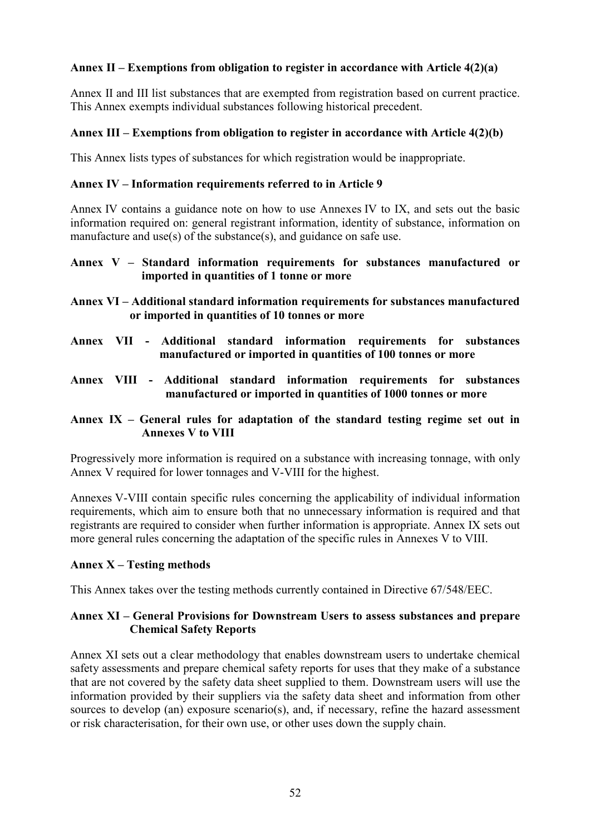# **Annex II – Exemptions from obligation to register in accordance with Article 4(2)(a)**

Annex II and III list substances that are exempted from registration based on current practice. This Annex exempts individual substances following historical precedent.

## **Annex III – Exemptions from obligation to register in accordance with Article 4(2)(b)**

This Annex lists types of substances for which registration would be inappropriate.

## **Annex IV – Information requirements referred to in Article 9**

Annex IV contains a guidance note on how to use Annexes IV to IX, and sets out the basic information required on: general registrant information, identity of substance, information on manufacture and use(s) of the substance(s), and guidance on safe use.

## **Annex V – Standard information requirements for substances manufactured or imported in quantities of 1 tonne or more**

- **Annex VI Additional standard information requirements for substances manufactured or imported in quantities of 10 tonnes or more**
- **Annex VII Additional standard information requirements for substances manufactured or imported in quantities of 100 tonnes or more**
- **Annex VIII Additional standard information requirements for substances manufactured or imported in quantities of 1000 tonnes or more**
- **Annex IX General rules for adaptation of the standard testing regime set out in Annexes V to VIII**

Progressively more information is required on a substance with increasing tonnage, with only Annex V required for lower tonnages and V-VIII for the highest.

Annexes V-VIII contain specific rules concerning the applicability of individual information requirements, which aim to ensure both that no unnecessary information is required and that registrants are required to consider when further information is appropriate. Annex IX sets out more general rules concerning the adaptation of the specific rules in Annexes V to VIII.

## **Annex X – Testing methods**

This Annex takes over the testing methods currently contained in Directive 67/548/EEC.

## **Annex XI – General Provisions for Downstream Users to assess substances and prepare Chemical Safety Reports**

Annex XI sets out a clear methodology that enables downstream users to undertake chemical safety assessments and prepare chemical safety reports for uses that they make of a substance that are not covered by the safety data sheet supplied to them. Downstream users will use the information provided by their suppliers via the safety data sheet and information from other sources to develop (an) exposure scenario(s), and, if necessary, refine the hazard assessment or risk characterisation, for their own use, or other uses down the supply chain.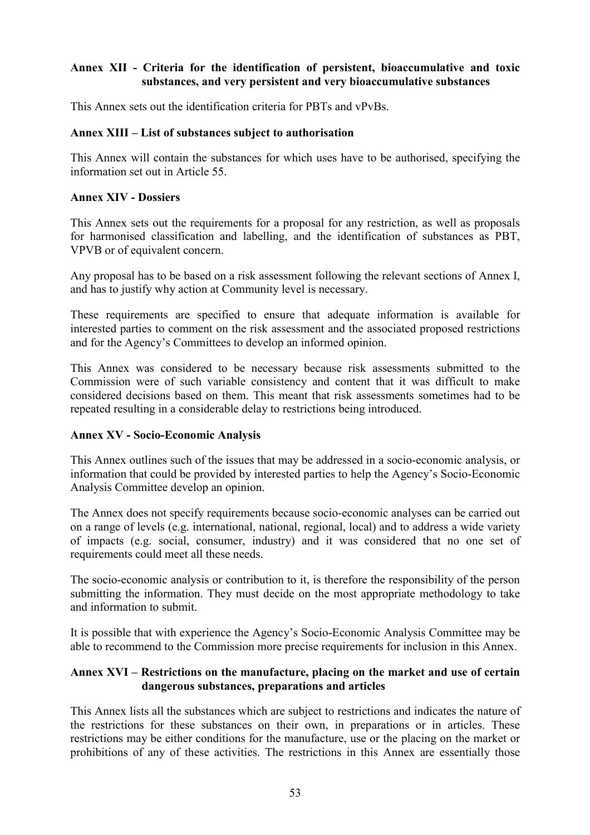# **Annex XII - Criteria for the identification of persistent, bioaccumulative and toxic substances, and very persistent and very bioaccumulative substances**

This Annex sets out the identification criteria for PBTs and vPvBs.

## **Annex XIII – List of substances subject to authorisation**

This Annex will contain the substances for which uses have to be authorised, specifying the information set out in Article 55.

#### **Annex XIV - Dossiers**

This Annex sets out the requirements for a proposal for any restriction, as well as proposals for harmonised classification and labelling, and the identification of substances as PBT, VPVB or of equivalent concern.

Any proposal has to be based on a risk assessment following the relevant sections of Annex I, and has to justify why action at Community level is necessary.

These requirements are specified to ensure that adequate information is available for interested parties to comment on the risk assessment and the associated proposed restrictions and for the Agency's Committees to develop an informed opinion.

This Annex was considered to be necessary because risk assessments submitted to the Commission were of such variable consistency and content that it was difficult to make considered decisions based on them. This meant that risk assessments sometimes had to be repeated resulting in a considerable delay to restrictions being introduced.

#### **Annex XV - Socio-Economic Analysis**

This Annex outlines such of the issues that may be addressed in a socio-economic analysis, or information that could be provided by interested parties to help the Agency's Socio-Economic Analysis Committee develop an opinion.

The Annex does not specify requirements because socio-economic analyses can be carried out on a range of levels (e.g. international, national, regional, local) and to address a wide variety of impacts (e.g. social, consumer, industry) and it was considered that no one set of requirements could meet all these needs.

The socio-economic analysis or contribution to it, is therefore the responsibility of the person submitting the information. They must decide on the most appropriate methodology to take and information to submit.

It is possible that with experience the Agency's Socio-Economic Analysis Committee may be able to recommend to the Commission more precise requirements for inclusion in this Annex.

## **Annex XVI – Restrictions on the manufacture, placing on the market and use of certain dangerous substances, preparations and articles**

This Annex lists all the substances which are subject to restrictions and indicates the nature of the restrictions for these substances on their own, in preparations or in articles. These restrictions may be either conditions for the manufacture, use or the placing on the market or prohibitions of any of these activities. The restrictions in this Annex are essentially those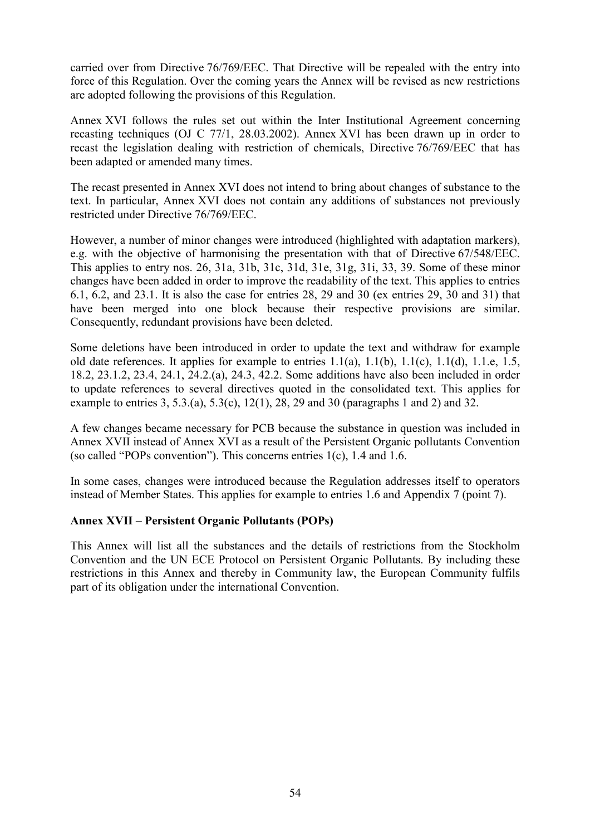carried over from Directive 76/769/EEC. That Directive will be repealed with the entry into force of this Regulation. Over the coming years the Annex will be revised as new restrictions are adopted following the provisions of this Regulation.

Annex XVI follows the rules set out within the Inter Institutional Agreement concerning recasting techniques (OJ C 77/1, 28.03.2002). Annex XVI has been drawn up in order to recast the legislation dealing with restriction of chemicals, Directive 76/769/EEC that has been adapted or amended many times.

The recast presented in Annex XVI does not intend to bring about changes of substance to the text. In particular, Annex XVI does not contain any additions of substances not previously restricted under Directive 76/769/EEC.

However, a number of minor changes were introduced (highlighted with adaptation markers), e.g. with the objective of harmonising the presentation with that of Directive 67/548/EEC. This applies to entry nos. 26, 31a, 31b, 31c, 31d, 31e, 31g, 31i, 33, 39. Some of these minor changes have been added in order to improve the readability of the text. This applies to entries 6.1, 6.2, and 23.1. It is also the case for entries 28, 29 and 30 (ex entries 29, 30 and 31) that have been merged into one block because their respective provisions are similar. Consequently, redundant provisions have been deleted.

Some deletions have been introduced in order to update the text and withdraw for example old date references. It applies for example to entries  $1.1(a)$ ,  $1.1(b)$ ,  $1.1(c)$ ,  $1.1(d)$ ,  $1.1(e)$ ,  $1.5$ , 18.2, 23.1.2, 23.4, 24.1, 24.2.(a), 24.3, 42.2. Some additions have also been included in order to update references to several directives quoted in the consolidated text. This applies for example to entries 3, 5.3.(a), 5.3(c), 12(1), 28, 29 and 30 (paragraphs 1 and 2) and 32.

A few changes became necessary for PCB because the substance in question was included in Annex XVII instead of Annex XVI as a result of the Persistent Organic pollutants Convention (so called "POPs convention"). This concerns entries 1(c), 1.4 and 1.6.

In some cases, changes were introduced because the Regulation addresses itself to operators instead of Member States. This applies for example to entries 1.6 and Appendix 7 (point 7).

## **Annex XVII – Persistent Organic Pollutants (POPs)**

This Annex will list all the substances and the details of restrictions from the Stockholm Convention and the UN ECE Protocol on Persistent Organic Pollutants. By including these restrictions in this Annex and thereby in Community law, the European Community fulfils part of its obligation under the international Convention.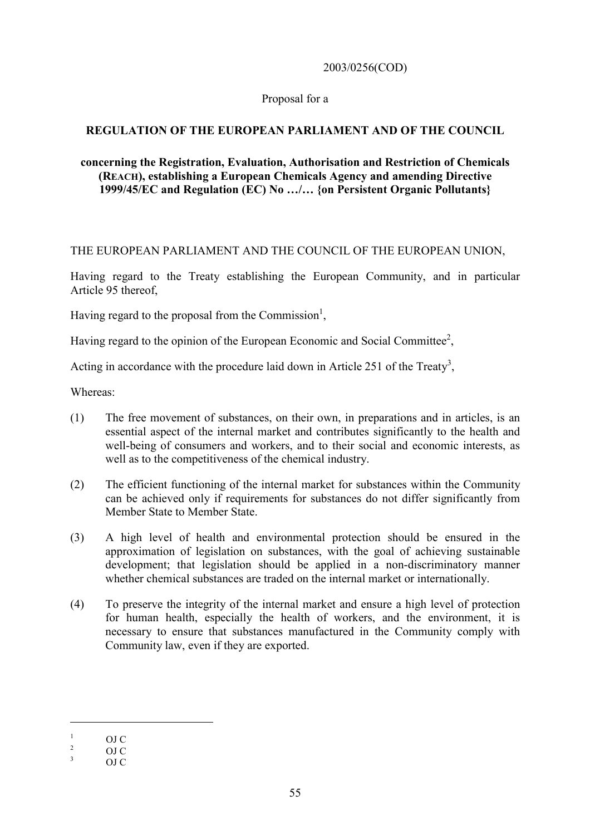## 2003/0256(COD)

## Proposal for a

# **REGULATION OF THE EUROPEAN PARLIAMENT AND OF THE COUNCIL**

## **concerning the Registration, Evaluation, Authorisation and Restriction of Chemicals (REACH), establishing a European Chemicals Agency and amending Directive 1999/45/EC and Regulation (EC) No …/… {on Persistent Organic Pollutants}**

## THE EUROPEAN PARLIAMENT AND THE COUNCIL OF THE EUROPEAN UNION,

Having regard to the Treaty establishing the European Community, and in particular Article 95 thereof,

Having regard to the proposal from the Commission<sup>1</sup>,

Having regard to the opinion of the European Economic and Social Committee<sup>2</sup>,

Acting in accordance with the procedure laid down in Article 251 of the Treaty<sup>3</sup>,

Whereas:

- (1) The free movement of substances, on their own, in preparations and in articles, is an essential aspect of the internal market and contributes significantly to the health and well-being of consumers and workers, and to their social and economic interests, as well as to the competitiveness of the chemical industry.
- (2) The efficient functioning of the internal market for substances within the Community can be achieved only if requirements for substances do not differ significantly from Member State to Member State.
- (3) A high level of health and environmental protection should be ensured in the approximation of legislation on substances, with the goal of achieving sustainable development; that legislation should be applied in a non-discriminatory manner whether chemical substances are traded on the internal market or internationally.
- (4) To preserve the integrity of the internal market and ensure a high level of protection for human health, especially the health of workers, and the environment, it is necessary to ensure that substances manufactured in the Community comply with Community law, even if they are exported.

 $\frac{1}{2}$  OJ C<br>  $\frac{2}{3}$  OJ C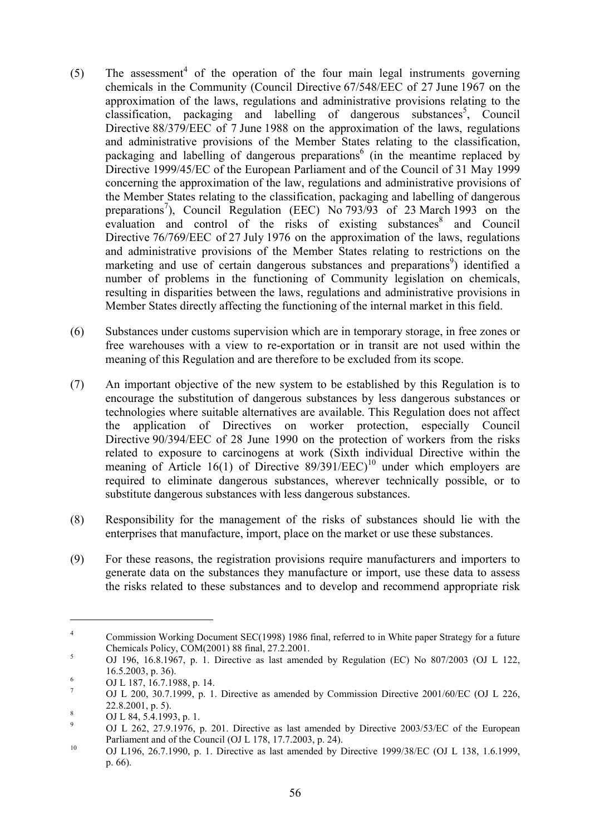- (5) The assessment<sup>4</sup> of the operation of the four main legal instruments governing chemicals in the Community (Council Directive 67/548/EEC of 27 June 1967 on the approximation of the laws, regulations and administrative provisions relating to the classification, packaging and labelling of dangerous substances<sup>5</sup>, Council Directive 88/379/EEC of 7 June 1988 on the approximation of the laws, regulations and administrative provisions of the Member States relating to the classification, packaging and labelling of dangerous preparations<sup>6</sup> (in the meantime replaced by Directive 1999/45/EC of the European Parliament and of the Council of 31 May 1999 concerning the approximation of the law, regulations and administrative provisions of the Member States relating to the classification, packaging and labelling of dangerous preparations<sup>7</sup>), Council Regulation (EEC) No 793/93 of 23 March 1993 on the evaluation and control of the risks of existing substances<sup>8</sup> and Council Directive 76/769/EEC of 27 July 1976 on the approximation of the laws, regulations and administrative provisions of the Member States relating to restrictions on the marketing and use of certain dangerous substances and preparations<sup>9</sup>) identified a number of problems in the functioning of Community legislation on chemicals, resulting in disparities between the laws, regulations and administrative provisions in Member States directly affecting the functioning of the internal market in this field.
- (6) Substances under customs supervision which are in temporary storage, in free zones or free warehouses with a view to re-exportation or in transit are not used within the meaning of this Regulation and are therefore to be excluded from its scope.
- (7) An important objective of the new system to be established by this Regulation is to encourage the substitution of dangerous substances by less dangerous substances or technologies where suitable alternatives are available. This Regulation does not affect the application of Directives on worker protection, especially Council Directive 90/394/EEC of 28 June 1990 on the protection of workers from the risks related to exposure to carcinogens at work (Sixth individual Directive within the meaning of Article 16(1) of Directive  $89/391/EEC$ <sup>10</sup> under which employers are required to eliminate dangerous substances, wherever technically possible, or to substitute dangerous substances with less dangerous substances.
- (8) Responsibility for the management of the risks of substances should lie with the enterprises that manufacture, import, place on the market or use these substances.
- (9) For these reasons, the registration provisions require manufacturers and importers to generate data on the substances they manufacture or import, use these data to assess the risks related to these substances and to develop and recommend appropriate risk

<sup>4</sup> Commission Working Document SEC(1998) 1986 final, referred to in White paper Strategy for a future Chemicals Policy, COM(2001) 88 final, 27.2.2001.<br>
OJ 196, 16.8.1967, p. 1. Directive as last amended by Regulation (EC) No 807/2003 (OJ L 122,

<sup>16.5.2003,</sup> p. 36).<br>
<sup>6</sup> OJ L 187, 16.7.1988, p. 14.<br>
<sup>7</sup> OJ L 200, 30.7.1999, p. 1. Directive as amended by Commission Directive 2001/60/EC (OJ L 226,

<sup>22.8.2001,</sup> p. 5).<br>
8 OJ L 84, 5.4.1993, p. 1.<br>
9 OJ L 262, 27.9.1976, p. 201. Directive as last amended by Directive 2003/53/EC of the European<br>
Parliament and of the Council (OJ L 178, 17.7.2003, p. 24).

 $P_{\text{unramen}}$  and of the Council (OJ L 170, 17.7.2003, p. 24).<br>
OJ L196, 26.7.1990, p. 1. Directive as last amended by Directive 1999/38/EC (OJ L 138, 1.6.1999, p. 66).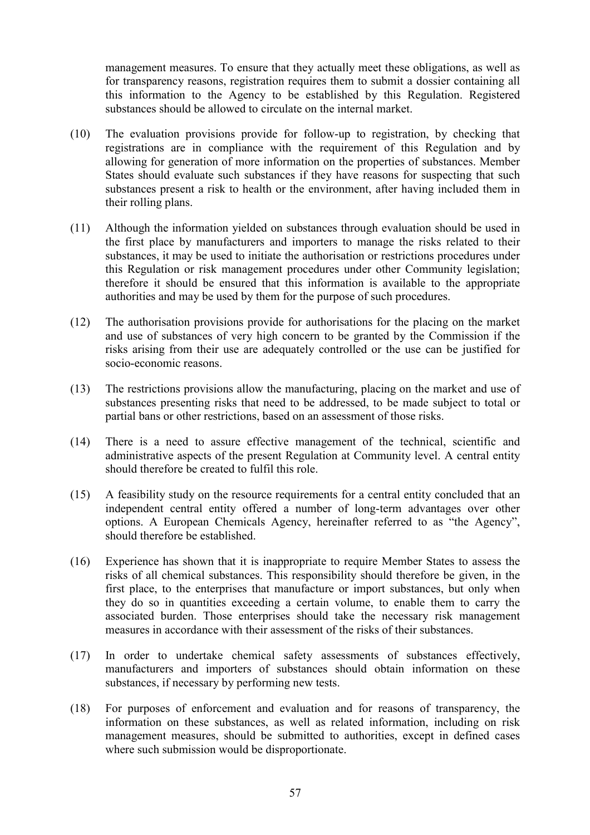management measures. To ensure that they actually meet these obligations, as well as for transparency reasons, registration requires them to submit a dossier containing all this information to the Agency to be established by this Regulation. Registered substances should be allowed to circulate on the internal market.

- (10) The evaluation provisions provide for follow-up to registration, by checking that registrations are in compliance with the requirement of this Regulation and by allowing for generation of more information on the properties of substances. Member States should evaluate such substances if they have reasons for suspecting that such substances present a risk to health or the environment, after having included them in their rolling plans.
- (11) Although the information yielded on substances through evaluation should be used in the first place by manufacturers and importers to manage the risks related to their substances, it may be used to initiate the authorisation or restrictions procedures under this Regulation or risk management procedures under other Community legislation; therefore it should be ensured that this information is available to the appropriate authorities and may be used by them for the purpose of such procedures.
- (12) The authorisation provisions provide for authorisations for the placing on the market and use of substances of very high concern to be granted by the Commission if the risks arising from their use are adequately controlled or the use can be justified for socio-economic reasons.
- (13) The restrictions provisions allow the manufacturing, placing on the market and use of substances presenting risks that need to be addressed, to be made subject to total or partial bans or other restrictions, based on an assessment of those risks.
- (14) There is a need to assure effective management of the technical, scientific and administrative aspects of the present Regulation at Community level. A central entity should therefore be created to fulfil this role.
- (15) A feasibility study on the resource requirements for a central entity concluded that an independent central entity offered a number of long-term advantages over other options. A European Chemicals Agency, hereinafter referred to as "the Agency", should therefore be established.
- (16) Experience has shown that it is inappropriate to require Member States to assess the risks of all chemical substances. This responsibility should therefore be given, in the first place, to the enterprises that manufacture or import substances, but only when they do so in quantities exceeding a certain volume, to enable them to carry the associated burden. Those enterprises should take the necessary risk management measures in accordance with their assessment of the risks of their substances.
- (17) In order to undertake chemical safety assessments of substances effectively, manufacturers and importers of substances should obtain information on these substances, if necessary by performing new tests.
- (18) For purposes of enforcement and evaluation and for reasons of transparency, the information on these substances, as well as related information, including on risk management measures, should be submitted to authorities, except in defined cases where such submission would be disproportionate.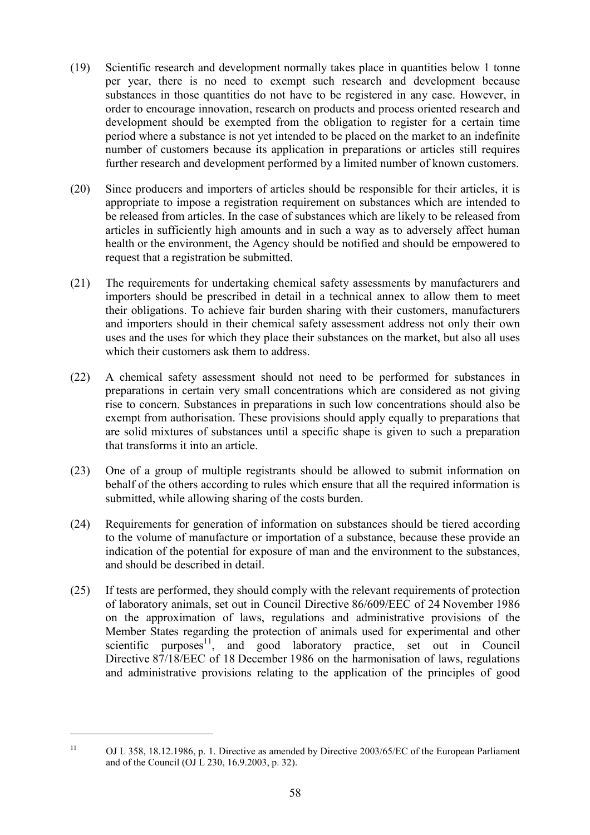- (19) Scientific research and development normally takes place in quantities below 1 tonne per year, there is no need to exempt such research and development because substances in those quantities do not have to be registered in any case. However, in order to encourage innovation, research on products and process oriented research and development should be exempted from the obligation to register for a certain time period where a substance is not yet intended to be placed on the market to an indefinite number of customers because its application in preparations or articles still requires further research and development performed by a limited number of known customers.
- (20) Since producers and importers of articles should be responsible for their articles, it is appropriate to impose a registration requirement on substances which are intended to be released from articles. In the case of substances which are likely to be released from articles in sufficiently high amounts and in such a way as to adversely affect human health or the environment, the Agency should be notified and should be empowered to request that a registration be submitted.
- (21) The requirements for undertaking chemical safety assessments by manufacturers and importers should be prescribed in detail in a technical annex to allow them to meet their obligations. To achieve fair burden sharing with their customers, manufacturers and importers should in their chemical safety assessment address not only their own uses and the uses for which they place their substances on the market, but also all uses which their customers ask them to address.
- (22) A chemical safety assessment should not need to be performed for substances in preparations in certain very small concentrations which are considered as not giving rise to concern. Substances in preparations in such low concentrations should also be exempt from authorisation. These provisions should apply equally to preparations that are solid mixtures of substances until a specific shape is given to such a preparation that transforms it into an article.
- (23) One of a group of multiple registrants should be allowed to submit information on behalf of the others according to rules which ensure that all the required information is submitted, while allowing sharing of the costs burden.
- (24) Requirements for generation of information on substances should be tiered according to the volume of manufacture or importation of a substance, because these provide an indication of the potential for exposure of man and the environment to the substances, and should be described in detail.
- (25) If tests are performed, they should comply with the relevant requirements of protection of laboratory animals, set out in Council Directive 86/609/EEC of 24 November 1986 on the approximation of laws, regulations and administrative provisions of the Member States regarding the protection of animals used for experimental and other scientific purposes $11$ , and good laboratory practice, set out in Council Directive 87/18/EEC of 18 December 1986 on the harmonisation of laws, regulations and administrative provisions relating to the application of the principles of good

<sup>11</sup> OJ L 358, 18.12.1986, p. 1. Directive as amended by Directive 2003/65/EC of the European Parliament and of the Council (OJ L 230, 16.9.2003, p. 32).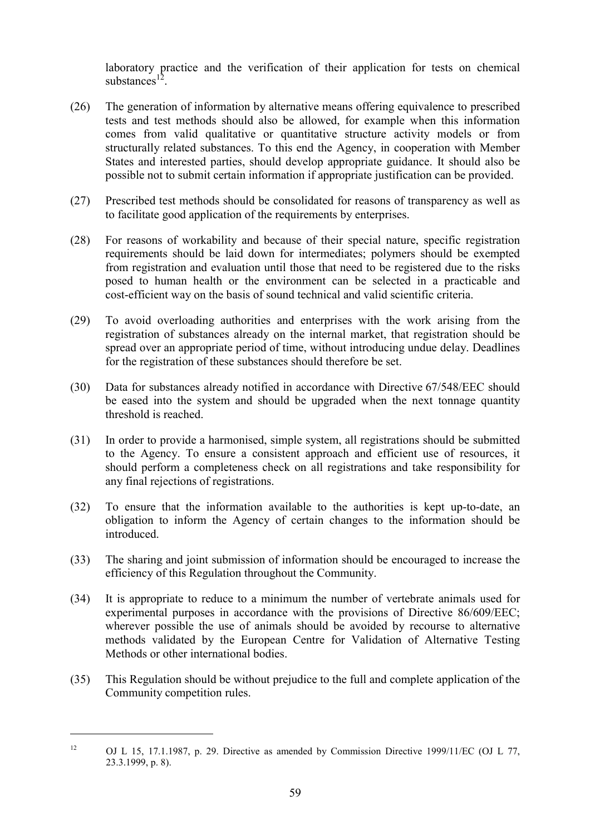laboratory practice and the verification of their application for tests on chemical substances $^{12}$ 

- (26) The generation of information by alternative means offering equivalence to prescribed tests and test methods should also be allowed, for example when this information comes from valid qualitative or quantitative structure activity models or from structurally related substances. To this end the Agency, in cooperation with Member States and interested parties, should develop appropriate guidance. It should also be possible not to submit certain information if appropriate justification can be provided.
- (27) Prescribed test methods should be consolidated for reasons of transparency as well as to facilitate good application of the requirements by enterprises.
- (28) For reasons of workability and because of their special nature, specific registration requirements should be laid down for intermediates; polymers should be exempted from registration and evaluation until those that need to be registered due to the risks posed to human health or the environment can be selected in a practicable and cost-efficient way on the basis of sound technical and valid scientific criteria.
- (29) To avoid overloading authorities and enterprises with the work arising from the registration of substances already on the internal market, that registration should be spread over an appropriate period of time, without introducing undue delay. Deadlines for the registration of these substances should therefore be set.
- (30) Data for substances already notified in accordance with Directive 67/548/EEC should be eased into the system and should be upgraded when the next tonnage quantity threshold is reached.
- (31) In order to provide a harmonised, simple system, all registrations should be submitted to the Agency. To ensure a consistent approach and efficient use of resources, it should perform a completeness check on all registrations and take responsibility for any final rejections of registrations.
- (32) To ensure that the information available to the authorities is kept up-to-date, an obligation to inform the Agency of certain changes to the information should be introduced.
- (33) The sharing and joint submission of information should be encouraged to increase the efficiency of this Regulation throughout the Community.
- (34) It is appropriate to reduce to a minimum the number of vertebrate animals used for experimental purposes in accordance with the provisions of Directive 86/609/EEC; wherever possible the use of animals should be avoided by recourse to alternative methods validated by the European Centre for Validation of Alternative Testing Methods or other international bodies.
- (35) This Regulation should be without prejudice to the full and complete application of the Community competition rules.

<sup>&</sup>lt;sup>12</sup> OJ L 15, 17.1.1987, p. 29. Directive as amended by Commission Directive 1999/11/EC (OJ L 77, 23.3.1999, p. 8).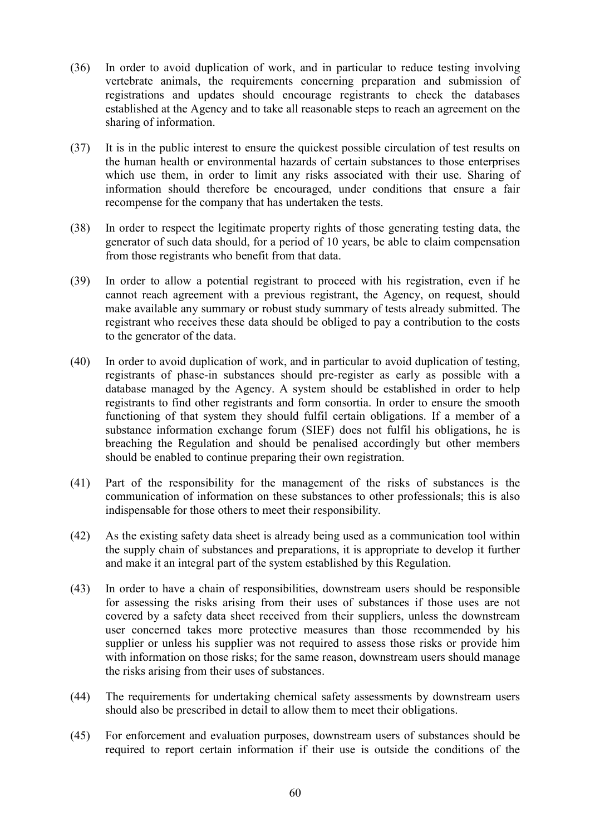- (36) In order to avoid duplication of work, and in particular to reduce testing involving vertebrate animals, the requirements concerning preparation and submission of registrations and updates should encourage registrants to check the databases established at the Agency and to take all reasonable steps to reach an agreement on the sharing of information.
- (37) It is in the public interest to ensure the quickest possible circulation of test results on the human health or environmental hazards of certain substances to those enterprises which use them, in order to limit any risks associated with their use. Sharing of information should therefore be encouraged, under conditions that ensure a fair recompense for the company that has undertaken the tests.
- (38) In order to respect the legitimate property rights of those generating testing data, the generator of such data should, for a period of 10 years, be able to claim compensation from those registrants who benefit from that data.
- (39) In order to allow a potential registrant to proceed with his registration, even if he cannot reach agreement with a previous registrant, the Agency, on request, should make available any summary or robust study summary of tests already submitted. The registrant who receives these data should be obliged to pay a contribution to the costs to the generator of the data.
- (40) In order to avoid duplication of work, and in particular to avoid duplication of testing, registrants of phase-in substances should pre-register as early as possible with a database managed by the Agency. A system should be established in order to help registrants to find other registrants and form consortia. In order to ensure the smooth functioning of that system they should fulfil certain obligations. If a member of a substance information exchange forum (SIEF) does not fulfil his obligations, he is breaching the Regulation and should be penalised accordingly but other members should be enabled to continue preparing their own registration.
- (41) Part of the responsibility for the management of the risks of substances is the communication of information on these substances to other professionals; this is also indispensable for those others to meet their responsibility.
- (42) As the existing safety data sheet is already being used as a communication tool within the supply chain of substances and preparations, it is appropriate to develop it further and make it an integral part of the system established by this Regulation.
- (43) In order to have a chain of responsibilities, downstream users should be responsible for assessing the risks arising from their uses of substances if those uses are not covered by a safety data sheet received from their suppliers, unless the downstream user concerned takes more protective measures than those recommended by his supplier or unless his supplier was not required to assess those risks or provide him with information on those risks; for the same reason, downstream users should manage the risks arising from their uses of substances.
- (44) The requirements for undertaking chemical safety assessments by downstream users should also be prescribed in detail to allow them to meet their obligations.
- (45) For enforcement and evaluation purposes, downstream users of substances should be required to report certain information if their use is outside the conditions of the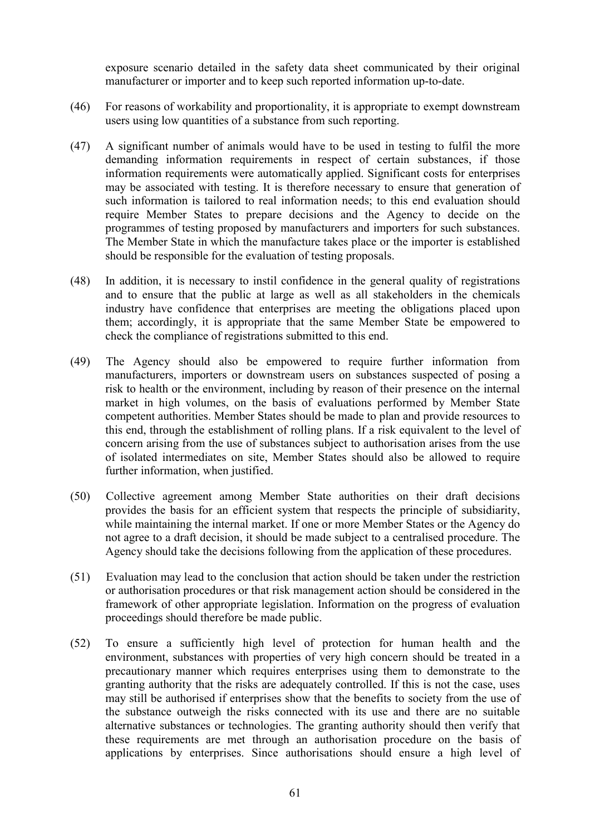exposure scenario detailed in the safety data sheet communicated by their original manufacturer or importer and to keep such reported information up-to-date.

- (46) For reasons of workability and proportionality, it is appropriate to exempt downstream users using low quantities of a substance from such reporting.
- (47) A significant number of animals would have to be used in testing to fulfil the more demanding information requirements in respect of certain substances, if those information requirements were automatically applied. Significant costs for enterprises may be associated with testing. It is therefore necessary to ensure that generation of such information is tailored to real information needs; to this end evaluation should require Member States to prepare decisions and the Agency to decide on the programmes of testing proposed by manufacturers and importers for such substances. The Member State in which the manufacture takes place or the importer is established should be responsible for the evaluation of testing proposals.
- (48) In addition, it is necessary to instil confidence in the general quality of registrations and to ensure that the public at large as well as all stakeholders in the chemicals industry have confidence that enterprises are meeting the obligations placed upon them; accordingly, it is appropriate that the same Member State be empowered to check the compliance of registrations submitted to this end.
- (49) The Agency should also be empowered to require further information from manufacturers, importers or downstream users on substances suspected of posing a risk to health or the environment, including by reason of their presence on the internal market in high volumes, on the basis of evaluations performed by Member State competent authorities. Member States should be made to plan and provide resources to this end, through the establishment of rolling plans. If a risk equivalent to the level of concern arising from the use of substances subject to authorisation arises from the use of isolated intermediates on site, Member States should also be allowed to require further information, when justified.
- (50) Collective agreement among Member State authorities on their draft decisions provides the basis for an efficient system that respects the principle of subsidiarity, while maintaining the internal market. If one or more Member States or the Agency do not agree to a draft decision, it should be made subject to a centralised procedure. The Agency should take the decisions following from the application of these procedures.
- (51) Evaluation may lead to the conclusion that action should be taken under the restriction or authorisation procedures or that risk management action should be considered in the framework of other appropriate legislation. Information on the progress of evaluation proceedings should therefore be made public.
- (52) To ensure a sufficiently high level of protection for human health and the environment, substances with properties of very high concern should be treated in a precautionary manner which requires enterprises using them to demonstrate to the granting authority that the risks are adequately controlled. If this is not the case, uses may still be authorised if enterprises show that the benefits to society from the use of the substance outweigh the risks connected with its use and there are no suitable alternative substances or technologies. The granting authority should then verify that these requirements are met through an authorisation procedure on the basis of applications by enterprises. Since authorisations should ensure a high level of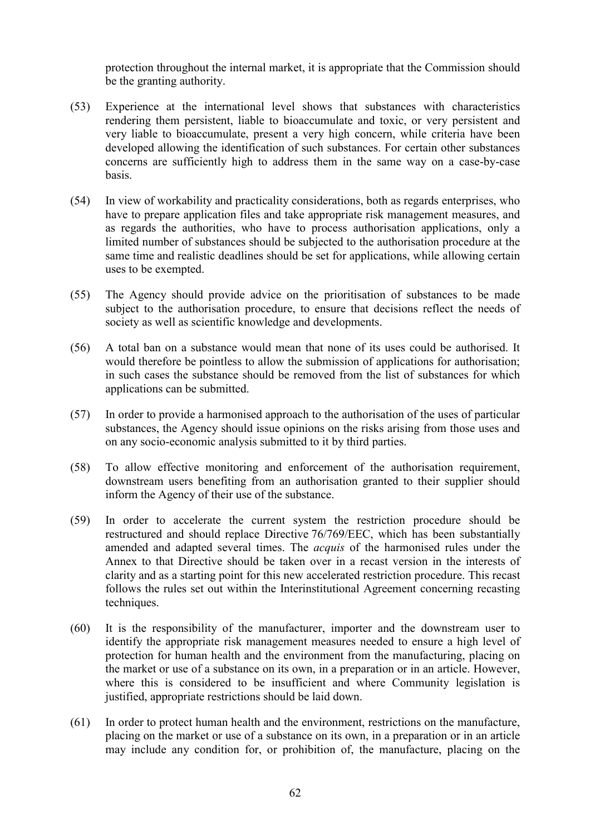protection throughout the internal market, it is appropriate that the Commission should be the granting authority.

- (53) Experience at the international level shows that substances with characteristics rendering them persistent, liable to bioaccumulate and toxic, or very persistent and very liable to bioaccumulate, present a very high concern, while criteria have been developed allowing the identification of such substances. For certain other substances concerns are sufficiently high to address them in the same way on a case-by-case basis.
- (54) In view of workability and practicality considerations, both as regards enterprises, who have to prepare application files and take appropriate risk management measures, and as regards the authorities, who have to process authorisation applications, only a limited number of substances should be subjected to the authorisation procedure at the same time and realistic deadlines should be set for applications, while allowing certain uses to be exempted.
- (55) The Agency should provide advice on the prioritisation of substances to be made subject to the authorisation procedure, to ensure that decisions reflect the needs of society as well as scientific knowledge and developments.
- (56) A total ban on a substance would mean that none of its uses could be authorised. It would therefore be pointless to allow the submission of applications for authorisation; in such cases the substance should be removed from the list of substances for which applications can be submitted.
- (57) In order to provide a harmonised approach to the authorisation of the uses of particular substances, the Agency should issue opinions on the risks arising from those uses and on any socio-economic analysis submitted to it by third parties.
- (58) To allow effective monitoring and enforcement of the authorisation requirement, downstream users benefiting from an authorisation granted to their supplier should inform the Agency of their use of the substance.
- (59) In order to accelerate the current system the restriction procedure should be restructured and should replace Directive 76/769/EEC, which has been substantially amended and adapted several times. The *acquis* of the harmonised rules under the Annex to that Directive should be taken over in a recast version in the interests of clarity and as a starting point for this new accelerated restriction procedure. This recast follows the rules set out within the Interinstitutional Agreement concerning recasting techniques.
- (60) It is the responsibility of the manufacturer, importer and the downstream user to identify the appropriate risk management measures needed to ensure a high level of protection for human health and the environment from the manufacturing, placing on the market or use of a substance on its own, in a preparation or in an article. However, where this is considered to be insufficient and where Community legislation is justified, appropriate restrictions should be laid down.
- (61) In order to protect human health and the environment, restrictions on the manufacture, placing on the market or use of a substance on its own, in a preparation or in an article may include any condition for, or prohibition of, the manufacture, placing on the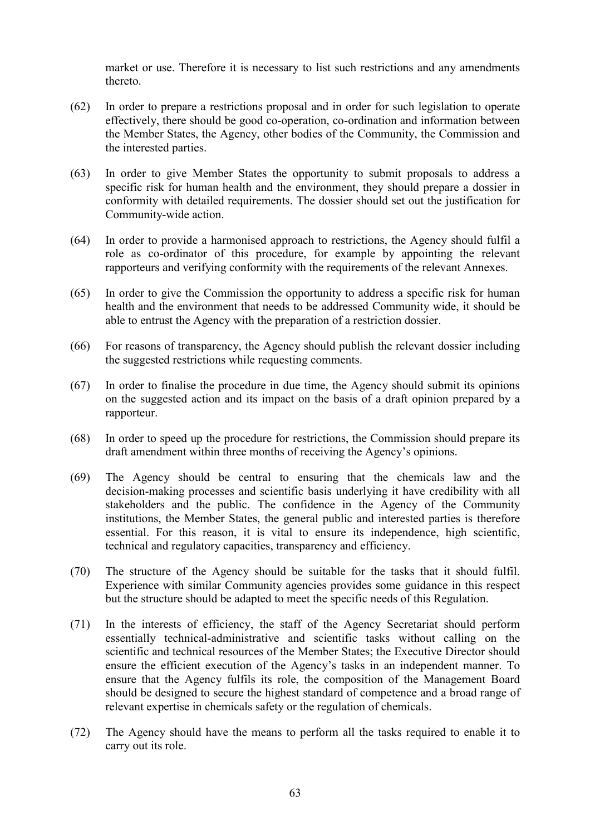market or use. Therefore it is necessary to list such restrictions and any amendments thereto.

- (62) In order to prepare a restrictions proposal and in order for such legislation to operate effectively, there should be good co-operation, co-ordination and information between the Member States, the Agency, other bodies of the Community, the Commission and the interested parties.
- (63) In order to give Member States the opportunity to submit proposals to address a specific risk for human health and the environment, they should prepare a dossier in conformity with detailed requirements. The dossier should set out the justification for Community-wide action.
- (64) In order to provide a harmonised approach to restrictions, the Agency should fulfil a role as co-ordinator of this procedure, for example by appointing the relevant rapporteurs and verifying conformity with the requirements of the relevant Annexes.
- (65) In order to give the Commission the opportunity to address a specific risk for human health and the environment that needs to be addressed Community wide, it should be able to entrust the Agency with the preparation of a restriction dossier.
- (66) For reasons of transparency, the Agency should publish the relevant dossier including the suggested restrictions while requesting comments.
- (67) In order to finalise the procedure in due time, the Agency should submit its opinions on the suggested action and its impact on the basis of a draft opinion prepared by a rapporteur.
- (68) In order to speed up the procedure for restrictions, the Commission should prepare its draft amendment within three months of receiving the Agency's opinions.
- (69) The Agency should be central to ensuring that the chemicals law and the decision-making processes and scientific basis underlying it have credibility with all stakeholders and the public. The confidence in the Agency of the Community institutions, the Member States, the general public and interested parties is therefore essential. For this reason, it is vital to ensure its independence, high scientific, technical and regulatory capacities, transparency and efficiency.
- (70) The structure of the Agency should be suitable for the tasks that it should fulfil. Experience with similar Community agencies provides some guidance in this respect but the structure should be adapted to meet the specific needs of this Regulation.
- (71) In the interests of efficiency, the staff of the Agency Secretariat should perform essentially technical-administrative and scientific tasks without calling on the scientific and technical resources of the Member States; the Executive Director should ensure the efficient execution of the Agency's tasks in an independent manner. To ensure that the Agency fulfils its role, the composition of the Management Board should be designed to secure the highest standard of competence and a broad range of relevant expertise in chemicals safety or the regulation of chemicals.
- (72) The Agency should have the means to perform all the tasks required to enable it to carry out its role.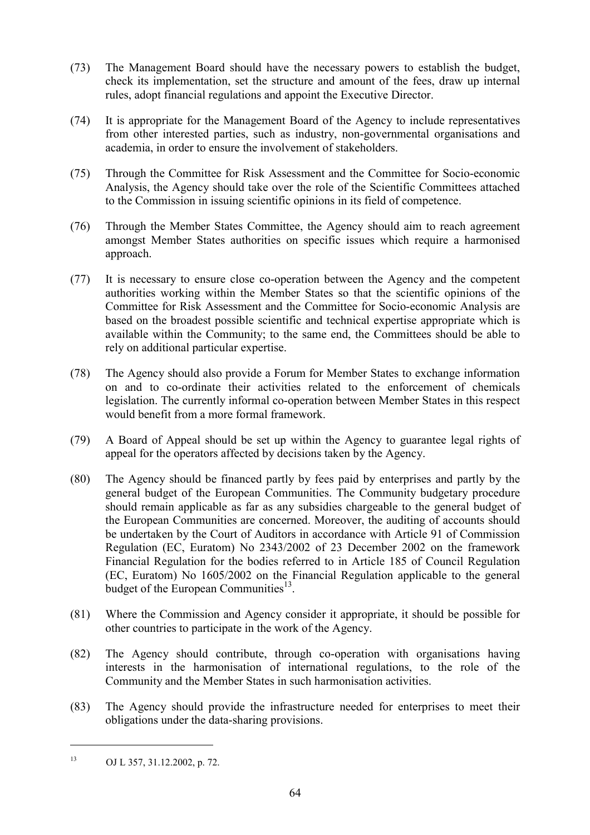- (73) The Management Board should have the necessary powers to establish the budget, check its implementation, set the structure and amount of the fees, draw up internal rules, adopt financial regulations and appoint the Executive Director.
- (74) It is appropriate for the Management Board of the Agency to include representatives from other interested parties, such as industry, non-governmental organisations and academia, in order to ensure the involvement of stakeholders.
- (75) Through the Committee for Risk Assessment and the Committee for Socio-economic Analysis, the Agency should take over the role of the Scientific Committees attached to the Commission in issuing scientific opinions in its field of competence.
- (76) Through the Member States Committee, the Agency should aim to reach agreement amongst Member States authorities on specific issues which require a harmonised approach.
- (77) It is necessary to ensure close co-operation between the Agency and the competent authorities working within the Member States so that the scientific opinions of the Committee for Risk Assessment and the Committee for Socio-economic Analysis are based on the broadest possible scientific and technical expertise appropriate which is available within the Community; to the same end, the Committees should be able to rely on additional particular expertise.
- (78) The Agency should also provide a Forum for Member States to exchange information on and to co-ordinate their activities related to the enforcement of chemicals legislation. The currently informal co-operation between Member States in this respect would benefit from a more formal framework.
- (79) A Board of Appeal should be set up within the Agency to guarantee legal rights of appeal for the operators affected by decisions taken by the Agency.
- (80) The Agency should be financed partly by fees paid by enterprises and partly by the general budget of the European Communities. The Community budgetary procedure should remain applicable as far as any subsidies chargeable to the general budget of the European Communities are concerned. Moreover, the auditing of accounts should be undertaken by the Court of Auditors in accordance with Article 91 of Commission Regulation (EC, Euratom) No 2343/2002 of 23 December 2002 on the framework Financial Regulation for the bodies referred to in Article 185 of Council Regulation (EC, Euratom) No 1605/2002 on the Financial Regulation applicable to the general budget of the European Communities<sup>13</sup>.
- (81) Where the Commission and Agency consider it appropriate, it should be possible for other countries to participate in the work of the Agency.
- (82) The Agency should contribute, through co-operation with organisations having interests in the harmonisation of international regulations, to the role of the Community and the Member States in such harmonisation activities.
- (83) The Agency should provide the infrastructure needed for enterprises to meet their obligations under the data-sharing provisions.

<sup>13</sup> OJ L 357, 31.12.2002, p. 72.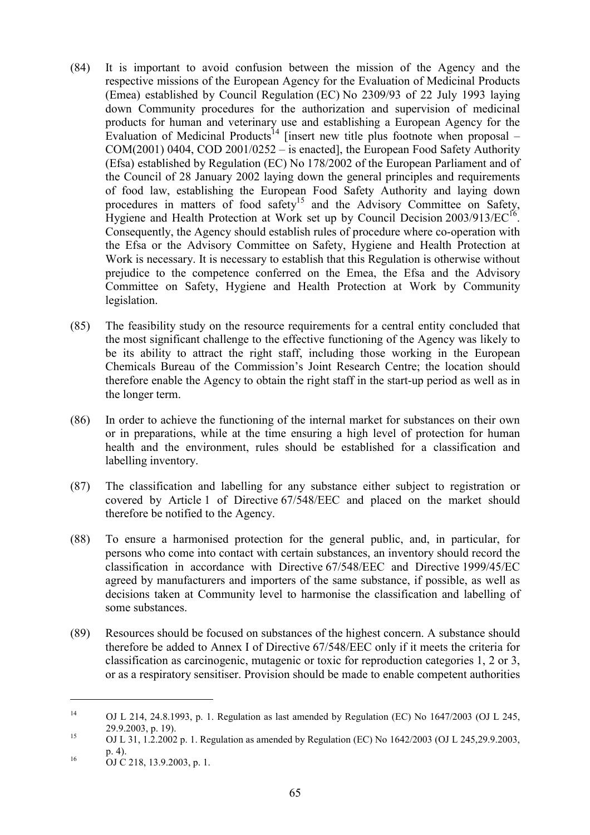- (84) It is important to avoid confusion between the mission of the Agency and the respective missions of the European Agency for the Evaluation of Medicinal Products (Emea) established by Council Regulation (EC) No 2309/93 of 22 July 1993 laying down Community procedures for the authorization and supervision of medicinal products for human and veterinary use and establishing a European Agency for the Evaluation of Medicinal Products<sup>14</sup> [insert new title plus footnote when proposal – COM(2001) 0404, COD 2001/0252 – is enacted], the European Food Safety Authority (Efsa) established by Regulation (EC) No 178/2002 of the European Parliament and of the Council of 28 January 2002 laying down the general principles and requirements of food law, establishing the European Food Safety Authority and laying down procedures in matters of food safety<sup>15</sup> and the Advisory Committee on Safety, Hygiene and Health Protection at Work set up by Council Decision  $2003/913/EC^{16}$ . Consequently, the Agency should establish rules of procedure where co-operation with the Efsa or the Advisory Committee on Safety, Hygiene and Health Protection at Work is necessary. It is necessary to establish that this Regulation is otherwise without prejudice to the competence conferred on the Emea, the Efsa and the Advisory Committee on Safety, Hygiene and Health Protection at Work by Community legislation.
- (85) The feasibility study on the resource requirements for a central entity concluded that the most significant challenge to the effective functioning of the Agency was likely to be its ability to attract the right staff, including those working in the European Chemicals Bureau of the Commission's Joint Research Centre; the location should therefore enable the Agency to obtain the right staff in the start-up period as well as in the longer term.
- (86) In order to achieve the functioning of the internal market for substances on their own or in preparations, while at the time ensuring a high level of protection for human health and the environment, rules should be established for a classification and labelling inventory.
- (87) The classification and labelling for any substance either subject to registration or covered by Article 1 of Directive 67/548/EEC and placed on the market should therefore be notified to the Agency.
- (88) To ensure a harmonised protection for the general public, and, in particular, for persons who come into contact with certain substances, an inventory should record the classification in accordance with Directive 67/548/EEC and Directive 1999/45/EC agreed by manufacturers and importers of the same substance, if possible, as well as decisions taken at Community level to harmonise the classification and labelling of some substances.
- (89) Resources should be focused on substances of the highest concern. A substance should therefore be added to Annex I of Directive 67/548/EEC only if it meets the criteria for classification as carcinogenic, mutagenic or toxic for reproduction categories 1, 2 or 3, or as a respiratory sensitiser. Provision should be made to enable competent authorities

<sup>14</sup> OJ L 214, 24.8.1993, p. 1. Regulation as last amended by Regulation (EC) No 1647/2003 (OJ L 245, 29.9.2003, p. 19).<br>
OJ L 31, 1.2.2002 p. 1. Regulation as amended by Regulation (EC) No 1642/2003 (OJ L 245,29.9.2003,

 $p. 4$ ).<br>16 OJ C 218, 13.9.2003, p. 1.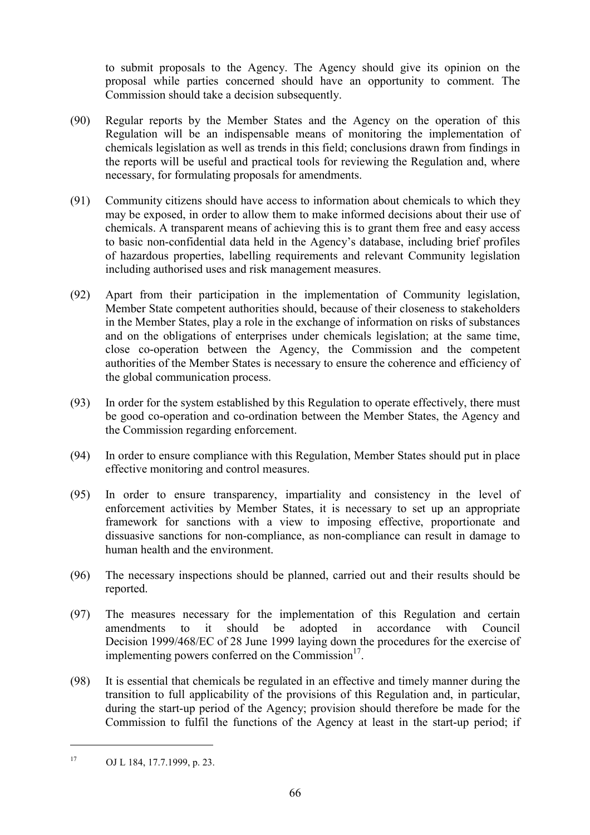to submit proposals to the Agency. The Agency should give its opinion on the proposal while parties concerned should have an opportunity to comment. The Commission should take a decision subsequently.

- (90) Regular reports by the Member States and the Agency on the operation of this Regulation will be an indispensable means of monitoring the implementation of chemicals legislation as well as trends in this field; conclusions drawn from findings in the reports will be useful and practical tools for reviewing the Regulation and, where necessary, for formulating proposals for amendments.
- (91) Community citizens should have access to information about chemicals to which they may be exposed, in order to allow them to make informed decisions about their use of chemicals. A transparent means of achieving this is to grant them free and easy access to basic non-confidential data held in the Agency's database, including brief profiles of hazardous properties, labelling requirements and relevant Community legislation including authorised uses and risk management measures.
- (92) Apart from their participation in the implementation of Community legislation, Member State competent authorities should, because of their closeness to stakeholders in the Member States, play a role in the exchange of information on risks of substances and on the obligations of enterprises under chemicals legislation; at the same time, close co-operation between the Agency, the Commission and the competent authorities of the Member States is necessary to ensure the coherence and efficiency of the global communication process.
- (93) In order for the system established by this Regulation to operate effectively, there must be good co-operation and co-ordination between the Member States, the Agency and the Commission regarding enforcement.
- (94) In order to ensure compliance with this Regulation, Member States should put in place effective monitoring and control measures.
- (95) In order to ensure transparency, impartiality and consistency in the level of enforcement activities by Member States, it is necessary to set up an appropriate framework for sanctions with a view to imposing effective, proportionate and dissuasive sanctions for non-compliance, as non-compliance can result in damage to human health and the environment.
- (96) The necessary inspections should be planned, carried out and their results should be reported.
- (97) The measures necessary for the implementation of this Regulation and certain amendments to it should be adopted in accordance with Council Decision 1999/468/EC of 28 June 1999 laying down the procedures for the exercise of implementing powers conferred on the  $Commission<sup>17</sup>$ .
- (98) It is essential that chemicals be regulated in an effective and timely manner during the transition to full applicability of the provisions of this Regulation and, in particular, during the start-up period of the Agency; provision should therefore be made for the Commission to fulfil the functions of the Agency at least in the start-up period; if

<sup>17</sup> OJ L 184, 17.7.1999, p. 23.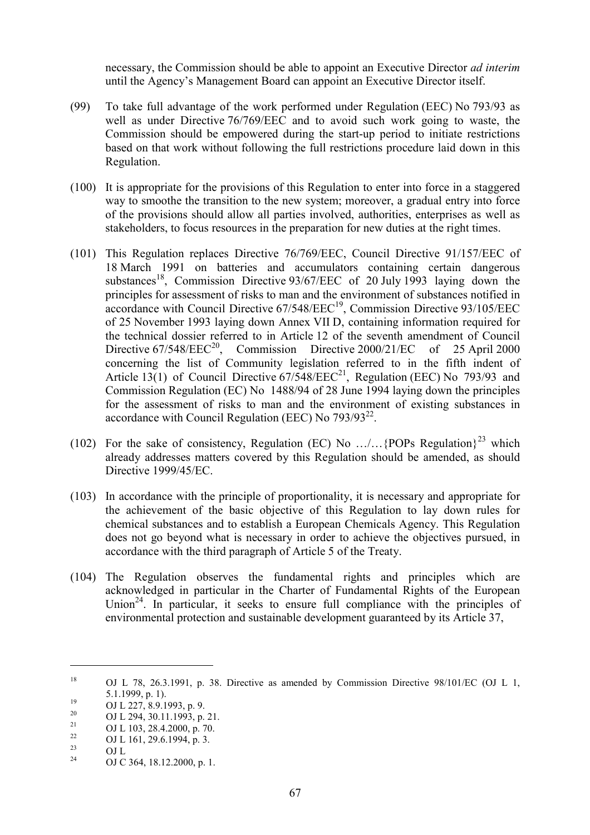necessary, the Commission should be able to appoint an Executive Director *ad interim* until the Agency's Management Board can appoint an Executive Director itself.

- (99) To take full advantage of the work performed under Regulation (EEC) No 793/93 as well as under Directive 76/769/EEC and to avoid such work going to waste, the Commission should be empowered during the start-up period to initiate restrictions based on that work without following the full restrictions procedure laid down in this Regulation.
- (100) It is appropriate for the provisions of this Regulation to enter into force in a staggered way to smoothe the transition to the new system; moreover, a gradual entry into force of the provisions should allow all parties involved, authorities, enterprises as well as stakeholders, to focus resources in the preparation for new duties at the right times.
- (101) This Regulation replaces Directive 76/769/EEC, Council Directive 91/157/EEC of 18 March 1991 on batteries and accumulators containing certain dangerous substances<sup>18</sup>. Commission Directive  $93/67/EEC$  of 20 July 1993 laying down the principles for assessment of risks to man and the environment of substances notified in accordance with Council Directive  $67/548/EEC<sup>19</sup>$ , Commission Directive  $93/105/EEC$ of 25 November 1993 laying down Annex VII D, containing information required for the technical dossier referred to in Article 12 of the seventh amendment of Council Directive 67/548/EEC<sup>20</sup>, Commission Directive 2000/21/EC of 25 April 2000 concerning the list of Community legislation referred to in the fifth indent of Article 13(1) of Council Directive  $67/548/EEC^{21}$ , Regulation (EEC) No 793/93 and Commission Regulation (EC) No 1488/94 of 28 June 1994 laying down the principles for the assessment of risks to man and the environment of existing substances in accordance with Council Regulation (EEC) No  $793/93^{22}$ .
- (102) For the sake of consistency, Regulation (EC) No  $\ldots$ / $\ldots$ {POPs Regulation}<sup>23</sup> which already addresses matters covered by this Regulation should be amended, as should Directive 1999/45/EC.
- (103) In accordance with the principle of proportionality, it is necessary and appropriate for the achievement of the basic objective of this Regulation to lay down rules for chemical substances and to establish a European Chemicals Agency. This Regulation does not go beyond what is necessary in order to achieve the objectives pursued, in accordance with the third paragraph of Article 5 of the Treaty.
- (104) The Regulation observes the fundamental rights and principles which are acknowledged in particular in the Charter of Fundamental Rights of the European Union<sup>24</sup>. In particular, it seeks to ensure full compliance with the principles of environmental protection and sustainable development guaranteed by its Article 37,

<sup>&</sup>lt;sup>18</sup> OJ L 78, 26.3.1991, p. 38. Directive as amended by Commission Directive 98/101/EC (OJ L 1,

<sup>5.1.1999,</sup> p. 1).<br>
<sup>19</sup> OJ L 227, 8.9.1993, p. 9.<br>
<sup>20</sup> OJ L 294, 30.11.1993, p. 21.<br>
OJ L 103, 28.4.2000, p. 70.<br>
OJ L 161, 29.6.1994, p. 3.<br>
OJ L<br>
<sup>23</sup> OJ L

OJ C 364, 18.12.2000, p. 1.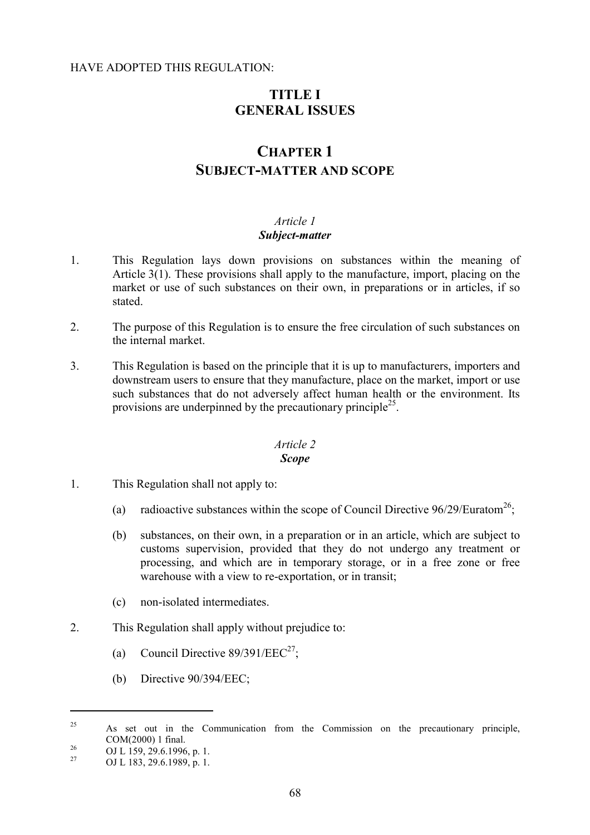#### HAVE ADOPTED THIS REGULATION:

# **TITLE I GENERAL ISSUES**

# **CHAPTER 1 SUBJECT-MATTER AND SCOPE**

#### *Article 1 Subject-matter*

- 1. This Regulation lays down provisions on substances within the meaning of Article 3(1). These provisions shall apply to the manufacture, import, placing on the market or use of such substances on their own, in preparations or in articles, if so stated.
- 2. The purpose of this Regulation is to ensure the free circulation of such substances on the internal market.
- 3. This Regulation is based on the principle that it is up to manufacturers, importers and downstream users to ensure that they manufacture, place on the market, import or use such substances that do not adversely affect human health or the environment. Its provisions are underpinned by the precautionary principle<sup>25</sup>.

#### *Article 2 Scope*

- 1. This Regulation shall not apply to:
	- (a) radioactive substances within the scope of Council Directive  $96/29/Euratom^{26}$ ;
	- (b) substances, on their own, in a preparation or in an article, which are subject to customs supervision, provided that they do not undergo any treatment or processing, and which are in temporary storage, or in a free zone or free warehouse with a view to re-exportation, or in transit;
	- (c) non-isolated intermediates.
- 2. This Regulation shall apply without prejudice to:
	- (a) Council Directive  $89/391/EEC^{27}$ ;
	- (b) Directive 90/394/EEC;

<sup>&</sup>lt;sup>25</sup> As set out in the Communication from the Commission on the precautionary principle,

COM(2000) 1 final.<br>
<sup>26</sup> OJ L 159, 29.6.1996, p. 1.<br>
OJ L 183, 29.6.1989, p. 1.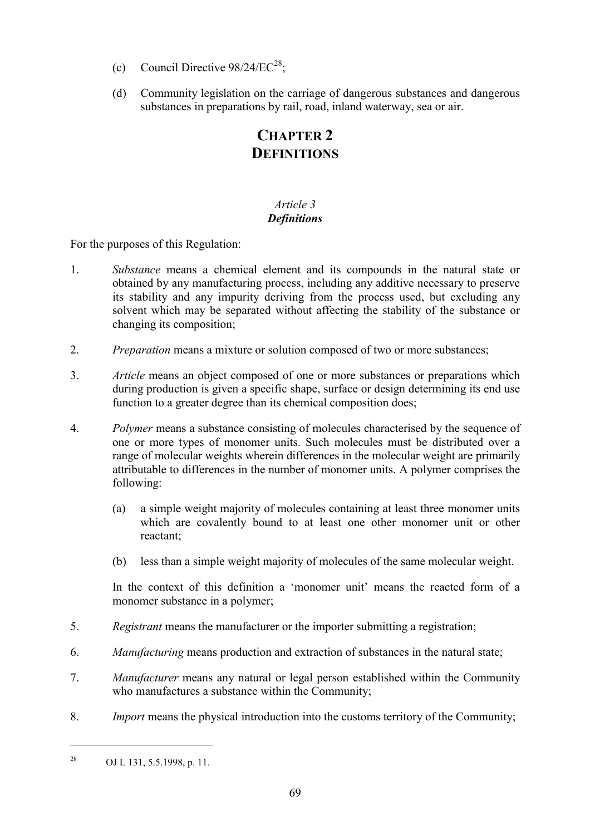- (c) Council Directive  $98/24/EC^{28}$ ;
- (d) Community legislation on the carriage of dangerous substances and dangerous substances in preparations by rail, road, inland waterway, sea or air.

# **CHAPTER 2 DEFINITIONS**

# *Article 3 Definitions*

For the purposes of this Regulation:

- 1. *Substance* means a chemical element and its compounds in the natural state or obtained by any manufacturing process, including any additive necessary to preserve its stability and any impurity deriving from the process used, but excluding any solvent which may be separated without affecting the stability of the substance or changing its composition;
- 2. *Preparation* means a mixture or solution composed of two or more substances;
- 3. *Article* means an object composed of one or more substances or preparations which during production is given a specific shape, surface or design determining its end use function to a greater degree than its chemical composition does;
- 4. *Polymer* means a substance consisting of molecules characterised by the sequence of one or more types of monomer units. Such molecules must be distributed over a range of molecular weights wherein differences in the molecular weight are primarily attributable to differences in the number of monomer units. A polymer comprises the following:
	- (a) a simple weight majority of molecules containing at least three monomer units which are covalently bound to at least one other monomer unit or other reactant;
	- (b) less than a simple weight majority of molecules of the same molecular weight.

In the context of this definition a 'monomer unit' means the reacted form of a monomer substance in a polymer;

- 5. *Registrant* means the manufacturer or the importer submitting a registration;
- 6. *Manufacturing* means production and extraction of substances in the natural state;
- 7. *Manufacturer* means any natural or legal person established within the Community who manufactures a substance within the Community;
- 8. *Import* means the physical introduction into the customs territory of the Community;

<sup>28</sup> OJ L 131, 5.5.1998, p. 11.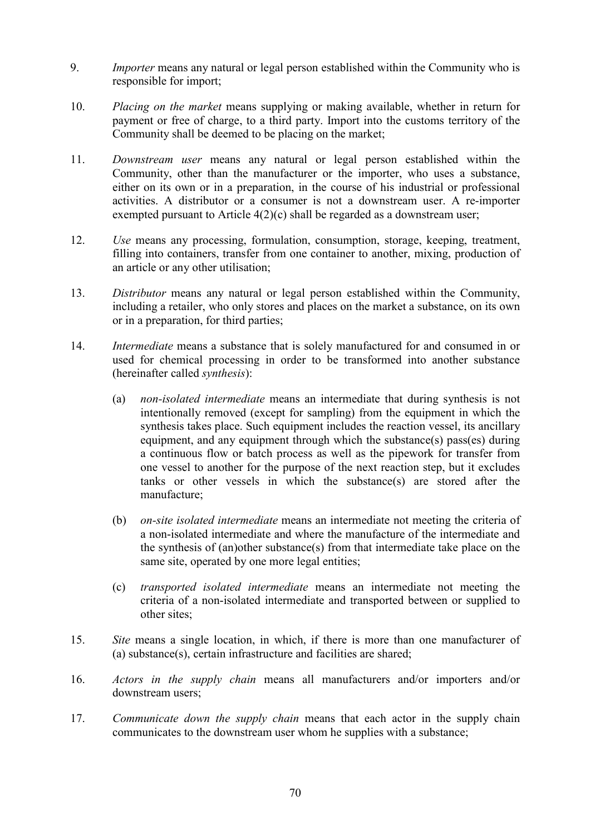- 9. *Importer* means any natural or legal person established within the Community who is responsible for import;
- 10. *Placing on the market* means supplying or making available, whether in return for payment or free of charge, to a third party. Import into the customs territory of the Community shall be deemed to be placing on the market;
- 11. *Downstream user* means any natural or legal person established within the Community, other than the manufacturer or the importer, who uses a substance, either on its own or in a preparation, in the course of his industrial or professional activities. A distributor or a consumer is not a downstream user. A re-importer exempted pursuant to Article 4(2)(c) shall be regarded as a downstream user;
- 12. *Use* means any processing, formulation, consumption, storage, keeping, treatment, filling into containers, transfer from one container to another, mixing, production of an article or any other utilisation;
- 13. *Distributor* means any natural or legal person established within the Community, including a retailer, who only stores and places on the market a substance, on its own or in a preparation, for third parties;
- 14. *Intermediate* means a substance that is solely manufactured for and consumed in or used for chemical processing in order to be transformed into another substance (hereinafter called *synthesis*):
	- (a) *non-isolated intermediate* means an intermediate that during synthesis is not intentionally removed (except for sampling) from the equipment in which the synthesis takes place. Such equipment includes the reaction vessel, its ancillary equipment, and any equipment through which the substance(s) pass(es) during a continuous flow or batch process as well as the pipework for transfer from one vessel to another for the purpose of the next reaction step, but it excludes tanks or other vessels in which the substance(s) are stored after the manufacture;
	- (b) *on-site isolated intermediate* means an intermediate not meeting the criteria of a non-isolated intermediate and where the manufacture of the intermediate and the synthesis of (an)other substance(s) from that intermediate take place on the same site, operated by one more legal entities;
	- (c) *transported isolated intermediate* means an intermediate not meeting the criteria of a non-isolated intermediate and transported between or supplied to other sites;
- 15. *Site* means a single location, in which, if there is more than one manufacturer of (a) substance(s), certain infrastructure and facilities are shared;
- 16. *Actors in the supply chain* means all manufacturers and/or importers and/or downstream users;
- 17. *Communicate down the supply chain* means that each actor in the supply chain communicates to the downstream user whom he supplies with a substance;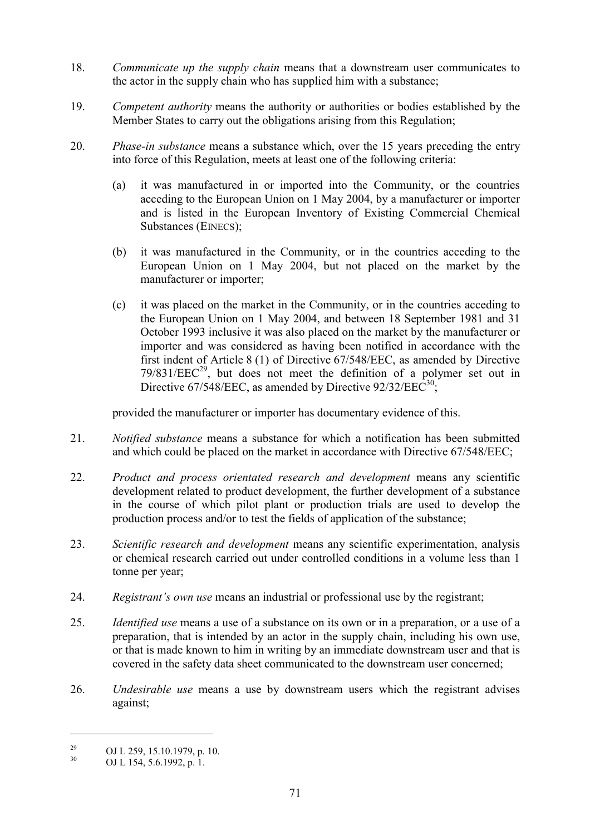- 18. *Communicate up the supply chain* means that a downstream user communicates to the actor in the supply chain who has supplied him with a substance;
- 19. *Competent authority* means the authority or authorities or bodies established by the Member States to carry out the obligations arising from this Regulation;
- 20. *Phase-in substance* means a substance which, over the 15 years preceding the entry into force of this Regulation, meets at least one of the following criteria:
	- (a) it was manufactured in or imported into the Community, or the countries acceding to the European Union on 1 May 2004, by a manufacturer or importer and is listed in the European Inventory of Existing Commercial Chemical Substances (EINECS);
	- (b) it was manufactured in the Community, or in the countries acceding to the European Union on 1 May 2004, but not placed on the market by the manufacturer or importer;
	- (c) it was placed on the market in the Community, or in the countries acceding to the European Union on 1 May 2004, and between 18 September 1981 and 31 October 1993 inclusive it was also placed on the market by the manufacturer or importer and was considered as having been notified in accordance with the first indent of Article 8 (1) of Directive 67/548/EEC, as amended by Directive  $79/831/EEC<sup>29</sup>$ , but does not meet the definition of a polymer set out in Directive 67/548/EEC, as amended by Directive 92/32/EEC<sup>30</sup>;

provided the manufacturer or importer has documentary evidence of this.

- 21. *Notified substance* means a substance for which a notification has been submitted and which could be placed on the market in accordance with Directive 67/548/EEC;
- 22. *Product and process orientated research and development* means any scientific development related to product development, the further development of a substance in the course of which pilot plant or production trials are used to develop the production process and/or to test the fields of application of the substance;
- 23. *Scientific research and development* means any scientific experimentation, analysis or chemical research carried out under controlled conditions in a volume less than 1 tonne per year;
- 24. *Registrant's own use* means an industrial or professional use by the registrant;
- 25. *Identified use* means a use of a substance on its own or in a preparation, or a use of a preparation, that is intended by an actor in the supply chain, including his own use, or that is made known to him in writing by an immediate downstream user and that is covered in the safety data sheet communicated to the downstream user concerned;
- 26. *Undesirable use* means a use by downstream users which the registrant advises against;

<sup>&</sup>lt;sup>29</sup> OJ L 259, 15.10.1979, p. 10.<br>
OJ L 154, 5.6.1992, p. 1.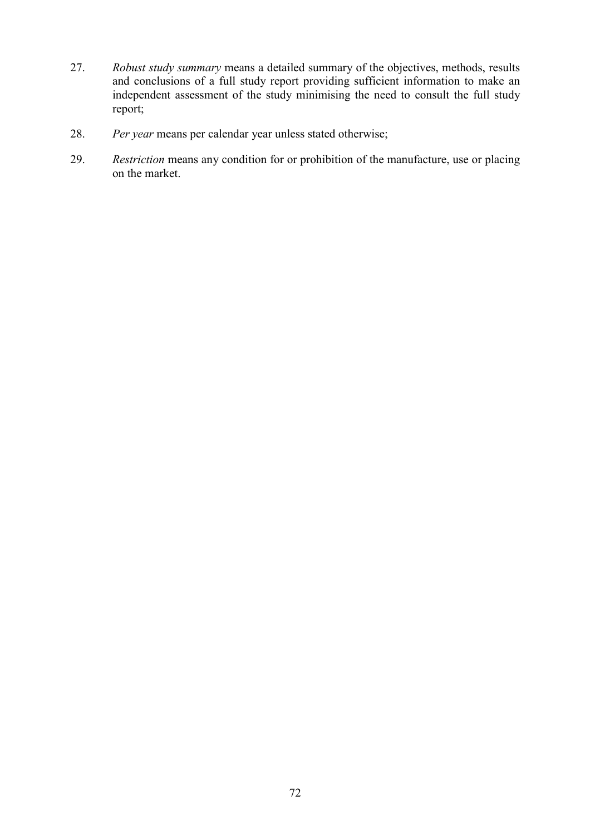- 27. *Robust study summary* means a detailed summary of the objectives, methods, results and conclusions of a full study report providing sufficient information to make an independent assessment of the study minimising the need to consult the full study report;
- 28. *Per year* means per calendar year unless stated otherwise;
- 29. *Restriction* means any condition for or prohibition of the manufacture, use or placing on the market.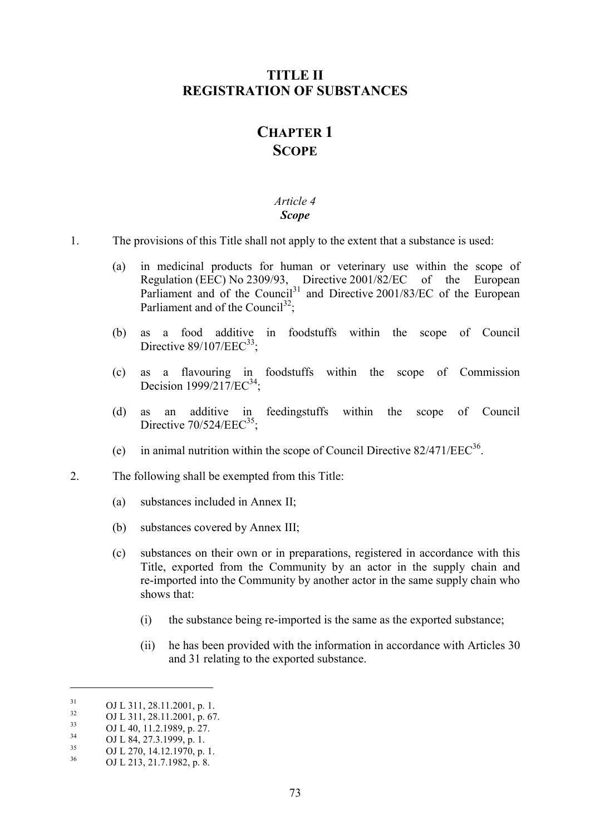# **TITLE II REGISTRATION OF SUBSTANCES**

# **CHAPTER 1 SCOPE**

#### *Article 4 Scope*

- 1. The provisions of this Title shall not apply to the extent that a substance is used:
	- (a) in medicinal products for human or veterinary use within the scope of Regulation (EEC) No 2309/93, Directive 2001/82/EC of the European Parliament and of the Council<sup>31</sup> and Directive 2001/83/EC of the European Parliament and of the Council<sup>32</sup>:
	- (b) as a food additive in foodstuffs within the scope of Council Directive  $89/107/EEC<sup>33</sup>$ :
	- (c) as a flavouring in foodstuffs within the scope of Commission Decision  $1999/217/EC^{34}$ ;
	- (d) as an additive in feedingstuffs within the scope of Council Directive  $70/524/EEC^{35}$ :
	- (e) in animal nutrition within the scope of Council Directive  $82/471/EEC^{36}$ .
- 2. The following shall be exempted from this Title:
	- (a) substances included in Annex II;
	- (b) substances covered by Annex III;
	- (c) substances on their own or in preparations, registered in accordance with this Title, exported from the Community by an actor in the supply chain and re-imported into the Community by another actor in the same supply chain who shows that:
		- (i) the substance being re-imported is the same as the exported substance;
		- (ii) he has been provided with the information in accordance with Articles 30 and 31 relating to the exported substance.

 $\overline{a}$ 

<sup>31</sup> **OJ L 311**, 28.11.2001, p. 1.<br> **OJ L 311**, 28.11.2001, p. 67.<br> **OJ L 40**, 11.2.1989, p. 27.<br> **OJ L 84**, 27.3.1999, p. 1.<br> **OJ L 270**, 14.12.1970, p. 1.<br> **OJ L 213**, 21.7.1982, p. 8.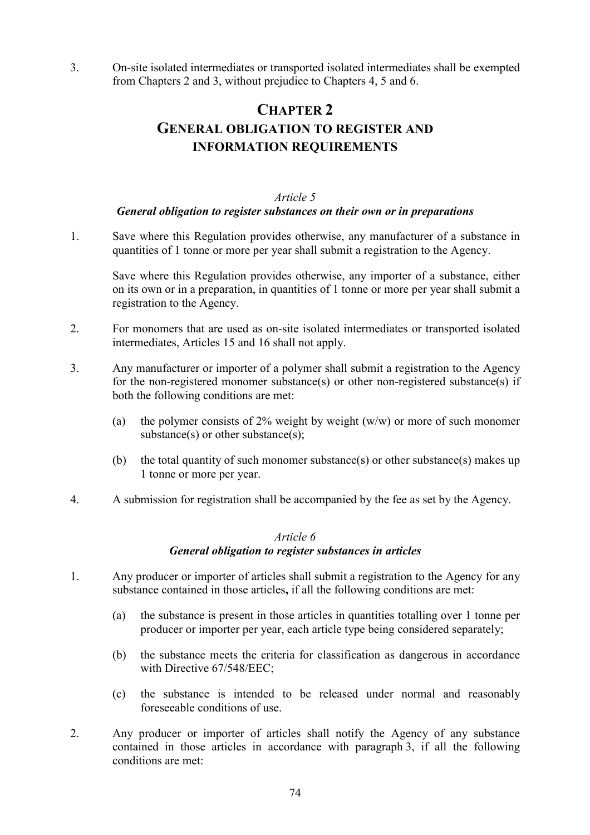3. On-site isolated intermediates or transported isolated intermediates shall be exempted from Chapters 2 and 3, without prejudice to Chapters 4, 5 and 6.

# **CHAPTER 2 GENERAL OBLIGATION TO REGISTER AND INFORMATION REQUIREMENTS**

#### *Article 5*

#### *General obligation to register substances on their own or in preparations*

1. Save where this Regulation provides otherwise, any manufacturer of a substance in quantities of 1 tonne or more per year shall submit a registration to the Agency.

Save where this Regulation provides otherwise, any importer of a substance, either on its own or in a preparation, in quantities of 1 tonne or more per year shall submit a registration to the Agency.

- 2. For monomers that are used as on-site isolated intermediates or transported isolated intermediates, Articles 15 and 16 shall not apply.
- 3. Any manufacturer or importer of a polymer shall submit a registration to the Agency for the non-registered monomer substance(s) or other non-registered substance(s) if both the following conditions are met:
	- (a) the polymer consists of 2% weight by weight  $(w/w)$  or more of such monomer substance(s) or other substance(s);
	- (b) the total quantity of such monomer substance(s) or other substance(s) makes up 1 tonne or more per year.
- 4. A submission for registration shall be accompanied by the fee as set by the Agency.

#### *Article 6*

#### *General obligation to register substances in articles*

- 1. Any producer or importer of articles shall submit a registration to the Agency for any substance contained in those articles**,** if all the following conditions are met:
	- (a) the substance is present in those articles in quantities totalling over 1 tonne per producer or importer per year, each article type being considered separately;
	- (b) the substance meets the criteria for classification as dangerous in accordance with Directive 67/548/EEC;
	- (c) the substance is intended to be released under normal and reasonably foreseeable conditions of use.
- 2. Any producer or importer of articles shall notify the Agency of any substance contained in those articles in accordance with paragraph 3, if all the following conditions are met: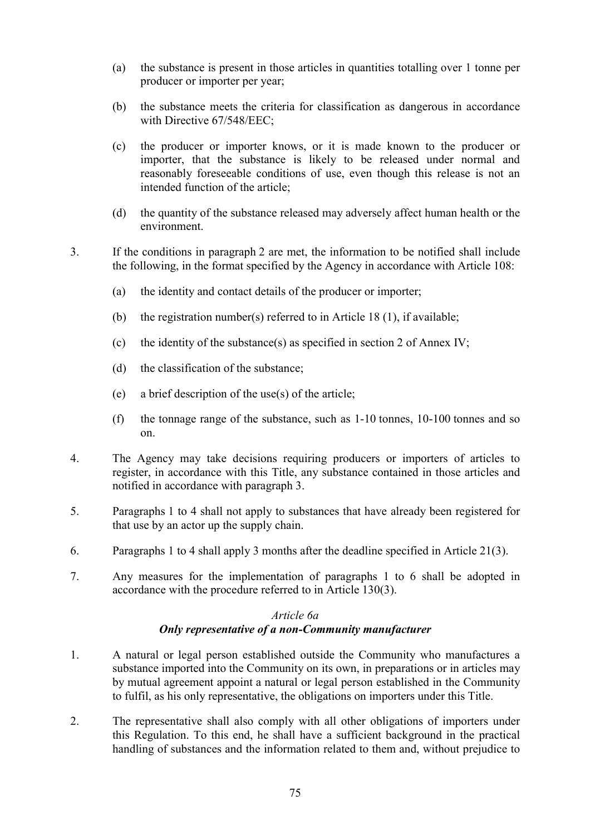- (a) the substance is present in those articles in quantities totalling over 1 tonne per producer or importer per year;
- (b) the substance meets the criteria for classification as dangerous in accordance with Directive 67/548/EEC;
- (c) the producer or importer knows, or it is made known to the producer or importer, that the substance is likely to be released under normal and reasonably foreseeable conditions of use, even though this release is not an intended function of the article;
- (d) the quantity of the substance released may adversely affect human health or the environment.
- 3. If the conditions in paragraph 2 are met, the information to be notified shall include the following, in the format specified by the Agency in accordance with Article 108:
	- (a) the identity and contact details of the producer or importer;
	- (b) the registration number(s) referred to in Article 18 (1), if available;
	- (c) the identity of the substance(s) as specified in section 2 of Annex IV;
	- (d) the classification of the substance;
	- (e) a brief description of the use(s) of the article;
	- (f) the tonnage range of the substance, such as 1-10 tonnes, 10-100 tonnes and so on.
- 4. The Agency may take decisions requiring producers or importers of articles to register, in accordance with this Title, any substance contained in those articles and notified in accordance with paragraph 3.
- 5. Paragraphs 1 to 4 shall not apply to substances that have already been registered for that use by an actor up the supply chain.
- 6. Paragraphs 1 to 4 shall apply 3 months after the deadline specified in Article 21(3).
- 7. Any measures for the implementation of paragraphs 1 to 6 shall be adopted in accordance with the procedure referred to in Article 130(3).

## *Article 6a Only representative of a non-Community manufacturer*

- 1. A natural or legal person established outside the Community who manufactures a substance imported into the Community on its own, in preparations or in articles may by mutual agreement appoint a natural or legal person established in the Community to fulfil, as his only representative, the obligations on importers under this Title.
- 2. The representative shall also comply with all other obligations of importers under this Regulation. To this end, he shall have a sufficient background in the practical handling of substances and the information related to them and, without prejudice to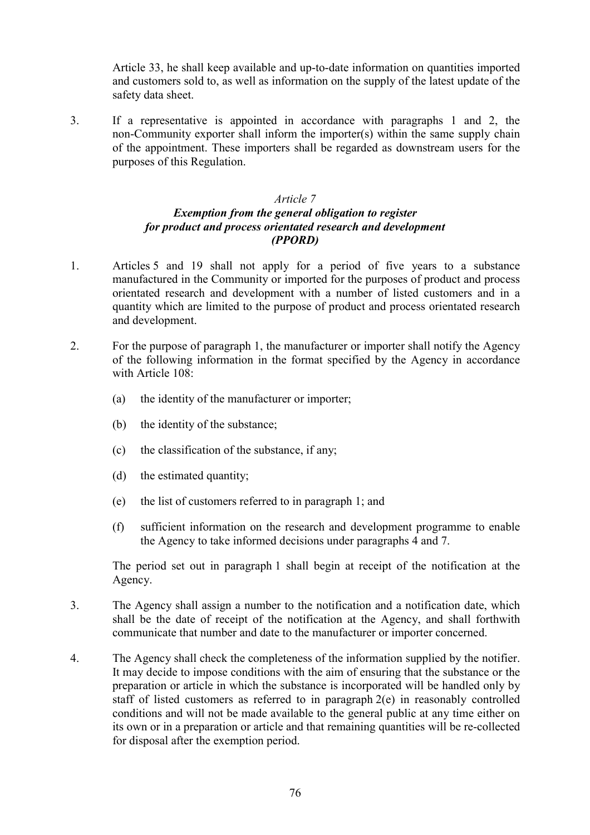Article 33, he shall keep available and up-to-date information on quantities imported and customers sold to, as well as information on the supply of the latest update of the safety data sheet.

3. If a representative is appointed in accordance with paragraphs 1 and 2, the non-Community exporter shall inform the importer(s) within the same supply chain of the appointment. These importers shall be regarded as downstream users for the purposes of this Regulation.

#### *Article 7*

#### *Exemption from the general obligation to register for product and process orientated research and development (PPORD)*

- 1. Articles 5 and 19 shall not apply for a period of five years to a substance manufactured in the Community or imported for the purposes of product and process orientated research and development with a number of listed customers and in a quantity which are limited to the purpose of product and process orientated research and development.
- 2. For the purpose of paragraph 1, the manufacturer or importer shall notify the Agency of the following information in the format specified by the Agency in accordance with Article 108:
	- (a) the identity of the manufacturer or importer;
	- (b) the identity of the substance;
	- (c) the classification of the substance, if any;
	- (d) the estimated quantity;
	- (e) the list of customers referred to in paragraph 1; and
	- (f) sufficient information on the research and development programme to enable the Agency to take informed decisions under paragraphs 4 and 7.

The period set out in paragraph 1 shall begin at receipt of the notification at the Agency.

- 3. The Agency shall assign a number to the notification and a notification date, which shall be the date of receipt of the notification at the Agency, and shall forthwith communicate that number and date to the manufacturer or importer concerned.
- 4. The Agency shall check the completeness of the information supplied by the notifier. It may decide to impose conditions with the aim of ensuring that the substance or the preparation or article in which the substance is incorporated will be handled only by staff of listed customers as referred to in paragraph 2(e) in reasonably controlled conditions and will not be made available to the general public at any time either on its own or in a preparation or article and that remaining quantities will be re-collected for disposal after the exemption period.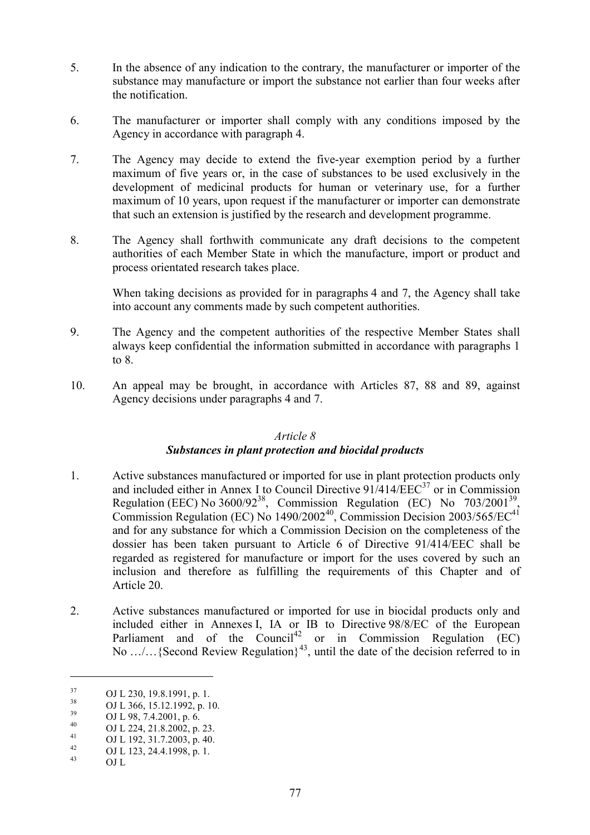- 5. In the absence of any indication to the contrary, the manufacturer or importer of the substance may manufacture or import the substance not earlier than four weeks after the notification.
- 6. The manufacturer or importer shall comply with any conditions imposed by the Agency in accordance with paragraph 4.
- 7. The Agency may decide to extend the five-year exemption period by a further maximum of five years or, in the case of substances to be used exclusively in the development of medicinal products for human or veterinary use, for a further maximum of 10 years, upon request if the manufacturer or importer can demonstrate that such an extension is justified by the research and development programme.
- 8. The Agency shall forthwith communicate any draft decisions to the competent authorities of each Member State in which the manufacture, import or product and process orientated research takes place.

When taking decisions as provided for in paragraphs 4 and 7, the Agency shall take into account any comments made by such competent authorities.

- 9. The Agency and the competent authorities of the respective Member States shall always keep confidential the information submitted in accordance with paragraphs 1 to 8.
- 10. An appeal may be brought, in accordance with Articles 87, 88 and 89, against Agency decisions under paragraphs 4 and 7.

#### *Article 8*

# *Substances in plant protection and biocidal products*

- 1. Active substances manufactured or imported for use in plant protection products only and included either in Annex I to Council Directive  $91/414/EEC^{37}$  or in Commission Regulation (EEC) No 3600/92<sup>38</sup>, Commission Regulation (EC) No 703/2001<sup>39</sup>, Commission Regulation (EC) No  $1490/2002^{40}$ , Commission Decision 2003/565/EC<sup>41</sup> and for any substance for which a Commission Decision on the completeness of the dossier has been taken pursuant to Article 6 of Directive 91/414/EEC shall be regarded as registered for manufacture or import for the uses covered by such an inclusion and therefore as fulfilling the requirements of this Chapter and of Article 20.
- 2. Active substances manufactured or imported for use in biocidal products only and included either in Annexes I, IA or IB to Directive 98/8/EC of the European Parliament and of the  $Count^{42}$  or in Commission Regulation  $(EC)$ No .../... {Second Review Regulation}<sup>43</sup>, until the date of the decision referred to in

 $\overline{a}$ 

 $^{37}$  OJ L 230, 19.8.1991, p. 1.<br> $^{38}$  OJ L 266, 15, 12, 1992, p. 1.

 $^{38}$  OJ L 366, 15.12.1992, p. 10.

 $^{39}$  OJ L 98, 7.4.2001, p. 6.

 $^{40}$  OJ L 224, 21.8.2002, p. 23.

 $^{41}$  OJ L 192, 31.7.2003, p. 40.

 $^{42}$  OJ L 123, 24.4.1998, p. 1.

OJ L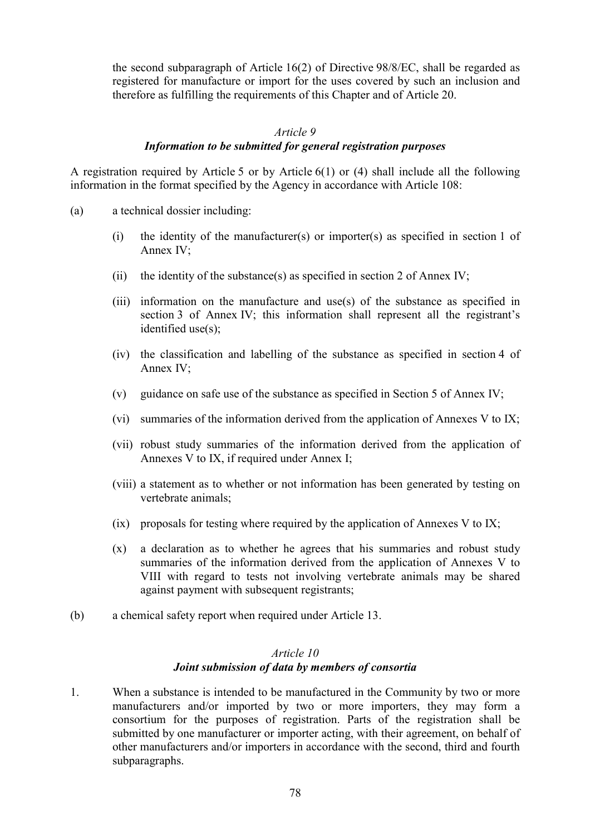the second subparagraph of Article 16(2) of Directive 98/8/EC, shall be regarded as registered for manufacture or import for the uses covered by such an inclusion and therefore as fulfilling the requirements of this Chapter and of Article 20.

#### *Article 9*

#### *Information to be submitted for general registration purposes*

A registration required by Article 5 or by Article 6(1) or (4) shall include all the following information in the format specified by the Agency in accordance with Article 108:

- (a) a technical dossier including:
	- (i) the identity of the manufacturer(s) or importer(s) as specified in section 1 of Annex IV;
	- (ii) the identity of the substance(s) as specified in section 2 of Annex IV;
	- (iii) information on the manufacture and use(s) of the substance as specified in section 3 of Annex IV; this information shall represent all the registrant's identified use(s):
	- (iv) the classification and labelling of the substance as specified in section 4 of Annex IV;
	- (v) guidance on safe use of the substance as specified in Section 5 of Annex IV;
	- (vi) summaries of the information derived from the application of Annexes V to IX;
	- (vii) robust study summaries of the information derived from the application of Annexes V to IX, if required under Annex I;
	- (viii) a statement as to whether or not information has been generated by testing on vertebrate animals;
	- (ix) proposals for testing where required by the application of Annexes V to IX;
	- (x) a declaration as to whether he agrees that his summaries and robust study summaries of the information derived from the application of Annexes V to VIII with regard to tests not involving vertebrate animals may be shared against payment with subsequent registrants;
- (b) a chemical safety report when required under Article 13.

## *Article 10 Joint submission of data by members of consortia*

1. When a substance is intended to be manufactured in the Community by two or more manufacturers and/or imported by two or more importers, they may form a consortium for the purposes of registration. Parts of the registration shall be submitted by one manufacturer or importer acting, with their agreement, on behalf of other manufacturers and/or importers in accordance with the second, third and fourth subparagraphs.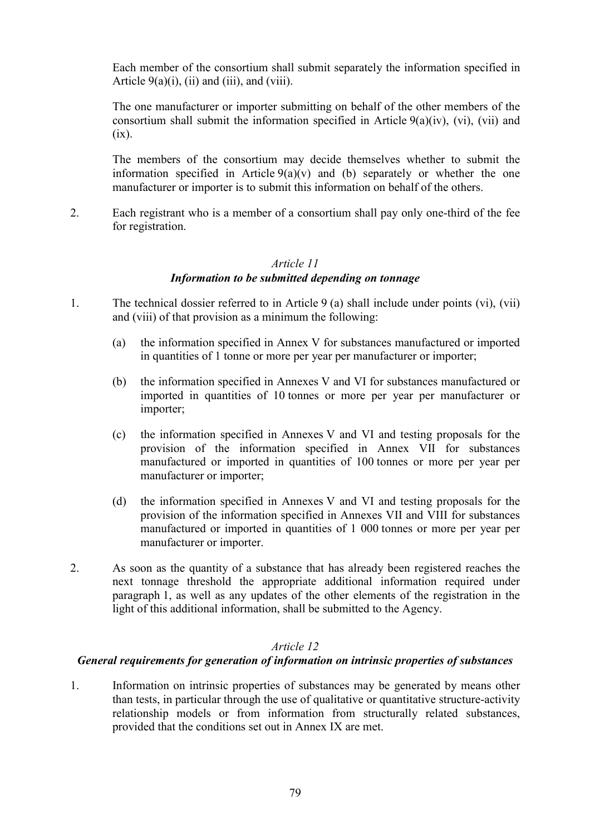Each member of the consortium shall submit separately the information specified in Article  $9(a)(i)$ , (ii) and (iii), and (viii).

The one manufacturer or importer submitting on behalf of the other members of the consortium shall submit the information specified in Article  $9(a)(iv)$ , (vi), (vii) and  $(ix)$ .

The members of the consortium may decide themselves whether to submit the information specified in Article  $9(a)(v)$  and (b) separately or whether the one manufacturer or importer is to submit this information on behalf of the others.

2. Each registrant who is a member of a consortium shall pay only one-third of the fee for registration.

#### *Article 11 Information to be submitted depending on tonnage*

- 1. The technical dossier referred to in Article 9 (a) shall include under points (vi), (vii) and (viii) of that provision as a minimum the following:
	- (a) the information specified in Annex V for substances manufactured or imported in quantities of 1 tonne or more per year per manufacturer or importer;
	- (b) the information specified in Annexes V and VI for substances manufactured or imported in quantities of 10 tonnes or more per year per manufacturer or importer;
	- (c) the information specified in Annexes V and VI and testing proposals for the provision of the information specified in Annex VII for substances manufactured or imported in quantities of 100 tonnes or more per year per manufacturer or importer;
	- (d) the information specified in Annexes V and VI and testing proposals for the provision of the information specified in Annexes VII and VIII for substances manufactured or imported in quantities of 1 000 tonnes or more per year per manufacturer or importer.
- 2. As soon as the quantity of a substance that has already been registered reaches the next tonnage threshold the appropriate additional information required under paragraph 1, as well as any updates of the other elements of the registration in the light of this additional information, shall be submitted to the Agency.

# *Article 12*

## *General requirements for generation of information on intrinsic properties of substances*

1. Information on intrinsic properties of substances may be generated by means other than tests, in particular through the use of qualitative or quantitative structure-activity relationship models or from information from structurally related substances, provided that the conditions set out in Annex IX are met.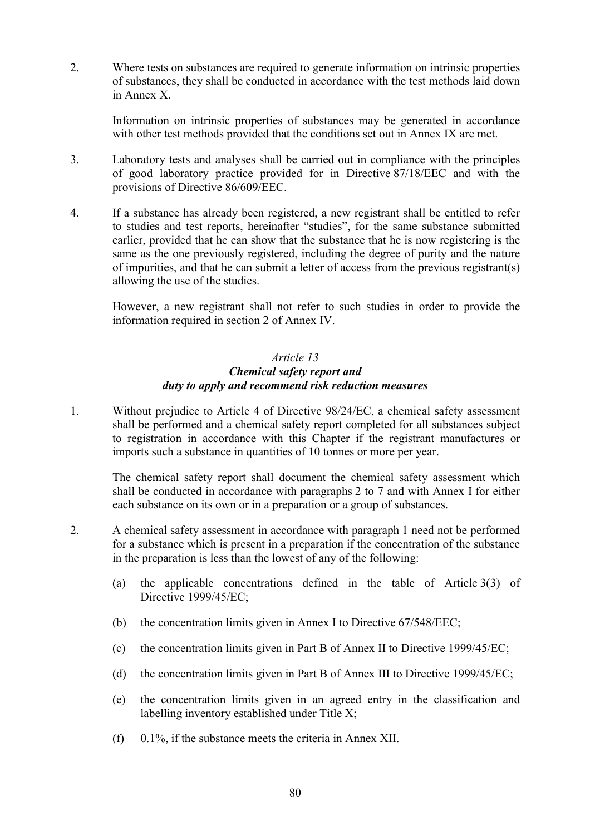2. Where tests on substances are required to generate information on intrinsic properties of substances, they shall be conducted in accordance with the test methods laid down in Annex X.

Information on intrinsic properties of substances may be generated in accordance with other test methods provided that the conditions set out in Annex IX are met.

- 3. Laboratory tests and analyses shall be carried out in compliance with the principles of good laboratory practice provided for in Directive 87/18/EEC and with the provisions of Directive 86/609/EEC.
- 4. If a substance has already been registered, a new registrant shall be entitled to refer to studies and test reports, hereinafter "studies", for the same substance submitted earlier, provided that he can show that the substance that he is now registering is the same as the one previously registered, including the degree of purity and the nature of impurities, and that he can submit a letter of access from the previous registrant(s) allowing the use of the studies.

However, a new registrant shall not refer to such studies in order to provide the information required in section 2 of Annex IV.

### *Article 13 Chemical safety report and duty to apply and recommend risk reduction measures*

1. Without prejudice to Article 4 of Directive 98/24/EC, a chemical safety assessment shall be performed and a chemical safety report completed for all substances subject to registration in accordance with this Chapter if the registrant manufactures or imports such a substance in quantities of 10 tonnes or more per year.

The chemical safety report shall document the chemical safety assessment which shall be conducted in accordance with paragraphs 2 to 7 and with Annex I for either each substance on its own or in a preparation or a group of substances.

- 2. A chemical safety assessment in accordance with paragraph 1 need not be performed for a substance which is present in a preparation if the concentration of the substance in the preparation is less than the lowest of any of the following:
	- (a) the applicable concentrations defined in the table of Article 3(3) of Directive 1999/45/EC;
	- (b) the concentration limits given in Annex I to Directive 67/548/EEC;
	- (c) the concentration limits given in Part B of Annex II to Directive 1999/45/EC;
	- (d) the concentration limits given in Part B of Annex III to Directive 1999/45/EC;
	- (e) the concentration limits given in an agreed entry in the classification and labelling inventory established under Title X;
	- (f) 0.1%, if the substance meets the criteria in Annex XII.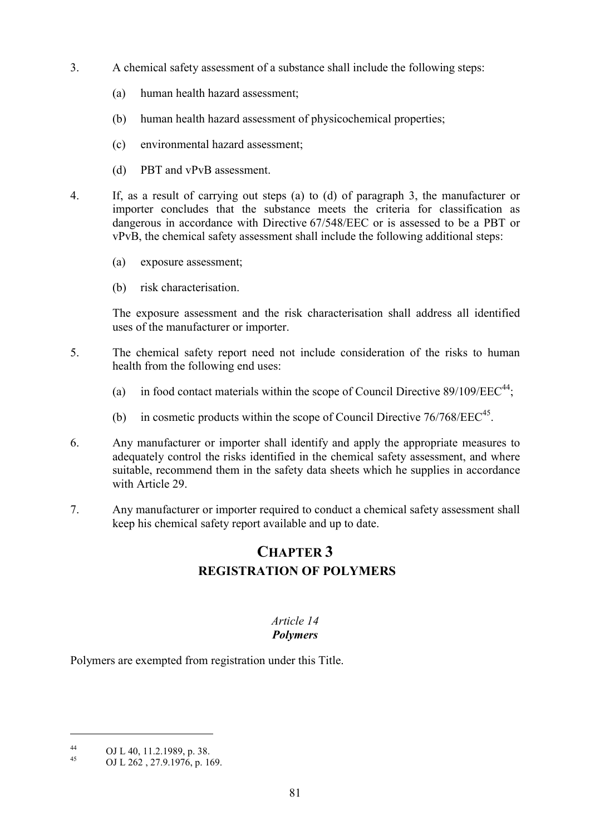- 3. A chemical safety assessment of a substance shall include the following steps:
	- (a) human health hazard assessment;
	- (b) human health hazard assessment of physicochemical properties;
	- (c) environmental hazard assessment;
	- (d) PBT and vPvB assessment.
- 4. If, as a result of carrying out steps (a) to (d) of paragraph 3, the manufacturer or importer concludes that the substance meets the criteria for classification as dangerous in accordance with Directive 67/548/EEC or is assessed to be a PBT or vPvB, the chemical safety assessment shall include the following additional steps:
	- (a) exposure assessment;
	- (b) risk characterisation.

The exposure assessment and the risk characterisation shall address all identified uses of the manufacturer or importer.

- 5. The chemical safety report need not include consideration of the risks to human health from the following end uses:
	- (a) in food contact materials within the scope of Council Directive  $89/109/EEC<sup>44</sup>$ ;
	- (b) in cosmetic products within the scope of Council Directive  $76/768/EEC<sup>45</sup>$ .
- 6. Any manufacturer or importer shall identify and apply the appropriate measures to adequately control the risks identified in the chemical safety assessment, and where suitable, recommend them in the safety data sheets which he supplies in accordance with Article 29.
- 7. Any manufacturer or importer required to conduct a chemical safety assessment shall keep his chemical safety report available and up to date.

# **CHAPTER 3 REGISTRATION OF POLYMERS**

# *Article 14*

# *Polymers*

Polymers are exempted from registration under this Title.

 $\overline{a}$ 

 $^{44}$  OJ L 40, 11.2.1989, p. 38.

<sup>45</sup> OJ L 262 , 27.9.1976, p. 169.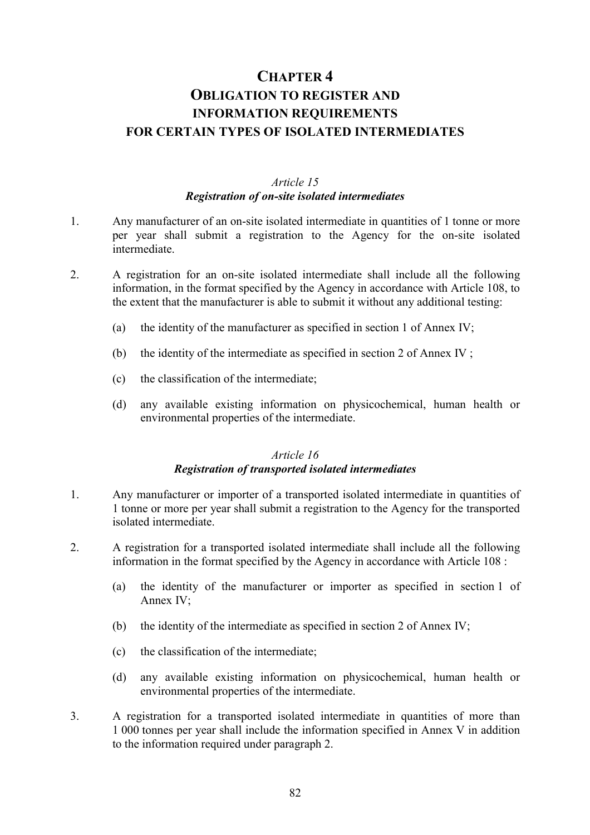# **CHAPTER 4 OBLIGATION TO REGISTER AND INFORMATION REQUIREMENTS FOR CERTAIN TYPES OF ISOLATED INTERMEDIATES**

# *Article 15 Registration of on-site isolated intermediates*

- 1. Any manufacturer of an on-site isolated intermediate in quantities of 1 tonne or more per year shall submit a registration to the Agency for the on-site isolated intermediate.
- 2. A registration for an on-site isolated intermediate shall include all the following information, in the format specified by the Agency in accordance with Article 108, to the extent that the manufacturer is able to submit it without any additional testing:
	- (a) the identity of the manufacturer as specified in section 1 of Annex IV;
	- (b) the identity of the intermediate as specified in section 2 of Annex IV ;
	- (c) the classification of the intermediate;
	- (d) any available existing information on physicochemical, human health or environmental properties of the intermediate.

#### *Article 16 Registration of transported isolated intermediates*

- 1. Any manufacturer or importer of a transported isolated intermediate in quantities of 1 tonne or more per year shall submit a registration to the Agency for the transported isolated intermediate.
- 2. A registration for a transported isolated intermediate shall include all the following information in the format specified by the Agency in accordance with Article 108 :
	- (a) the identity of the manufacturer or importer as specified in section 1 of Annex IV;
	- (b) the identity of the intermediate as specified in section 2 of Annex IV;
	- (c) the classification of the intermediate;
	- (d) any available existing information on physicochemical, human health or environmental properties of the intermediate.
- 3. A registration for a transported isolated intermediate in quantities of more than 1 000 tonnes per year shall include the information specified in Annex V in addition to the information required under paragraph 2.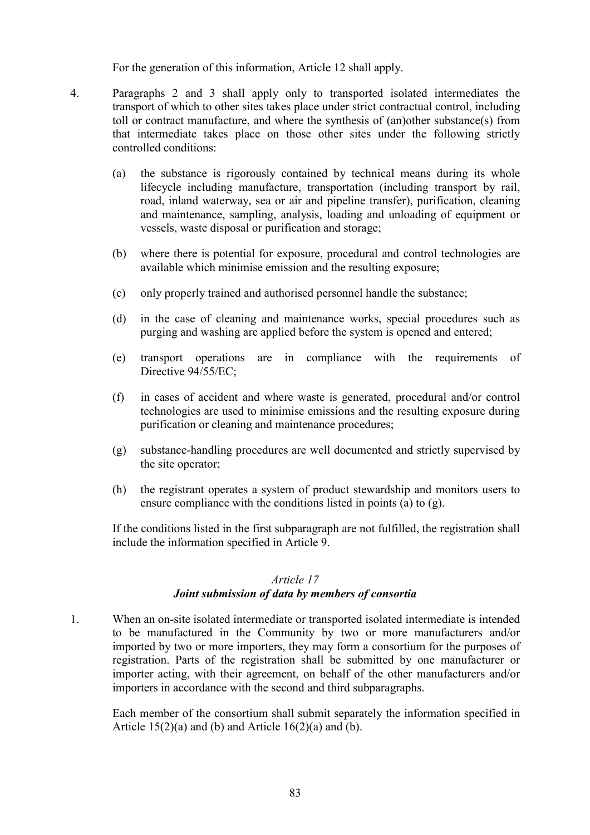For the generation of this information, Article 12 shall apply.

- 4. Paragraphs 2 and 3 shall apply only to transported isolated intermediates the transport of which to other sites takes place under strict contractual control, including toll or contract manufacture, and where the synthesis of (an)other substance(s) from that intermediate takes place on those other sites under the following strictly controlled conditions:
	- (a) the substance is rigorously contained by technical means during its whole lifecycle including manufacture, transportation (including transport by rail, road, inland waterway, sea or air and pipeline transfer), purification, cleaning and maintenance, sampling, analysis, loading and unloading of equipment or vessels, waste disposal or purification and storage;
	- (b) where there is potential for exposure, procedural and control technologies are available which minimise emission and the resulting exposure;
	- (c) only properly trained and authorised personnel handle the substance;
	- (d) in the case of cleaning and maintenance works, special procedures such as purging and washing are applied before the system is opened and entered;
	- (e) transport operations are in compliance with the requirements of Directive 94/55/EC;
	- (f) in cases of accident and where waste is generated, procedural and/or control technologies are used to minimise emissions and the resulting exposure during purification or cleaning and maintenance procedures;
	- (g) substance-handling procedures are well documented and strictly supervised by the site operator;
	- (h) the registrant operates a system of product stewardship and monitors users to ensure compliance with the conditions listed in points (a) to (g).

If the conditions listed in the first subparagraph are not fulfilled, the registration shall include the information specified in Article 9.

#### *Article 17*

#### *Joint submission of data by members of consortia*

1. When an on-site isolated intermediate or transported isolated intermediate is intended to be manufactured in the Community by two or more manufacturers and/or imported by two or more importers, they may form a consortium for the purposes of registration. Parts of the registration shall be submitted by one manufacturer or importer acting, with their agreement, on behalf of the other manufacturers and/or importers in accordance with the second and third subparagraphs.

Each member of the consortium shall submit separately the information specified in Article  $15(2)(a)$  and (b) and Article  $16(2)(a)$  and (b).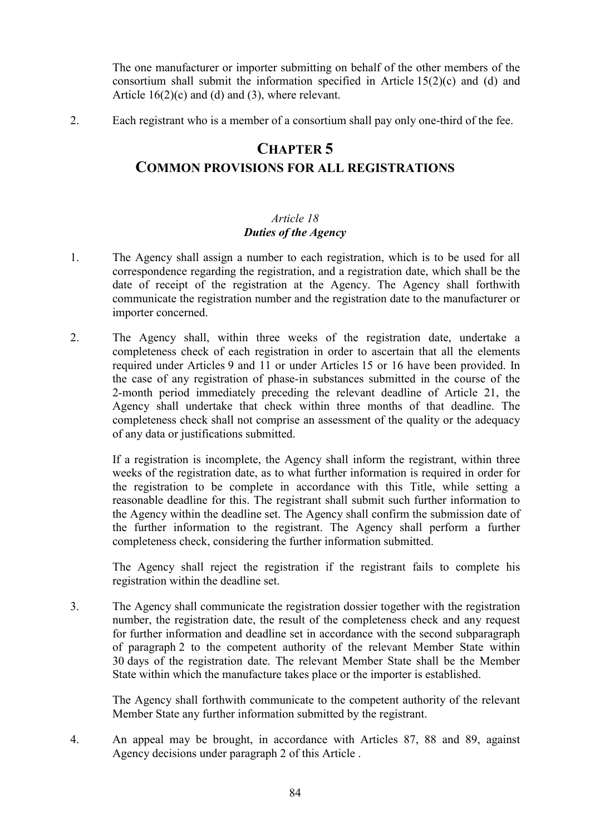The one manufacturer or importer submitting on behalf of the other members of the consortium shall submit the information specified in Article 15(2)(c) and (d) and Article 16(2)(c) and (d) and (3), where relevant.

2. Each registrant who is a member of a consortium shall pay only one-third of the fee.

# **CHAPTER 5 COMMON PROVISIONS FOR ALL REGISTRATIONS**

## *Article 18 Duties of the Agency*

- 1. The Agency shall assign a number to each registration, which is to be used for all correspondence regarding the registration, and a registration date, which shall be the date of receipt of the registration at the Agency. The Agency shall forthwith communicate the registration number and the registration date to the manufacturer or importer concerned.
- 2. The Agency shall, within three weeks of the registration date, undertake a completeness check of each registration in order to ascertain that all the elements required under Articles 9 and 11 or under Articles 15 or 16 have been provided. In the case of any registration of phase-in substances submitted in the course of the 2-month period immediately preceding the relevant deadline of Article 21, the Agency shall undertake that check within three months of that deadline. The completeness check shall not comprise an assessment of the quality or the adequacy of any data or justifications submitted.

If a registration is incomplete, the Agency shall inform the registrant, within three weeks of the registration date, as to what further information is required in order for the registration to be complete in accordance with this Title, while setting a reasonable deadline for this. The registrant shall submit such further information to the Agency within the deadline set. The Agency shall confirm the submission date of the further information to the registrant. The Agency shall perform a further completeness check, considering the further information submitted.

The Agency shall reject the registration if the registrant fails to complete his registration within the deadline set.

3. The Agency shall communicate the registration dossier together with the registration number, the registration date, the result of the completeness check and any request for further information and deadline set in accordance with the second subparagraph of paragraph 2 to the competent authority of the relevant Member State within 30 days of the registration date. The relevant Member State shall be the Member State within which the manufacture takes place or the importer is established.

The Agency shall forthwith communicate to the competent authority of the relevant Member State any further information submitted by the registrant.

4. An appeal may be brought, in accordance with Articles 87, 88 and 89, against Agency decisions under paragraph 2 of this Article .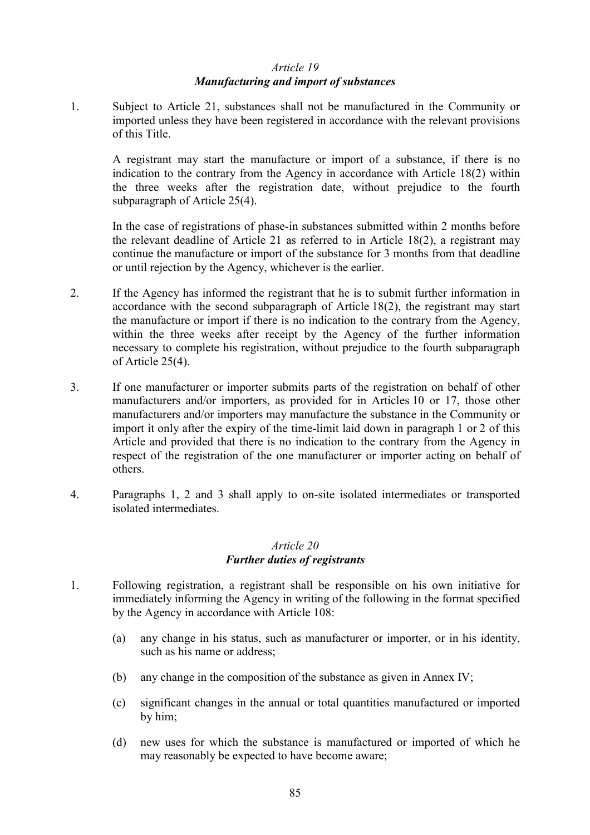### *Article 19 Manufacturing and import of substances*

1. Subject to Article 21, substances shall not be manufactured in the Community or imported unless they have been registered in accordance with the relevant provisions of this Title.

A registrant may start the manufacture or import of a substance, if there is no indication to the contrary from the Agency in accordance with Article 18(2) within the three weeks after the registration date, without prejudice to the fourth subparagraph of Article 25(4).

In the case of registrations of phase-in substances submitted within 2 months before the relevant deadline of Article 21 as referred to in Article 18(2), a registrant may continue the manufacture or import of the substance for 3 months from that deadline or until rejection by the Agency, whichever is the earlier.

- 2. If the Agency has informed the registrant that he is to submit further information in accordance with the second subparagraph of Article 18(2), the registrant may start the manufacture or import if there is no indication to the contrary from the Agency, within the three weeks after receipt by the Agency of the further information necessary to complete his registration, without prejudice to the fourth subparagraph of Article 25(4).
- 3. If one manufacturer or importer submits parts of the registration on behalf of other manufacturers and/or importers, as provided for in Articles 10 or 17, those other manufacturers and/or importers may manufacture the substance in the Community or import it only after the expiry of the time-limit laid down in paragraph 1 or 2 of this Article and provided that there is no indication to the contrary from the Agency in respect of the registration of the one manufacturer or importer acting on behalf of others.
- 4. Paragraphs 1, 2 and 3 shall apply to on-site isolated intermediates or transported isolated intermediates.

#### *Article 20 Further duties of registrants*

- 1. Following registration, a registrant shall be responsible on his own initiative for immediately informing the Agency in writing of the following in the format specified by the Agency in accordance with Article 108:
	- (a) any change in his status, such as manufacturer or importer, or in his identity, such as his name or address;
	- (b) any change in the composition of the substance as given in Annex IV;
	- (c) significant changes in the annual or total quantities manufactured or imported by him;
	- (d) new uses for which the substance is manufactured or imported of which he may reasonably be expected to have become aware;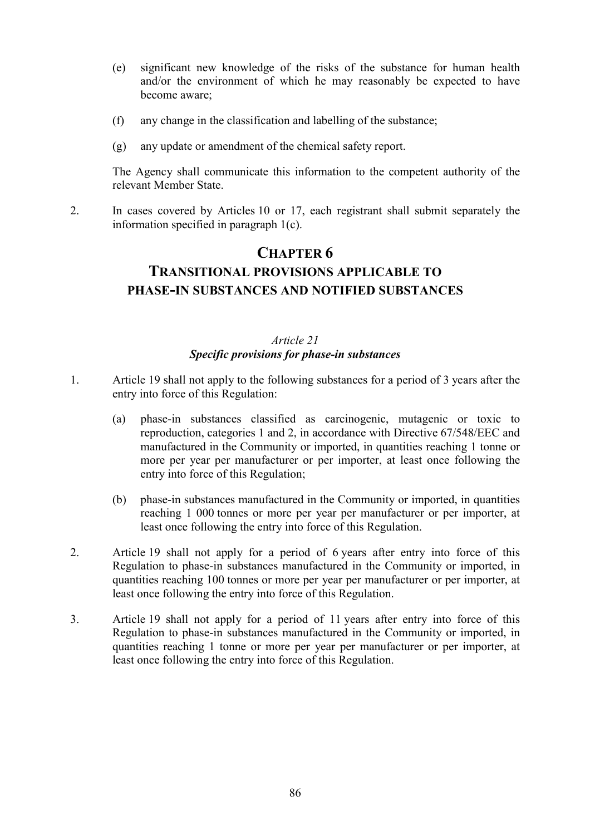- (e) significant new knowledge of the risks of the substance for human health and/or the environment of which he may reasonably be expected to have become aware;
- (f) any change in the classification and labelling of the substance;
- (g) any update or amendment of the chemical safety report.

The Agency shall communicate this information to the competent authority of the relevant Member State.

2. In cases covered by Articles 10 or 17, each registrant shall submit separately the information specified in paragraph 1(c).

# **CHAPTER 6 TRANSITIONAL PROVISIONS APPLICABLE TO PHASE-IN SUBSTANCES AND NOTIFIED SUBSTANCES**

## *Article 21 Specific provisions for phase-in substances*

- 1. Article 19 shall not apply to the following substances for a period of 3 years after the entry into force of this Regulation:
	- (a) phase-in substances classified as carcinogenic, mutagenic or toxic to reproduction, categories 1 and 2, in accordance with Directive 67/548/EEC and manufactured in the Community or imported, in quantities reaching 1 tonne or more per year per manufacturer or per importer, at least once following the entry into force of this Regulation;
	- (b) phase-in substances manufactured in the Community or imported, in quantities reaching 1 000 tonnes or more per year per manufacturer or per importer, at least once following the entry into force of this Regulation.
- 2. Article 19 shall not apply for a period of 6 years after entry into force of this Regulation to phase-in substances manufactured in the Community or imported, in quantities reaching 100 tonnes or more per year per manufacturer or per importer, at least once following the entry into force of this Regulation.
- 3. Article 19 shall not apply for a period of 11 years after entry into force of this Regulation to phase-in substances manufactured in the Community or imported, in quantities reaching 1 tonne or more per year per manufacturer or per importer, at least once following the entry into force of this Regulation.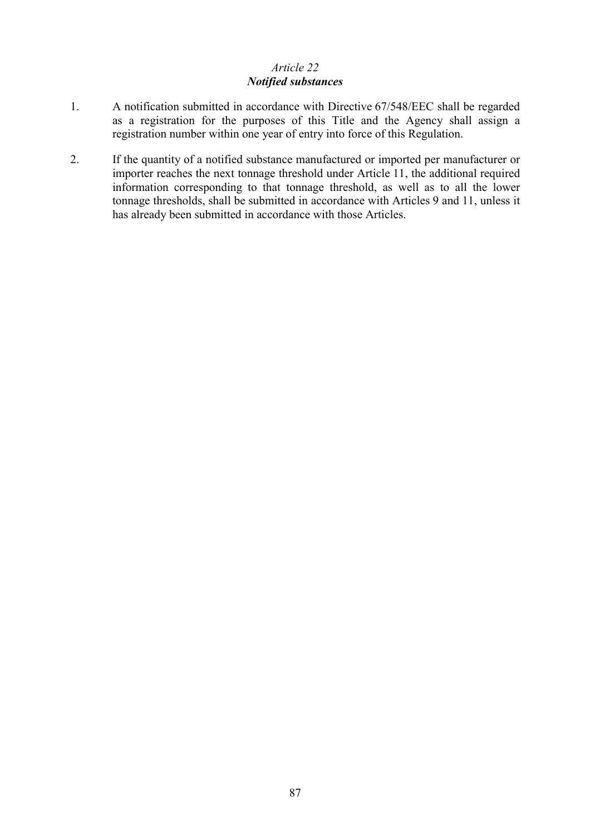# *Article 22 Notified substances*

- 1. A notification submitted in accordance with Directive 67/548/EEC shall be regarded as a registration for the purposes of this Title and the Agency shall assign a registration number within one year of entry into force of this Regulation.
- 2. If the quantity of a notified substance manufactured or imported per manufacturer or importer reaches the next tonnage threshold under Article 11, the additional required information corresponding to that tonnage threshold, as well as to all the lower tonnage thresholds, shall be submitted in accordance with Articles 9 and 11, unless it has already been submitted in accordance with those Articles.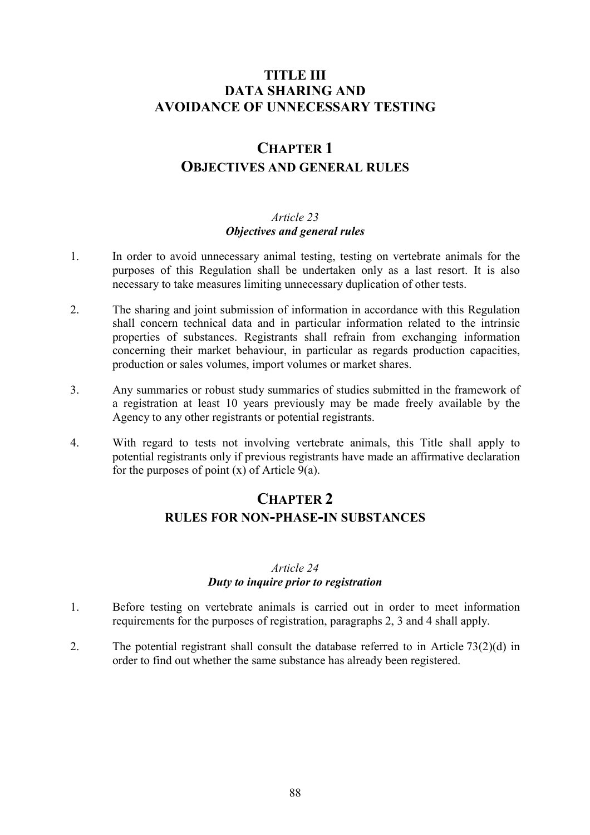# **TITLE III DATA SHARING AND AVOIDANCE OF UNNECESSARY TESTING**

# **CHAPTER 1 OBJECTIVES AND GENERAL RULES**

#### *Article 23 Objectives and general rules*

- 1. In order to avoid unnecessary animal testing, testing on vertebrate animals for the purposes of this Regulation shall be undertaken only as a last resort. It is also necessary to take measures limiting unnecessary duplication of other tests.
- 2. The sharing and joint submission of information in accordance with this Regulation shall concern technical data and in particular information related to the intrinsic properties of substances. Registrants shall refrain from exchanging information concerning their market behaviour, in particular as regards production capacities, production or sales volumes, import volumes or market shares.
- 3. Any summaries or robust study summaries of studies submitted in the framework of a registration at least 10 years previously may be made freely available by the Agency to any other registrants or potential registrants.
- 4. With regard to tests not involving vertebrate animals, this Title shall apply to potential registrants only if previous registrants have made an affirmative declaration for the purposes of point  $(x)$  of Article 9(a).

# **CHAPTER 2 RULES FOR NON-PHASE-IN SUBSTANCES**

## *Article 24 Duty to inquire prior to registration*

- 1. Before testing on vertebrate animals is carried out in order to meet information requirements for the purposes of registration, paragraphs 2, 3 and 4 shall apply.
- 2. The potential registrant shall consult the database referred to in Article 73(2)(d) in order to find out whether the same substance has already been registered.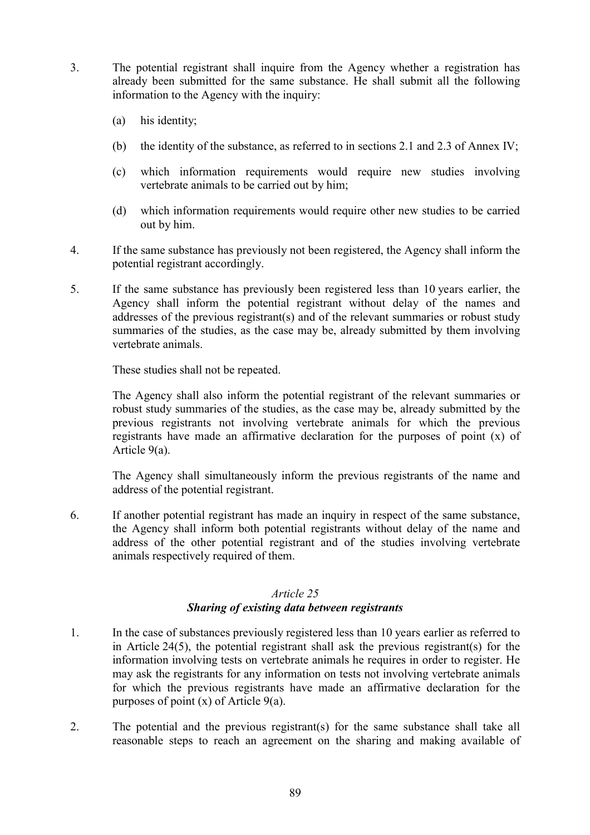- 3. The potential registrant shall inquire from the Agency whether a registration has already been submitted for the same substance. He shall submit all the following information to the Agency with the inquiry:
	- (a) his identity;
	- (b) the identity of the substance, as referred to in sections 2.1 and 2.3 of Annex IV;
	- (c) which information requirements would require new studies involving vertebrate animals to be carried out by him;
	- (d) which information requirements would require other new studies to be carried out by him.
- 4. If the same substance has previously not been registered, the Agency shall inform the potential registrant accordingly.
- 5. If the same substance has previously been registered less than 10 years earlier, the Agency shall inform the potential registrant without delay of the names and addresses of the previous registrant(s) and of the relevant summaries or robust study summaries of the studies, as the case may be, already submitted by them involving vertebrate animals.

These studies shall not be repeated.

The Agency shall also inform the potential registrant of the relevant summaries or robust study summaries of the studies, as the case may be, already submitted by the previous registrants not involving vertebrate animals for which the previous registrants have made an affirmative declaration for the purposes of point (x) of Article 9(a).

The Agency shall simultaneously inform the previous registrants of the name and address of the potential registrant.

6. If another potential registrant has made an inquiry in respect of the same substance, the Agency shall inform both potential registrants without delay of the name and address of the other potential registrant and of the studies involving vertebrate animals respectively required of them.

## *Article 25 Sharing of existing data between registrants*

- 1. In the case of substances previously registered less than 10 years earlier as referred to in Article 24(5), the potential registrant shall ask the previous registrant(s) for the information involving tests on vertebrate animals he requires in order to register. He may ask the registrants for any information on tests not involving vertebrate animals for which the previous registrants have made an affirmative declaration for the purposes of point  $(x)$  of Article 9(a).
- 2. The potential and the previous registrant(s) for the same substance shall take all reasonable steps to reach an agreement on the sharing and making available of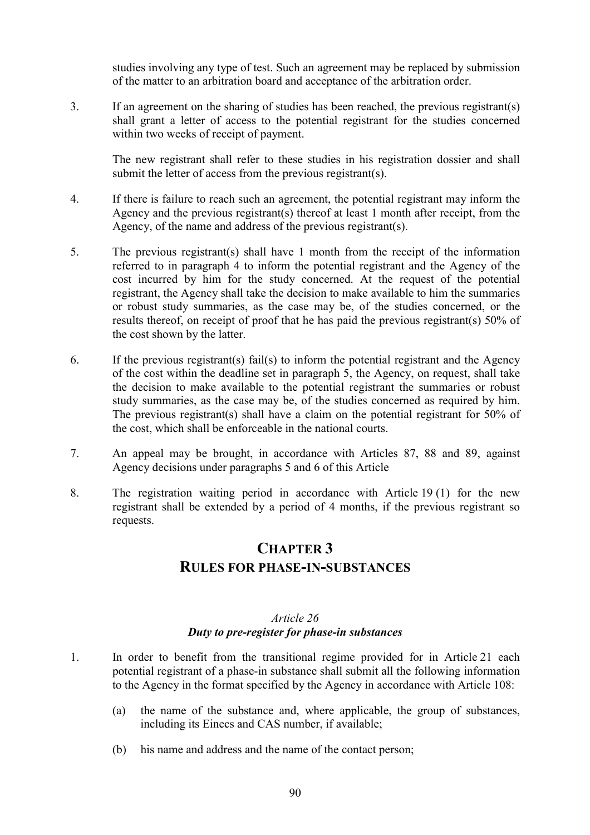studies involving any type of test. Such an agreement may be replaced by submission of the matter to an arbitration board and acceptance of the arbitration order.

3. If an agreement on the sharing of studies has been reached, the previous registrant(s) shall grant a letter of access to the potential registrant for the studies concerned within two weeks of receipt of payment.

The new registrant shall refer to these studies in his registration dossier and shall submit the letter of access from the previous registrant(s).

- 4. If there is failure to reach such an agreement, the potential registrant may inform the Agency and the previous registrant(s) thereof at least 1 month after receipt, from the Agency, of the name and address of the previous registrant(s).
- 5. The previous registrant(s) shall have 1 month from the receipt of the information referred to in paragraph 4 to inform the potential registrant and the Agency of the cost incurred by him for the study concerned. At the request of the potential registrant, the Agency shall take the decision to make available to him the summaries or robust study summaries, as the case may be, of the studies concerned, or the results thereof, on receipt of proof that he has paid the previous registrant(s) 50% of the cost shown by the latter.
- 6. If the previous registrant(s) fail(s) to inform the potential registrant and the Agency of the cost within the deadline set in paragraph 5, the Agency, on request, shall take the decision to make available to the potential registrant the summaries or robust study summaries, as the case may be, of the studies concerned as required by him. The previous registrant(s) shall have a claim on the potential registrant for 50% of the cost, which shall be enforceable in the national courts.
- 7. An appeal may be brought, in accordance with Articles 87, 88 and 89, against Agency decisions under paragraphs 5 and 6 of this Article
- 8. The registration waiting period in accordance with Article 19 (1) for the new registrant shall be extended by a period of 4 months, if the previous registrant so requests.

# **CHAPTER 3 RULES FOR PHASE-IN-SUBSTANCES**

#### *Article 26 Duty to pre-register for phase-in substances*

- 1. In order to benefit from the transitional regime provided for in Article 21 each potential registrant of a phase-in substance shall submit all the following information to the Agency in the format specified by the Agency in accordance with Article 108:
	- (a) the name of the substance and, where applicable, the group of substances, including its Einecs and CAS number, if available;
	- (b) his name and address and the name of the contact person;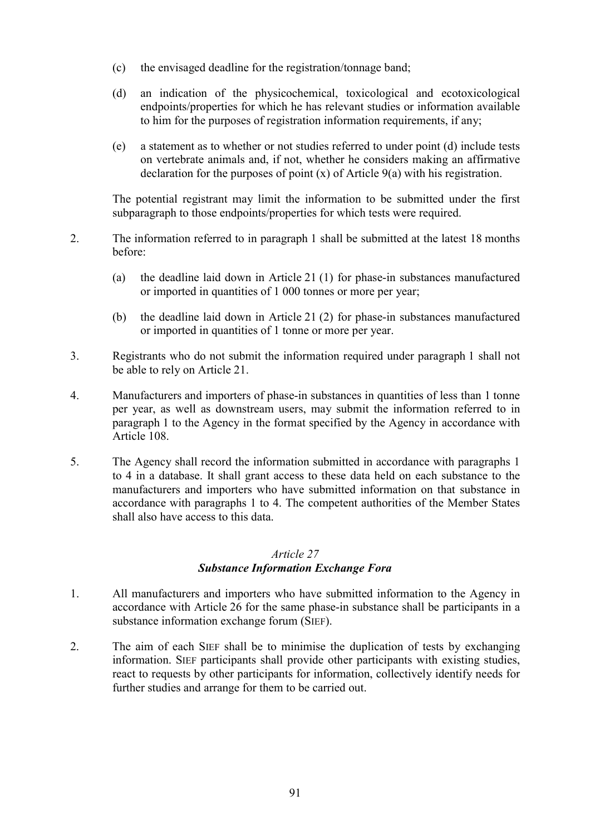- (c) the envisaged deadline for the registration/tonnage band;
- (d) an indication of the physicochemical, toxicological and ecotoxicological endpoints/properties for which he has relevant studies or information available to him for the purposes of registration information requirements, if any;
- (e) a statement as to whether or not studies referred to under point (d) include tests on vertebrate animals and, if not, whether he considers making an affirmative declaration for the purposes of point (x) of Article 9(a) with his registration.

The potential registrant may limit the information to be submitted under the first subparagraph to those endpoints/properties for which tests were required.

- 2. The information referred to in paragraph 1 shall be submitted at the latest 18 months before:
	- (a) the deadline laid down in Article 21 (1) for phase-in substances manufactured or imported in quantities of 1 000 tonnes or more per year;
	- (b) the deadline laid down in Article 21 (2) for phase-in substances manufactured or imported in quantities of 1 tonne or more per year.
- 3. Registrants who do not submit the information required under paragraph 1 shall not be able to rely on Article 21.
- 4. Manufacturers and importers of phase-in substances in quantities of less than 1 tonne per year, as well as downstream users, may submit the information referred to in paragraph 1 to the Agency in the format specified by the Agency in accordance with Article 108.
- 5. The Agency shall record the information submitted in accordance with paragraphs 1 to 4 in a database. It shall grant access to these data held on each substance to the manufacturers and importers who have submitted information on that substance in accordance with paragraphs 1 to 4. The competent authorities of the Member States shall also have access to this data.

#### *Article 27*

## *Substance Information Exchange Fora*

- 1. All manufacturers and importers who have submitted information to the Agency in accordance with Article 26 for the same phase-in substance shall be participants in a substance information exchange forum (SIEF).
- 2. The aim of each SIEF shall be to minimise the duplication of tests by exchanging information. SIEF participants shall provide other participants with existing studies, react to requests by other participants for information, collectively identify needs for further studies and arrange for them to be carried out.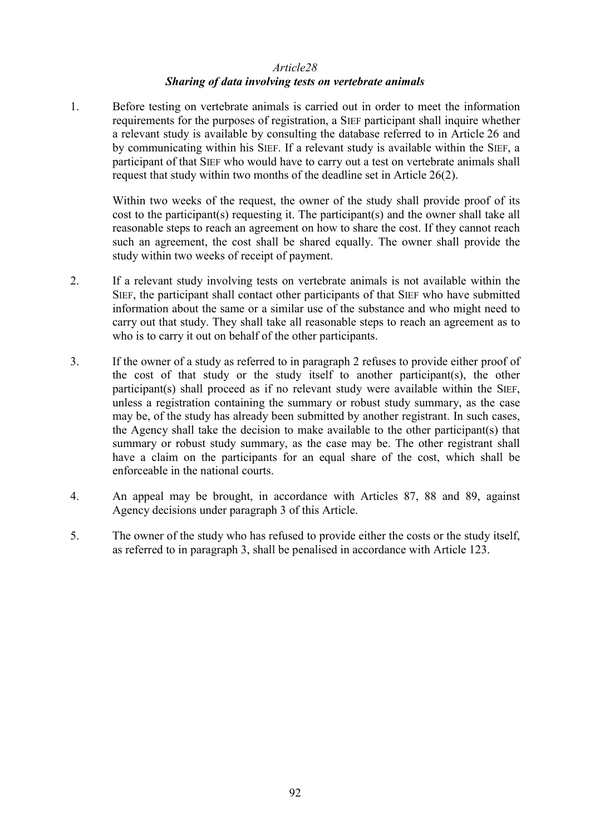#### *Article28 Sharing of data involving tests on vertebrate animals*

1. Before testing on vertebrate animals is carried out in order to meet the information requirements for the purposes of registration, a SIEF participant shall inquire whether a relevant study is available by consulting the database referred to in Article 26 and by communicating within his SIEF. If a relevant study is available within the SIEF, a participant of that SIEF who would have to carry out a test on vertebrate animals shall request that study within two months of the deadline set in Article 26(2).

Within two weeks of the request, the owner of the study shall provide proof of its cost to the participant(s) requesting it. The participant(s) and the owner shall take all reasonable steps to reach an agreement on how to share the cost. If they cannot reach such an agreement, the cost shall be shared equally. The owner shall provide the study within two weeks of receipt of payment.

- 2. If a relevant study involving tests on vertebrate animals is not available within the SIEF, the participant shall contact other participants of that SIEF who have submitted information about the same or a similar use of the substance and who might need to carry out that study. They shall take all reasonable steps to reach an agreement as to who is to carry it out on behalf of the other participants.
- 3. If the owner of a study as referred to in paragraph 2 refuses to provide either proof of the cost of that study or the study itself to another participant(s), the other participant(s) shall proceed as if no relevant study were available within the SIEF, unless a registration containing the summary or robust study summary, as the case may be, of the study has already been submitted by another registrant. In such cases, the Agency shall take the decision to make available to the other participant(s) that summary or robust study summary, as the case may be. The other registrant shall have a claim on the participants for an equal share of the cost, which shall be enforceable in the national courts.
- 4. An appeal may be brought, in accordance with Articles 87, 88 and 89, against Agency decisions under paragraph 3 of this Article.
- 5. The owner of the study who has refused to provide either the costs or the study itself, as referred to in paragraph 3, shall be penalised in accordance with Article 123.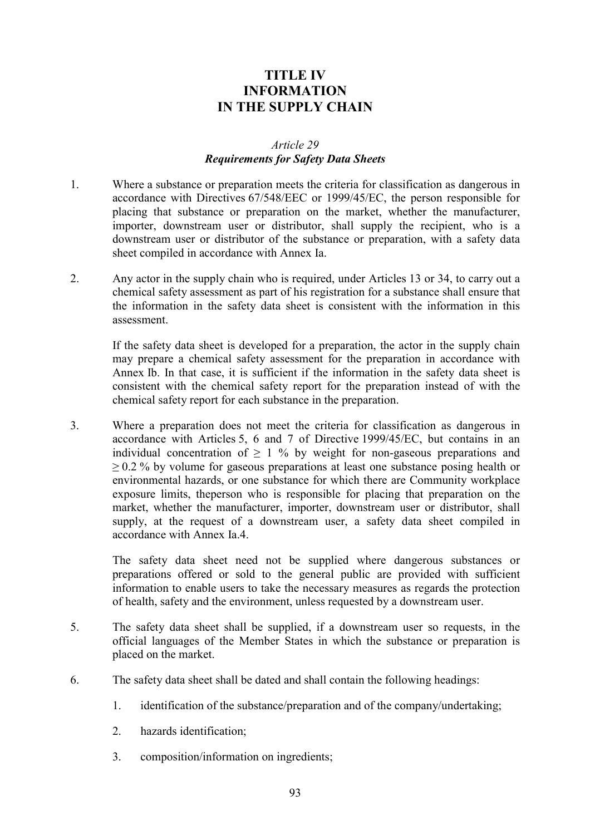# **TITLE IV INFORMATION IN THE SUPPLY CHAIN**

#### *Article 29 Requirements for Safety Data Sheets*

- 1. Where a substance or preparation meets the criteria for classification as dangerous in accordance with Directives 67/548/EEC or 1999/45/EC, the person responsible for placing that substance or preparation on the market, whether the manufacturer, importer, downstream user or distributor, shall supply the recipient, who is a downstream user or distributor of the substance or preparation, with a safety data sheet compiled in accordance with Annex Ia.
- 2. Any actor in the supply chain who is required, under Articles 13 or 34, to carry out a chemical safety assessment as part of his registration for a substance shall ensure that the information in the safety data sheet is consistent with the information in this assessment.

If the safety data sheet is developed for a preparation, the actor in the supply chain may prepare a chemical safety assessment for the preparation in accordance with Annex Ib. In that case, it is sufficient if the information in the safety data sheet is consistent with the chemical safety report for the preparation instead of with the chemical safety report for each substance in the preparation.

3. Where a preparation does not meet the criteria for classification as dangerous in accordance with Articles 5, 6 and 7 of Directive 1999/45/EC, but contains in an individual concentration of  $> 1\%$  by weight for non-gaseous preparations and  $\geq$  0.2 % by volume for gaseous preparations at least one substance posing health or environmental hazards, or one substance for which there are Community workplace exposure limits, theperson who is responsible for placing that preparation on the market, whether the manufacturer, importer, downstream user or distributor, shall supply, at the request of a downstream user, a safety data sheet compiled in accordance with Annex Ia.4.

The safety data sheet need not be supplied where dangerous substances or preparations offered or sold to the general public are provided with sufficient information to enable users to take the necessary measures as regards the protection of health, safety and the environment, unless requested by a downstream user.

- 5. The safety data sheet shall be supplied, if a downstream user so requests, in the official languages of the Member States in which the substance or preparation is placed on the market.
- 6. The safety data sheet shall be dated and shall contain the following headings:
	- 1. identification of the substance/preparation and of the company/undertaking;
	- 2. hazards identification;
	- 3. composition/information on ingredients;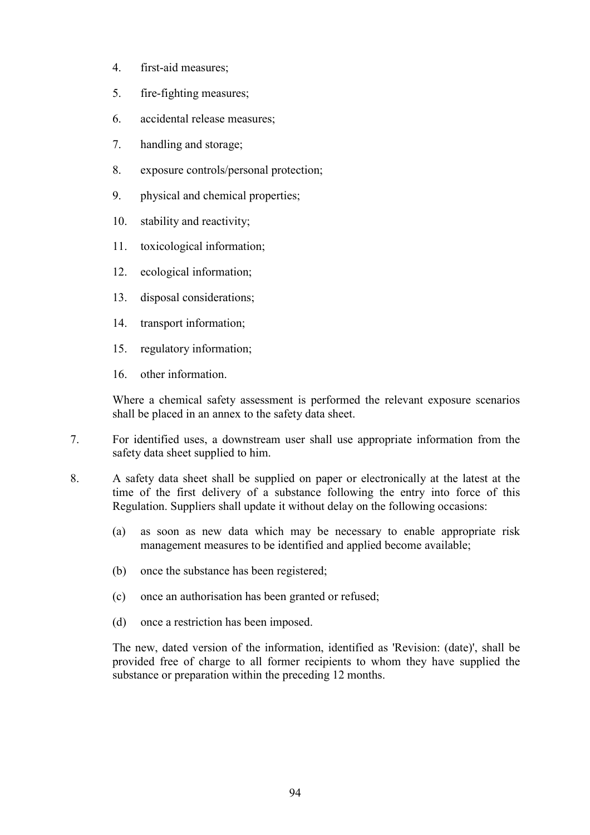- 4. first-aid measures;
- 5. fire-fighting measures;
- 6. accidental release measures;
- 7. handling and storage;
- 8. exposure controls/personal protection;
- 9. physical and chemical properties;
- 10. stability and reactivity;
- 11. toxicological information;
- 12. ecological information;
- 13. disposal considerations;
- 14. transport information;
- 15. regulatory information;
- 16. other information.

Where a chemical safety assessment is performed the relevant exposure scenarios shall be placed in an annex to the safety data sheet.

- 7. For identified uses, a downstream user shall use appropriate information from the safety data sheet supplied to him.
- 8. A safety data sheet shall be supplied on paper or electronically at the latest at the time of the first delivery of a substance following the entry into force of this Regulation. Suppliers shall update it without delay on the following occasions:
	- (a) as soon as new data which may be necessary to enable appropriate risk management measures to be identified and applied become available;
	- (b) once the substance has been registered;
	- (c) once an authorisation has been granted or refused;
	- (d) once a restriction has been imposed.

The new, dated version of the information, identified as 'Revision: (date)', shall be provided free of charge to all former recipients to whom they have supplied the substance or preparation within the preceding 12 months.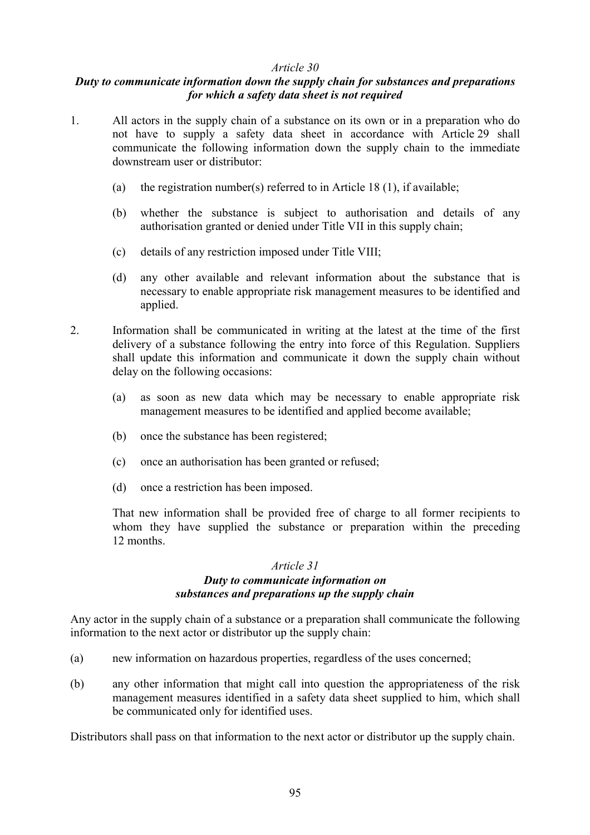#### *Article 30*

#### *Duty to communicate information down the supply chain for substances and preparations for which a safety data sheet is not required*

- 1. All actors in the supply chain of a substance on its own or in a preparation who do not have to supply a safety data sheet in accordance with Article 29 shall communicate the following information down the supply chain to the immediate downstream user or distributor:
	- (a) the registration number(s) referred to in Article 18 (1), if available;
	- (b) whether the substance is subject to authorisation and details of any authorisation granted or denied under Title VII in this supply chain;
	- (c) details of any restriction imposed under Title VIII;
	- (d) any other available and relevant information about the substance that is necessary to enable appropriate risk management measures to be identified and applied.
- 2. Information shall be communicated in writing at the latest at the time of the first delivery of a substance following the entry into force of this Regulation. Suppliers shall update this information and communicate it down the supply chain without delay on the following occasions:
	- (a) as soon as new data which may be necessary to enable appropriate risk management measures to be identified and applied become available;
	- (b) once the substance has been registered;
	- (c) once an authorisation has been granted or refused;
	- (d) once a restriction has been imposed.

That new information shall be provided free of charge to all former recipients to whom they have supplied the substance or preparation within the preceding 12 months.

#### *Article 31 Duty to communicate information on substances and preparations up the supply chain*

Any actor in the supply chain of a substance or a preparation shall communicate the following information to the next actor or distributor up the supply chain:

- (a) new information on hazardous properties, regardless of the uses concerned;
- (b) any other information that might call into question the appropriateness of the risk management measures identified in a safety data sheet supplied to him, which shall be communicated only for identified uses.

Distributors shall pass on that information to the next actor or distributor up the supply chain.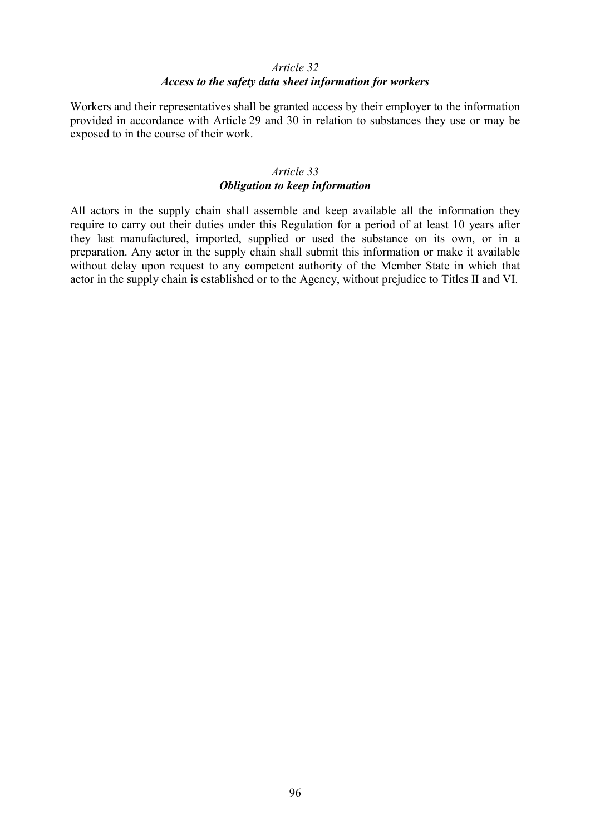#### *Article 32 Access to the safety data sheet information for workers*

Workers and their representatives shall be granted access by their employer to the information provided in accordance with Article 29 and 30 in relation to substances they use or may be exposed to in the course of their work.

## *Article 33 Obligation to keep information*

All actors in the supply chain shall assemble and keep available all the information they require to carry out their duties under this Regulation for a period of at least 10 years after they last manufactured, imported, supplied or used the substance on its own, or in a preparation. Any actor in the supply chain shall submit this information or make it available without delay upon request to any competent authority of the Member State in which that actor in the supply chain is established or to the Agency, without prejudice to Titles II and VI.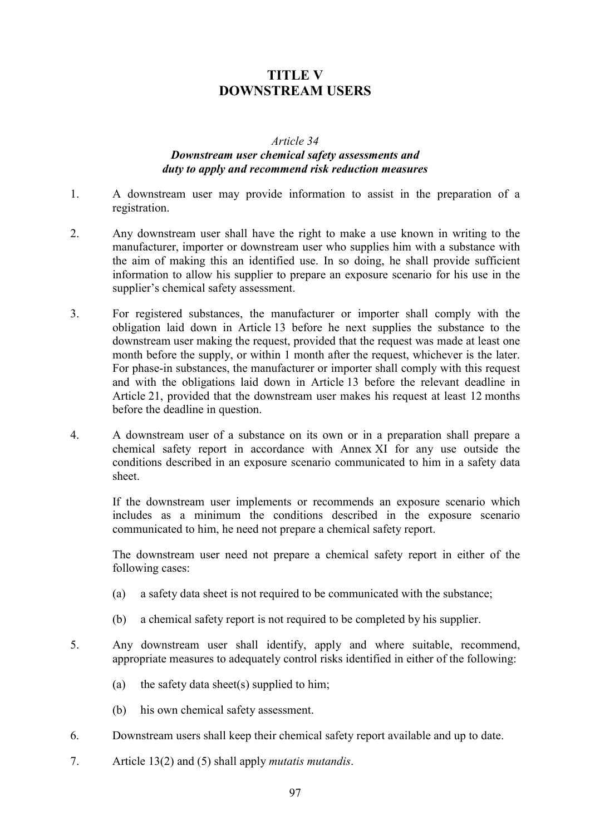# **TITLE V DOWNSTREAM USERS**

#### *Article 34*

## *Downstream user chemical safety assessments and duty to apply and recommend risk reduction measures*

- 1. A downstream user may provide information to assist in the preparation of a registration.
- 2. Any downstream user shall have the right to make a use known in writing to the manufacturer, importer or downstream user who supplies him with a substance with the aim of making this an identified use. In so doing, he shall provide sufficient information to allow his supplier to prepare an exposure scenario for his use in the supplier's chemical safety assessment.
- 3. For registered substances, the manufacturer or importer shall comply with the obligation laid down in Article 13 before he next supplies the substance to the downstream user making the request, provided that the request was made at least one month before the supply, or within 1 month after the request, whichever is the later. For phase-in substances, the manufacturer or importer shall comply with this request and with the obligations laid down in Article 13 before the relevant deadline in Article 21, provided that the downstream user makes his request at least 12 months before the deadline in question.
- 4. A downstream user of a substance on its own or in a preparation shall prepare a chemical safety report in accordance with Annex XI for any use outside the conditions described in an exposure scenario communicated to him in a safety data sheet.

If the downstream user implements or recommends an exposure scenario which includes as a minimum the conditions described in the exposure scenario communicated to him, he need not prepare a chemical safety report.

The downstream user need not prepare a chemical safety report in either of the following cases:

- (a) a safety data sheet is not required to be communicated with the substance;
- (b) a chemical safety report is not required to be completed by his supplier.
- 5. Any downstream user shall identify, apply and where suitable, recommend, appropriate measures to adequately control risks identified in either of the following:
	- (a) the safety data sheet(s) supplied to him;
	- (b) his own chemical safety assessment.
- 6. Downstream users shall keep their chemical safety report available and up to date.
- 7. Article 13(2) and (5) shall apply *mutatis mutandis*.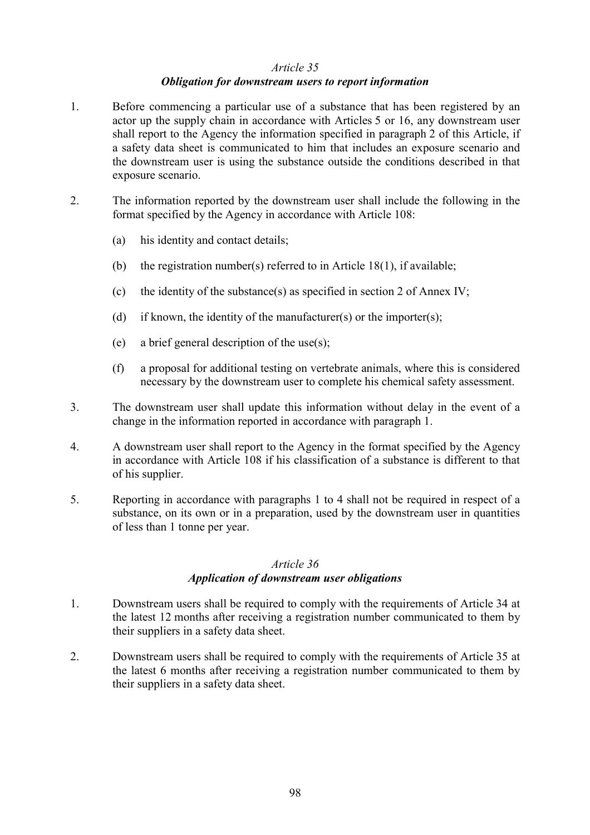#### *Article 35*

#### *Obligation for downstream users to report information*

- 1. Before commencing a particular use of a substance that has been registered by an actor up the supply chain in accordance with Articles 5 or 16, any downstream user shall report to the Agency the information specified in paragraph 2 of this Article, if a safety data sheet is communicated to him that includes an exposure scenario and the downstream user is using the substance outside the conditions described in that exposure scenario.
- 2. The information reported by the downstream user shall include the following in the format specified by the Agency in accordance with Article 108:
	- (a) his identity and contact details;
	- (b) the registration number(s) referred to in Article 18(1), if available;
	- (c) the identity of the substance(s) as specified in section 2 of Annex IV;
	- (d) if known, the identity of the manufacturer(s) or the importer(s);
	- (e) a brief general description of the use(s);
	- (f) a proposal for additional testing on vertebrate animals, where this is considered necessary by the downstream user to complete his chemical safety assessment.
- 3. The downstream user shall update this information without delay in the event of a change in the information reported in accordance with paragraph 1.
- 4. A downstream user shall report to the Agency in the format specified by the Agency in accordance with Article 108 if his classification of a substance is different to that of his supplier.
- 5. Reporting in accordance with paragraphs 1 to 4 shall not be required in respect of a substance, on its own or in a preparation, used by the downstream user in quantities of less than 1 tonne per year.

#### *Article 36*

#### *Application of downstream user obligations*

- 1. Downstream users shall be required to comply with the requirements of Article 34 at the latest 12 months after receiving a registration number communicated to them by their suppliers in a safety data sheet.
- 2. Downstream users shall be required to comply with the requirements of Article 35 at the latest 6 months after receiving a registration number communicated to them by their suppliers in a safety data sheet.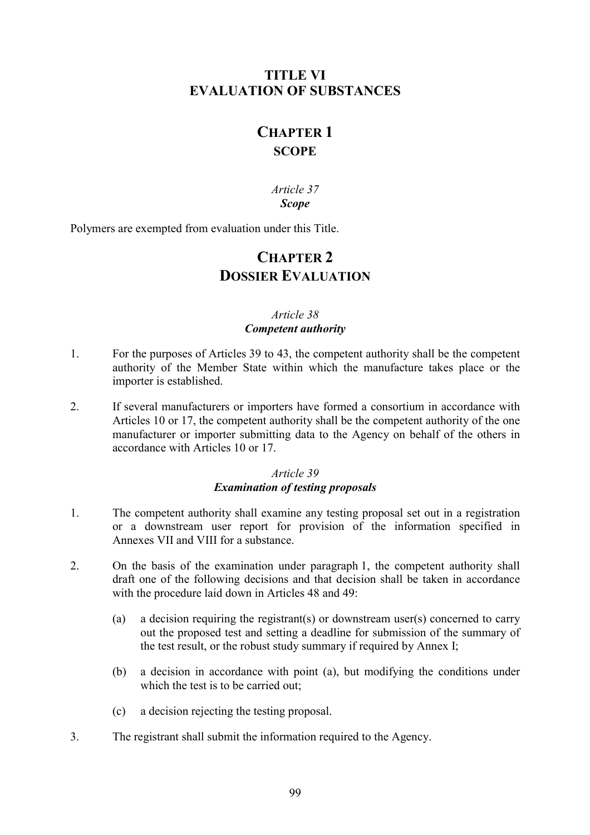# **TITLE VI EVALUATION OF SUBSTANCES**

# **CHAPTER 1 SCOPE**

*Article 37 Scope*

Polymers are exempted from evaluation under this Title.

# **CHAPTER 2 DOSSIER EVALUATION**

# *Article 38 Competent authority*

- 1. For the purposes of Articles 39 to 43, the competent authority shall be the competent authority of the Member State within which the manufacture takes place or the importer is established.
- 2. If several manufacturers or importers have formed a consortium in accordance with Articles 10 or 17, the competent authority shall be the competent authority of the one manufacturer or importer submitting data to the Agency on behalf of the others in accordance with Articles 10 or 17.

## *Article 39 Examination of testing proposals*

- 1. The competent authority shall examine any testing proposal set out in a registration or a downstream user report for provision of the information specified in Annexes VII and VIII for a substance.
- 2. On the basis of the examination under paragraph 1, the competent authority shall draft one of the following decisions and that decision shall be taken in accordance with the procedure laid down in Articles 48 and 49:
	- (a) a decision requiring the registrant(s) or downstream user(s) concerned to carry out the proposed test and setting a deadline for submission of the summary of the test result, or the robust study summary if required by Annex I;
	- (b) a decision in accordance with point (a), but modifying the conditions under which the test is to be carried out;
	- (c) a decision rejecting the testing proposal.
- 3. The registrant shall submit the information required to the Agency.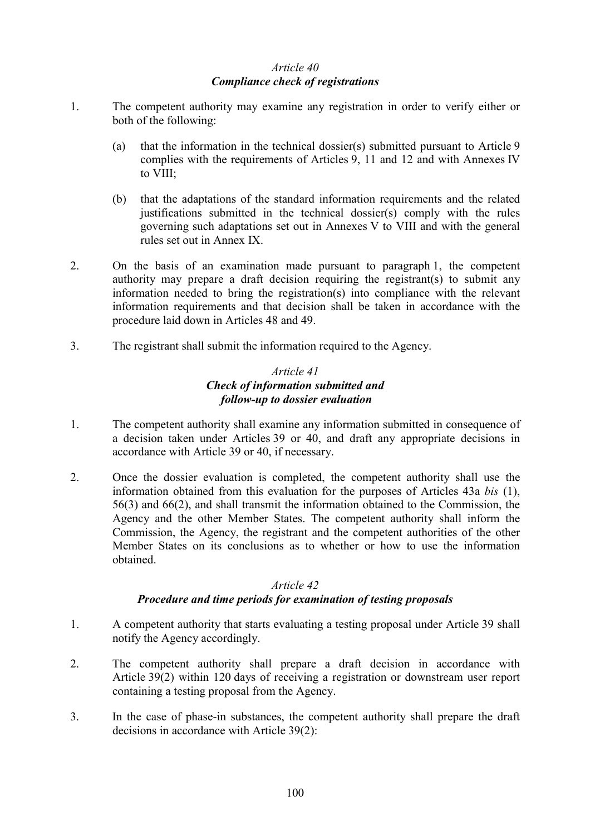## *Article 40 Compliance check of registrations*

- 1. The competent authority may examine any registration in order to verify either or both of the following:
	- (a) that the information in the technical dossier(s) submitted pursuant to Article 9 complies with the requirements of Articles 9, 11 and 12 and with Annexes IV to VIII;
	- (b) that the adaptations of the standard information requirements and the related justifications submitted in the technical dossier(s) comply with the rules governing such adaptations set out in Annexes V to VIII and with the general rules set out in Annex IX.
- 2. On the basis of an examination made pursuant to paragraph 1, the competent authority may prepare a draft decision requiring the registrant(s) to submit any information needed to bring the registration(s) into compliance with the relevant information requirements and that decision shall be taken in accordance with the procedure laid down in Articles 48 and 49.
- 3. The registrant shall submit the information required to the Agency.

#### *Article 41 Check of information submitted and follow-up to dossier evaluation*

- 1. The competent authority shall examine any information submitted in consequence of a decision taken under Articles 39 or 40, and draft any appropriate decisions in accordance with Article 39 or 40, if necessary.
- 2. Once the dossier evaluation is completed, the competent authority shall use the information obtained from this evaluation for the purposes of Articles 43a *bis* (1), 56(3) and 66(2), and shall transmit the information obtained to the Commission, the Agency and the other Member States. The competent authority shall inform the Commission, the Agency, the registrant and the competent authorities of the other Member States on its conclusions as to whether or how to use the information obtained.

#### *Article 42*

## *Procedure and time periods for examination of testing proposals*

- 1. A competent authority that starts evaluating a testing proposal under Article 39 shall notify the Agency accordingly.
- 2. The competent authority shall prepare a draft decision in accordance with Article 39(2) within 120 days of receiving a registration or downstream user report containing a testing proposal from the Agency.
- 3. In the case of phase-in substances, the competent authority shall prepare the draft decisions in accordance with Article 39(2):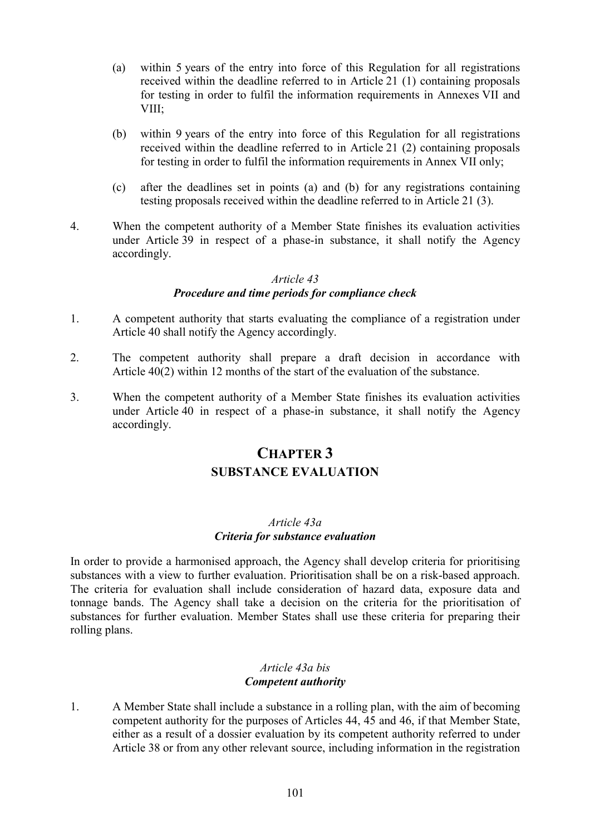- (a) within 5 years of the entry into force of this Regulation for all registrations received within the deadline referred to in Article 21 (1) containing proposals for testing in order to fulfil the information requirements in Annexes VII and VIII;
- (b) within 9 years of the entry into force of this Regulation for all registrations received within the deadline referred to in Article 21 (2) containing proposals for testing in order to fulfil the information requirements in Annex VII only;
- (c) after the deadlines set in points (a) and (b) for any registrations containing testing proposals received within the deadline referred to in Article 21 (3).
- 4. When the competent authority of a Member State finishes its evaluation activities under Article 39 in respect of a phase-in substance, it shall notify the Agency accordingly.

## *Article 43*

# *Procedure and time periods for compliance check*

- 1. A competent authority that starts evaluating the compliance of a registration under Article 40 shall notify the Agency accordingly.
- 2. The competent authority shall prepare a draft decision in accordance with Article 40(2) within 12 months of the start of the evaluation of the substance.
- 3. When the competent authority of a Member State finishes its evaluation activities under Article 40 in respect of a phase-in substance, it shall notify the Agency accordingly.

# **CHAPTER 3 SUBSTANCE EVALUATION**

#### *Article 43a Criteria for substance evaluation*

In order to provide a harmonised approach, the Agency shall develop criteria for prioritising substances with a view to further evaluation. Prioritisation shall be on a risk-based approach. The criteria for evaluation shall include consideration of hazard data, exposure data and tonnage bands. The Agency shall take a decision on the criteria for the prioritisation of substances for further evaluation. Member States shall use these criteria for preparing their rolling plans.

#### *Article 43a bis Competent authority*

1. A Member State shall include a substance in a rolling plan, with the aim of becoming competent authority for the purposes of Articles 44, 45 and 46, if that Member State, either as a result of a dossier evaluation by its competent authority referred to under Article 38 or from any other relevant source, including information in the registration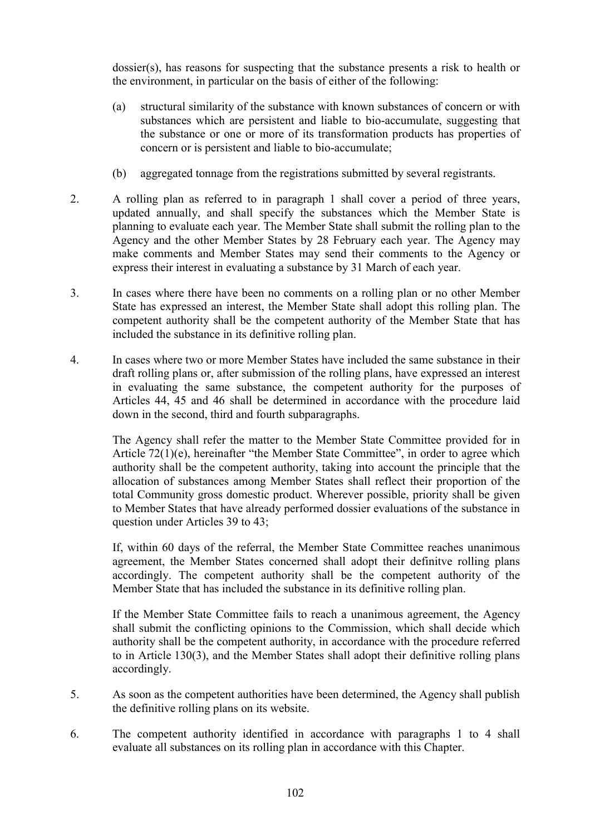dossier(s), has reasons for suspecting that the substance presents a risk to health or the environment, in particular on the basis of either of the following:

- (a) structural similarity of the substance with known substances of concern or with substances which are persistent and liable to bio-accumulate, suggesting that the substance or one or more of its transformation products has properties of concern or is persistent and liable to bio-accumulate;
- (b) aggregated tonnage from the registrations submitted by several registrants.
- 2. A rolling plan as referred to in paragraph 1 shall cover a period of three years, updated annually, and shall specify the substances which the Member State is planning to evaluate each year. The Member State shall submit the rolling plan to the Agency and the other Member States by 28 February each year. The Agency may make comments and Member States may send their comments to the Agency or express their interest in evaluating a substance by 31 March of each year.
- 3. In cases where there have been no comments on a rolling plan or no other Member State has expressed an interest, the Member State shall adopt this rolling plan. The competent authority shall be the competent authority of the Member State that has included the substance in its definitive rolling plan.
- 4. In cases where two or more Member States have included the same substance in their draft rolling plans or, after submission of the rolling plans, have expressed an interest in evaluating the same substance, the competent authority for the purposes of Articles 44, 45 and 46 shall be determined in accordance with the procedure laid down in the second, third and fourth subparagraphs.

The Agency shall refer the matter to the Member State Committee provided for in Article 72(1)(e), hereinafter "the Member State Committee", in order to agree which authority shall be the competent authority, taking into account the principle that the allocation of substances among Member States shall reflect their proportion of the total Community gross domestic product. Wherever possible, priority shall be given to Member States that have already performed dossier evaluations of the substance in question under Articles 39 to 43;

If, within 60 days of the referral, the Member State Committee reaches unanimous agreement, the Member States concerned shall adopt their definitve rolling plans accordingly. The competent authority shall be the competent authority of the Member State that has included the substance in its definitive rolling plan.

If the Member State Committee fails to reach a unanimous agreement, the Agency shall submit the conflicting opinions to the Commission, which shall decide which authority shall be the competent authority, in accordance with the procedure referred to in Article 130(3), and the Member States shall adopt their definitive rolling plans accordingly.

- 5. As soon as the competent authorities have been determined, the Agency shall publish the definitive rolling plans on its website.
- 6. The competent authority identified in accordance with paragraphs 1 to 4 shall evaluate all substances on its rolling plan in accordance with this Chapter.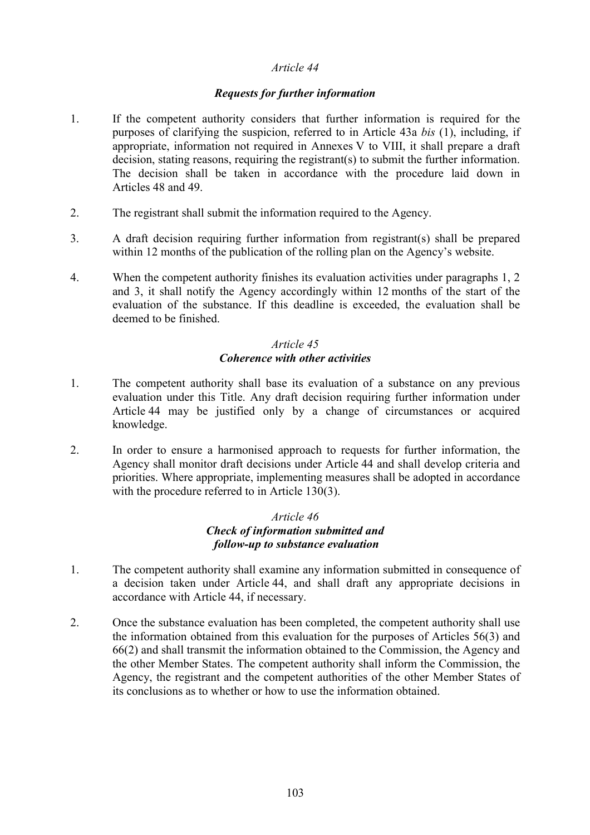#### *Article 44*

#### *Requests for further information*

- 1. If the competent authority considers that further information is required for the purposes of clarifying the suspicion, referred to in Article 43a *bis* (1), including, if appropriate, information not required in Annexes V to VIII, it shall prepare a draft decision, stating reasons, requiring the registrant(s) to submit the further information. The decision shall be taken in accordance with the procedure laid down in Articles 48 and 49.
- 2. The registrant shall submit the information required to the Agency.
- 3. A draft decision requiring further information from registrant(s) shall be prepared within 12 months of the publication of the rolling plan on the Agency's website.
- 4. When the competent authority finishes its evaluation activities under paragraphs 1, 2 and 3, it shall notify the Agency accordingly within 12 months of the start of the evaluation of the substance. If this deadline is exceeded, the evaluation shall be deemed to be finished.

## *Article 45 Coherence with other activities*

- 1. The competent authority shall base its evaluation of a substance on any previous evaluation under this Title. Any draft decision requiring further information under Article 44 may be justified only by a change of circumstances or acquired knowledge.
- 2. In order to ensure a harmonised approach to requests for further information, the Agency shall monitor draft decisions under Article 44 and shall develop criteria and priorities. Where appropriate, implementing measures shall be adopted in accordance with the procedure referred to in Article 130(3).

#### *Article 46 Check of information submitted and follow-up to substance evaluation*

- 1. The competent authority shall examine any information submitted in consequence of a decision taken under Article 44, and shall draft any appropriate decisions in accordance with Article 44, if necessary.
- 2. Once the substance evaluation has been completed, the competent authority shall use the information obtained from this evaluation for the purposes of Articles 56(3) and 66(2) and shall transmit the information obtained to the Commission, the Agency and the other Member States. The competent authority shall inform the Commission, the Agency, the registrant and the competent authorities of the other Member States of its conclusions as to whether or how to use the information obtained.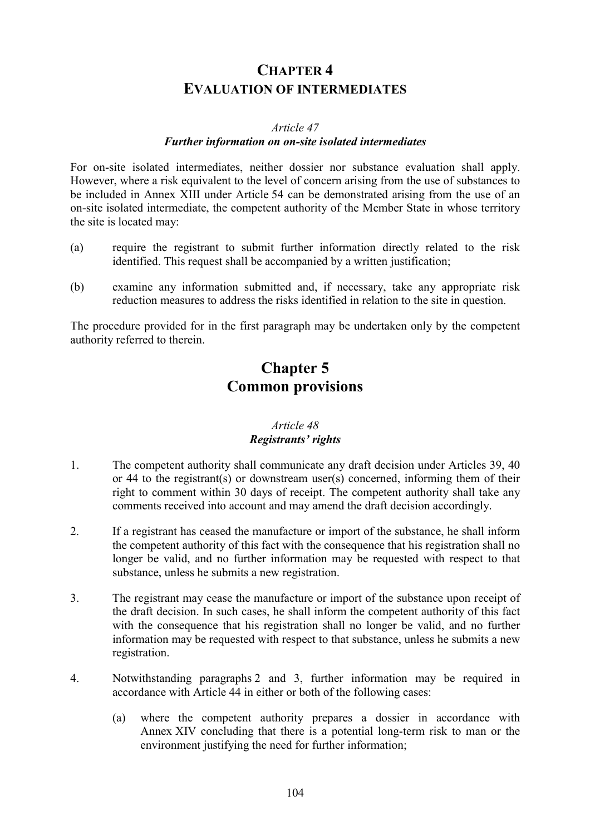# **CHAPTER 4 EVALUATION OF INTERMEDIATES**

#### *Article 47*

#### *Further information on on-site isolated intermediates*

For on-site isolated intermediates, neither dossier nor substance evaluation shall apply. However, where a risk equivalent to the level of concern arising from the use of substances to be included in Annex XIII under Article 54 can be demonstrated arising from the use of an on-site isolated intermediate, the competent authority of the Member State in whose territory the site is located may:

- (a) require the registrant to submit further information directly related to the risk identified. This request shall be accompanied by a written justification:
- (b) examine any information submitted and, if necessary, take any appropriate risk reduction measures to address the risks identified in relation to the site in question.

The procedure provided for in the first paragraph may be undertaken only by the competent authority referred to therein.

# **Chapter 5 Common provisions**

## *Article 48 Registrants' rights*

- 1. The competent authority shall communicate any draft decision under Articles 39, 40 or 44 to the registrant(s) or downstream user(s) concerned, informing them of their right to comment within 30 days of receipt. The competent authority shall take any comments received into account and may amend the draft decision accordingly.
- 2. If a registrant has ceased the manufacture or import of the substance, he shall inform the competent authority of this fact with the consequence that his registration shall no longer be valid, and no further information may be requested with respect to that substance, unless he submits a new registration.
- 3. The registrant may cease the manufacture or import of the substance upon receipt of the draft decision. In such cases, he shall inform the competent authority of this fact with the consequence that his registration shall no longer be valid, and no further information may be requested with respect to that substance, unless he submits a new registration.
- 4. Notwithstanding paragraphs 2 and 3, further information may be required in accordance with Article 44 in either or both of the following cases:
	- (a) where the competent authority prepares a dossier in accordance with Annex XIV concluding that there is a potential long-term risk to man or the environment justifying the need for further information;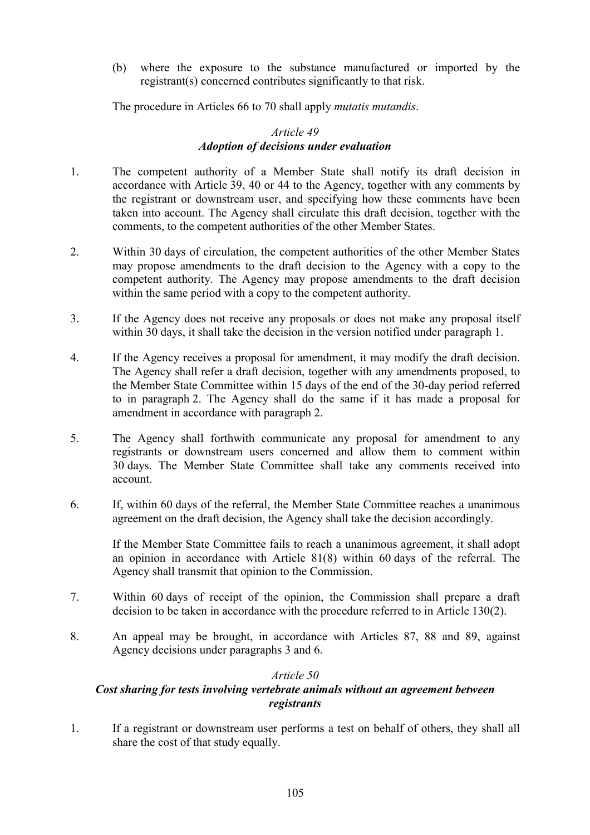(b) where the exposure to the substance manufactured or imported by the registrant(s) concerned contributes significantly to that risk.

The procedure in Articles 66 to 70 shall apply *mutatis mutandis*.

## *Article 49 Adoption of decisions under evaluation*

- 1. The competent authority of a Member State shall notify its draft decision in accordance with Article 39, 40 or 44 to the Agency, together with any comments by the registrant or downstream user, and specifying how these comments have been taken into account. The Agency shall circulate this draft decision, together with the comments, to the competent authorities of the other Member States.
- 2. Within 30 days of circulation, the competent authorities of the other Member States may propose amendments to the draft decision to the Agency with a copy to the competent authority. The Agency may propose amendments to the draft decision within the same period with a copy to the competent authority.
- 3. If the Agency does not receive any proposals or does not make any proposal itself within 30 days, it shall take the decision in the version notified under paragraph 1.
- 4. If the Agency receives a proposal for amendment, it may modify the draft decision. The Agency shall refer a draft decision, together with any amendments proposed, to the Member State Committee within 15 days of the end of the 30-day period referred to in paragraph 2. The Agency shall do the same if it has made a proposal for amendment in accordance with paragraph 2.
- 5. The Agency shall forthwith communicate any proposal for amendment to any registrants or downstream users concerned and allow them to comment within 30 days. The Member State Committee shall take any comments received into account.
- 6. If, within 60 days of the referral, the Member State Committee reaches a unanimous agreement on the draft decision, the Agency shall take the decision accordingly.

If the Member State Committee fails to reach a unanimous agreement, it shall adopt an opinion in accordance with Article 81(8) within 60 days of the referral. The Agency shall transmit that opinion to the Commission.

- 7. Within 60 days of receipt of the opinion, the Commission shall prepare a draft decision to be taken in accordance with the procedure referred to in Article 130(2).
- 8. An appeal may be brought, in accordance with Articles 87, 88 and 89, against Agency decisions under paragraphs 3 and 6.

## *Article 50*

## *Cost sharing for tests involving vertebrate animals without an agreement between registrants*

1. If a registrant or downstream user performs a test on behalf of others, they shall all share the cost of that study equally.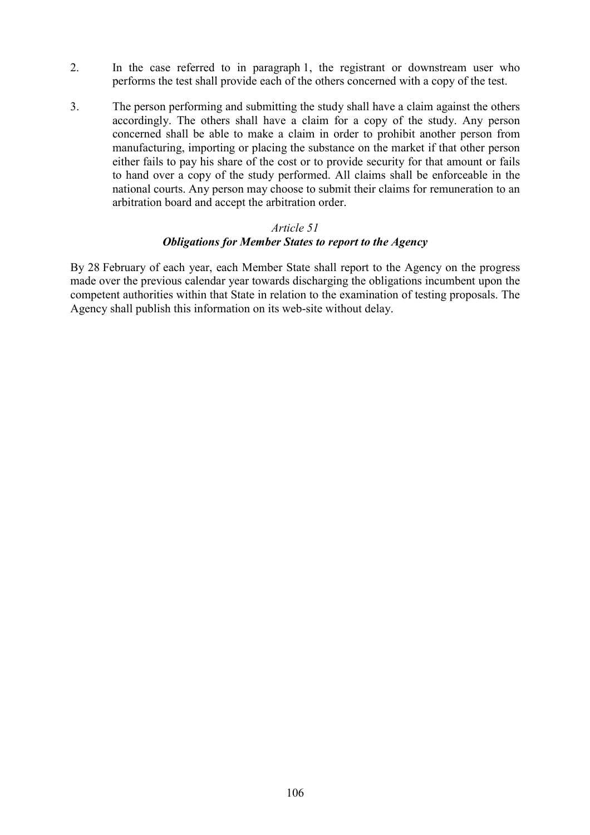- 2. In the case referred to in paragraph 1, the registrant or downstream user who performs the test shall provide each of the others concerned with a copy of the test.
- 3. The person performing and submitting the study shall have a claim against the others accordingly. The others shall have a claim for a copy of the study. Any person concerned shall be able to make a claim in order to prohibit another person from manufacturing, importing or placing the substance on the market if that other person either fails to pay his share of the cost or to provide security for that amount or fails to hand over a copy of the study performed. All claims shall be enforceable in the national courts. Any person may choose to submit their claims for remuneration to an arbitration board and accept the arbitration order.

## *Article 51 Obligations for Member States to report to the Agency*

By 28 February of each year, each Member State shall report to the Agency on the progress made over the previous calendar year towards discharging the obligations incumbent upon the competent authorities within that State in relation to the examination of testing proposals. The Agency shall publish this information on its web-site without delay.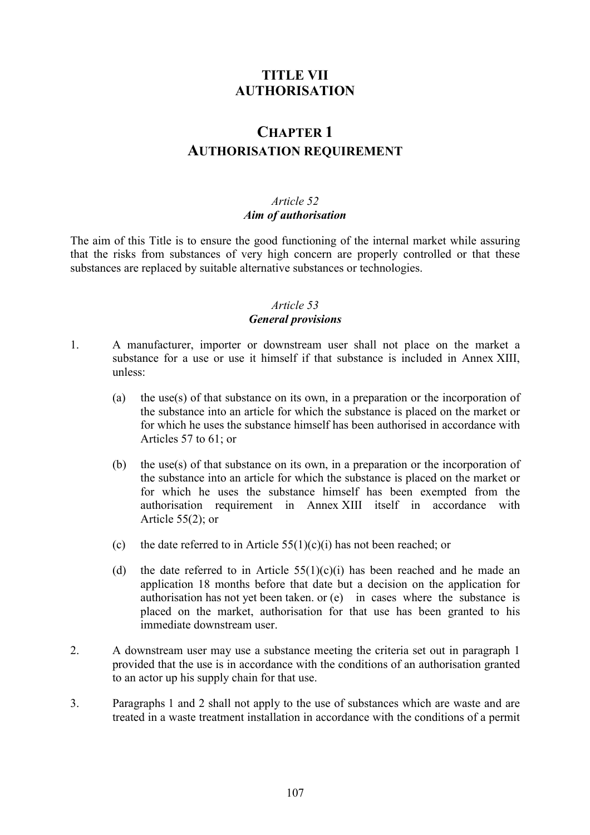# **TITLE VII AUTHORISATION**

# **CHAPTER 1 AUTHORISATION REQUIREMENT**

## *Article 52 Aim of authorisation*

The aim of this Title is to ensure the good functioning of the internal market while assuring that the risks from substances of very high concern are properly controlled or that these substances are replaced by suitable alternative substances or technologies.

# *Article 53 General provisions*

- 1. A manufacturer, importer or downstream user shall not place on the market a substance for a use or use it himself if that substance is included in Annex XIII, unless:
	- (a) the use(s) of that substance on its own, in a preparation or the incorporation of the substance into an article for which the substance is placed on the market or for which he uses the substance himself has been authorised in accordance with Articles 57 to 61; or
	- (b) the use(s) of that substance on its own, in a preparation or the incorporation of the substance into an article for which the substance is placed on the market or for which he uses the substance himself has been exempted from the authorisation requirement in Annex XIII itself in accordance with Article 55(2); or
	- (c) the date referred to in Article  $55(1)(c)(i)$  has not been reached; or
	- (d) the date referred to in Article  $55(1)(c)(i)$  has been reached and he made an application 18 months before that date but a decision on the application for authorisation has not yet been taken. or (e) in cases where the substance is placed on the market, authorisation for that use has been granted to his immediate downstream user.
- 2. A downstream user may use a substance meeting the criteria set out in paragraph 1 provided that the use is in accordance with the conditions of an authorisation granted to an actor up his supply chain for that use.
- 3. Paragraphs 1 and 2 shall not apply to the use of substances which are waste and are treated in a waste treatment installation in accordance with the conditions of a permit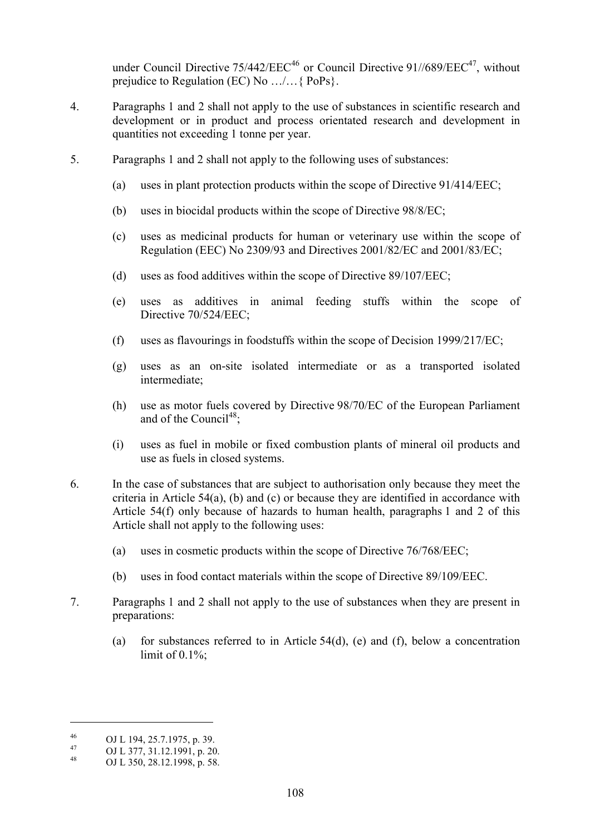under Council Directive  $75/442/EEC^{46}$  or Council Directive  $91//689/EEC^{47}$ , without prejudice to Regulation (EC) No …/…{ PoPs}.

- 4. Paragraphs 1 and 2 shall not apply to the use of substances in scientific research and development or in product and process orientated research and development in quantities not exceeding 1 tonne per year.
- 5. Paragraphs 1 and 2 shall not apply to the following uses of substances:
	- (a) uses in plant protection products within the scope of Directive 91/414/EEC;
	- (b) uses in biocidal products within the scope of Directive 98/8/EC;
	- (c) uses as medicinal products for human or veterinary use within the scope of Regulation (EEC) No 2309/93 and Directives 2001/82/EC and 2001/83/EC;
	- (d) uses as food additives within the scope of Directive 89/107/EEC;
	- (e) uses as additives in animal feeding stuffs within the scope of Directive 70/524/EEC;
	- (f) uses as flavourings in foodstuffs within the scope of Decision 1999/217/EC;
	- (g) uses as an on-site isolated intermediate or as a transported isolated intermediate;
	- (h) use as motor fuels covered by Directive 98/70/EC of the European Parliament and of the Council<sup>48</sup>:
	- (i) uses as fuel in mobile or fixed combustion plants of mineral oil products and use as fuels in closed systems.
- 6. In the case of substances that are subject to authorisation only because they meet the criteria in Article 54(a), (b) and (c) or because they are identified in accordance with Article 54(f) only because of hazards to human health, paragraphs 1 and 2 of this Article shall not apply to the following uses:
	- (a) uses in cosmetic products within the scope of Directive 76/768/EEC;
	- (b) uses in food contact materials within the scope of Directive 89/109/EEC.
- 7. Paragraphs 1 and 2 shall not apply to the use of substances when they are present in preparations:
	- (a) for substances referred to in Article 54(d), (e) and (f), below a concentration limit of  $0.1\%$ ;

 $\overline{a}$ 

<sup>46</sup> OJ L 194, 25.7.1975, p. 39.<br>
47 OJ L 377, 31.12.1991, p. 20.<br>
OJ L 350, 28.12.1998, p. 58.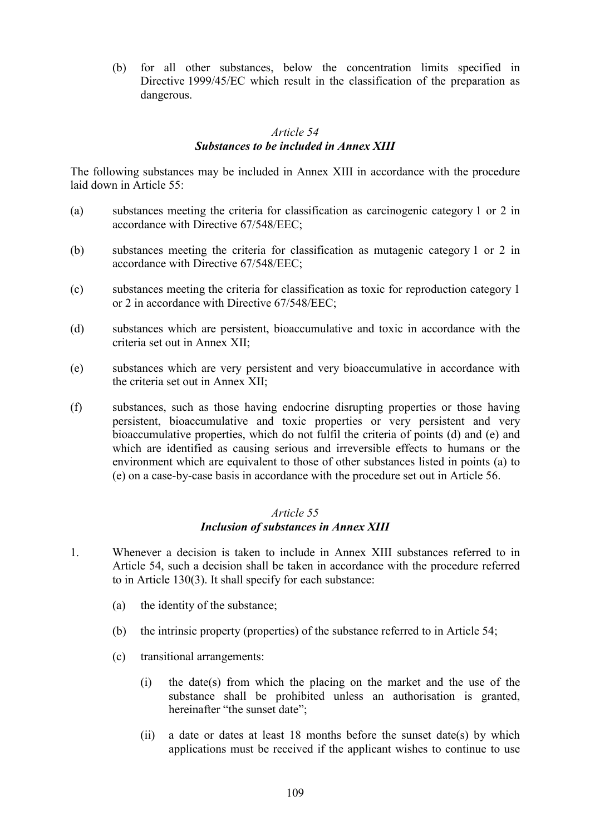(b) for all other substances, below the concentration limits specified in Directive 1999/45/EC which result in the classification of the preparation as dangerous.

#### *Article 54 Substances to be included in Annex XIII*

The following substances may be included in Annex XIII in accordance with the procedure laid down in Article 55:

- (a) substances meeting the criteria for classification as carcinogenic category 1 or 2 in accordance with Directive 67/548/EEC;
- (b) substances meeting the criteria for classification as mutagenic category 1 or 2 in accordance with Directive 67/548/EEC;
- (c) substances meeting the criteria for classification as toxic for reproduction category 1 or 2 in accordance with Directive 67/548/EEC;
- (d) substances which are persistent, bioaccumulative and toxic in accordance with the criteria set out in Annex XII;
- (e) substances which are very persistent and very bioaccumulative in accordance with the criteria set out in Annex XII;
- (f) substances, such as those having endocrine disrupting properties or those having persistent, bioaccumulative and toxic properties or very persistent and very bioaccumulative properties, which do not fulfil the criteria of points (d) and (e) and which are identified as causing serious and irreversible effects to humans or the environment which are equivalent to those of other substances listed in points (a) to (e) on a case-by-case basis in accordance with the procedure set out in Article 56.

#### *Article 55 Inclusion of substances in Annex XIII*

- 1. Whenever a decision is taken to include in Annex XIII substances referred to in Article 54, such a decision shall be taken in accordance with the procedure referred to in Article 130(3). It shall specify for each substance:
	- (a) the identity of the substance;
	- (b) the intrinsic property (properties) of the substance referred to in Article 54;
	- (c) transitional arrangements:
		- (i) the date(s) from which the placing on the market and the use of the substance shall be prohibited unless an authorisation is granted, hereinafter "the sunset date";
		- (ii) a date or dates at least 18 months before the sunset date(s) by which applications must be received if the applicant wishes to continue to use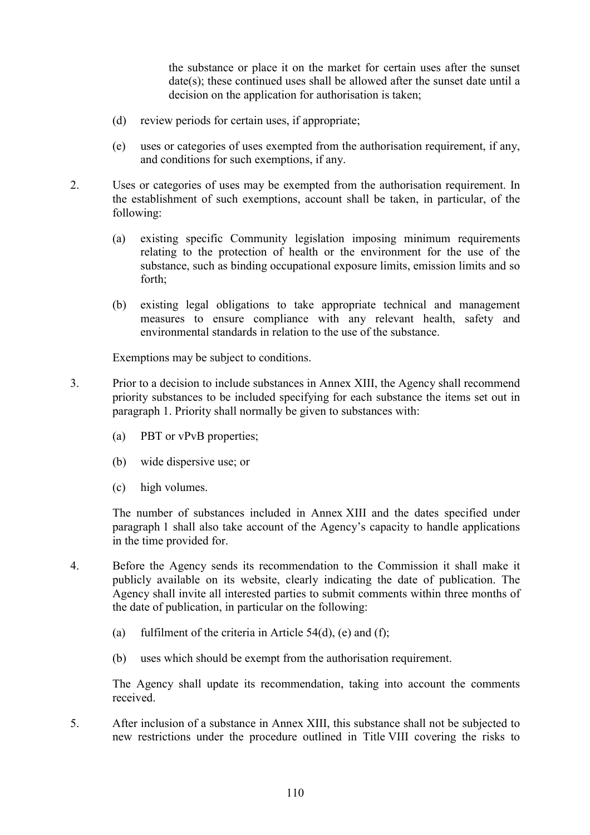the substance or place it on the market for certain uses after the sunset date(s); these continued uses shall be allowed after the sunset date until a decision on the application for authorisation is taken;

- (d) review periods for certain uses, if appropriate;
- (e) uses or categories of uses exempted from the authorisation requirement, if any, and conditions for such exemptions, if any.
- 2. Uses or categories of uses may be exempted from the authorisation requirement. In the establishment of such exemptions, account shall be taken, in particular, of the following:
	- (a) existing specific Community legislation imposing minimum requirements relating to the protection of health or the environment for the use of the substance, such as binding occupational exposure limits, emission limits and so forth;
	- (b) existing legal obligations to take appropriate technical and management measures to ensure compliance with any relevant health, safety and environmental standards in relation to the use of the substance.

Exemptions may be subject to conditions.

- 3. Prior to a decision to include substances in Annex XIII, the Agency shall recommend priority substances to be included specifying for each substance the items set out in paragraph 1. Priority shall normally be given to substances with:
	- (a) PBT or vPvB properties;
	- (b) wide dispersive use; or
	- (c) high volumes.

The number of substances included in Annex XIII and the dates specified under paragraph 1 shall also take account of the Agency's capacity to handle applications in the time provided for.

- 4. Before the Agency sends its recommendation to the Commission it shall make it publicly available on its website, clearly indicating the date of publication. The Agency shall invite all interested parties to submit comments within three months of the date of publication, in particular on the following:
	- (a) fulfilment of the criteria in Article  $54(d)$ , (e) and (f);
	- (b) uses which should be exempt from the authorisation requirement.

The Agency shall update its recommendation, taking into account the comments received.

5. After inclusion of a substance in Annex XIII, this substance shall not be subjected to new restrictions under the procedure outlined in Title VIII covering the risks to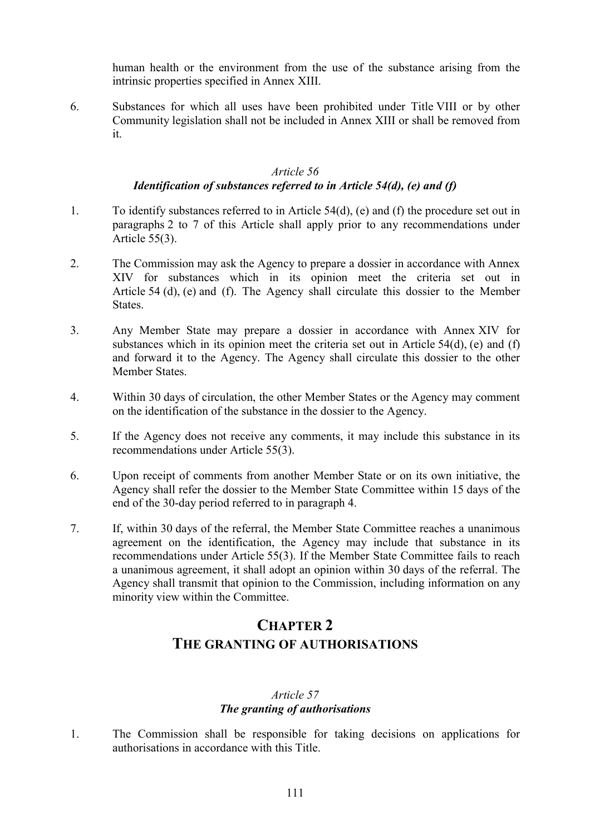human health or the environment from the use of the substance arising from the intrinsic properties specified in Annex XIII.

6. Substances for which all uses have been prohibited under Title VIII or by other Community legislation shall not be included in Annex XIII or shall be removed from it.

#### *Article 56*

# *Identification of substances referred to in Article 54(d), (e) and (f)*

- 1. To identify substances referred to in Article 54(d), (e) and (f) the procedure set out in paragraphs 2 to 7 of this Article shall apply prior to any recommendations under Article 55(3).
- 2. The Commission may ask the Agency to prepare a dossier in accordance with Annex XIV for substances which in its opinion meet the criteria set out in Article 54 (d), (e) and (f). The Agency shall circulate this dossier to the Member States.
- 3. Any Member State may prepare a dossier in accordance with Annex XIV for substances which in its opinion meet the criteria set out in Article 54(d), (e) and (f) and forward it to the Agency. The Agency shall circulate this dossier to the other Member States.
- 4. Within 30 days of circulation, the other Member States or the Agency may comment on the identification of the substance in the dossier to the Agency.
- 5. If the Agency does not receive any comments, it may include this substance in its recommendations under Article 55(3).
- 6. Upon receipt of comments from another Member State or on its own initiative, the Agency shall refer the dossier to the Member State Committee within 15 days of the end of the 30-day period referred to in paragraph 4.
- 7. If, within 30 days of the referral, the Member State Committee reaches a unanimous agreement on the identification, the Agency may include that substance in its recommendations under Article 55(3). If the Member State Committee fails to reach a unanimous agreement, it shall adopt an opinion within 30 days of the referral. The Agency shall transmit that opinion to the Commission, including information on any minority view within the Committee.

# **CHAPTER 2 THE GRANTING OF AUTHORISATIONS**

# *Article 57 The granting of authorisations*

1. The Commission shall be responsible for taking decisions on applications for authorisations in accordance with this Title.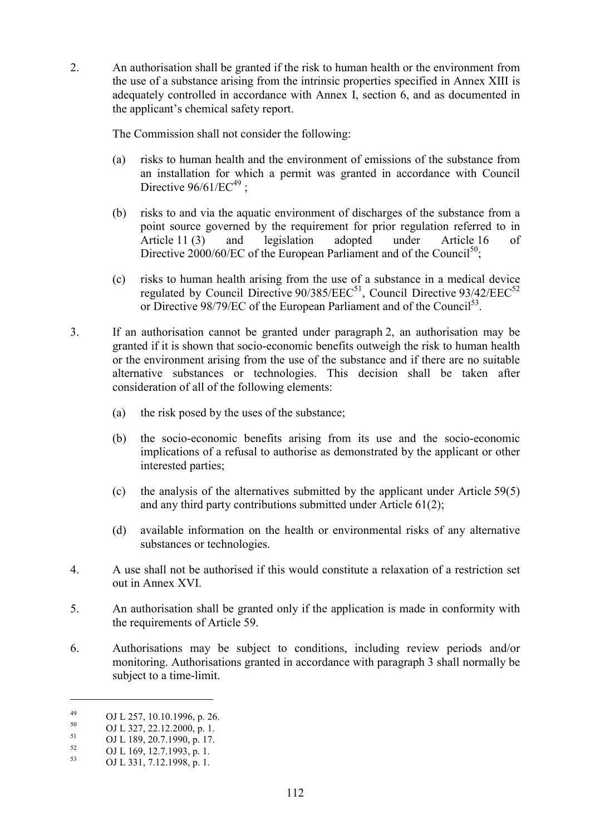2. An authorisation shall be granted if the risk to human health or the environment from the use of a substance arising from the intrinsic properties specified in Annex XIII is adequately controlled in accordance with Annex I, section 6, and as documented in the applicant's chemical safety report.

The Commission shall not consider the following:

- (a) risks to human health and the environment of emissions of the substance from an installation for which a permit was granted in accordance with Council Directive  $96/61/EC^{49}$ :
- (b) risks to and via the aquatic environment of discharges of the substance from a point source governed by the requirement for prior regulation referred to in Article 11 (3) and legislation adopted under Article 16 of Directive 2000/60/EC of the European Parliament and of the Council<sup>50</sup>:
- (c) risks to human health arising from the use of a substance in a medical device regulated by Council Directive  $90/385/EEC^{51}$ , Council Directive  $93/42/EEC^{52}$ or Directive 98/79/EC of the European Parliament and of the Council<sup>53</sup>.
- 3. If an authorisation cannot be granted under paragraph 2, an authorisation may be granted if it is shown that socio-economic benefits outweigh the risk to human health or the environment arising from the use of the substance and if there are no suitable alternative substances or technologies. This decision shall be taken after consideration of all of the following elements:
	- (a) the risk posed by the uses of the substance;
	- (b) the socio-economic benefits arising from its use and the socio-economic implications of a refusal to authorise as demonstrated by the applicant or other interested parties;
	- (c) the analysis of the alternatives submitted by the applicant under Article 59(5) and any third party contributions submitted under Article 61(2);
	- (d) available information on the health or environmental risks of any alternative substances or technologies.
- 4. A use shall not be authorised if this would constitute a relaxation of a restriction set out in Annex XVI.
- 5. An authorisation shall be granted only if the application is made in conformity with the requirements of Article 59.
- 6. Authorisations may be subject to conditions, including review periods and/or monitoring. Authorisations granted in accordance with paragraph 3 shall normally be subject to a time-limit.

 $\overline{a}$ 

<sup>49</sup> OJ L 257, 10.10.1996, p. 26.<br>
OJ L 327, 22.12.2000, p. 1.

 $^{51}$  OJ L 189, 20.7.1990, p. 17.

 $^{52}$  OJ L 169, 12.7.1993, p. 1.<br> $^{53}$  OJ L 221, 7.12, 1009, p. 1.

<sup>53</sup> OJ L 331, 7.12.1998, p. 1.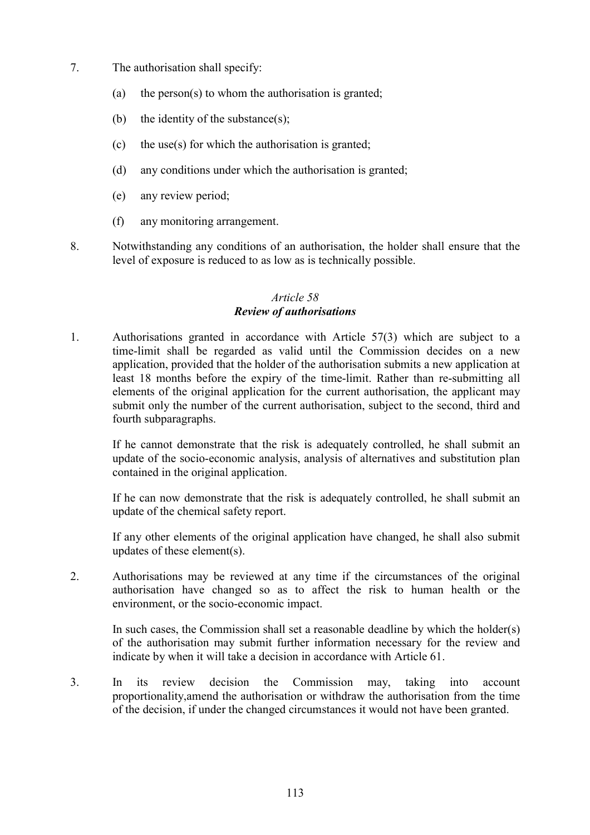- 7. The authorisation shall specify:
	- (a) the person(s) to whom the authorisation is granted;
	- (b) the identity of the substance $(s)$ ;
	- (c) the use(s) for which the authorisation is granted;
	- (d) any conditions under which the authorisation is granted;
	- (e) any review period;
	- (f) any monitoring arrangement.
- 8. Notwithstanding any conditions of an authorisation, the holder shall ensure that the level of exposure is reduced to as low as is technically possible.

## *Article 58 Review of authorisations*

1. Authorisations granted in accordance with Article 57(3) which are subject to a time-limit shall be regarded as valid until the Commission decides on a new application, provided that the holder of the authorisation submits a new application at least 18 months before the expiry of the time-limit. Rather than re-submitting all elements of the original application for the current authorisation, the applicant may submit only the number of the current authorisation, subject to the second, third and fourth subparagraphs.

If he cannot demonstrate that the risk is adequately controlled, he shall submit an update of the socio-economic analysis, analysis of alternatives and substitution plan contained in the original application.

If he can now demonstrate that the risk is adequately controlled, he shall submit an update of the chemical safety report.

If any other elements of the original application have changed, he shall also submit updates of these element(s).

2. Authorisations may be reviewed at any time if the circumstances of the original authorisation have changed so as to affect the risk to human health or the environment, or the socio-economic impact.

In such cases, the Commission shall set a reasonable deadline by which the holder(s) of the authorisation may submit further information necessary for the review and indicate by when it will take a decision in accordance with Article 61.

3. In its review decision the Commission may, taking into account proportionality,amend the authorisation or withdraw the authorisation from the time of the decision, if under the changed circumstances it would not have been granted.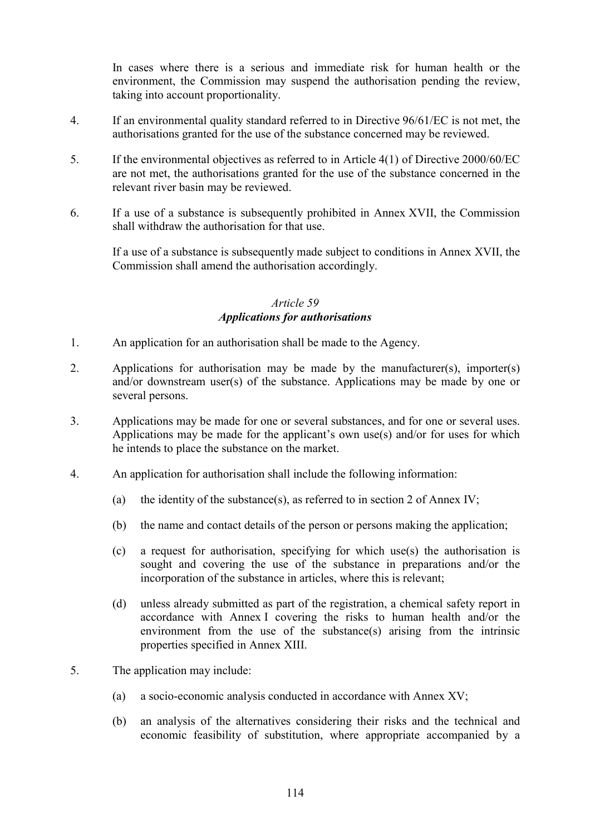In cases where there is a serious and immediate risk for human health or the environment, the Commission may suspend the authorisation pending the review, taking into account proportionality.

- 4. If an environmental quality standard referred to in Directive 96/61/EC is not met, the authorisations granted for the use of the substance concerned may be reviewed.
- 5. If the environmental objectives as referred to in Article 4(1) of Directive 2000/60/EC are not met, the authorisations granted for the use of the substance concerned in the relevant river basin may be reviewed.
- 6. If a use of a substance is subsequently prohibited in Annex XVII, the Commission shall withdraw the authorisation for that use.

If a use of a substance is subsequently made subject to conditions in Annex XVII, the Commission shall amend the authorisation accordingly.

### *Article 59 Applications for authorisations*

- 1. An application for an authorisation shall be made to the Agency.
- 2. Applications for authorisation may be made by the manufacturer(s), importer(s) and/or downstream user(s) of the substance. Applications may be made by one or several persons.
- 3. Applications may be made for one or several substances, and for one or several uses. Applications may be made for the applicant's own use(s) and/or for uses for which he intends to place the substance on the market.
- 4. An application for authorisation shall include the following information:
	- (a) the identity of the substance(s), as referred to in section 2 of Annex IV;
	- (b) the name and contact details of the person or persons making the application;
	- (c) a request for authorisation, specifying for which use(s) the authorisation is sought and covering the use of the substance in preparations and/or the incorporation of the substance in articles, where this is relevant;
	- (d) unless already submitted as part of the registration, a chemical safety report in accordance with Annex I covering the risks to human health and/or the environment from the use of the substance(s) arising from the intrinsic properties specified in Annex XIII.
- 5. The application may include:
	- (a) a socio-economic analysis conducted in accordance with Annex XV;
	- (b) an analysis of the alternatives considering their risks and the technical and economic feasibility of substitution, where appropriate accompanied by a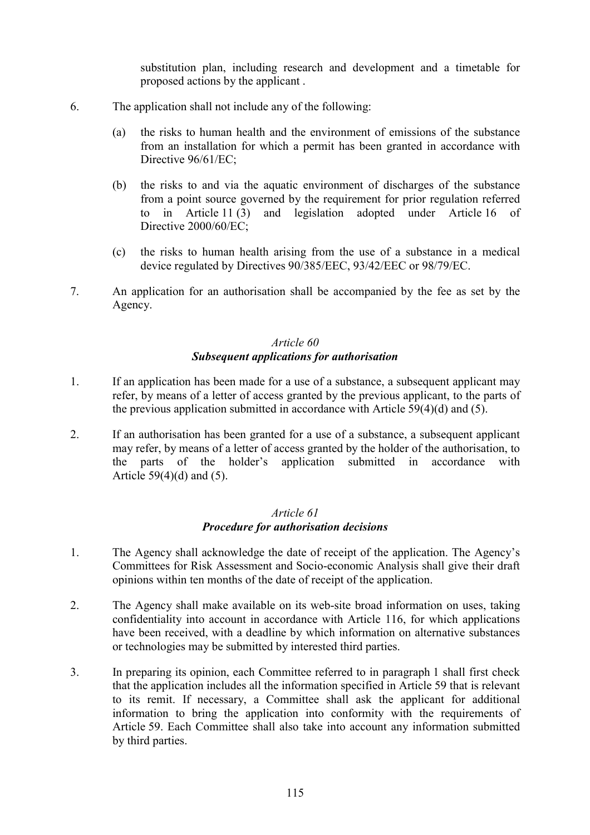substitution plan, including research and development and a timetable for proposed actions by the applicant .

- 6. The application shall not include any of the following:
	- (a) the risks to human health and the environment of emissions of the substance from an installation for which a permit has been granted in accordance with Directive  $96/61/EC$ ;
	- (b) the risks to and via the aquatic environment of discharges of the substance from a point source governed by the requirement for prior regulation referred to in Article 11 (3) and legislation adopted under Article 16 of Directive 2000/60/EC;
	- (c) the risks to human health arising from the use of a substance in a medical device regulated by Directives 90/385/EEC, 93/42/EEC or 98/79/EC.
- 7. An application for an authorisation shall be accompanied by the fee as set by the Agency.

#### *Article 60 Subsequent applications for authorisation*

- 1. If an application has been made for a use of a substance, a subsequent applicant may refer, by means of a letter of access granted by the previous applicant, to the parts of the previous application submitted in accordance with Article 59(4)(d) and (5).
- 2. If an authorisation has been granted for a use of a substance, a subsequent applicant may refer, by means of a letter of access granted by the holder of the authorisation, to the parts of the holder's application submitted in accordance with Article  $59(4)(d)$  and  $(5)$ .

#### *Article 61 Procedure for authorisation decisions*

- 1. The Agency shall acknowledge the date of receipt of the application. The Agency's Committees for Risk Assessment and Socio-economic Analysis shall give their draft opinions within ten months of the date of receipt of the application.
- 2. The Agency shall make available on its web-site broad information on uses, taking confidentiality into account in accordance with Article 116, for which applications have been received, with a deadline by which information on alternative substances or technologies may be submitted by interested third parties.
- 3. In preparing its opinion, each Committee referred to in paragraph 1 shall first check that the application includes all the information specified in Article 59 that is relevant to its remit. If necessary, a Committee shall ask the applicant for additional information to bring the application into conformity with the requirements of Article 59. Each Committee shall also take into account any information submitted by third parties.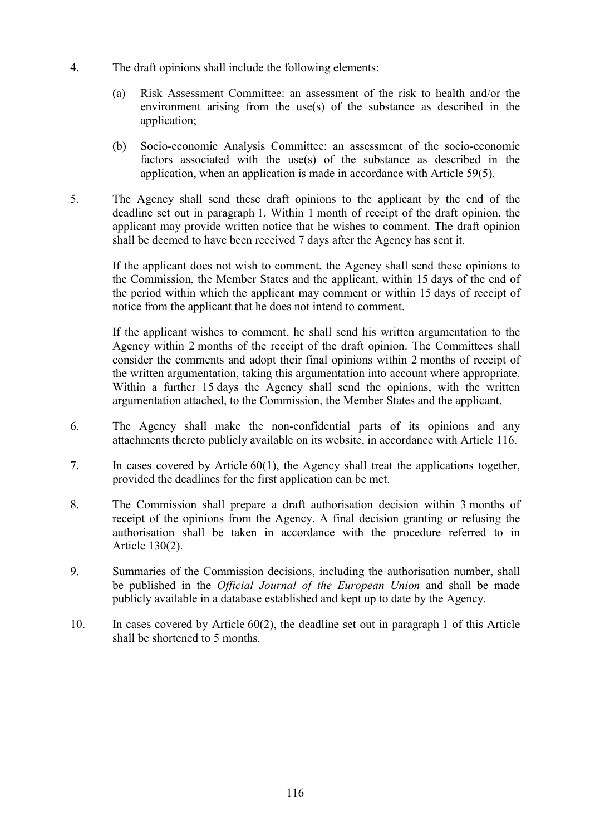- 4. The draft opinions shall include the following elements:
	- (a) Risk Assessment Committee: an assessment of the risk to health and/or the environment arising from the use(s) of the substance as described in the application;
	- (b) Socio-economic Analysis Committee: an assessment of the socio-economic factors associated with the use(s) of the substance as described in the application, when an application is made in accordance with Article 59(5).
- 5. The Agency shall send these draft opinions to the applicant by the end of the deadline set out in paragraph 1. Within 1 month of receipt of the draft opinion, the applicant may provide written notice that he wishes to comment. The draft opinion shall be deemed to have been received 7 days after the Agency has sent it.

If the applicant does not wish to comment, the Agency shall send these opinions to the Commission, the Member States and the applicant, within 15 days of the end of the period within which the applicant may comment or within 15 days of receipt of notice from the applicant that he does not intend to comment.

If the applicant wishes to comment, he shall send his written argumentation to the Agency within 2 months of the receipt of the draft opinion. The Committees shall consider the comments and adopt their final opinions within 2 months of receipt of the written argumentation, taking this argumentation into account where appropriate. Within a further 15 days the Agency shall send the opinions, with the written argumentation attached, to the Commission, the Member States and the applicant.

- 6. The Agency shall make the non-confidential parts of its opinions and any attachments thereto publicly available on its website, in accordance with Article 116.
- 7. In cases covered by Article 60(1), the Agency shall treat the applications together, provided the deadlines for the first application can be met.
- 8. The Commission shall prepare a draft authorisation decision within 3 months of receipt of the opinions from the Agency. A final decision granting or refusing the authorisation shall be taken in accordance with the procedure referred to in Article 130(2).
- 9. Summaries of the Commission decisions, including the authorisation number, shall be published in the *Official Journal of the European Union* and shall be made publicly available in a database established and kept up to date by the Agency.
- 10. In cases covered by Article 60(2), the deadline set out in paragraph 1 of this Article shall be shortened to 5 months.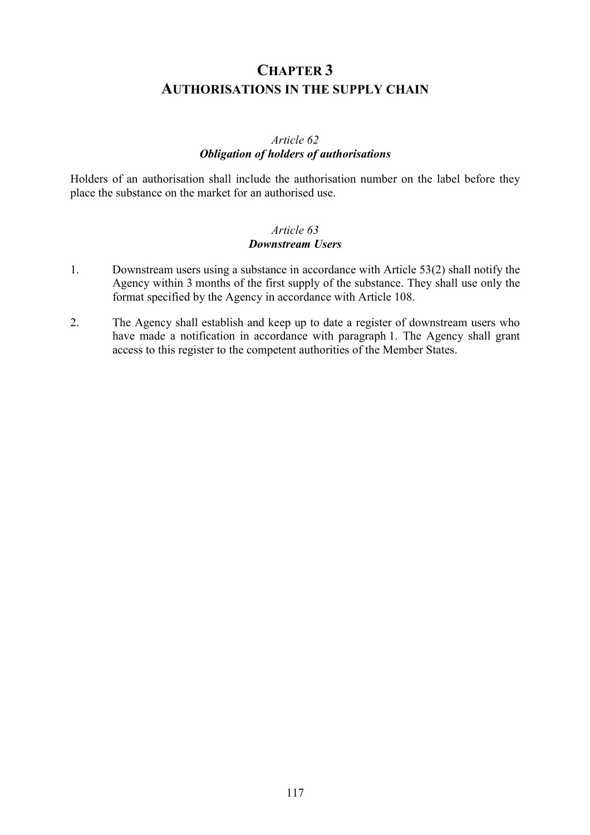# **CHAPTER 3 AUTHORISATIONS IN THE SUPPLY CHAIN**

# *Article 62 Obligation of holders of authorisations*

Holders of an authorisation shall include the authorisation number on the label before they place the substance on the market for an authorised use.

# *Article 63 Downstream Users*

- 1. Downstream users using a substance in accordance with Article 53(2) shall notify the Agency within 3 months of the first supply of the substance. They shall use only the format specified by the Agency in accordance with Article 108.
- 2. The Agency shall establish and keep up to date a register of downstream users who have made a notification in accordance with paragraph 1. The Agency shall grant access to this register to the competent authorities of the Member States.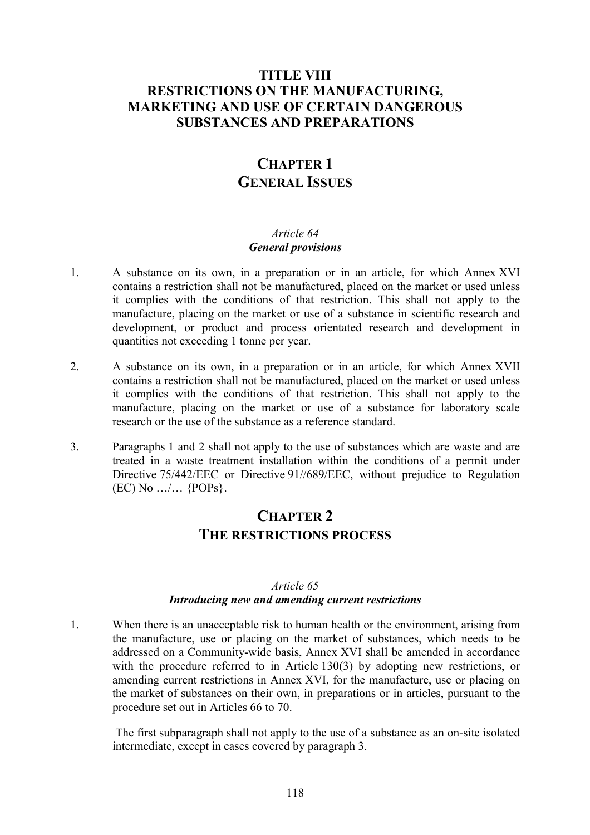# **TITLE VIII RESTRICTIONS ON THE MANUFACTURING, MARKETING AND USE OF CERTAIN DANGEROUS SUBSTANCES AND PREPARATIONS**

# **CHAPTER 1 GENERAL ISSUES**

## *Article 64 General provisions*

- 1. A substance on its own, in a preparation or in an article, for which Annex XVI contains a restriction shall not be manufactured, placed on the market or used unless it complies with the conditions of that restriction. This shall not apply to the manufacture, placing on the market or use of a substance in scientific research and development, or product and process orientated research and development in quantities not exceeding 1 tonne per year.
- 2. A substance on its own, in a preparation or in an article, for which Annex XVII contains a restriction shall not be manufactured, placed on the market or used unless it complies with the conditions of that restriction. This shall not apply to the manufacture, placing on the market or use of a substance for laboratory scale research or the use of the substance as a reference standard.
- 3. Paragraphs 1 and 2 shall not apply to the use of substances which are waste and are treated in a waste treatment installation within the conditions of a permit under Directive 75/442/EEC or Directive 91//689/EEC, without prejudice to Regulation (EC) No …/… {POPs}.

# **CHAPTER 2 THE RESTRICTIONS PROCESS**

#### *Article 65*

#### *Introducing new and amending current restrictions*

1. When there is an unacceptable risk to human health or the environment, arising from the manufacture, use or placing on the market of substances, which needs to be addressed on a Community-wide basis, Annex XVI shall be amended in accordance with the procedure referred to in Article 130(3) by adopting new restrictions, or amending current restrictions in Annex XVI, for the manufacture, use or placing on the market of substances on their own, in preparations or in articles, pursuant to the procedure set out in Articles 66 to 70.

 The first subparagraph shall not apply to the use of a substance as an on-site isolated intermediate, except in cases covered by paragraph 3.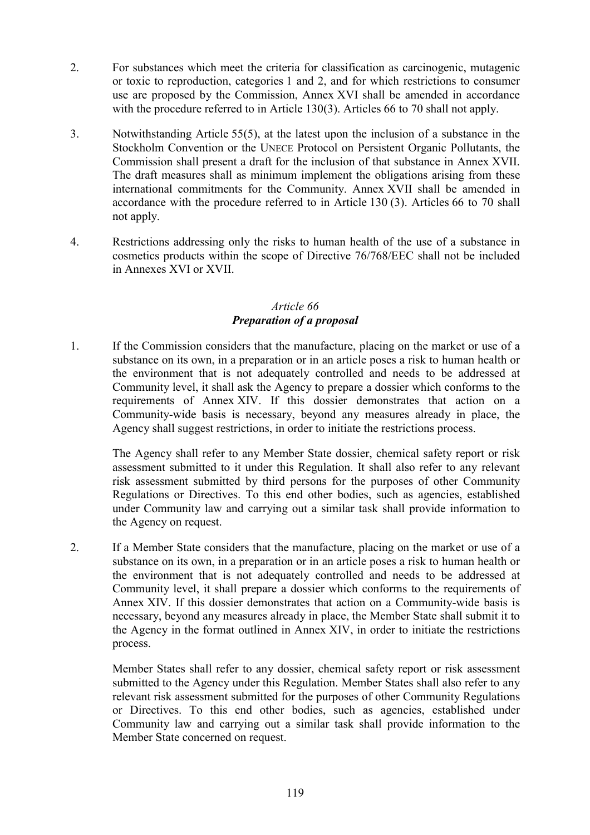- 2. For substances which meet the criteria for classification as carcinogenic, mutagenic or toxic to reproduction, categories 1 and 2, and for which restrictions to consumer use are proposed by the Commission, Annex XVI shall be amended in accordance with the procedure referred to in Article 130(3). Articles 66 to 70 shall not apply.
- 3. Notwithstanding Article 55(5), at the latest upon the inclusion of a substance in the Stockholm Convention or the UNECE Protocol on Persistent Organic Pollutants, the Commission shall present a draft for the inclusion of that substance in Annex XVII. The draft measures shall as minimum implement the obligations arising from these international commitments for the Community. Annex XVII shall be amended in accordance with the procedure referred to in Article 130 (3). Articles 66 to 70 shall not apply.
- 4. Restrictions addressing only the risks to human health of the use of a substance in cosmetics products within the scope of Directive 76/768/EEC shall not be included in Annexes XVI or XVII.

#### *Article 66 Preparation of a proposal*

1. If the Commission considers that the manufacture, placing on the market or use of a substance on its own, in a preparation or in an article poses a risk to human health or the environment that is not adequately controlled and needs to be addressed at Community level, it shall ask the Agency to prepare a dossier which conforms to the requirements of Annex XIV. If this dossier demonstrates that action on a Community-wide basis is necessary, beyond any measures already in place, the Agency shall suggest restrictions, in order to initiate the restrictions process.

The Agency shall refer to any Member State dossier, chemical safety report or risk assessment submitted to it under this Regulation. It shall also refer to any relevant risk assessment submitted by third persons for the purposes of other Community Regulations or Directives. To this end other bodies, such as agencies, established under Community law and carrying out a similar task shall provide information to the Agency on request.

2. If a Member State considers that the manufacture, placing on the market or use of a substance on its own, in a preparation or in an article poses a risk to human health or the environment that is not adequately controlled and needs to be addressed at Community level, it shall prepare a dossier which conforms to the requirements of Annex XIV. If this dossier demonstrates that action on a Community-wide basis is necessary, beyond any measures already in place, the Member State shall submit it to the Agency in the format outlined in Annex XIV, in order to initiate the restrictions process.

Member States shall refer to any dossier, chemical safety report or risk assessment submitted to the Agency under this Regulation. Member States shall also refer to any relevant risk assessment submitted for the purposes of other Community Regulations or Directives. To this end other bodies, such as agencies, established under Community law and carrying out a similar task shall provide information to the Member State concerned on request.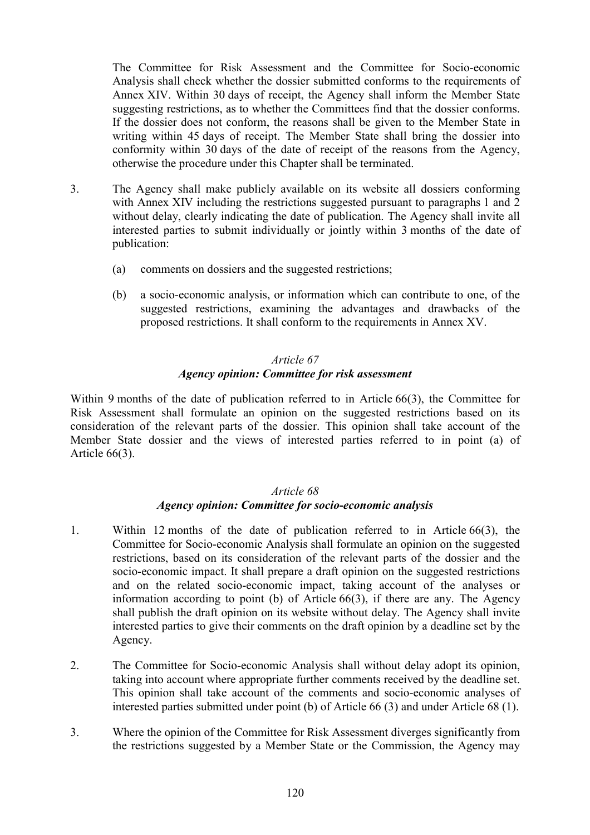The Committee for Risk Assessment and the Committee for Socio-economic Analysis shall check whether the dossier submitted conforms to the requirements of Annex XIV. Within 30 days of receipt, the Agency shall inform the Member State suggesting restrictions, as to whether the Committees find that the dossier conforms. If the dossier does not conform, the reasons shall be given to the Member State in writing within 45 days of receipt. The Member State shall bring the dossier into conformity within 30 days of the date of receipt of the reasons from the Agency, otherwise the procedure under this Chapter shall be terminated.

- 3. The Agency shall make publicly available on its website all dossiers conforming with Annex XIV including the restrictions suggested pursuant to paragraphs 1 and 2 without delay, clearly indicating the date of publication. The Agency shall invite all interested parties to submit individually or jointly within 3 months of the date of publication:
	- (a) comments on dossiers and the suggested restrictions;
	- (b) a socio-economic analysis, or information which can contribute to one, of the suggested restrictions, examining the advantages and drawbacks of the proposed restrictions. It shall conform to the requirements in Annex XV.

## *Article 67 Agency opinion: Committee for risk assessment*

Within 9 months of the date of publication referred to in Article 66(3), the Committee for Risk Assessment shall formulate an opinion on the suggested restrictions based on its consideration of the relevant parts of the dossier. This opinion shall take account of the Member State dossier and the views of interested parties referred to in point (a) of Article 66(3).

## *Article 68*

# *Agency opinion: Committee for socio-economic analysis*

- 1. Within 12 months of the date of publication referred to in Article 66(3), the Committee for Socio-economic Analysis shall formulate an opinion on the suggested restrictions, based on its consideration of the relevant parts of the dossier and the socio-economic impact. It shall prepare a draft opinion on the suggested restrictions and on the related socio-economic impact, taking account of the analyses or information according to point (b) of Article 66(3), if there are any. The Agency shall publish the draft opinion on its website without delay. The Agency shall invite interested parties to give their comments on the draft opinion by a deadline set by the Agency.
- 2. The Committee for Socio-economic Analysis shall without delay adopt its opinion, taking into account where appropriate further comments received by the deadline set. This opinion shall take account of the comments and socio-economic analyses of interested parties submitted under point (b) of Article 66 (3) and under Article 68 (1).
- 3. Where the opinion of the Committee for Risk Assessment diverges significantly from the restrictions suggested by a Member State or the Commission, the Agency may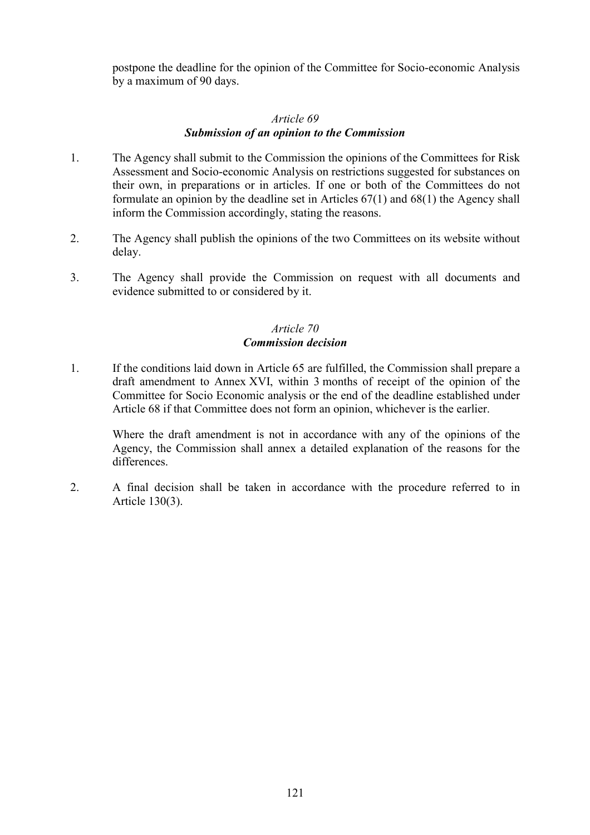postpone the deadline for the opinion of the Committee for Socio-economic Analysis by a maximum of 90 days.

# *Article 69*

# *Submission of an opinion to the Commission*

- 1. The Agency shall submit to the Commission the opinions of the Committees for Risk Assessment and Socio-economic Analysis on restrictions suggested for substances on their own, in preparations or in articles. If one or both of the Committees do not formulate an opinion by the deadline set in Articles 67(1) and 68(1) the Agency shall inform the Commission accordingly, stating the reasons.
- 2. The Agency shall publish the opinions of the two Committees on its website without delay.
- 3. The Agency shall provide the Commission on request with all documents and evidence submitted to or considered by it.

# *Article 70 Commission decision*

1. If the conditions laid down in Article 65 are fulfilled, the Commission shall prepare a draft amendment to Annex XVI, within 3 months of receipt of the opinion of the Committee for Socio Economic analysis or the end of the deadline established under Article 68 if that Committee does not form an opinion, whichever is the earlier.

Where the draft amendment is not in accordance with any of the opinions of the Agency, the Commission shall annex a detailed explanation of the reasons for the differences.

2. A final decision shall be taken in accordance with the procedure referred to in Article 130(3).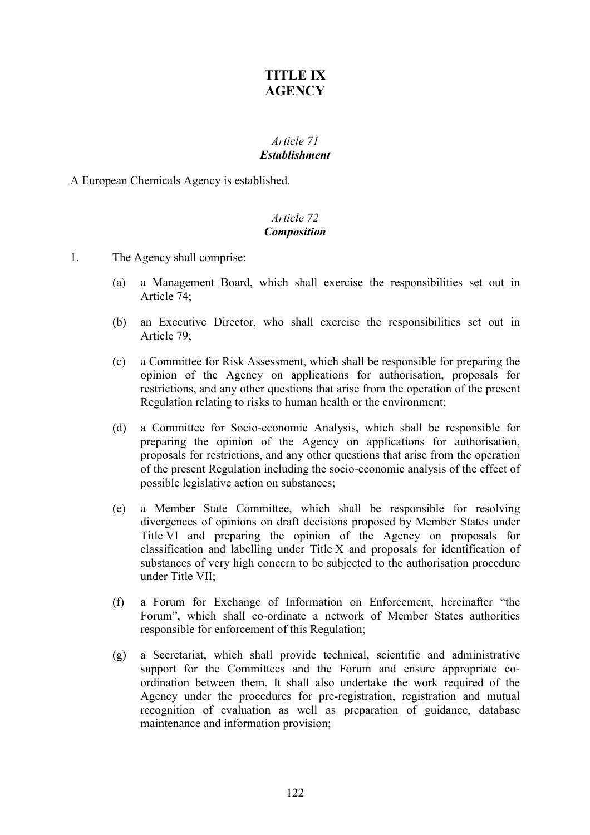# **TITLE IX AGENCY**

# *Article 71 Establishment*

A European Chemicals Agency is established.

# *Article 72 Composition*

- 1. The Agency shall comprise:
	- (a) a Management Board, which shall exercise the responsibilities set out in Article 74;
	- (b) an Executive Director, who shall exercise the responsibilities set out in Article 79;
	- (c) a Committee for Risk Assessment, which shall be responsible for preparing the opinion of the Agency on applications for authorisation, proposals for restrictions, and any other questions that arise from the operation of the present Regulation relating to risks to human health or the environment;
	- (d) a Committee for Socio-economic Analysis, which shall be responsible for preparing the opinion of the Agency on applications for authorisation, proposals for restrictions, and any other questions that arise from the operation of the present Regulation including the socio-economic analysis of the effect of possible legislative action on substances;
	- (e) a Member State Committee, which shall be responsible for resolving divergences of opinions on draft decisions proposed by Member States under Title VI and preparing the opinion of the Agency on proposals for classification and labelling under Title X and proposals for identification of substances of very high concern to be subjected to the authorisation procedure under Title VII;
	- (f) a Forum for Exchange of Information on Enforcement, hereinafter "the Forum", which shall co-ordinate a network of Member States authorities responsible for enforcement of this Regulation;
	- (g) a Secretariat, which shall provide technical, scientific and administrative support for the Committees and the Forum and ensure appropriate coordination between them. It shall also undertake the work required of the Agency under the procedures for pre-registration, registration and mutual recognition of evaluation as well as preparation of guidance, database maintenance and information provision;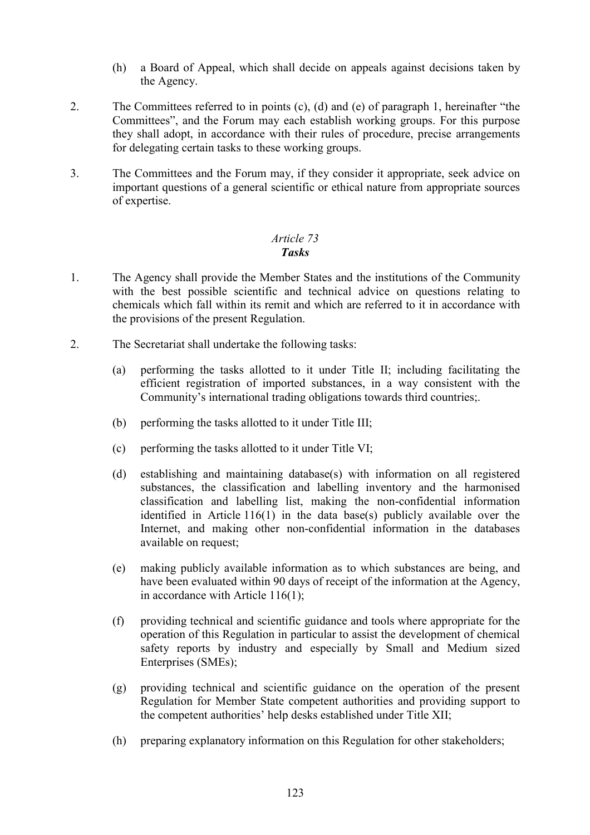- (h) a Board of Appeal, which shall decide on appeals against decisions taken by the Agency.
- 2. The Committees referred to in points (c), (d) and (e) of paragraph 1, hereinafter "the Committees", and the Forum may each establish working groups. For this purpose they shall adopt, in accordance with their rules of procedure, precise arrangements for delegating certain tasks to these working groups.
- 3. The Committees and the Forum may, if they consider it appropriate, seek advice on important questions of a general scientific or ethical nature from appropriate sources of expertise.

## *Article 73 Tasks*

- 1. The Agency shall provide the Member States and the institutions of the Community with the best possible scientific and technical advice on questions relating to chemicals which fall within its remit and which are referred to it in accordance with the provisions of the present Regulation.
- 2. The Secretariat shall undertake the following tasks:
	- (a) performing the tasks allotted to it under Title II; including facilitating the efficient registration of imported substances, in a way consistent with the Community's international trading obligations towards third countries;.
	- (b) performing the tasks allotted to it under Title III;
	- (c) performing the tasks allotted to it under Title VI;
	- (d) establishing and maintaining database(s) with information on all registered substances, the classification and labelling inventory and the harmonised classification and labelling list, making the non-confidential information identified in Article 116(1) in the data base(s) publicly available over the Internet, and making other non-confidential information in the databases available on request;
	- (e) making publicly available information as to which substances are being, and have been evaluated within 90 days of receipt of the information at the Agency, in accordance with Article 116(1);
	- (f) providing technical and scientific guidance and tools where appropriate for the operation of this Regulation in particular to assist the development of chemical safety reports by industry and especially by Small and Medium sized Enterprises (SMEs);
	- (g) providing technical and scientific guidance on the operation of the present Regulation for Member State competent authorities and providing support to the competent authorities' help desks established under Title XII;
	- (h) preparing explanatory information on this Regulation for other stakeholders;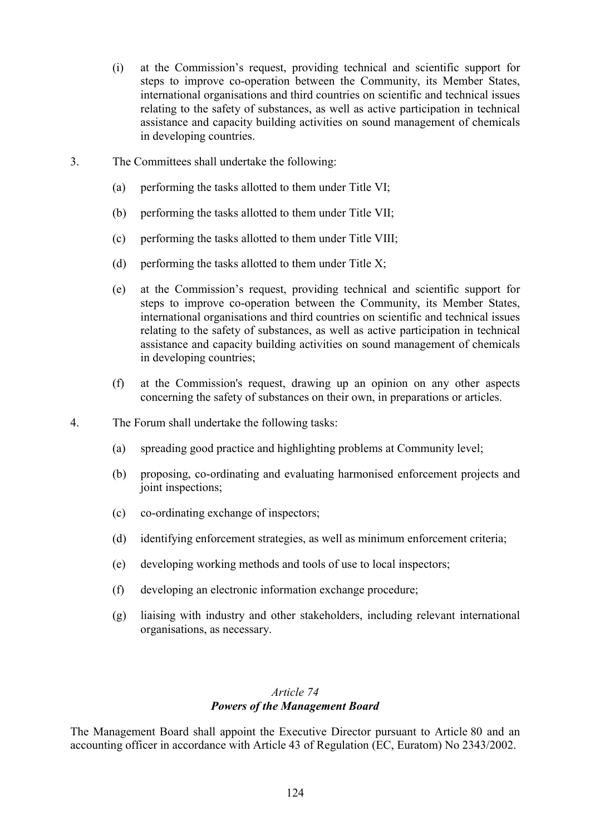- (i) at the Commission's request, providing technical and scientific support for steps to improve co-operation between the Community, its Member States, international organisations and third countries on scientific and technical issues relating to the safety of substances, as well as active participation in technical assistance and capacity building activities on sound management of chemicals in developing countries.
- 3. The Committees shall undertake the following:
	- (a) performing the tasks allotted to them under Title VI;
	- (b) performing the tasks allotted to them under Title VII;
	- (c) performing the tasks allotted to them under Title VIII;
	- (d) performing the tasks allotted to them under Title  $X$ ;
	- (e) at the Commission's request, providing technical and scientific support for steps to improve co-operation between the Community, its Member States, international organisations and third countries on scientific and technical issues relating to the safety of substances, as well as active participation in technical assistance and capacity building activities on sound management of chemicals in developing countries;
	- (f) at the Commission's request, drawing up an opinion on any other aspects concerning the safety of substances on their own, in preparations or articles.
- 4. The Forum shall undertake the following tasks:
	- (a) spreading good practice and highlighting problems at Community level;
	- (b) proposing, co-ordinating and evaluating harmonised enforcement projects and joint inspections;
	- (c) co-ordinating exchange of inspectors;
	- (d) identifying enforcement strategies, as well as minimum enforcement criteria;
	- (e) developing working methods and tools of use to local inspectors;
	- (f) developing an electronic information exchange procedure;
	- (g) liaising with industry and other stakeholders, including relevant international organisations, as necessary.

# *Article 74 Powers of the Management Board*

The Management Board shall appoint the Executive Director pursuant to Article 80 and an accounting officer in accordance with Article 43 of Regulation (EC, Euratom) No 2343/2002.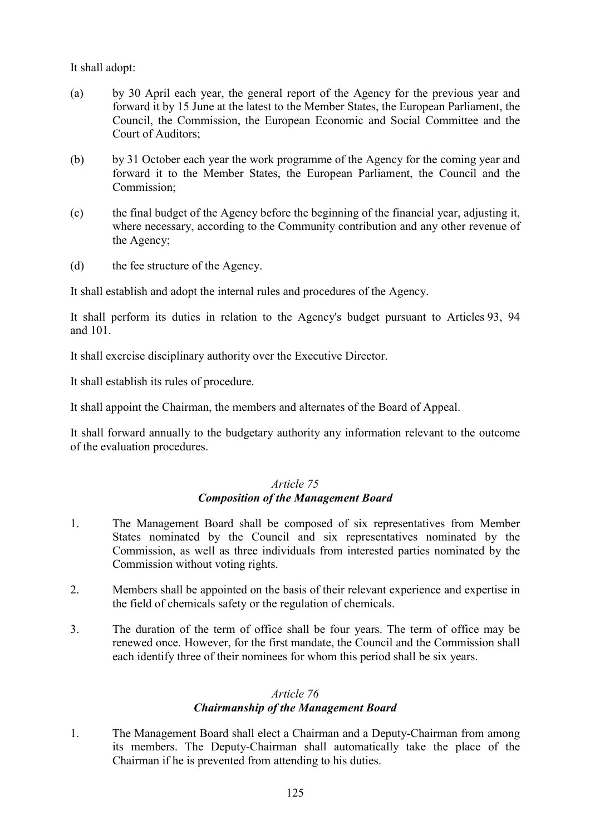It shall adopt:

- (a) by 30 April each year, the general report of the Agency for the previous year and forward it by 15 June at the latest to the Member States, the European Parliament, the Council, the Commission, the European Economic and Social Committee and the Court of Auditors;
- (b) by 31 October each year the work programme of the Agency for the coming year and forward it to the Member States, the European Parliament, the Council and the Commission:
- (c) the final budget of the Agency before the beginning of the financial year, adjusting it, where necessary, according to the Community contribution and any other revenue of the Agency;
- (d) the fee structure of the Agency.

It shall establish and adopt the internal rules and procedures of the Agency.

It shall perform its duties in relation to the Agency's budget pursuant to Articles 93, 94 and 101.

It shall exercise disciplinary authority over the Executive Director.

It shall establish its rules of procedure.

It shall appoint the Chairman, the members and alternates of the Board of Appeal.

It shall forward annually to the budgetary authority any information relevant to the outcome of the evaluation procedures.

## *Article 75 Composition of the Management Board*

- 1. The Management Board shall be composed of six representatives from Member States nominated by the Council and six representatives nominated by the Commission, as well as three individuals from interested parties nominated by the Commission without voting rights.
- 2. Members shall be appointed on the basis of their relevant experience and expertise in the field of chemicals safety or the regulation of chemicals.
- 3. The duration of the term of office shall be four years. The term of office may be renewed once. However, for the first mandate, the Council and the Commission shall each identify three of their nominees for whom this period shall be six years.

#### *Article 76 Chairmanship of the Management Board*

1. The Management Board shall elect a Chairman and a Deputy-Chairman from among its members. The Deputy-Chairman shall automatically take the place of the Chairman if he is prevented from attending to his duties.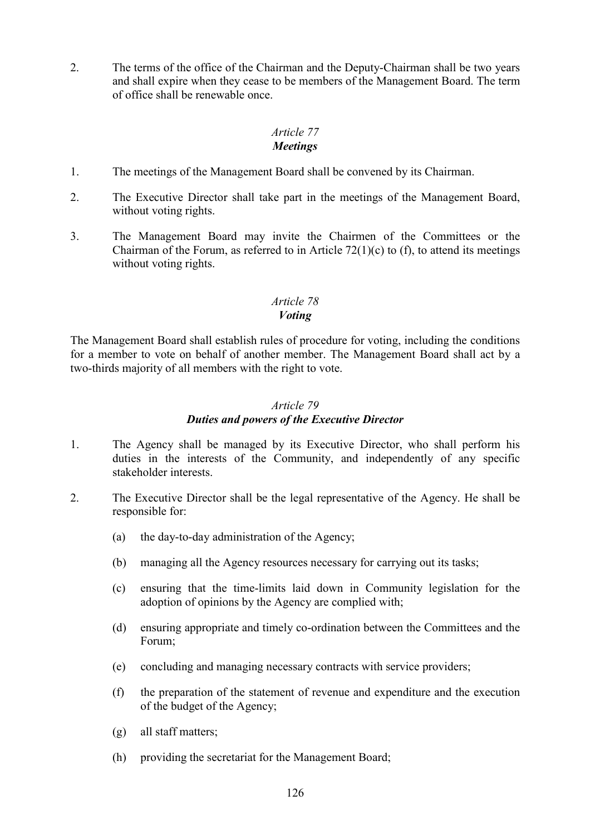2. The terms of the office of the Chairman and the Deputy-Chairman shall be two years and shall expire when they cease to be members of the Management Board. The term of office shall be renewable once.

#### *Article 77 Meetings*

- 1. The meetings of the Management Board shall be convened by its Chairman.
- 2. The Executive Director shall take part in the meetings of the Management Board, without voting rights.
- 3. The Management Board may invite the Chairmen of the Committees or the Chairman of the Forum, as referred to in Article  $72(1)(c)$  to (f), to attend its meetings without voting rights.

# *Article 78*

### *Voting*

The Management Board shall establish rules of procedure for voting, including the conditions for a member to vote on behalf of another member. The Management Board shall act by a two-thirds majority of all members with the right to vote.

### *Article 79*

## *Duties and powers of the Executive Director*

- 1. The Agency shall be managed by its Executive Director, who shall perform his duties in the interests of the Community, and independently of any specific stakeholder interests.
- 2. The Executive Director shall be the legal representative of the Agency. He shall be responsible for:
	- (a) the day-to-day administration of the Agency;
	- (b) managing all the Agency resources necessary for carrying out its tasks;
	- (c) ensuring that the time-limits laid down in Community legislation for the adoption of opinions by the Agency are complied with;
	- (d) ensuring appropriate and timely co-ordination between the Committees and the Forum;
	- (e) concluding and managing necessary contracts with service providers;
	- (f) the preparation of the statement of revenue and expenditure and the execution of the budget of the Agency;
	- (g) all staff matters;
	- (h) providing the secretariat for the Management Board;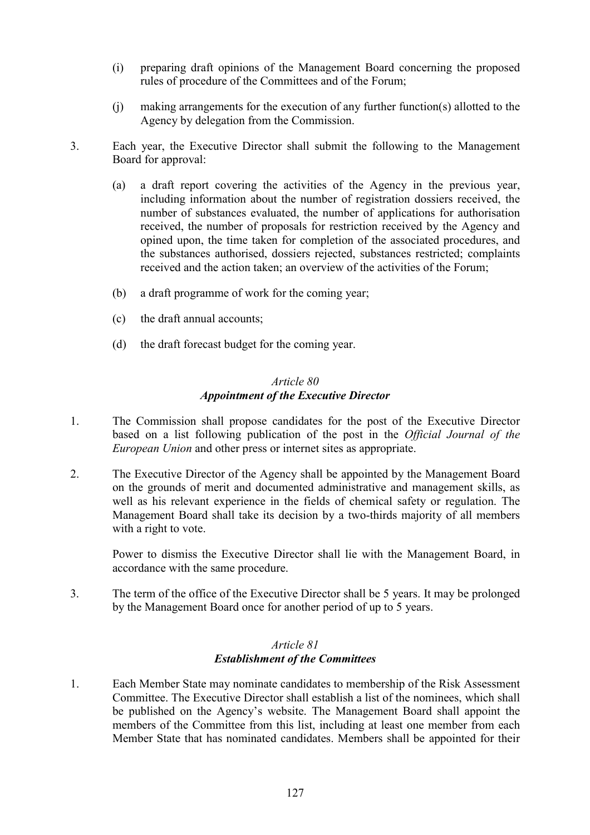- (i) preparing draft opinions of the Management Board concerning the proposed rules of procedure of the Committees and of the Forum;
- (j) making arrangements for the execution of any further function(s) allotted to the Agency by delegation from the Commission.
- 3. Each year, the Executive Director shall submit the following to the Management Board for approval:
	- (a) a draft report covering the activities of the Agency in the previous year, including information about the number of registration dossiers received, the number of substances evaluated, the number of applications for authorisation received, the number of proposals for restriction received by the Agency and opined upon, the time taken for completion of the associated procedures, and the substances authorised, dossiers rejected, substances restricted; complaints received and the action taken; an overview of the activities of the Forum;
	- (b) a draft programme of work for the coming year;
	- (c) the draft annual accounts;
	- (d) the draft forecast budget for the coming year.

### *Article 80 Appointment of the Executive Director*

- 1. The Commission shall propose candidates for the post of the Executive Director based on a list following publication of the post in the *Official Journal of the European Union* and other press or internet sites as appropriate.
- 2. The Executive Director of the Agency shall be appointed by the Management Board on the grounds of merit and documented administrative and management skills, as well as his relevant experience in the fields of chemical safety or regulation. The Management Board shall take its decision by a two-thirds majority of all members with a right to vote.

Power to dismiss the Executive Director shall lie with the Management Board, in accordance with the same procedure.

3. The term of the office of the Executive Director shall be 5 years. It may be prolonged by the Management Board once for another period of up to 5 years.

## *Article 81 Establishment of the Committees*

1. Each Member State may nominate candidates to membership of the Risk Assessment Committee. The Executive Director shall establish a list of the nominees, which shall be published on the Agency's website. The Management Board shall appoint the members of the Committee from this list, including at least one member from each Member State that has nominated candidates. Members shall be appointed for their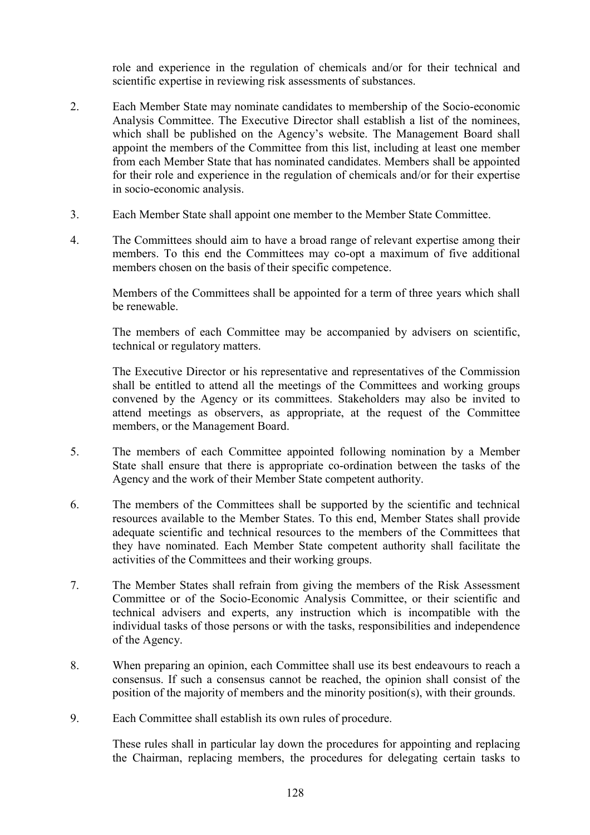role and experience in the regulation of chemicals and/or for their technical and scientific expertise in reviewing risk assessments of substances.

- 2. Each Member State may nominate candidates to membership of the Socio-economic Analysis Committee. The Executive Director shall establish a list of the nominees, which shall be published on the Agency's website. The Management Board shall appoint the members of the Committee from this list, including at least one member from each Member State that has nominated candidates. Members shall be appointed for their role and experience in the regulation of chemicals and/or for their expertise in socio-economic analysis.
- 3. Each Member State shall appoint one member to the Member State Committee.
- 4. The Committees should aim to have a broad range of relevant expertise among their members. To this end the Committees may co-opt a maximum of five additional members chosen on the basis of their specific competence.

Members of the Committees shall be appointed for a term of three years which shall be renewable.

The members of each Committee may be accompanied by advisers on scientific, technical or regulatory matters.

The Executive Director or his representative and representatives of the Commission shall be entitled to attend all the meetings of the Committees and working groups convened by the Agency or its committees. Stakeholders may also be invited to attend meetings as observers, as appropriate, at the request of the Committee members, or the Management Board.

- 5. The members of each Committee appointed following nomination by a Member State shall ensure that there is appropriate co-ordination between the tasks of the Agency and the work of their Member State competent authority.
- 6. The members of the Committees shall be supported by the scientific and technical resources available to the Member States. To this end, Member States shall provide adequate scientific and technical resources to the members of the Committees that they have nominated. Each Member State competent authority shall facilitate the activities of the Committees and their working groups.
- 7. The Member States shall refrain from giving the members of the Risk Assessment Committee or of the Socio-Economic Analysis Committee, or their scientific and technical advisers and experts, any instruction which is incompatible with the individual tasks of those persons or with the tasks, responsibilities and independence of the Agency.
- 8. When preparing an opinion, each Committee shall use its best endeavours to reach a consensus. If such a consensus cannot be reached, the opinion shall consist of the position of the majority of members and the minority position(s), with their grounds.
- 9. Each Committee shall establish its own rules of procedure.

These rules shall in particular lay down the procedures for appointing and replacing the Chairman, replacing members, the procedures for delegating certain tasks to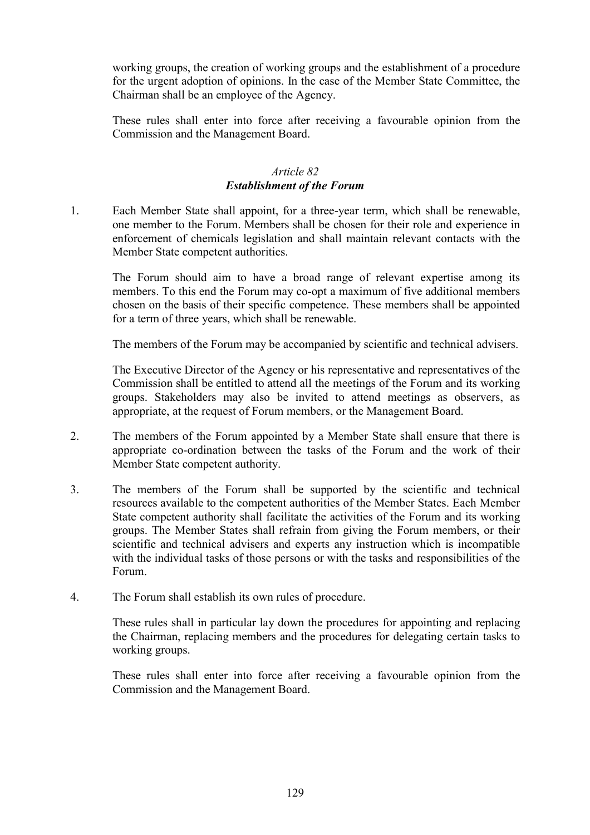working groups, the creation of working groups and the establishment of a procedure for the urgent adoption of opinions. In the case of the Member State Committee, the Chairman shall be an employee of the Agency.

These rules shall enter into force after receiving a favourable opinion from the Commission and the Management Board.

# *Article 82 Establishment of the Forum*

1. Each Member State shall appoint, for a three-year term, which shall be renewable, one member to the Forum. Members shall be chosen for their role and experience in enforcement of chemicals legislation and shall maintain relevant contacts with the Member State competent authorities.

The Forum should aim to have a broad range of relevant expertise among its members. To this end the Forum may co-opt a maximum of five additional members chosen on the basis of their specific competence. These members shall be appointed for a term of three years, which shall be renewable.

The members of the Forum may be accompanied by scientific and technical advisers.

The Executive Director of the Agency or his representative and representatives of the Commission shall be entitled to attend all the meetings of the Forum and its working groups. Stakeholders may also be invited to attend meetings as observers, as appropriate, at the request of Forum members, or the Management Board.

- 2. The members of the Forum appointed by a Member State shall ensure that there is appropriate co-ordination between the tasks of the Forum and the work of their Member State competent authority.
- 3. The members of the Forum shall be supported by the scientific and technical resources available to the competent authorities of the Member States. Each Member State competent authority shall facilitate the activities of the Forum and its working groups. The Member States shall refrain from giving the Forum members, or their scientific and technical advisers and experts any instruction which is incompatible with the individual tasks of those persons or with the tasks and responsibilities of the Forum.
- 4. The Forum shall establish its own rules of procedure.

These rules shall in particular lay down the procedures for appointing and replacing the Chairman, replacing members and the procedures for delegating certain tasks to working groups.

These rules shall enter into force after receiving a favourable opinion from the Commission and the Management Board.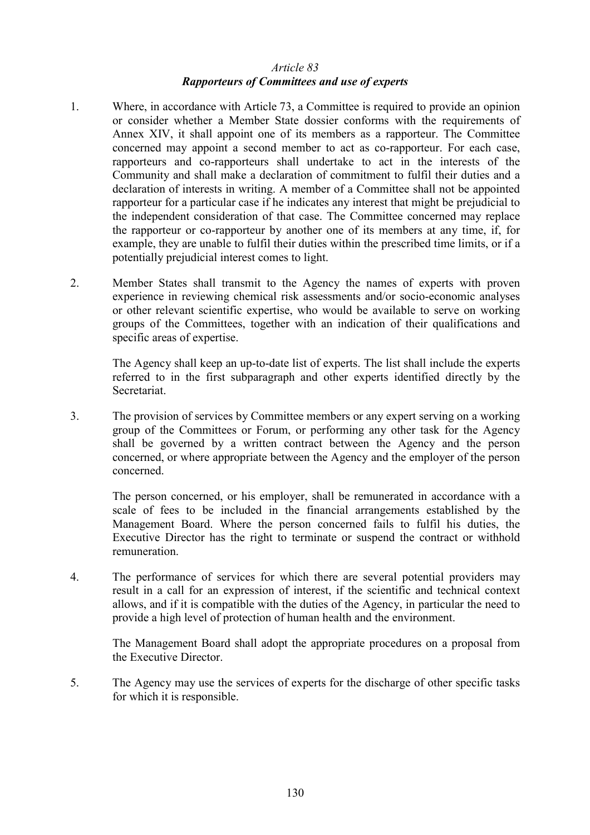### *Article 83 Rapporteurs of Committees and use of experts*

- 1. Where, in accordance with Article 73, a Committee is required to provide an opinion or consider whether a Member State dossier conforms with the requirements of Annex XIV, it shall appoint one of its members as a rapporteur. The Committee concerned may appoint a second member to act as co-rapporteur. For each case, rapporteurs and co-rapporteurs shall undertake to act in the interests of the Community and shall make a declaration of commitment to fulfil their duties and a declaration of interests in writing. A member of a Committee shall not be appointed rapporteur for a particular case if he indicates any interest that might be prejudicial to the independent consideration of that case. The Committee concerned may replace the rapporteur or co-rapporteur by another one of its members at any time, if, for example, they are unable to fulfil their duties within the prescribed time limits, or if a potentially prejudicial interest comes to light.
- 2. Member States shall transmit to the Agency the names of experts with proven experience in reviewing chemical risk assessments and/or socio-economic analyses or other relevant scientific expertise, who would be available to serve on working groups of the Committees, together with an indication of their qualifications and specific areas of expertise.

The Agency shall keep an up-to-date list of experts. The list shall include the experts referred to in the first subparagraph and other experts identified directly by the Secretariat.

3. The provision of services by Committee members or any expert serving on a working group of the Committees or Forum, or performing any other task for the Agency shall be governed by a written contract between the Agency and the person concerned, or where appropriate between the Agency and the employer of the person concerned.

The person concerned, or his employer, shall be remunerated in accordance with a scale of fees to be included in the financial arrangements established by the Management Board. Where the person concerned fails to fulfil his duties, the Executive Director has the right to terminate or suspend the contract or withhold remuneration.

4. The performance of services for which there are several potential providers may result in a call for an expression of interest, if the scientific and technical context allows, and if it is compatible with the duties of the Agency, in particular the need to provide a high level of protection of human health and the environment.

The Management Board shall adopt the appropriate procedures on a proposal from the Executive Director.

5. The Agency may use the services of experts for the discharge of other specific tasks for which it is responsible.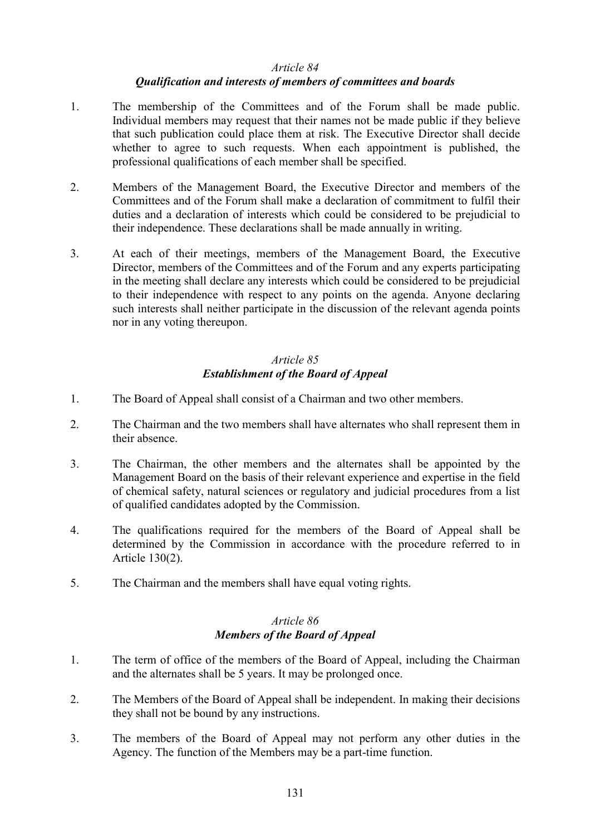#### *Article 84*

### *Qualification and interests of members of committees and boards*

- 1. The membership of the Committees and of the Forum shall be made public. Individual members may request that their names not be made public if they believe that such publication could place them at risk. The Executive Director shall decide whether to agree to such requests. When each appointment is published, the professional qualifications of each member shall be specified.
- 2. Members of the Management Board, the Executive Director and members of the Committees and of the Forum shall make a declaration of commitment to fulfil their duties and a declaration of interests which could be considered to be prejudicial to their independence. These declarations shall be made annually in writing.
- 3. At each of their meetings, members of the Management Board, the Executive Director, members of the Committees and of the Forum and any experts participating in the meeting shall declare any interests which could be considered to be prejudicial to their independence with respect to any points on the agenda. Anyone declaring such interests shall neither participate in the discussion of the relevant agenda points nor in any voting thereupon.

# *Article 85 Establishment of the Board of Appeal*

- 1. The Board of Appeal shall consist of a Chairman and two other members.
- 2. The Chairman and the two members shall have alternates who shall represent them in their absence.
- 3. The Chairman, the other members and the alternates shall be appointed by the Management Board on the basis of their relevant experience and expertise in the field of chemical safety, natural sciences or regulatory and judicial procedures from a list of qualified candidates adopted by the Commission.
- 4. The qualifications required for the members of the Board of Appeal shall be determined by the Commission in accordance with the procedure referred to in Article 130(2).
- 5. The Chairman and the members shall have equal voting rights.

#### *Article 86 Members of the Board of Appeal*

- 1. The term of office of the members of the Board of Appeal, including the Chairman and the alternates shall be 5 years. It may be prolonged once.
- 2. The Members of the Board of Appeal shall be independent. In making their decisions they shall not be bound by any instructions.
- 3. The members of the Board of Appeal may not perform any other duties in the Agency. The function of the Members may be a part-time function.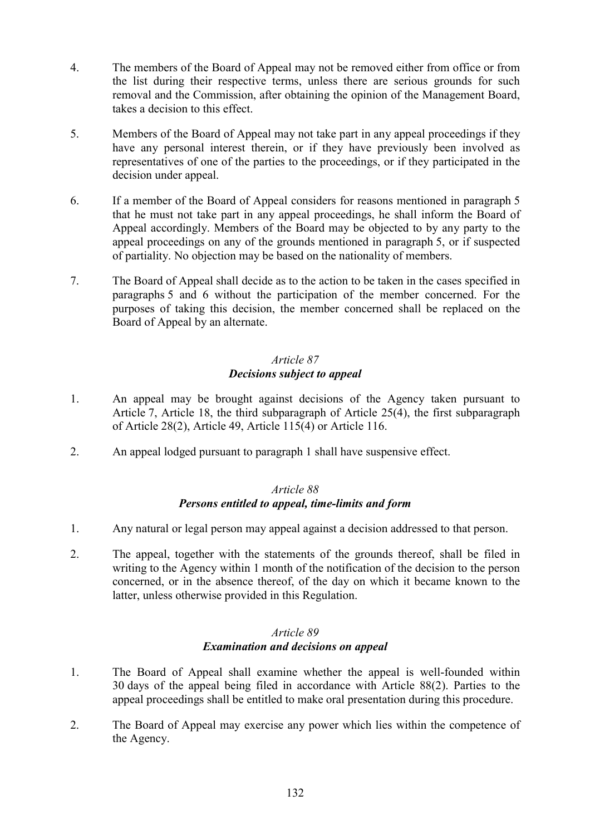- 4. The members of the Board of Appeal may not be removed either from office or from the list during their respective terms, unless there are serious grounds for such removal and the Commission, after obtaining the opinion of the Management Board, takes a decision to this effect.
- 5. Members of the Board of Appeal may not take part in any appeal proceedings if they have any personal interest therein, or if they have previously been involved as representatives of one of the parties to the proceedings, or if they participated in the decision under appeal.
- 6. If a member of the Board of Appeal considers for reasons mentioned in paragraph 5 that he must not take part in any appeal proceedings, he shall inform the Board of Appeal accordingly. Members of the Board may be objected to by any party to the appeal proceedings on any of the grounds mentioned in paragraph 5, or if suspected of partiality. No objection may be based on the nationality of members.
- 7. The Board of Appeal shall decide as to the action to be taken in the cases specified in paragraphs 5 and 6 without the participation of the member concerned. For the purposes of taking this decision, the member concerned shall be replaced on the Board of Appeal by an alternate.

# *Article 87 Decisions subject to appeal*

- 1. An appeal may be brought against decisions of the Agency taken pursuant to Article 7, Article 18, the third subparagraph of Article 25(4), the first subparagraph of Article 28(2), Article 49, Article 115(4) or Article 116.
- 2. An appeal lodged pursuant to paragraph 1 shall have suspensive effect.

## *Article 88 Persons entitled to appeal, time-limits and form*

- 1. Any natural or legal person may appeal against a decision addressed to that person.
- 2. The appeal, together with the statements of the grounds thereof, shall be filed in writing to the Agency within 1 month of the notification of the decision to the person concerned, or in the absence thereof, of the day on which it became known to the latter, unless otherwise provided in this Regulation.

### *Article 89 Examination and decisions on appeal*

- 1. The Board of Appeal shall examine whether the appeal is well-founded within 30 days of the appeal being filed in accordance with Article 88(2). Parties to the appeal proceedings shall be entitled to make oral presentation during this procedure.
- 2. The Board of Appeal may exercise any power which lies within the competence of the Agency.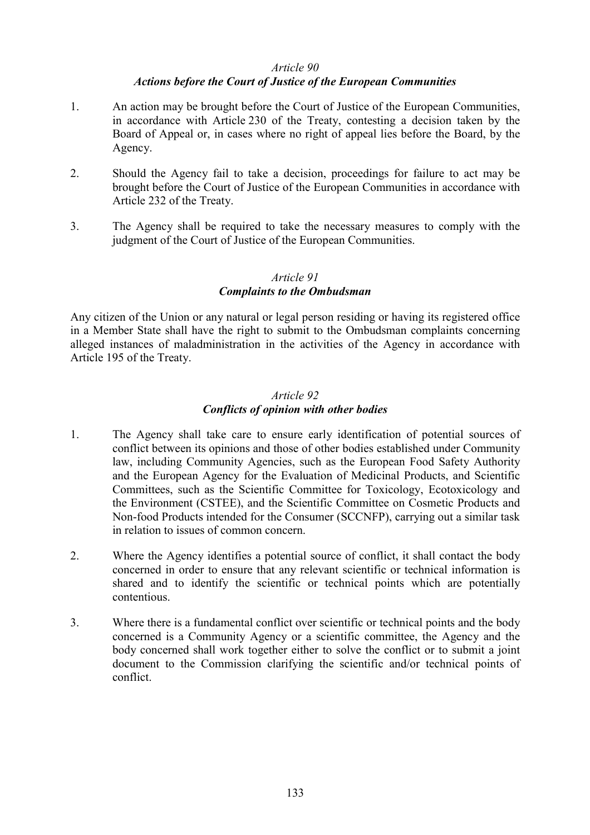#### *Article 90*

#### *Actions before the Court of Justice of the European Communities*

- 1. An action may be brought before the Court of Justice of the European Communities, in accordance with Article 230 of the Treaty, contesting a decision taken by the Board of Appeal or, in cases where no right of appeal lies before the Board, by the Agency.
- 2. Should the Agency fail to take a decision, proceedings for failure to act may be brought before the Court of Justice of the European Communities in accordance with Article 232 of the Treaty.
- 3. The Agency shall be required to take the necessary measures to comply with the judgment of the Court of Justice of the European Communities.

# *Article 91 Complaints to the Ombudsman*

Any citizen of the Union or any natural or legal person residing or having its registered office in a Member State shall have the right to submit to the Ombudsman complaints concerning alleged instances of maladministration in the activities of the Agency in accordance with Article 195 of the Treaty.

### *Article 92 Conflicts of opinion with other bodies*

- 1. The Agency shall take care to ensure early identification of potential sources of conflict between its opinions and those of other bodies established under Community law, including Community Agencies, such as the European Food Safety Authority and the European Agency for the Evaluation of Medicinal Products, and Scientific Committees, such as the Scientific Committee for Toxicology, Ecotoxicology and the Environment (CSTEE), and the Scientific Committee on Cosmetic Products and Non-food Products intended for the Consumer (SCCNFP), carrying out a similar task in relation to issues of common concern.
- 2. Where the Agency identifies a potential source of conflict, it shall contact the body concerned in order to ensure that any relevant scientific or technical information is shared and to identify the scientific or technical points which are potentially contentious.
- 3. Where there is a fundamental conflict over scientific or technical points and the body concerned is a Community Agency or a scientific committee, the Agency and the body concerned shall work together either to solve the conflict or to submit a joint document to the Commission clarifying the scientific and/or technical points of conflict.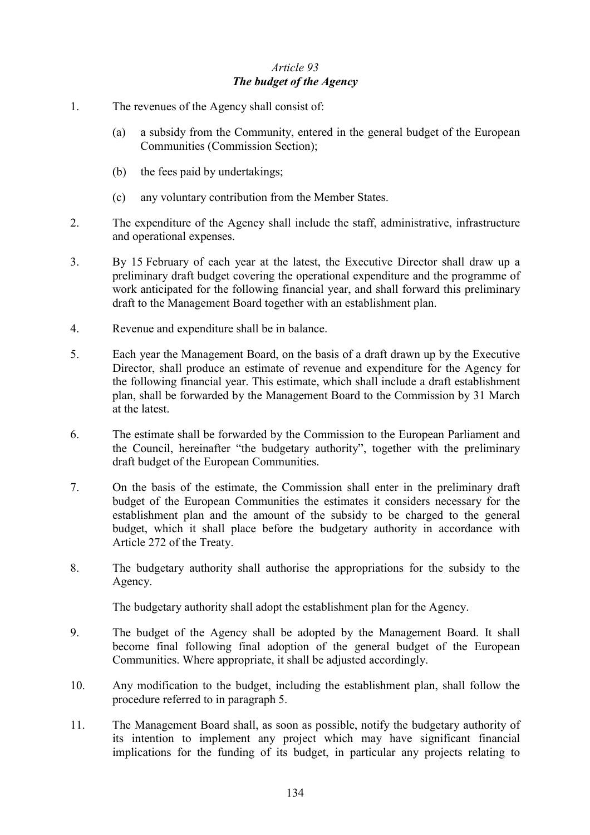# *Article 93 The budget of the Agency*

- 1. The revenues of the Agency shall consist of:
	- (a) a subsidy from the Community, entered in the general budget of the European Communities (Commission Section);
	- (b) the fees paid by undertakings;
	- (c) any voluntary contribution from the Member States.
- 2. The expenditure of the Agency shall include the staff, administrative, infrastructure and operational expenses.
- 3. By 15 February of each year at the latest, the Executive Director shall draw up a preliminary draft budget covering the operational expenditure and the programme of work anticipated for the following financial year, and shall forward this preliminary draft to the Management Board together with an establishment plan.
- 4. Revenue and expenditure shall be in balance.
- 5. Each year the Management Board, on the basis of a draft drawn up by the Executive Director, shall produce an estimate of revenue and expenditure for the Agency for the following financial year. This estimate, which shall include a draft establishment plan, shall be forwarded by the Management Board to the Commission by 31 March at the latest.
- 6. The estimate shall be forwarded by the Commission to the European Parliament and the Council, hereinafter "the budgetary authority", together with the preliminary draft budget of the European Communities.
- 7. On the basis of the estimate, the Commission shall enter in the preliminary draft budget of the European Communities the estimates it considers necessary for the establishment plan and the amount of the subsidy to be charged to the general budget, which it shall place before the budgetary authority in accordance with Article 272 of the Treaty.
- 8. The budgetary authority shall authorise the appropriations for the subsidy to the Agency.

The budgetary authority shall adopt the establishment plan for the Agency.

- 9. The budget of the Agency shall be adopted by the Management Board. It shall become final following final adoption of the general budget of the European Communities. Where appropriate, it shall be adjusted accordingly.
- 10. Any modification to the budget, including the establishment plan, shall follow the procedure referred to in paragraph 5.
- 11. The Management Board shall, as soon as possible, notify the budgetary authority of its intention to implement any project which may have significant financial implications for the funding of its budget, in particular any projects relating to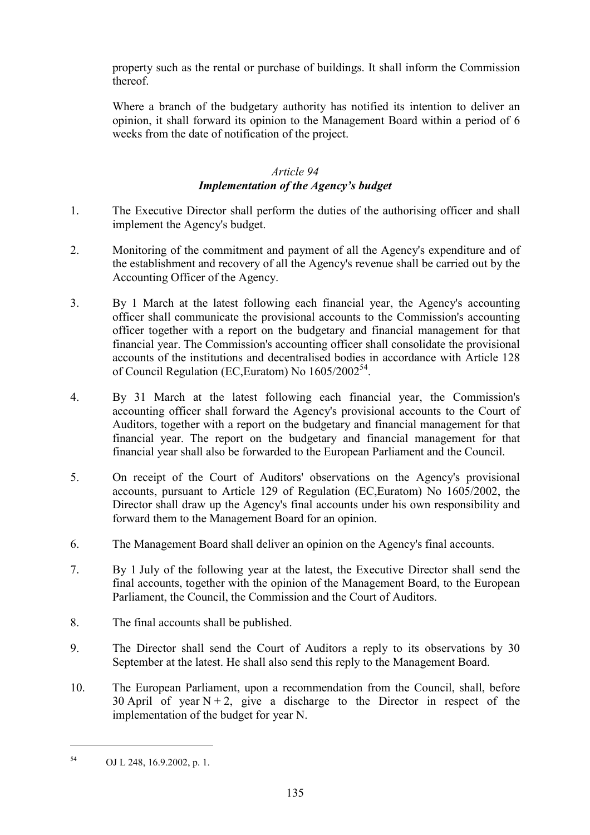property such as the rental or purchase of buildings. It shall inform the Commission thereof.

Where a branch of the budgetary authority has notified its intention to deliver an opinion, it shall forward its opinion to the Management Board within a period of 6 weeks from the date of notification of the project.

# *Article 94 Implementation of the Agency's budget*

- 1. The Executive Director shall perform the duties of the authorising officer and shall implement the Agency's budget.
- 2. Monitoring of the commitment and payment of all the Agency's expenditure and of the establishment and recovery of all the Agency's revenue shall be carried out by the Accounting Officer of the Agency.
- 3. By 1 March at the latest following each financial year, the Agency's accounting officer shall communicate the provisional accounts to the Commission's accounting officer together with a report on the budgetary and financial management for that financial year. The Commission's accounting officer shall consolidate the provisional accounts of the institutions and decentralised bodies in accordance with Article 128 of Council Regulation (EC, Euratom) No  $1605/2002^{54}$ .
- 4. By 31 March at the latest following each financial year, the Commission's accounting officer shall forward the Agency's provisional accounts to the Court of Auditors, together with a report on the budgetary and financial management for that financial year. The report on the budgetary and financial management for that financial year shall also be forwarded to the European Parliament and the Council.
- 5. On receipt of the Court of Auditors' observations on the Agency's provisional accounts, pursuant to Article 129 of Regulation (EC,Euratom) No 1605/2002, the Director shall draw up the Agency's final accounts under his own responsibility and forward them to the Management Board for an opinion.
- 6. The Management Board shall deliver an opinion on the Agency's final accounts.
- 7. By 1 July of the following year at the latest, the Executive Director shall send the final accounts, together with the opinion of the Management Board, to the European Parliament, the Council, the Commission and the Court of Auditors.
- 8. The final accounts shall be published.
- 9. The Director shall send the Court of Auditors a reply to its observations by 30 September at the latest. He shall also send this reply to the Management Board.
- 10. The European Parliament, upon a recommendation from the Council, shall, before 30 April of year  $N + 2$ , give a discharge to the Director in respect of the implementation of the budget for year N.

 $\overline{a}$ 

<sup>54</sup> OJ L 248, 16.9.2002, p. 1.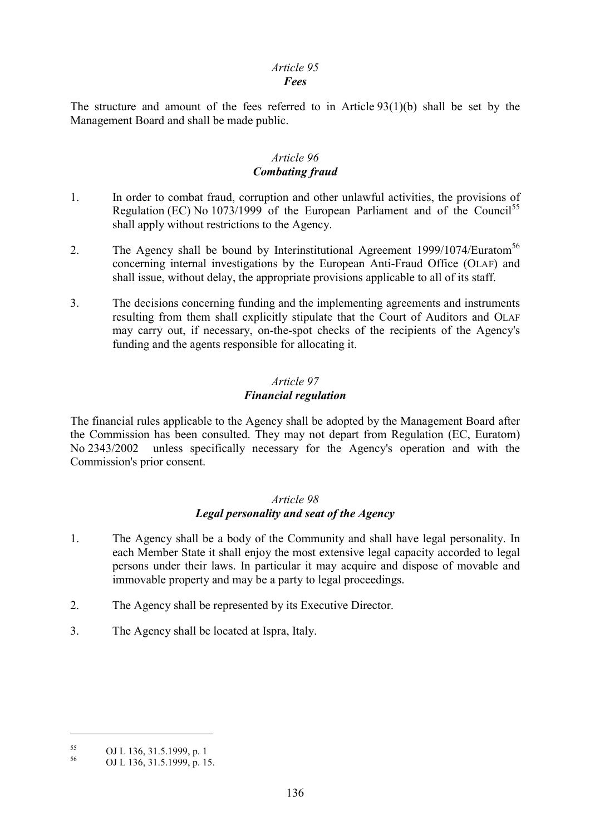# *Article 95*

### *Fees*

The structure and amount of the fees referred to in Article 93(1)(b) shall be set by the Management Board and shall be made public.

## *Article 96 Combating fraud*

- 1. In order to combat fraud, corruption and other unlawful activities, the provisions of Regulation (EC) No  $1073/1999$  of the European Parliament and of the Council<sup>55</sup> shall apply without restrictions to the Agency.
- 2. The Agency shall be bound by Interinstitutional Agreement 1999/1074/Euratom<sup>56</sup> concerning internal investigations by the European Anti-Fraud Office (OLAF) and shall issue, without delay, the appropriate provisions applicable to all of its staff.
- 3. The decisions concerning funding and the implementing agreements and instruments resulting from them shall explicitly stipulate that the Court of Auditors and OLAF may carry out, if necessary, on-the-spot checks of the recipients of the Agency's funding and the agents responsible for allocating it.

## *Article 97 Financial regulation*

The financial rules applicable to the Agency shall be adopted by the Management Board after the Commission has been consulted. They may not depart from Regulation (EC, Euratom) No 2343/2002 unless specifically necessary for the Agency's operation and with the Commission's prior consent.

### *Article 98 Legal personality and seat of the Agency*

- 1. The Agency shall be a body of the Community and shall have legal personality. In each Member State it shall enjoy the most extensive legal capacity accorded to legal persons under their laws. In particular it may acquire and dispose of movable and immovable property and may be a party to legal proceedings.
- 2. The Agency shall be represented by its Executive Director.
- 3. The Agency shall be located at Ispra, Italy.

 $\overline{a}$ 

 $55$  OJ L 136, 31.5.1999, p. 1

<sup>56</sup> OJ L 136, 31.5.1999, p. 15.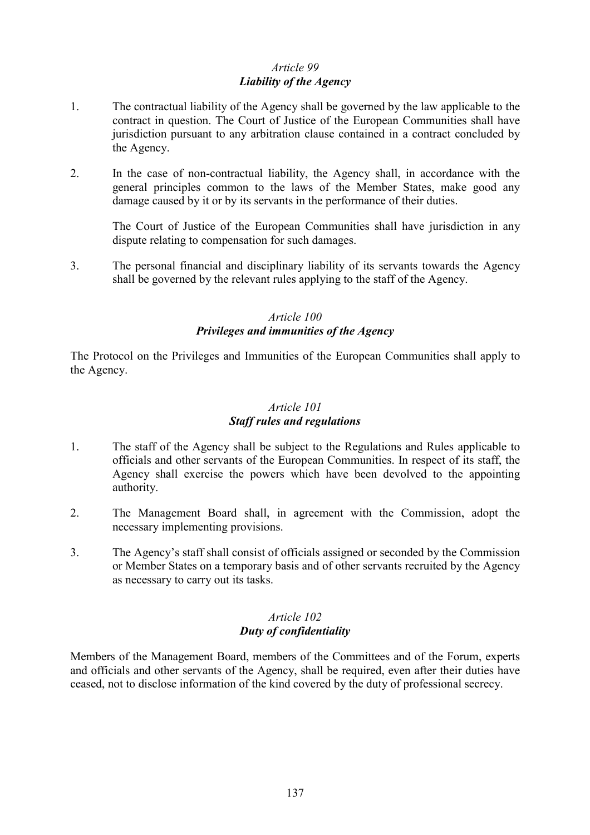# *Article 99 Liability of the Agency*

- 1. The contractual liability of the Agency shall be governed by the law applicable to the contract in question. The Court of Justice of the European Communities shall have jurisdiction pursuant to any arbitration clause contained in a contract concluded by the Agency.
- 2. In the case of non-contractual liability, the Agency shall, in accordance with the general principles common to the laws of the Member States, make good any damage caused by it or by its servants in the performance of their duties.

The Court of Justice of the European Communities shall have jurisdiction in any dispute relating to compensation for such damages.

3. The personal financial and disciplinary liability of its servants towards the Agency shall be governed by the relevant rules applying to the staff of the Agency.

# *Article 100 Privileges and immunities of the Agency*

The Protocol on the Privileges and Immunities of the European Communities shall apply to the Agency.

# *Article 101*

# *Staff rules and regulations*

- 1. The staff of the Agency shall be subject to the Regulations and Rules applicable to officials and other servants of the European Communities. In respect of its staff, the Agency shall exercise the powers which have been devolved to the appointing authority.
- 2. The Management Board shall, in agreement with the Commission, adopt the necessary implementing provisions.
- 3. The Agency's staff shall consist of officials assigned or seconded by the Commission or Member States on a temporary basis and of other servants recruited by the Agency as necessary to carry out its tasks.

#### *Article 102 Duty of confidentiality*

Members of the Management Board, members of the Committees and of the Forum, experts and officials and other servants of the Agency, shall be required, even after their duties have ceased, not to disclose information of the kind covered by the duty of professional secrecy.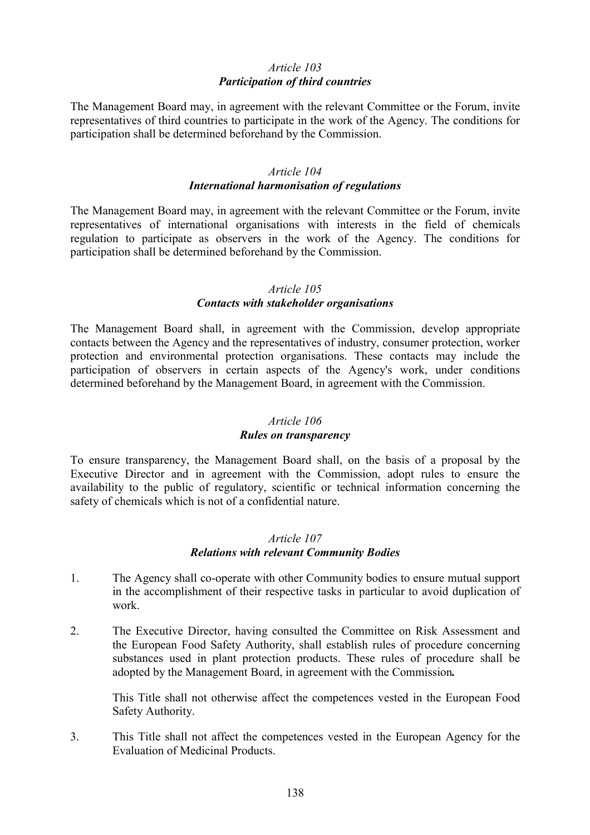# *Article 103 Participation of third countries*

The Management Board may, in agreement with the relevant Committee or the Forum, invite representatives of third countries to participate in the work of the Agency. The conditions for participation shall be determined beforehand by the Commission.

### *Article 104 International harmonisation of regulations*

The Management Board may, in agreement with the relevant Committee or the Forum, invite representatives of international organisations with interests in the field of chemicals regulation to participate as observers in the work of the Agency. The conditions for participation shall be determined beforehand by the Commission.

#### *Article 105*

### *Contacts with stakeholder organisations*

The Management Board shall, in agreement with the Commission, develop appropriate contacts between the Agency and the representatives of industry, consumer protection, worker protection and environmental protection organisations. These contacts may include the participation of observers in certain aspects of the Agency's work, under conditions determined beforehand by the Management Board, in agreement with the Commission.

#### *Article 106*

#### *Rules on transparency*

To ensure transparency, the Management Board shall, on the basis of a proposal by the Executive Director and in agreement with the Commission, adopt rules to ensure the availability to the public of regulatory, scientific or technical information concerning the safety of chemicals which is not of a confidential nature.

## *Article 107 Relations with relevant Community Bodies*

- 1. The Agency shall co-operate with other Community bodies to ensure mutual support in the accomplishment of their respective tasks in particular to avoid duplication of work.
- 2. The Executive Director, having consulted the Committee on Risk Assessment and the European Food Safety Authority, shall establish rules of procedure concerning substances used in plant protection products. These rules of procedure shall be adopted by the Management Board, in agreement with the Commission*.*

This Title shall not otherwise affect the competences vested in the European Food Safety Authority.

3. This Title shall not affect the competences vested in the European Agency for the Evaluation of Medicinal Products.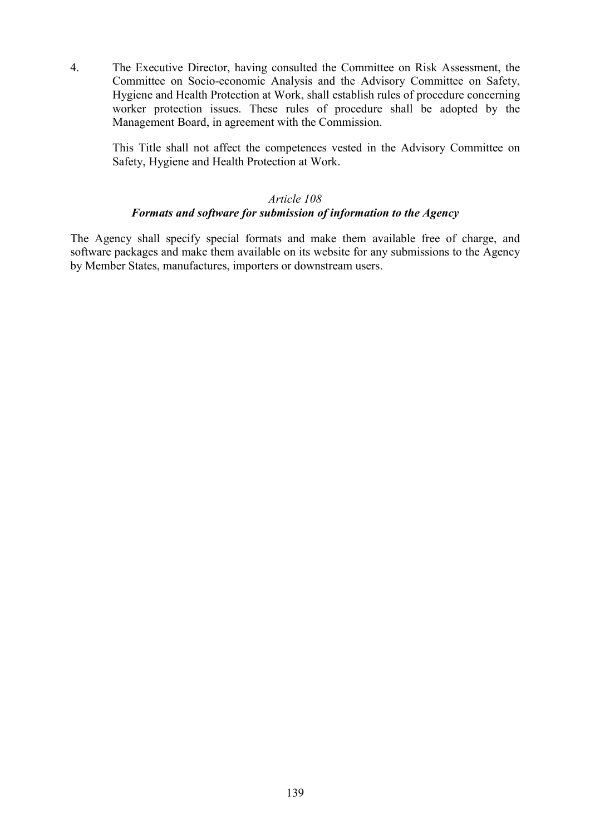4. The Executive Director, having consulted the Committee on Risk Assessment, the Committee on Socio-economic Analysis and the Advisory Committee on Safety, Hygiene and Health Protection at Work, shall establish rules of procedure concerning worker protection issues. These rules of procedure shall be adopted by the Management Board, in agreement with the Commission.

This Title shall not affect the competences vested in the Advisory Committee on Safety, Hygiene and Health Protection at Work.

#### *Article 108*

# *Formats and software for submission of information to the Agency*

The Agency shall specify special formats and make them available free of charge, and software packages and make them available on its website for any submissions to the Agency by Member States, manufactures, importers or downstream users.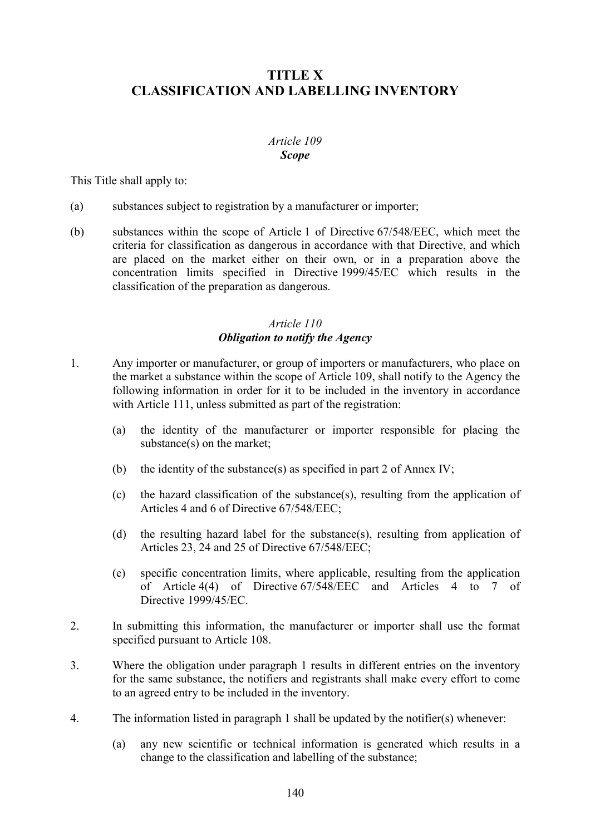# **TITLE X CLASSIFICATION AND LABELLING INVENTORY**

## *Article 109 Scope*

This Title shall apply to:

- (a) substances subject to registration by a manufacturer or importer;
- (b) substances within the scope of Article 1 of Directive 67/548/EEC, which meet the criteria for classification as dangerous in accordance with that Directive, and which are placed on the market either on their own, or in a preparation above the concentration limits specified in Directive 1999/45/EC which results in the classification of the preparation as dangerous.

## *Article 110 Obligation to notify the Agency*

- 1. Any importer or manufacturer, or group of importers or manufacturers, who place on the market a substance within the scope of Article 109, shall notify to the Agency the following information in order for it to be included in the inventory in accordance with Article 111, unless submitted as part of the registration:
	- (a) the identity of the manufacturer or importer responsible for placing the substance(s) on the market;
	- (b) the identity of the substance(s) as specified in part 2 of Annex IV;
	- (c) the hazard classification of the substance(s), resulting from the application of Articles 4 and 6 of Directive 67/548/EEC;
	- (d) the resulting hazard label for the substance(s), resulting from application of Articles 23, 24 and 25 of Directive 67/548/EEC;
	- (e) specific concentration limits, where applicable, resulting from the application of Article 4(4) of Directive 67/548/EEC and Articles 4 to 7 of Directive 1999/45/EC.
- 2. In submitting this information, the manufacturer or importer shall use the format specified pursuant to Article 108.
- 3. Where the obligation under paragraph 1 results in different entries on the inventory for the same substance, the notifiers and registrants shall make every effort to come to an agreed entry to be included in the inventory.
- 4. The information listed in paragraph 1 shall be updated by the notifier(s) whenever:
	- (a) any new scientific or technical information is generated which results in a change to the classification and labelling of the substance;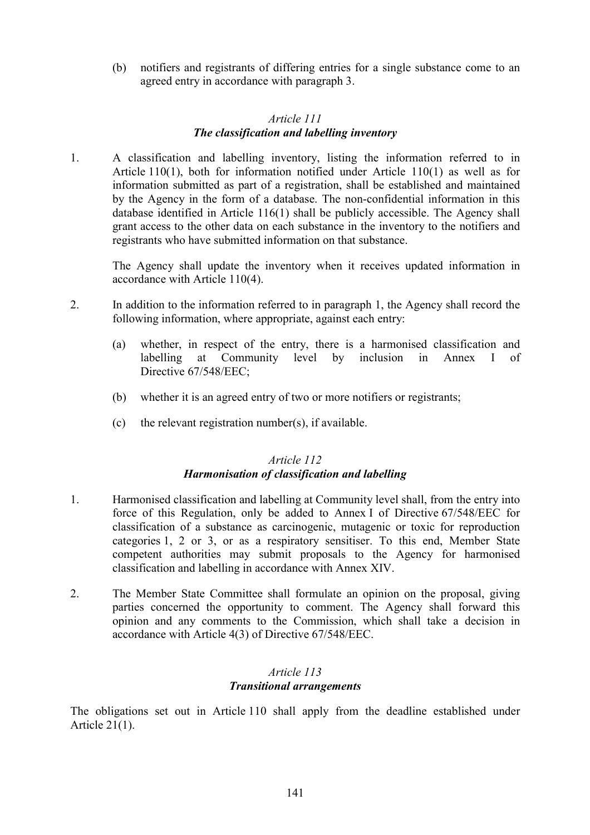(b) notifiers and registrants of differing entries for a single substance come to an agreed entry in accordance with paragraph 3.

## *Article 111 The classification and labelling inventory*

1. A classification and labelling inventory, listing the information referred to in Article 110(1), both for information notified under Article 110(1) as well as for information submitted as part of a registration, shall be established and maintained by the Agency in the form of a database. The non-confidential information in this database identified in Article 116(1) shall be publicly accessible. The Agency shall grant access to the other data on each substance in the inventory to the notifiers and registrants who have submitted information on that substance.

The Agency shall update the inventory when it receives updated information in accordance with Article 110(4).

- 2. In addition to the information referred to in paragraph 1, the Agency shall record the following information, where appropriate, against each entry:
	- (a) whether, in respect of the entry, there is a harmonised classification and labelling at Community level by inclusion in Annex I of Directive 67/548/EEC;
	- (b) whether it is an agreed entry of two or more notifiers or registrants;
	- (c) the relevant registration number(s), if available.

## *Article 112 Harmonisation of classification and labelling*

- 1. Harmonised classification and labelling at Community level shall, from the entry into force of this Regulation, only be added to Annex I of Directive 67/548/EEC for classification of a substance as carcinogenic, mutagenic or toxic for reproduction categories 1, 2 or 3, or as a respiratory sensitiser. To this end, Member State competent authorities may submit proposals to the Agency for harmonised classification and labelling in accordance with Annex XIV.
- 2. The Member State Committee shall formulate an opinion on the proposal, giving parties concerned the opportunity to comment. The Agency shall forward this opinion and any comments to the Commission, which shall take a decision in accordance with Article 4(3) of Directive 67/548/EEC.

## *Article 113 Transitional arrangements*

The obligations set out in Article 110 shall apply from the deadline established under Article 21(1).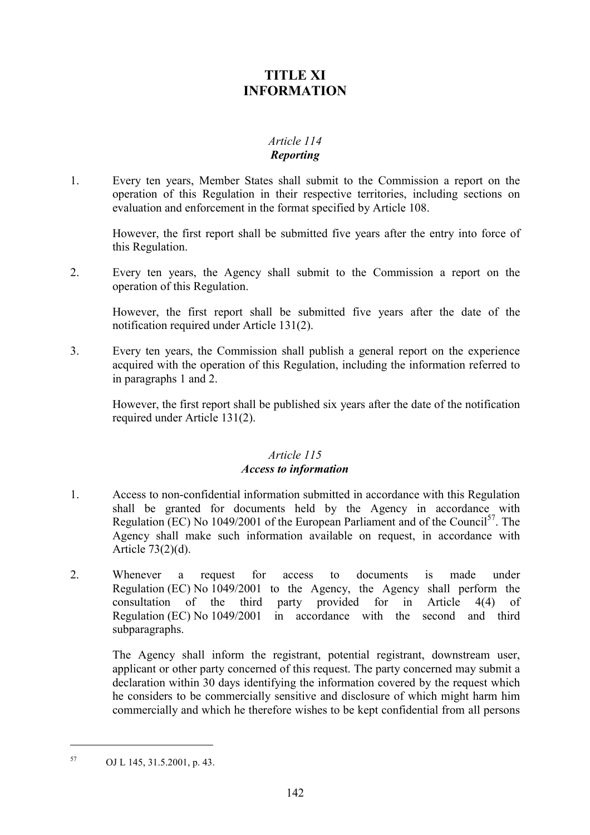# **TITLE XI INFORMATION**

# *Article 114 Reporting*

1. Every ten years, Member States shall submit to the Commission a report on the operation of this Regulation in their respective territories, including sections on evaluation and enforcement in the format specified by Article 108.

However, the first report shall be submitted five years after the entry into force of this Regulation.

2. Every ten years, the Agency shall submit to the Commission a report on the operation of this Regulation.

However, the first report shall be submitted five years after the date of the notification required under Article 131(2).

3. Every ten years, the Commission shall publish a general report on the experience acquired with the operation of this Regulation, including the information referred to in paragraphs 1 and 2.

However, the first report shall be published six years after the date of the notification required under Article 131(2).

### *Article 115 Access to information*

- 1. Access to non-confidential information submitted in accordance with this Regulation shall be granted for documents held by the Agency in accordance with Regulation (EC) No 1049/2001 of the European Parliament and of the Council<sup>57</sup>. The Agency shall make such information available on request, in accordance with Article 73(2)(d).
- 2. Whenever a request for access to documents is made under Regulation (EC) No 1049/2001 to the Agency, the Agency shall perform the consultation of the third party provided for in Article 4(4) of Regulation (EC) No 1049/2001 in accordance with the second and third subparagraphs.

The Agency shall inform the registrant, potential registrant, downstream user, applicant or other party concerned of this request. The party concerned may submit a declaration within 30 days identifying the information covered by the request which he considers to be commercially sensitive and disclosure of which might harm him commercially and which he therefore wishes to be kept confidential from all persons

 $\overline{a}$ 

<sup>57</sup> OJ L 145, 31.5.2001, p. 43.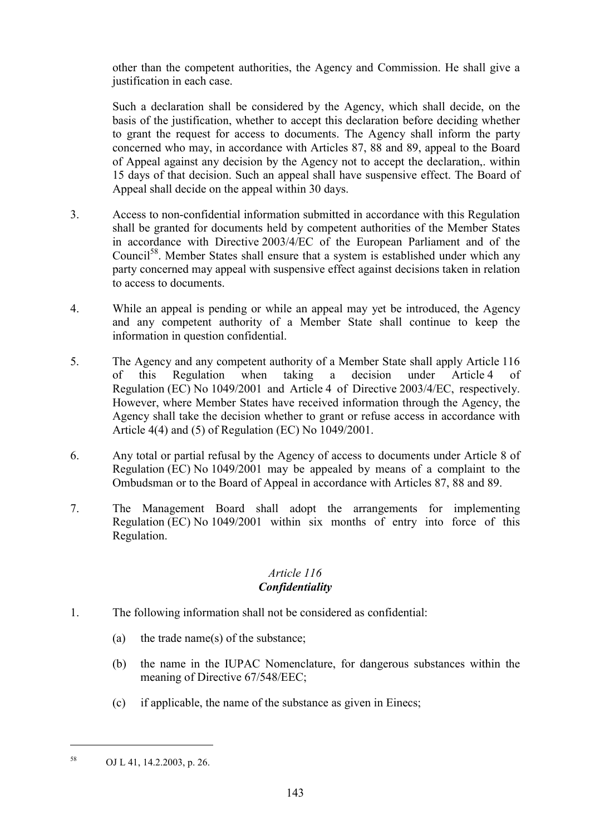other than the competent authorities, the Agency and Commission. He shall give a justification in each case.

Such a declaration shall be considered by the Agency, which shall decide, on the basis of the justification, whether to accept this declaration before deciding whether to grant the request for access to documents. The Agency shall inform the party concerned who may, in accordance with Articles 87, 88 and 89, appeal to the Board of Appeal against any decision by the Agency not to accept the declaration,. within 15 days of that decision. Such an appeal shall have suspensive effect. The Board of Appeal shall decide on the appeal within 30 days.

- 3. Access to non-confidential information submitted in accordance with this Regulation shall be granted for documents held by competent authorities of the Member States in accordance with Directive 2003/4/EC of the European Parliament and of the Council<sup>58</sup>. Member States shall ensure that a system is established under which any party concerned may appeal with suspensive effect against decisions taken in relation to access to documents.
- 4. While an appeal is pending or while an appeal may yet be introduced, the Agency and any competent authority of a Member State shall continue to keep the information in question confidential.
- 5. The Agency and any competent authority of a Member State shall apply Article 116 of this Regulation when taking a decision under Article 4 of Regulation (EC) No 1049/2001 and Article 4 of Directive 2003/4/EC, respectively. However, where Member States have received information through the Agency, the Agency shall take the decision whether to grant or refuse access in accordance with Article 4(4) and (5) of Regulation (EC) No 1049/2001.
- 6. Any total or partial refusal by the Agency of access to documents under Article 8 of Regulation (EC) No 1049/2001 may be appealed by means of a complaint to the Ombudsman or to the Board of Appeal in accordance with Articles 87, 88 and 89.
- 7. The Management Board shall adopt the arrangements for implementing Regulation (EC) No 1049/2001 within six months of entry into force of this Regulation.

# *Article 116 Confidentiality*

- 1. The following information shall not be considered as confidential:
	- (a) the trade name(s) of the substance;
	- (b) the name in the IUPAC Nomenclature, for dangerous substances within the meaning of Directive 67/548/EEC;
	- (c) if applicable, the name of the substance as given in Einecs;

 $\overline{a}$ 

<sup>58</sup> OJ L 41, 14.2.2003, p. 26.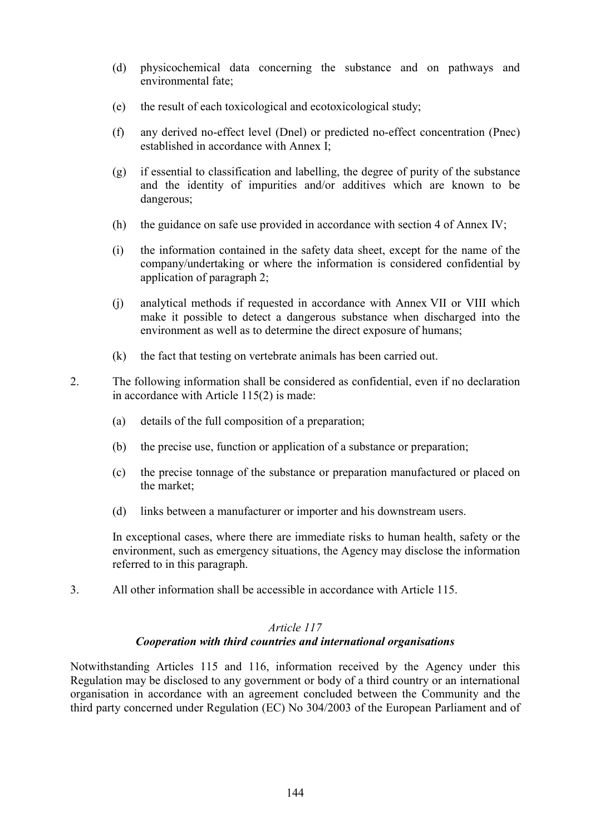- (d) physicochemical data concerning the substance and on pathways and environmental fate;
- (e) the result of each toxicological and ecotoxicological study;
- (f) any derived no-effect level (Dnel) or predicted no-effect concentration (Pnec) established in accordance with Annex I;
- (g) if essential to classification and labelling, the degree of purity of the substance and the identity of impurities and/or additives which are known to be dangerous;
- (h) the guidance on safe use provided in accordance with section 4 of Annex IV;
- (i) the information contained in the safety data sheet, except for the name of the company/undertaking or where the information is considered confidential by application of paragraph 2;
- (j) analytical methods if requested in accordance with Annex VII or VIII which make it possible to detect a dangerous substance when discharged into the environment as well as to determine the direct exposure of humans;
- (k) the fact that testing on vertebrate animals has been carried out.
- 2. The following information shall be considered as confidential, even if no declaration in accordance with Article 115(2) is made:
	- (a) details of the full composition of a preparation;
	- (b) the precise use, function or application of a substance or preparation;
	- (c) the precise tonnage of the substance or preparation manufactured or placed on the market;
	- (d) links between a manufacturer or importer and his downstream users.

In exceptional cases, where there are immediate risks to human health, safety or the environment, such as emergency situations, the Agency may disclose the information referred to in this paragraph.

3. All other information shall be accessible in accordance with Article 115.

## *Article 117*

## *Cooperation with third countries and international organisations*

Notwithstanding Articles 115 and 116, information received by the Agency under this Regulation may be disclosed to any government or body of a third country or an international organisation in accordance with an agreement concluded between the Community and the third party concerned under Regulation (EC) No 304/2003 of the European Parliament and of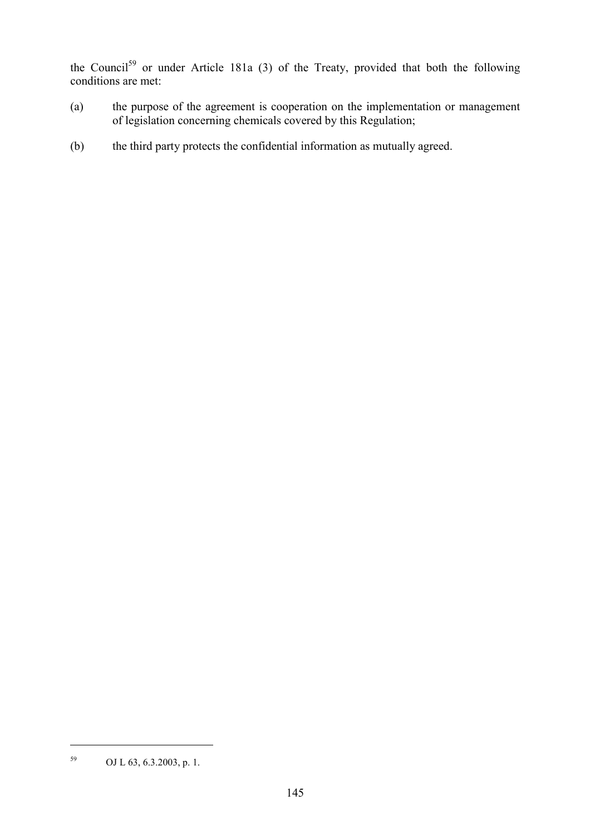the Council<sup>59</sup> or under Article 181a (3) of the Treaty, provided that both the following conditions are met:

- (a) the purpose of the agreement is cooperation on the implementation or management of legislation concerning chemicals covered by this Regulation;
- (b) the third party protects the confidential information as mutually agreed.

<sup>59</sup> OJ L 63, 6.3.2003, p. 1.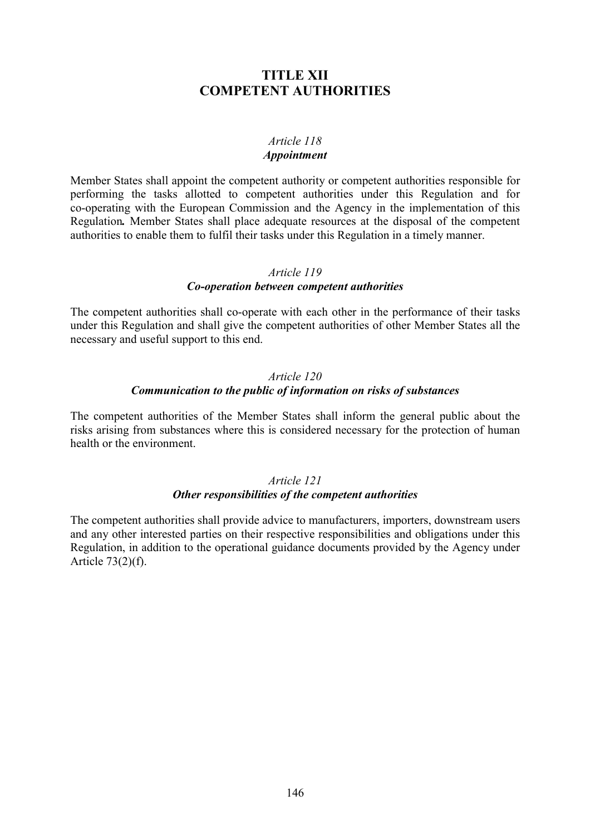# **TITLE XII COMPETENT AUTHORITIES**

#### *Article 118 Appointment*

Member States shall appoint the competent authority or competent authorities responsible for performing the tasks allotted to competent authorities under this Regulation and for co-operating with the European Commission and the Agency in the implementation of this Regulation*.* Member States shall place adequate resources at the disposal of the competent authorities to enable them to fulfil their tasks under this Regulation in a timely manner.

#### *Article 119*

#### *Co-operation between competent authorities*

The competent authorities shall co-operate with each other in the performance of their tasks under this Regulation and shall give the competent authorities of other Member States all the necessary and useful support to this end.

### *Article 120*

#### *Communication to the public of information on risks of substances*

The competent authorities of the Member States shall inform the general public about the risks arising from substances where this is considered necessary for the protection of human health or the environment.

### *Article 121 Other responsibilities of the competent authorities*

The competent authorities shall provide advice to manufacturers, importers, downstream users and any other interested parties on their respective responsibilities and obligations under this Regulation, in addition to the operational guidance documents provided by the Agency under Article 73(2)(f).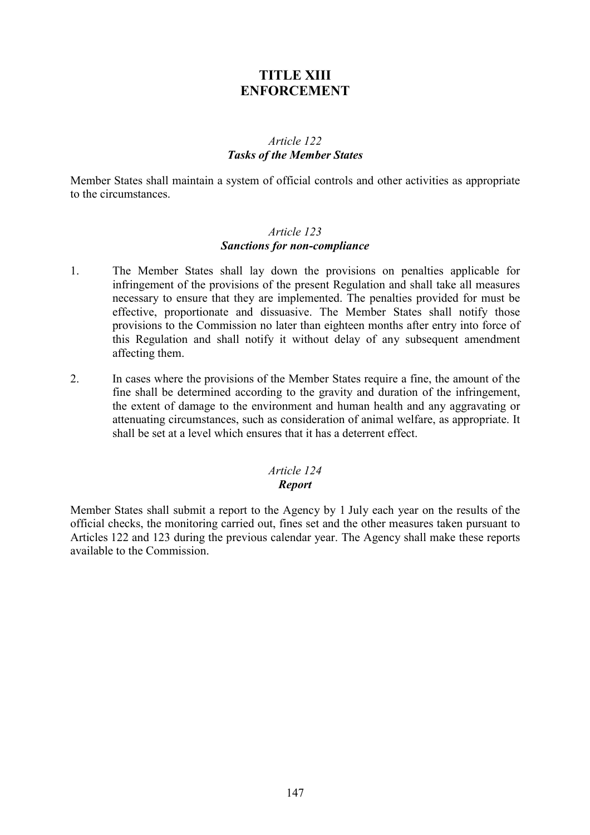# **TITLE XIII ENFORCEMENT**

# *Article 122 Tasks of the Member States*

Member States shall maintain a system of official controls and other activities as appropriate to the circumstances.

# *Article 123 Sanctions for non-compliance*

- 1. The Member States shall lay down the provisions on penalties applicable for infringement of the provisions of the present Regulation and shall take all measures necessary to ensure that they are implemented. The penalties provided for must be effective, proportionate and dissuasive. The Member States shall notify those provisions to the Commission no later than eighteen months after entry into force of this Regulation and shall notify it without delay of any subsequent amendment affecting them.
- 2. In cases where the provisions of the Member States require a fine, the amount of the fine shall be determined according to the gravity and duration of the infringement, the extent of damage to the environment and human health and any aggravating or attenuating circumstances, such as consideration of animal welfare, as appropriate. It shall be set at a level which ensures that it has a deterrent effect.

### *Article 124 Report*

Member States shall submit a report to the Agency by 1 July each year on the results of the official checks, the monitoring carried out, fines set and the other measures taken pursuant to Articles 122 and 123 during the previous calendar year. The Agency shall make these reports available to the Commission.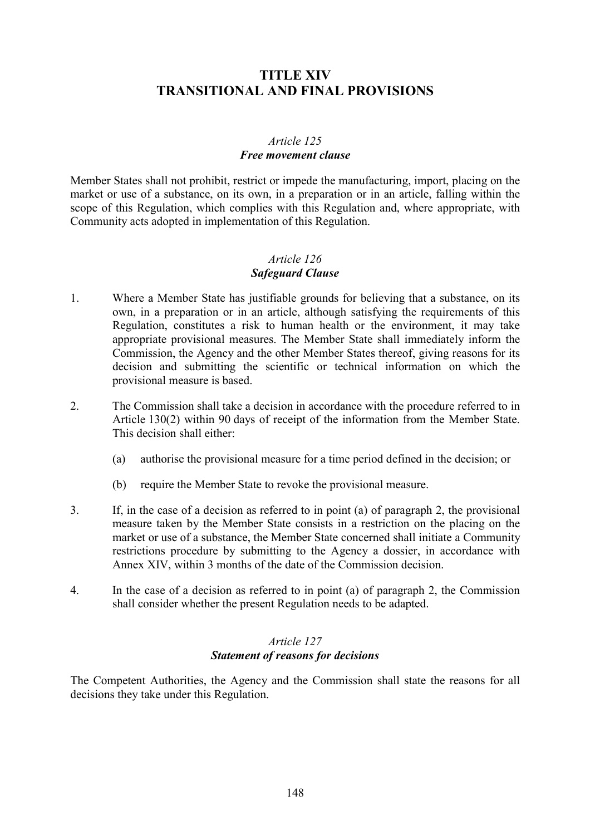# **TITLE XIV TRANSITIONAL AND FINAL PROVISIONS**

# *Article 125 Free movement clause*

Member States shall not prohibit, restrict or impede the manufacturing, import, placing on the market or use of a substance, on its own, in a preparation or in an article, falling within the scope of this Regulation, which complies with this Regulation and, where appropriate, with Community acts adopted in implementation of this Regulation.

# *Article 126 Safeguard Clause*

- 1. Where a Member State has justifiable grounds for believing that a substance, on its own, in a preparation or in an article, although satisfying the requirements of this Regulation, constitutes a risk to human health or the environment, it may take appropriate provisional measures. The Member State shall immediately inform the Commission, the Agency and the other Member States thereof, giving reasons for its decision and submitting the scientific or technical information on which the provisional measure is based.
- 2. The Commission shall take a decision in accordance with the procedure referred to in Article 130(2) within 90 days of receipt of the information from the Member State. This decision shall either:
	- (a) authorise the provisional measure for a time period defined in the decision; or
	- (b) require the Member State to revoke the provisional measure.
- 3. If, in the case of a decision as referred to in point (a) of paragraph 2, the provisional measure taken by the Member State consists in a restriction on the placing on the market or use of a substance, the Member State concerned shall initiate a Community restrictions procedure by submitting to the Agency a dossier, in accordance with Annex XIV, within 3 months of the date of the Commission decision.
- 4. In the case of a decision as referred to in point (a) of paragraph 2, the Commission shall consider whether the present Regulation needs to be adapted.

# *Article 127 Statement of reasons for decisions*

The Competent Authorities, the Agency and the Commission shall state the reasons for all decisions they take under this Regulation.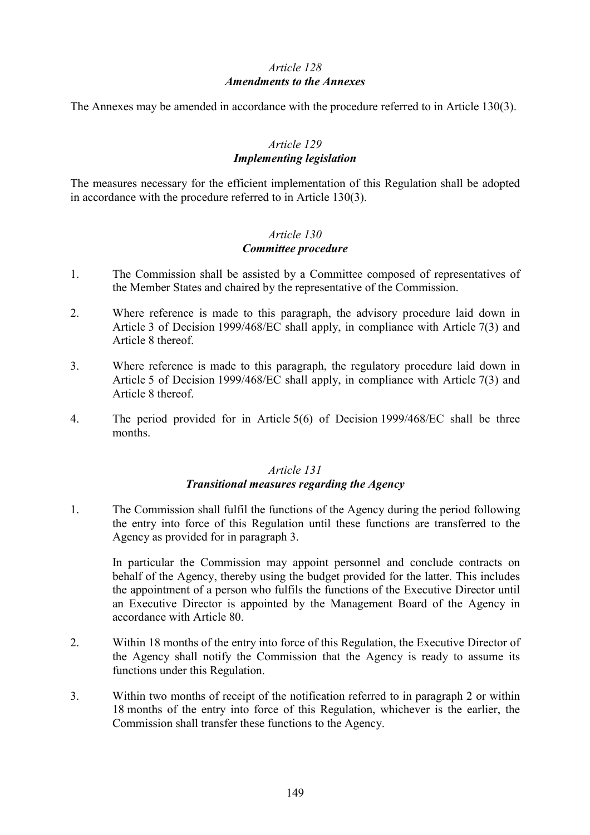# *Article 128 Amendments to the Annexes*

The Annexes may be amended in accordance with the procedure referred to in Article 130(3).

# *Article 129 Implementing legislation*

The measures necessary for the efficient implementation of this Regulation shall be adopted in accordance with the procedure referred to in Article 130(3).

# *Article 130 Committee procedure*

- 1. The Commission shall be assisted by a Committee composed of representatives of the Member States and chaired by the representative of the Commission.
- 2. Where reference is made to this paragraph, the advisory procedure laid down in Article 3 of Decision 1999/468/EC shall apply, in compliance with Article 7(3) and Article 8 thereof.
- 3. Where reference is made to this paragraph, the regulatory procedure laid down in Article 5 of Decision 1999/468/EC shall apply, in compliance with Article 7(3) and Article 8 thereof.
- 4. The period provided for in Article 5(6) of Decision 1999/468/EC shall be three months.

# *Article 131*

### *Transitional measures regarding the Agency*

1. The Commission shall fulfil the functions of the Agency during the period following the entry into force of this Regulation until these functions are transferred to the Agency as provided for in paragraph 3.

In particular the Commission may appoint personnel and conclude contracts on behalf of the Agency, thereby using the budget provided for the latter. This includes the appointment of a person who fulfils the functions of the Executive Director until an Executive Director is appointed by the Management Board of the Agency in accordance with Article 80.

- 2. Within 18 months of the entry into force of this Regulation, the Executive Director of the Agency shall notify the Commission that the Agency is ready to assume its functions under this Regulation.
- 3. Within two months of receipt of the notification referred to in paragraph 2 or within 18 months of the entry into force of this Regulation, whichever is the earlier, the Commission shall transfer these functions to the Agency.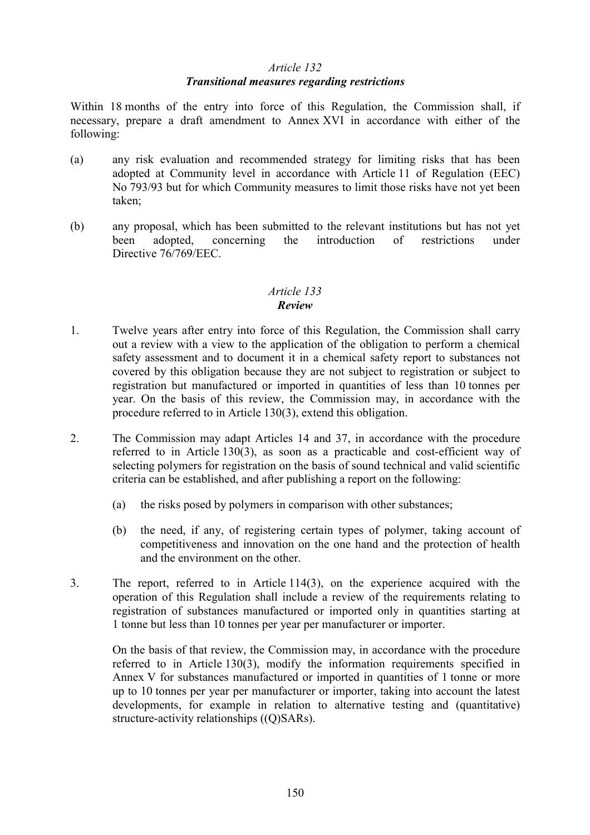### *Article 132*

### *Transitional measures regarding restrictions*

Within 18 months of the entry into force of this Regulation, the Commission shall, if necessary, prepare a draft amendment to Annex XVI in accordance with either of the following:

- (a) any risk evaluation and recommended strategy for limiting risks that has been adopted at Community level in accordance with Article 11 of Regulation (EEC) No 793/93 but for which Community measures to limit those risks have not yet been taken;
- (b) any proposal, which has been submitted to the relevant institutions but has not yet been adopted, concerning the introduction of restrictions under Directive 76/769/EEC.

### *Article 133 Review*

- 1. Twelve years after entry into force of this Regulation, the Commission shall carry out a review with a view to the application of the obligation to perform a chemical safety assessment and to document it in a chemical safety report to substances not covered by this obligation because they are not subject to registration or subject to registration but manufactured or imported in quantities of less than 10 tonnes per year. On the basis of this review, the Commission may, in accordance with the procedure referred to in Article 130(3), extend this obligation.
- 2. The Commission may adapt Articles 14 and 37, in accordance with the procedure referred to in Article 130(3), as soon as a practicable and cost-efficient way of selecting polymers for registration on the basis of sound technical and valid scientific criteria can be established, and after publishing a report on the following:
	- (a) the risks posed by polymers in comparison with other substances;
	- (b) the need, if any, of registering certain types of polymer, taking account of competitiveness and innovation on the one hand and the protection of health and the environment on the other.
- 3. The report, referred to in Article 114(3), on the experience acquired with the operation of this Regulation shall include a review of the requirements relating to registration of substances manufactured or imported only in quantities starting at 1 tonne but less than 10 tonnes per year per manufacturer or importer.

On the basis of that review, the Commission may, in accordance with the procedure referred to in Article 130(3), modify the information requirements specified in Annex V for substances manufactured or imported in quantities of 1 tonne or more up to 10 tonnes per year per manufacturer or importer, taking into account the latest developments, for example in relation to alternative testing and (quantitative) structure-activity relationships ((Q)SARs).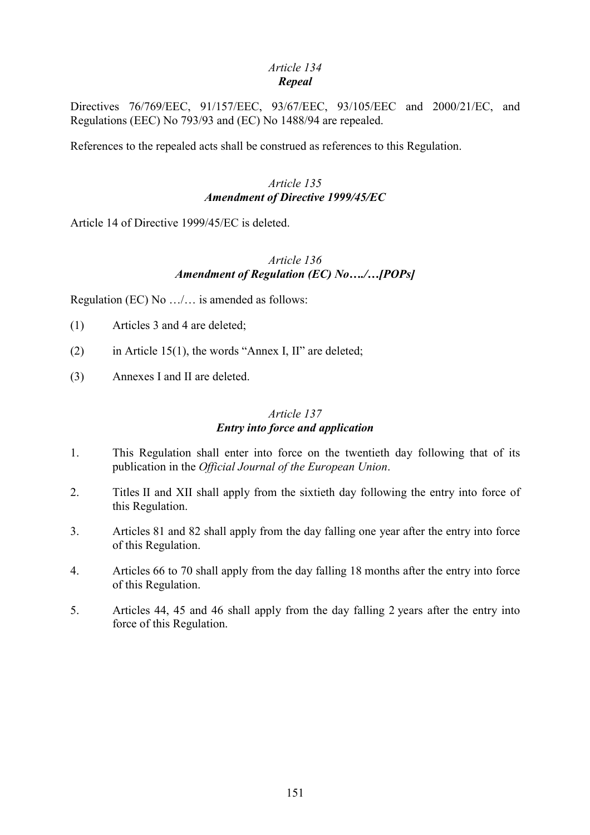### *Article 134 Repeal*

Directives 76/769/EEC, 91/157/EEC, 93/67/EEC, 93/105/EEC and 2000/21/EC, and Regulations (EEC) No 793/93 and (EC) No 1488/94 are repealed.

References to the repealed acts shall be construed as references to this Regulation.

# *Article 135 Amendment of Directive 1999/45/EC*

Article 14 of Directive 1999/45/EC is deleted.

# *Article 136 Amendment of Regulation (EC) No…./…[POPs]*

Regulation (EC) No …/… is amended as follows:

- (1) Articles 3 and 4 are deleted;
- (2) in Article 15(1), the words "Annex I, II" are deleted;
- (3) Annexes I and II are deleted.

### *Article 137 Entry into force and application*

- 1. This Regulation shall enter into force on the twentieth day following that of its publication in the *Official Journal of the European Union*.
- 2. Titles II and XII shall apply from the sixtieth day following the entry into force of this Regulation.
- 3. Articles 81 and 82 shall apply from the day falling one year after the entry into force of this Regulation.
- 4. Articles 66 to 70 shall apply from the day falling 18 months after the entry into force of this Regulation.
- 5. Articles 44, 45 and 46 shall apply from the day falling 2 years after the entry into force of this Regulation.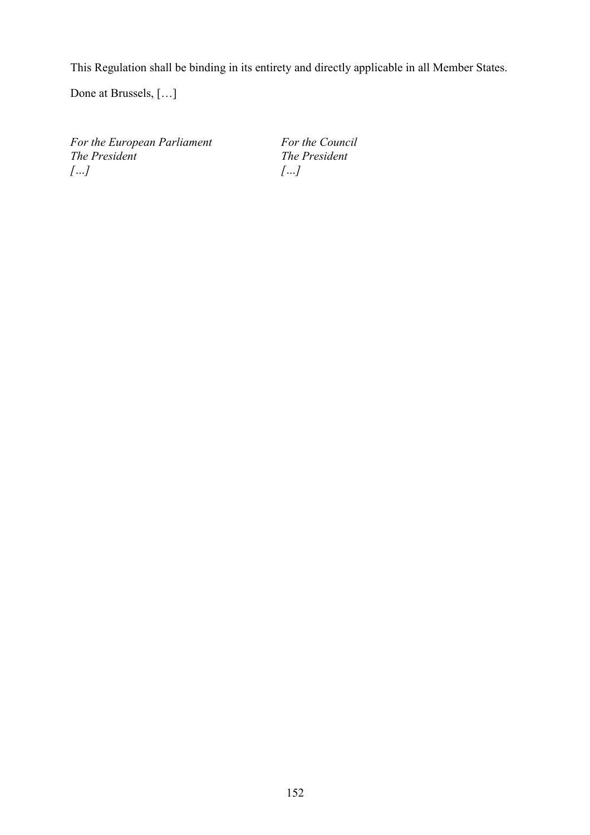This Regulation shall be binding in its entirety and directly applicable in all Member States.

Done at Brussels, […]

*For the European Parliament For the Council*<br>*The President The President The President […] […]*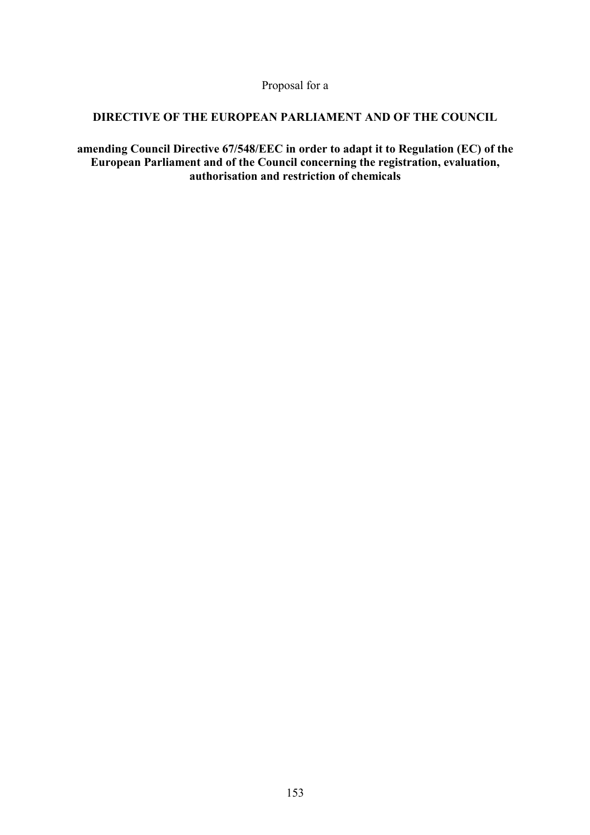Proposal for a

# **DIRECTIVE OF THE EUROPEAN PARLIAMENT AND OF THE COUNCIL**

**amending Council Directive 67/548/EEC in order to adapt it to Regulation (EC) of the European Parliament and of the Council concerning the registration, evaluation, authorisation and restriction of chemicals**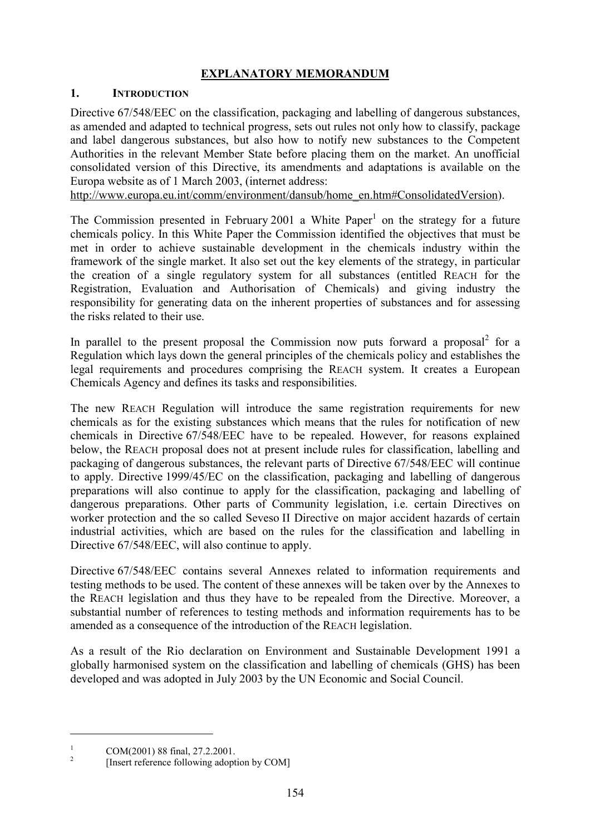# **EXPLANATORY MEMORANDUM**

# **1. INTRODUCTION**

Directive 67/548/EEC on the classification, packaging and labelling of dangerous substances, as amended and adapted to technical progress, sets out rules not only how to classify, package and label dangerous substances, but also how to notify new substances to the Competent Authorities in the relevant Member State before placing them on the market. An unofficial consolidated version of this Directive, its amendments and adaptations is available on the Europa website as of 1 March 2003, (internet address:

http://www.europa.eu.int/comm/environment/dansub/home\_en.htm#ConsolidatedVersion).

The Commission presented in February 2001 a White Paper<sup>1</sup> on the strategy for a future chemicals policy. In this White Paper the Commission identified the objectives that must be met in order to achieve sustainable development in the chemicals industry within the framework of the single market. It also set out the key elements of the strategy, in particular the creation of a single regulatory system for all substances (entitled REACH for the Registration, Evaluation and Authorisation of Chemicals) and giving industry the responsibility for generating data on the inherent properties of substances and for assessing the risks related to their use.

In parallel to the present proposal the Commission now puts forward a proposal<sup>2</sup> for a Regulation which lays down the general principles of the chemicals policy and establishes the legal requirements and procedures comprising the REACH system. It creates a European Chemicals Agency and defines its tasks and responsibilities.

The new REACH Regulation will introduce the same registration requirements for new chemicals as for the existing substances which means that the rules for notification of new chemicals in Directive 67/548/EEC have to be repealed. However, for reasons explained below, the REACH proposal does not at present include rules for classification, labelling and packaging of dangerous substances, the relevant parts of Directive 67/548/EEC will continue to apply. Directive 1999/45/EC on the classification, packaging and labelling of dangerous preparations will also continue to apply for the classification, packaging and labelling of dangerous preparations. Other parts of Community legislation, i.e. certain Directives on worker protection and the so called Seveso II Directive on major accident hazards of certain industrial activities, which are based on the rules for the classification and labelling in Directive 67/548/EEC, will also continue to apply.

Directive 67/548/EEC contains several Annexes related to information requirements and testing methods to be used. The content of these annexes will be taken over by the Annexes to the REACH legislation and thus they have to be repealed from the Directive. Moreover, a substantial number of references to testing methods and information requirements has to be amended as a consequence of the introduction of the REACH legislation.

As a result of the Rio declaration on Environment and Sustainable Development 1991 a globally harmonised system on the classification and labelling of chemicals (GHS) has been developed and was adopted in July 2003 by the UN Economic and Social Council.

<sup>&</sup>lt;sup>1</sup> COM(2001) 88 final, 27.2.2001.<br><sup>2</sup> [Insert reference following adoption by COM]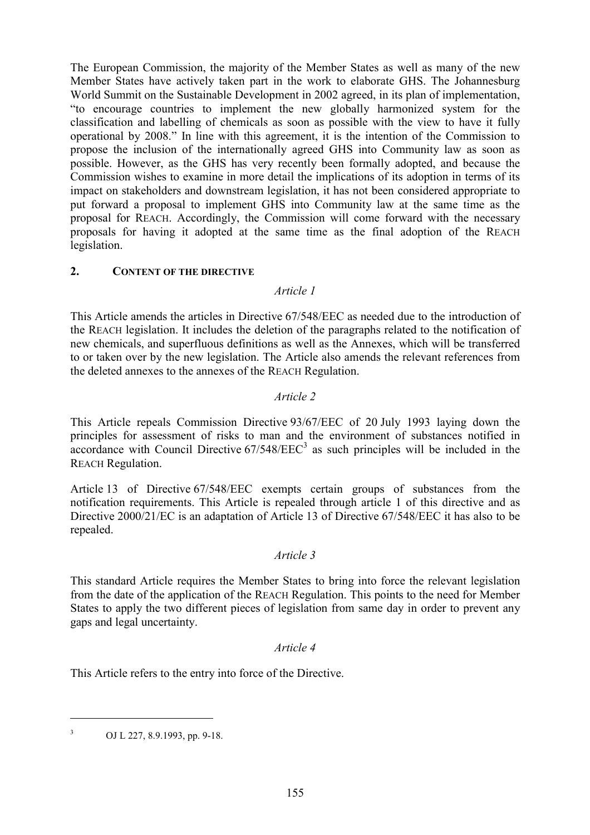The European Commission, the majority of the Member States as well as many of the new Member States have actively taken part in the work to elaborate GHS. The Johannesburg World Summit on the Sustainable Development in 2002 agreed, in its plan of implementation, "to encourage countries to implement the new globally harmonized system for the classification and labelling of chemicals as soon as possible with the view to have it fully operational by 2008." In line with this agreement, it is the intention of the Commission to propose the inclusion of the internationally agreed GHS into Community law as soon as possible. However, as the GHS has very recently been formally adopted, and because the Commission wishes to examine in more detail the implications of its adoption in terms of its impact on stakeholders and downstream legislation, it has not been considered appropriate to put forward a proposal to implement GHS into Community law at the same time as the proposal for REACH. Accordingly, the Commission will come forward with the necessary proposals for having it adopted at the same time as the final adoption of the REACH legislation.

# **2. CONTENT OF THE DIRECTIVE**

### *Article 1*

This Article amends the articles in Directive 67/548/EEC as needed due to the introduction of the REACH legislation. It includes the deletion of the paragraphs related to the notification of new chemicals, and superfluous definitions as well as the Annexes, which will be transferred to or taken over by the new legislation. The Article also amends the relevant references from the deleted annexes to the annexes of the REACH Regulation.

### *Article 2*

This Article repeals Commission Directive 93/67/EEC of 20 July 1993 laying down the principles for assessment of risks to man and the environment of substances notified in  $\frac{1}{2}$  accordance with Council Directive 67/548/EEC<sup>3</sup> as such principles will be included in the REACH Regulation.

Article 13 of Directive 67/548/EEC exempts certain groups of substances from the notification requirements. This Article is repealed through article 1 of this directive and as Directive 2000/21/EC is an adaptation of Article 13 of Directive 67/548/EEC it has also to be repealed.

#### *Article 3*

This standard Article requires the Member States to bring into force the relevant legislation from the date of the application of the REACH Regulation. This points to the need for Member States to apply the two different pieces of legislation from same day in order to prevent any gaps and legal uncertainty.

### *Article 4*

This Article refers to the entry into force of the Directive.

<sup>3</sup> OJ L 227, 8.9.1993, pp. 9-18.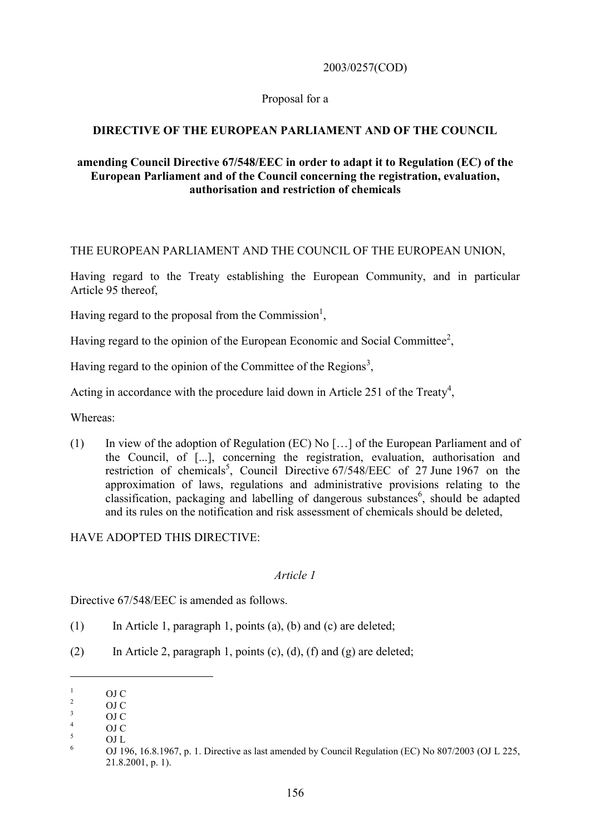### 2003/0257(COD)

### Proposal for a

# **DIRECTIVE OF THE EUROPEAN PARLIAMENT AND OF THE COUNCIL**

### **amending Council Directive 67/548/EEC in order to adapt it to Regulation (EC) of the European Parliament and of the Council concerning the registration, evaluation, authorisation and restriction of chemicals**

### THE EUROPEAN PARLIAMENT AND THE COUNCIL OF THE EUROPEAN UNION,

Having regard to the Treaty establishing the European Community, and in particular Article 95 thereof,

Having regard to the proposal from the Commission<sup>1</sup>,

Having regard to the opinion of the European Economic and Social Committee<sup>2</sup>,

Having regard to the opinion of the Committee of the Regions<sup>3</sup>,

Acting in accordance with the procedure laid down in Article 251 of the Treaty<sup>4</sup>,

Whereas:

(1) In view of the adoption of Regulation (EC) No […] of the European Parliament and of the Council, of [...], concerning the registration, evaluation, authorisation and restriction of chemicals<sup>5</sup>, Council Directive 67/548/EEC of 27 June 1967 on the approximation of laws, regulations and administrative provisions relating to the classification, packaging and labelling of dangerous substances<sup>6</sup>, should be adapted and its rules on the notification and risk assessment of chemicals should be deleted,

# HAVE ADOPTED THIS DIRECTIVE:

### *Article 1*

Directive 67/548/EEC is amended as follows.

- $(1)$  In Article 1, paragraph 1, points (a), (b) and (c) are deleted;
- (2) In Article 2, paragraph 1, points (c), (d), (f) and (g) are deleted;

<sup>&</sup>lt;sup>1</sup> OJ C<br><sup>2</sup> OJ C<br>
<sup>3</sup> OJ C<br>
<sup>5</sup> OJ L<br>
<sup>6</sup> OJ 196, 16.8.1967, p. 1. Directive as last amended by Council Regulation (EC) No 807/2003 (OJ L 225, 21.8.2001, p. 1).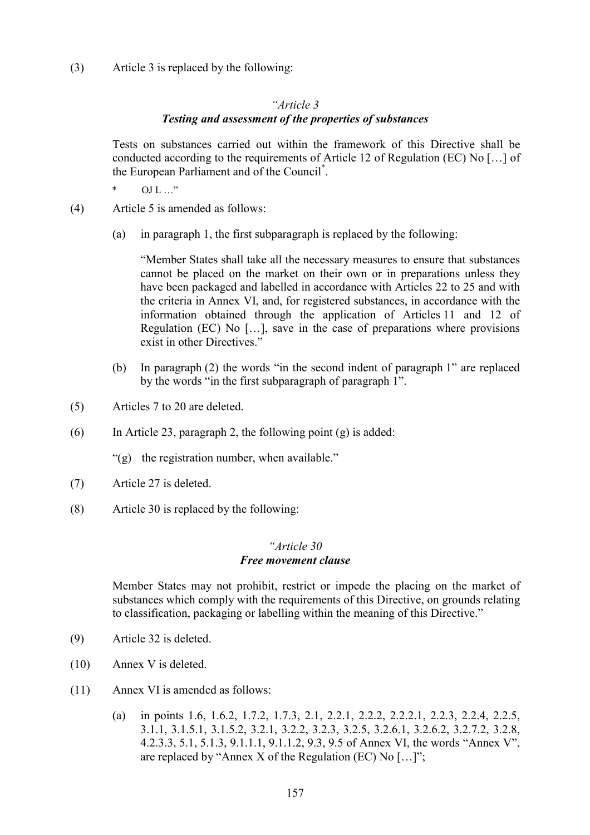(3) Article 3 is replaced by the following:

# *"Article 3 Testing and assessment of the properties of substances*

Tests on substances carried out within the framework of this Directive shall be conducted according to the requirements of Article 12 of Regulation (EC) No […] of the European Parliament and of the Council\* .

 $OJ L ...$ "

(4) Article 5 is amended as follows:

(a) in paragraph 1, the first subparagraph is replaced by the following:

"Member States shall take all the necessary measures to ensure that substances cannot be placed on the market on their own or in preparations unless they have been packaged and labelled in accordance with Articles 22 to 25 and with the criteria in Annex VI, and, for registered substances, in accordance with the information obtained through the application of Articles 11 and 12 of Regulation (EC) No […], save in the case of preparations where provisions exist in other Directives."

- (b) In paragraph (2) the words "in the second indent of paragraph 1" are replaced by the words "in the first subparagraph of paragraph 1".
- (5) Articles 7 to 20 are deleted.
- (6) In Article 23, paragraph 2, the following point (g) is added:

"(g) the registration number, when available."

- (7) Article 27 is deleted.
- (8) Article 30 is replaced by the following:

#### *"Article 30 Free movement clause*

Member States may not prohibit, restrict or impede the placing on the market of substances which comply with the requirements of this Directive, on grounds relating to classification, packaging or labelling within the meaning of this Directive."

- (9) Article 32 is deleted.
- (10) Annex V is deleted.
- (11) Annex VI is amended as follows:
	- (a) in points 1.6, 1.6.2, 1.7.2, 1.7.3, 2.1, 2.2.1, 2.2.2, 2.2.2.1, 2.2.3, 2.2.4, 2.2.5, 3.1.1, 3.1.5.1, 3.1.5.2, 3.2.1, 3.2.2, 3.2.3, 3.2.5, 3.2.6.1, 3.2.6.2, 3.2.7.2, 3.2.8, 4.2.3.3, 5.1, 5.1.3, 9.1.1.1, 9.1.1.2, 9.3, 9.5 of Annex VI, the words "Annex V", are replaced by "Annex X of the Regulation (EC) No […]";